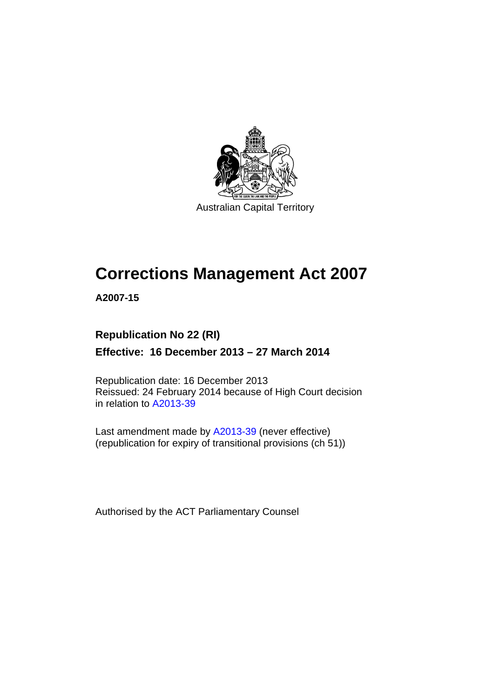

Australian Capital Territory

# **Corrections Management Act 2007**

**A2007-15** 

### **Republication No 22 (RI)**

**Effective: 16 December 2013 – 27 March 2014** 

Republication date: 16 December 2013 Reissued: 24 February 2014 because of High Court decision in relation to [A2013-39](http://www.legislation.act.gov.au/a/2013-39)

Last amendment made by [A2013-39](http://www.legislation.act.gov.au/a/2013-39) (never effective) (republication for expiry of transitional provisions (ch 51))

Authorised by the ACT Parliamentary Counsel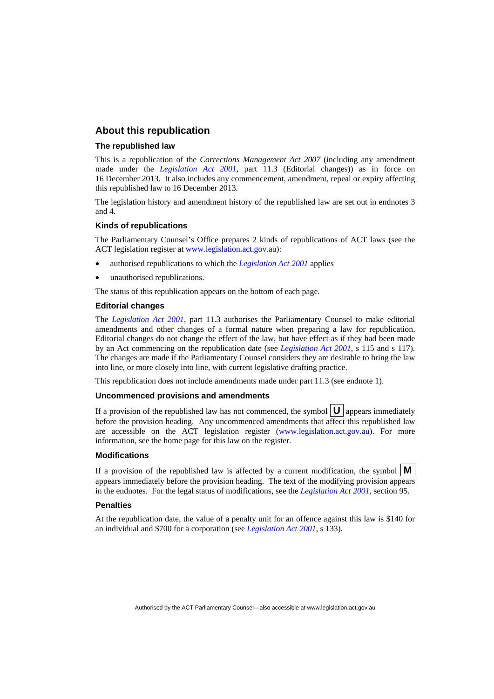### **About this republication**

#### **The republished law**

This is a republication of the *Corrections Management Act 2007* (including any amendment made under the *[Legislation Act 2001](http://www.legislation.act.gov.au/a/2001-14)*, part 11.3 (Editorial changes)) as in force on 16 December 2013*.* It also includes any commencement, amendment, repeal or expiry affecting this republished law to 16 December 2013.

The legislation history and amendment history of the republished law are set out in endnotes 3 and 4.

#### **Kinds of republications**

The Parliamentary Counsel's Office prepares 2 kinds of republications of ACT laws (see the ACT legislation register at [www.legislation.act.gov.au](http://www.legislation.act.gov.au/)):

- authorised republications to which the *[Legislation Act 2001](http://www.legislation.act.gov.au/a/2001-14)* applies
- unauthorised republications.

The status of this republication appears on the bottom of each page.

#### **Editorial changes**

The *[Legislation Act 2001](http://www.legislation.act.gov.au/a/2001-14)*, part 11.3 authorises the Parliamentary Counsel to make editorial amendments and other changes of a formal nature when preparing a law for republication. Editorial changes do not change the effect of the law, but have effect as if they had been made by an Act commencing on the republication date (see *[Legislation Act 2001](http://www.legislation.act.gov.au/a/2001-14)*, s 115 and s 117). The changes are made if the Parliamentary Counsel considers they are desirable to bring the law into line, or more closely into line, with current legislative drafting practice.

This republication does not include amendments made under part 11.3 (see endnote 1).

#### **Uncommenced provisions and amendments**

If a provision of the republished law has not commenced, the symbol  $\mathbf{U}$  appears immediately before the provision heading. Any uncommenced amendments that affect this republished law are accessible on the ACT legislation register [\(www.legislation.act.gov.au\)](http://www.legislation.act.gov.au/). For more information, see the home page for this law on the register.

#### **Modifications**

If a provision of the republished law is affected by a current modification, the symbol  $\mathbf{M}$ appears immediately before the provision heading. The text of the modifying provision appears in the endnotes. For the legal status of modifications, see the *[Legislation Act 2001](http://www.legislation.act.gov.au/a/2001-14)*, section 95.

#### **Penalties**

At the republication date, the value of a penalty unit for an offence against this law is \$140 for an individual and \$700 for a corporation (see *[Legislation Act 2001](http://www.legislation.act.gov.au/a/2001-14)*, s 133).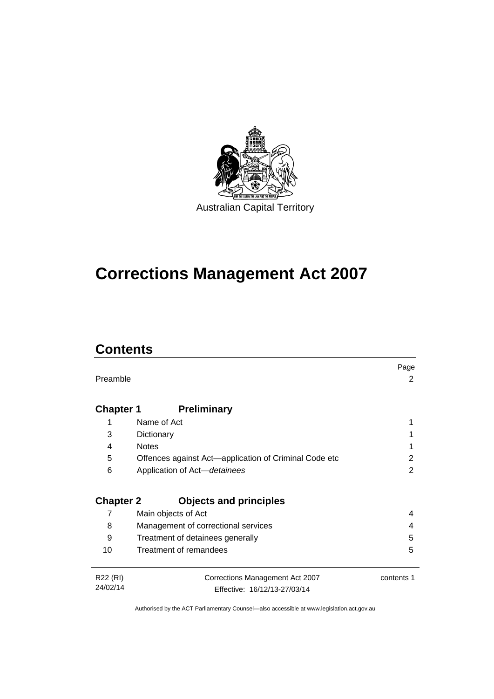

# **Corrections Management Act 2007**

## **Contents**

|                  |                                                       | Page       |
|------------------|-------------------------------------------------------|------------|
| Preamble         |                                                       | 2          |
|                  |                                                       |            |
| <b>Chapter 1</b> | <b>Preliminary</b>                                    |            |
| 1                | Name of Act                                           |            |
|                  |                                                       |            |
| 3                | Dictionary                                            |            |
| 4                | <b>Notes</b>                                          |            |
| 5                | Offences against Act-application of Criminal Code etc | 2          |
| 6                | Application of Act-detainees                          | 2          |
|                  |                                                       |            |
|                  |                                                       |            |
| <b>Chapter 2</b> | <b>Objects and principles</b>                         |            |
| 7                | Main objects of Act                                   | 4          |
| 8                | Management of correctional services                   | 4          |
| 9                | Treatment of detainees generally                      | 5          |
| 10               | Treatment of remandees                                | 5          |
|                  |                                                       |            |
| R22 (RI)         | Corrections Management Act 2007                       | contents 1 |
| 24/02/14         | Effective: 16/12/13-27/03/14                          |            |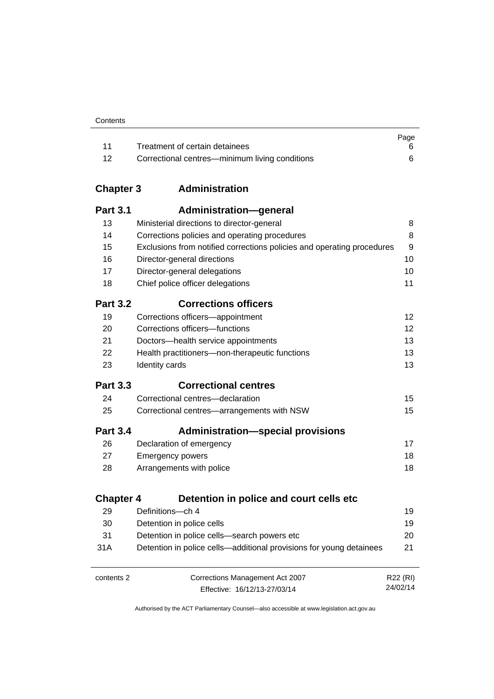| Contents |
|----------|
|----------|

|       |                                                | Page |
|-------|------------------------------------------------|------|
| - 11  | Treatment of certain detainees                 |      |
| $-12$ | Correctional centres—minimum living conditions |      |

### **Chapter 3 [Administration](#page-23-0)**

| <b>Part 3.1</b>  | Administration-general                                                 |          |
|------------------|------------------------------------------------------------------------|----------|
| 13               | Ministerial directions to director-general                             | 8        |
| 14               | Corrections policies and operating procedures                          | 8        |
| 15               | Exclusions from notified corrections policies and operating procedures | 9        |
| 16               | Director-general directions                                            | 10       |
| 17               | Director-general delegations                                           | 10       |
| 18               | Chief police officer delegations                                       | 11       |
| <b>Part 3.2</b>  | <b>Corrections officers</b>                                            |          |
| 19               | Corrections officers-appointment                                       | 12       |
| 20               | Corrections officers-functions                                         | 12       |
| 21               | Doctors-health service appointments                                    | 13       |
| 22               | Health practitioners-non-therapeutic functions                         | 13       |
| 23               | Identity cards                                                         | 13       |
| <b>Part 3.3</b>  | <b>Correctional centres</b>                                            |          |
| 24               | Correctional centres-declaration                                       | 15       |
| 25               | Correctional centres-arrangements with NSW                             | 15       |
| <b>Part 3.4</b>  | <b>Administration-special provisions</b>                               |          |
| 26               | Declaration of emergency                                               | 17       |
| 27               | <b>Emergency powers</b>                                                | 18       |
| 28               | Arrangements with police                                               | 18       |
| <b>Chapter 4</b> | Detention in police and court cells etc                                |          |
| 29               | Definitions-ch 4                                                       | 19       |
| 30               | Detention in police cells                                              | 19       |
| 31               | Detention in police cells-search powers etc                            | 20       |
| 31A              | Detention in police cells—additional provisions for young detainees    | 21       |
| contents 2       | Corrections Management Act 2007                                        | R22 (RI) |

Effective: 16/12/13-27/03/14

24/02/14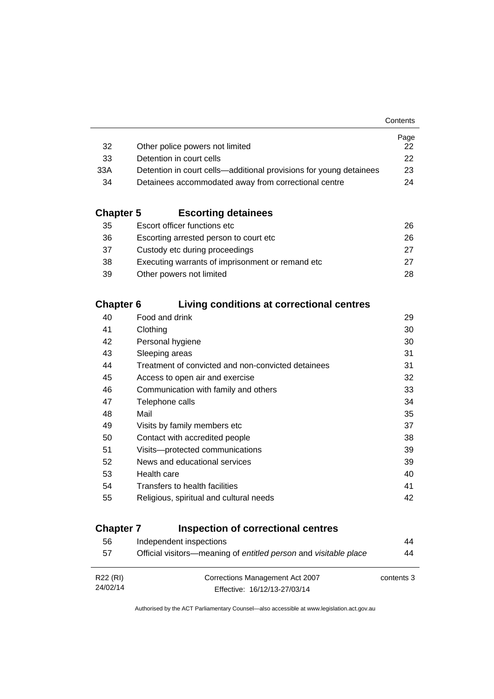|                                                                    | Page         |
|--------------------------------------------------------------------|--------------|
| Other police powers not limited                                    | 22.          |
| Detention in court cells                                           | $22^{\circ}$ |
| Detention in court cells—additional provisions for young detainees | 23           |
| Detainees accommodated away from correctional centre               | 24           |
|                                                                    |              |

### **Chapter 5 [Escorting detainees](#page-41-0)**

| 35 | Escort officer functions etc                      | 26. |
|----|---------------------------------------------------|-----|
| 36 | Escorting arrested person to court etc.           | 26. |
| 37 | Custody etc during proceedings                    | 27  |
| 38 | Executing warrants of imprisonment or remand etc. | 27  |
| 39 | Other powers not limited                          | 28. |

### **Chapter 6 [Living conditions at correctional centres](#page-44-0)**

| 40 | Food and drink                                     | 29 |
|----|----------------------------------------------------|----|
| 41 | Clothing                                           | 30 |
| 42 | Personal hygiene                                   | 30 |
| 43 | Sleeping areas                                     | 31 |
| 44 | Treatment of convicted and non-convicted detainees | 31 |
| 45 | Access to open air and exercise                    | 32 |
| 46 | Communication with family and others               | 33 |
| 47 | Telephone calls                                    | 34 |
| 48 | Mail                                               | 35 |
| 49 | Visits by family members etc                       | 37 |
| 50 | Contact with accredited people                     | 38 |
| 51 | Visits---protected communications                  | 39 |
| 52 | News and educational services                      | 39 |
| 53 | Health care                                        | 40 |
| 54 | Transfers to health facilities                     | 41 |
| 55 | Religious, spiritual and cultural needs            | 42 |
|    |                                                    |    |

### **Chapter 7 [Inspection of correctional centres](#page-59-0)**

| 56       | Independent inspections                                          | 44         |
|----------|------------------------------------------------------------------|------------|
| 57       | Official visitors—meaning of entitled person and visitable place | 44         |
|          |                                                                  |            |
| R22 (RI) | Corrections Management Act 2007                                  | contents 3 |
| 24/02/14 | Effective: 16/12/13-27/03/14                                     |            |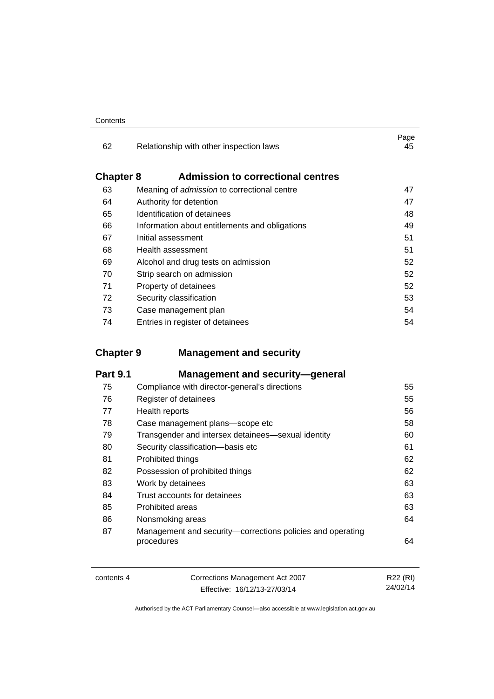| 62               | Relationship with other inspection laws            | Page<br>45 |
|------------------|----------------------------------------------------|------------|
| <b>Chapter 8</b> | <b>Admission to correctional centres</b>           |            |
| 63               | Meaning of <i>admission</i> to correctional centre | 47         |
| 64               | Authority for detention                            | 47         |
| 65               | Identification of detainees                        | 48         |
| 66               | Information about entitlements and obligations     | 49         |
| 67               | Initial assessment                                 | 51         |
| 68               | Health assessment                                  | 51         |
| 69               | Alcohol and drug tests on admission                | 52         |
| 70               | Strip search on admission                          | 52         |
| 71               | Property of detainees                              | 52         |
| 72               | Security classification                            | 53         |
| 73               | Case management plan                               | 54         |
| 74               | Entries in register of detainees                   | 54         |

### **Chapter 9 [Management and security](#page-70-0)**

| <b>Part 9.1</b> | <b>Management and security-general</b>                                   |    |
|-----------------|--------------------------------------------------------------------------|----|
| 75              | Compliance with director-general's directions                            | 55 |
| 76              | Register of detainees                                                    | 55 |
| 77              | Health reports                                                           | 56 |
| 78              | Case management plans-scope etc                                          | 58 |
| 79              | Transgender and intersex detainees—sexual identity                       | 60 |
| 80              | Security classification-basis etc                                        | 61 |
| 81              | Prohibited things                                                        | 62 |
| 82              | Possession of prohibited things                                          | 62 |
| 83              | Work by detainees                                                        | 63 |
| 84              | Trust accounts for detainees                                             | 63 |
| 85              | <b>Prohibited areas</b>                                                  | 63 |
| 86              | Nonsmoking areas                                                         | 64 |
| 87              | Management and security-corrections policies and operating<br>procedures | 64 |

| contents 4 | Corrections Management Act 2007 | R22 (RI) |
|------------|---------------------------------|----------|
|            | Effective: 16/12/13-27/03/14    | 24/02/14 |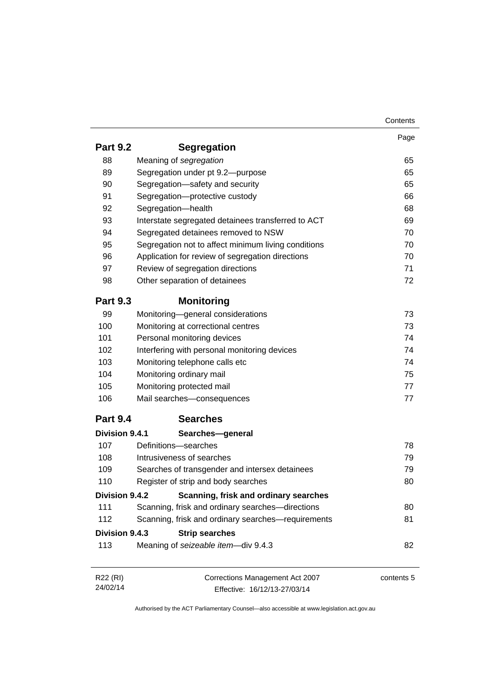|                 |                                                     | Contents   |
|-----------------|-----------------------------------------------------|------------|
|                 |                                                     | Page       |
| <b>Part 9.2</b> | <b>Segregation</b>                                  |            |
| 88              | Meaning of segregation                              | 65         |
| 89              | Segregation under pt 9.2-purpose                    | 65         |
| 90              | Segregation-safety and security                     | 65         |
| 91              | Segregation-protective custody                      | 66         |
| 92              | Segregation-health                                  | 68         |
| 93              | Interstate segregated detainees transferred to ACT  | 69         |
| 94              | Segregated detainees removed to NSW                 | 70         |
| 95              | Segregation not to affect minimum living conditions | 70         |
| 96              | Application for review of segregation directions    | 70         |
| 97              | Review of segregation directions                    | 71         |
| 98              | Other separation of detainees                       | 72         |
| <b>Part 9.3</b> | <b>Monitoring</b>                                   |            |
| 99              | Monitoring-general considerations                   | 73         |
| 100             | Monitoring at correctional centres                  | 73         |
| 101             | Personal monitoring devices                         | 74         |
| 102             | Interfering with personal monitoring devices        | 74         |
| 103             | Monitoring telephone calls etc                      | 74         |
| 104             | Monitoring ordinary mail                            | 75         |
| 105             | Monitoring protected mail                           | 77         |
| 106             | Mail searches-consequences                          | 77         |
| <b>Part 9.4</b> | <b>Searches</b>                                     |            |
| Division 9.4.1  | Searches-general                                    |            |
| 107             | Definitions-searches                                | 78         |
| 108             | Intrusiveness of searches                           | 79         |
| 109             | Searches of transgender and intersex detainees      | 79         |
| 110             | Register of strip and body searches                 | 80         |
| Division 9.4.2  | Scanning, frisk and ordinary searches               |            |
| 111             | Scanning, frisk and ordinary searches-directions    | 80         |
| 112             | Scanning, frisk and ordinary searches-requirements  | 81         |
| Division 9.4.3  | <b>Strip searches</b>                               |            |
| 113             | Meaning of seizeable item-div 9.4.3                 | 82         |
|                 |                                                     |            |
| R22 (RI)        | Corrections Management Act 2007                     | contents 5 |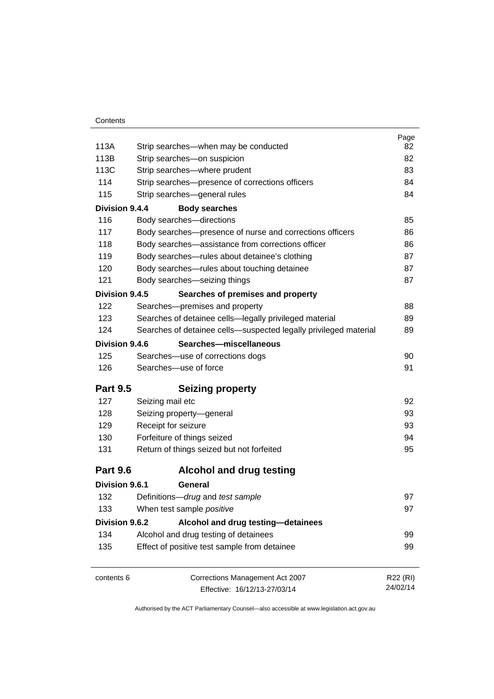| Contents |
|----------|
|----------|

|                 |                                                                  | Page     |
|-----------------|------------------------------------------------------------------|----------|
| 113A            | Strip searches-when may be conducted                             | 82       |
| 113B            | Strip searches-on suspicion                                      | 82       |
| 113C            | Strip searches-where prudent                                     | 83       |
| 114             | Strip searches-presence of corrections officers                  | 84       |
| 115             | Strip searches-general rules                                     | 84       |
| Division 9.4.4  | <b>Body searches</b>                                             |          |
| 116             | Body searches-directions                                         | 85       |
| 117             | Body searches-presence of nurse and corrections officers         | 86       |
| 118             | Body searches-assistance from corrections officer                | 86       |
| 119             | Body searches-rules about detainee's clothing                    | 87       |
| 120             | Body searches-rules about touching detainee                      | 87       |
| 121             | Body searches-seizing things                                     | 87       |
| Division 9.4.5  | Searches of premises and property                                |          |
| 122             | Searches-premises and property                                   | 88       |
| 123             | Searches of detainee cells-legally privileged material           | 89       |
| 124             | Searches of detainee cells—suspected legally privileged material | 89       |
| Division 9.4.6  | Searches-miscellaneous                                           |          |
| 125             | Searches-use of corrections dogs                                 | 90       |
| 126             | Searches-use of force                                            | 91       |
| <b>Part 9.5</b> | <b>Seizing property</b>                                          |          |
| 127             | Seizing mail etc                                                 | 92       |
| 128             | Seizing property-general                                         | 93       |
| 129             | Receipt for seizure                                              | 93       |
| 130             | Forfeiture of things seized                                      | 94       |
| 131             | Return of things seized but not forfeited                        | 95       |
| <b>Part 9.6</b> | <b>Alcohol and drug testing</b>                                  |          |
| Division 9.6.1  | General                                                          |          |
| 132             | Definitions-drug and test sample                                 | 97       |
| 133             | When test sample <i>positive</i>                                 | 97       |
| Division 9.6.2  | Alcohol and drug testing-detainees                               |          |
| 134             | Alcohol and drug testing of detainees                            | 99       |
| 135             | Effect of positive test sample from detainee                     | 99       |
| contents 6      | Corrections Management Act 2007                                  | R22 (RI) |
|                 | Effective: 16/12/13-27/03/14                                     | 24/02/14 |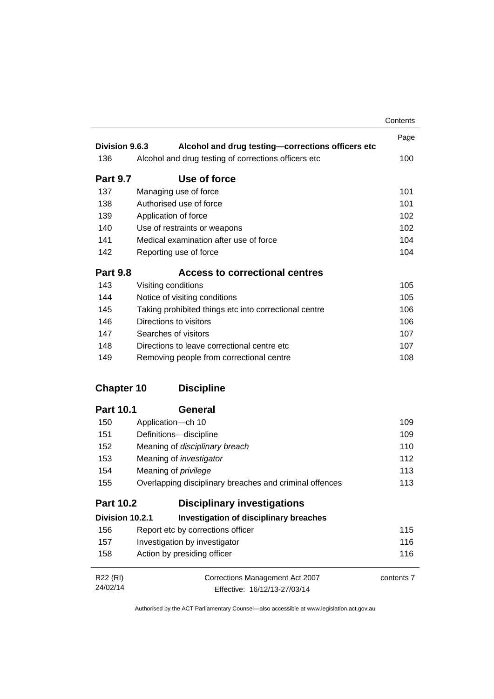|                      |                                                                 | Contents   |
|----------------------|-----------------------------------------------------------------|------------|
|                      |                                                                 | Page       |
| Division 9.6.3       | Alcohol and drug testing-corrections officers etc               |            |
| 136                  | Alcohol and drug testing of corrections officers etc            | 100        |
| <b>Part 9.7</b>      | Use of force                                                    |            |
| 137                  | Managing use of force                                           | 101        |
| 138                  | Authorised use of force                                         | 101        |
| 139                  | Application of force                                            | 102        |
| 140                  | Use of restraints or weapons                                    | 102        |
| 141                  | Medical examination after use of force                          | 104        |
| 142                  | Reporting use of force                                          | 104        |
| <b>Part 9.8</b>      | <b>Access to correctional centres</b>                           |            |
| 143                  | Visiting conditions                                             | 105        |
| 144                  | Notice of visiting conditions                                   | 105        |
| 145                  | Taking prohibited things etc into correctional centre           | 106        |
| 146                  | Directions to visitors                                          | 106        |
| 147                  | Searches of visitors                                            | 107        |
| 148                  | Directions to leave correctional centre etc.                    | 107        |
| 149                  | Removing people from correctional centre                        | 108        |
| <b>Chapter 10</b>    | <b>Discipline</b>                                               |            |
| <b>Part 10.1</b>     | <b>General</b>                                                  |            |
| 150                  | Application-ch 10                                               | 109        |
| 151                  | Definitions-discipline                                          | 109        |
| 152                  | Meaning of disciplinary breach                                  | 110        |
| 153                  | Meaning of <i>investigator</i>                                  | 112        |
| 154                  | Meaning of <i>privilege</i>                                     | 113        |
| 155                  | Overlapping disciplinary breaches and criminal offences         | 113        |
| <b>Part 10.2</b>     | <b>Disciplinary investigations</b>                              |            |
| Division 10.2.1      | <b>Investigation of disciplinary breaches</b>                   |            |
| 156                  | Report etc by corrections officer                               | 115        |
| 157                  | Investigation by investigator                                   | 116        |
| 158                  | Action by presiding officer                                     | 116        |
| R22 (RI)<br>24/02/14 | Corrections Management Act 2007<br>Fffective: 16/12/13-27/03/14 | contents 7 |

Effective: 16/12/13-27/03/14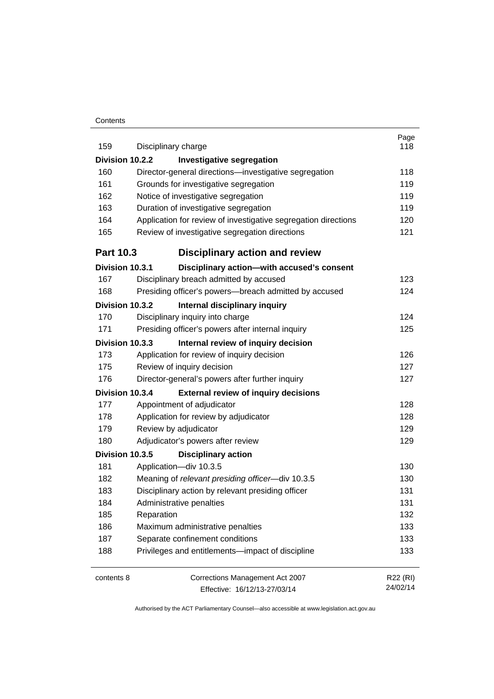#### **Contents**

| 159              | Disciplinary charge                                            | Page<br>118 |
|------------------|----------------------------------------------------------------|-------------|
| Division 10.2.2  | <b>Investigative segregation</b>                               |             |
| 160              | Director-general directions-investigative segregation          | 118         |
| 161              | Grounds for investigative segregation                          | 119         |
| 162              | Notice of investigative segregation                            | 119         |
| 163              | Duration of investigative segregation                          | 119         |
| 164              | Application for review of investigative segregation directions | 120         |
| 165              | Review of investigative segregation directions                 | 121         |
| <b>Part 10.3</b> | <b>Disciplinary action and review</b>                          |             |
| Division 10.3.1  | Disciplinary action-with accused's consent                     |             |
| 167              | Disciplinary breach admitted by accused                        | 123         |
| 168              | Presiding officer's powers--breach admitted by accused         | 124         |
| Division 10.3.2  | Internal disciplinary inquiry                                  |             |
| 170              | Disciplinary inquiry into charge                               | 124         |
| 171              | Presiding officer's powers after internal inquiry              | 125         |
| Division 10.3.3  | Internal review of inquiry decision                            |             |
| 173              | Application for review of inquiry decision                     | 126         |
| 175              | Review of inquiry decision                                     | 127         |
| 176              | Director-general's powers after further inquiry                | 127         |
| Division 10.3.4  | <b>External review of inquiry decisions</b>                    |             |
| 177              | Appointment of adjudicator                                     | 128         |
| 178              | Application for review by adjudicator                          | 128         |
| 179              | Review by adjudicator                                          | 129         |
| 180              | Adjudicator's powers after review                              | 129         |
| Division 10.3.5  | <b>Disciplinary action</b>                                     |             |
| 181              | Application-div 10.3.5                                         | 130         |
| 182              | Meaning of relevant presiding officer-div 10.3.5               | 130         |
| 183              | Disciplinary action by relevant presiding officer              | 131         |
| 184              | Administrative penalties                                       | 131         |
| 185              | Reparation                                                     | 132         |
| 186              | Maximum administrative penalties                               | 133         |
| 187              | Separate confinement conditions                                | 133         |
| 188              | Privileges and entitlements-impact of discipline               | 133         |
| contents 8       | Corrections Management Act 2007                                | R22 (RI)    |
|                  | Effective: 16/12/13-27/03/14                                   | 24/02/14    |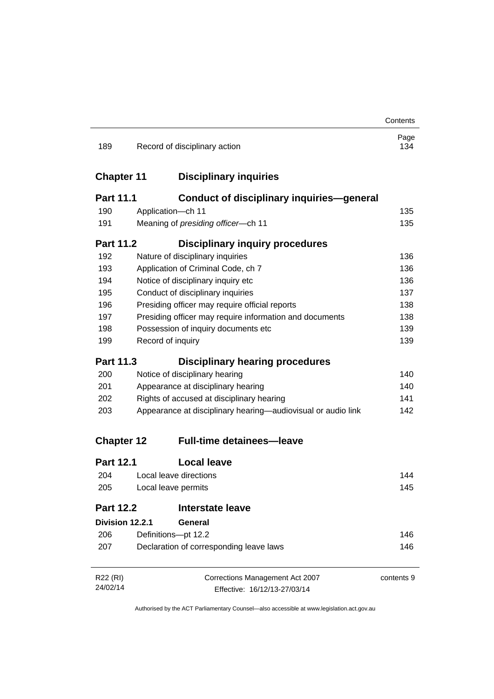|                   |                                                              | Contents    |
|-------------------|--------------------------------------------------------------|-------------|
| 189               | Record of disciplinary action                                | Page<br>134 |
| <b>Chapter 11</b> | <b>Disciplinary inquiries</b>                                |             |
| <b>Part 11.1</b>  | <b>Conduct of disciplinary inquiries-general</b>             |             |
| 190               | Application-ch 11                                            | 135         |
| 191               | Meaning of presiding officer-ch 11                           | 135         |
| <b>Part 11.2</b>  | <b>Disciplinary inquiry procedures</b>                       |             |
| 192               | Nature of disciplinary inquiries                             | 136         |
| 193               | Application of Criminal Code, ch 7                           | 136         |
| 194               | Notice of disciplinary inquiry etc                           | 136         |
| 195               | Conduct of disciplinary inquiries                            | 137         |
| 196               | Presiding officer may require official reports               | 138         |
| 197               | Presiding officer may require information and documents      | 138         |
| 198               | Possession of inquiry documents etc                          |             |
| 199               | Record of inquiry                                            | 139         |
| <b>Part 11.3</b>  | <b>Disciplinary hearing procedures</b>                       |             |
| 200               | Notice of disciplinary hearing                               | 140         |
| 201               | Appearance at disciplinary hearing                           | 140         |
| 202               | Rights of accused at disciplinary hearing                    | 141         |
| 203               | Appearance at disciplinary hearing—audiovisual or audio link |             |
| <b>Chapter 12</b> | <b>Full-time detainees-leave</b>                             |             |
| <b>Part 12.1</b>  | <b>Local leave</b>                                           |             |
| 204               | Local leave directions                                       | 144         |
| 205               | Local leave permits                                          |             |
| <b>Part 12.2</b>  | <b>Interstate leave</b>                                      |             |
| Division 12.2.1   | General                                                      |             |
| 206               | Definitions-pt 12.2                                          | 146         |
| 207               | Declaration of corresponding leave laws                      | 146         |
| R22 (RI)          | Corrections Management Act 2007                              | contents 9  |
| 24/02/14          | Effective: 16/12/13-27/03/14                                 |             |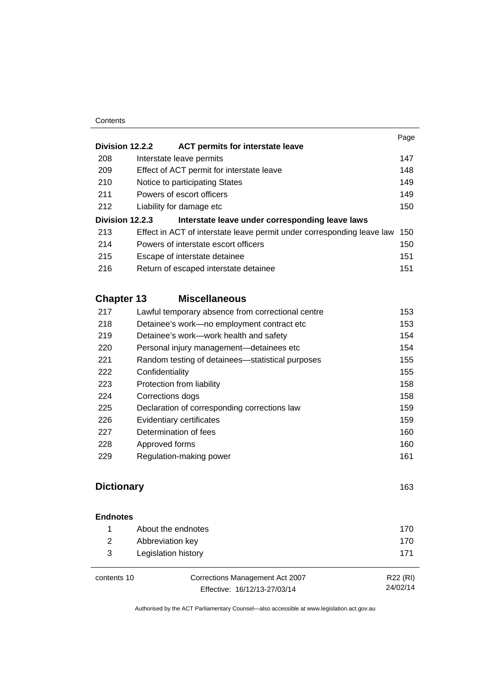#### **Contents**

|                   |                                                                        | Page |
|-------------------|------------------------------------------------------------------------|------|
| Division 12.2.2   | ACT permits for interstate leave                                       |      |
| 208               | Interstate leave permits                                               | 147  |
| 209               | Effect of ACT permit for interstate leave                              | 148  |
| 210               | Notice to participating States                                         | 149  |
| 211               | Powers of escort officers                                              | 149  |
| 212               | Liability for damage etc                                               | 150  |
| Division 12.2.3   | Interstate leave under corresponding leave laws                        |      |
| 213               | Effect in ACT of interstate leave permit under corresponding leave law | 150  |
| 214               | Powers of interstate escort officers                                   | 150  |
| 215               | Escape of interstate detainee                                          | 151  |
| 216               | Return of escaped interstate detainee                                  | 151  |
| <b>Chapter 13</b> | <b>Miscellaneous</b>                                                   |      |
| 217               | Lawful temporary absence from correctional centre                      | 153  |
| 218               | Detainee's work—no employment contract etc                             | 153. |

| 218 | Detainee's work-no employment contract etc       | 153 |
|-----|--------------------------------------------------|-----|
| 219 | Detainee's work—work health and safety           | 154 |
| 220 | Personal injury management—detainees etc         | 154 |
| 221 | Random testing of detainees—statistical purposes | 155 |
| 222 | Confidentiality                                  | 155 |
| 223 | Protection from liability                        | 158 |
| 224 | Corrections dogs                                 | 158 |
| 225 | Declaration of corresponding corrections law     | 159 |
| 226 | Evidentiary certificates                         | 159 |
| 227 | Determination of fees                            | 160 |
| 228 | Approved forms                                   | 160 |
| 229 | Regulation-making power                          | 161 |
|     |                                                  |     |

### **[Dictionary](#page-178-0)** [163](#page-178-0)

| <b>Endnotes</b> |                     |      |
|-----------------|---------------------|------|
| 1.              | About the endnotes  | 170. |
| 2               | Abbreviation key    | 170  |
| 3               | Legislation history | 171  |

| contents 10 | Corrections Management Act 2007 | R22 (RI) |
|-------------|---------------------------------|----------|
|             | Effective: 16/12/13-27/03/14    | 24/02/14 |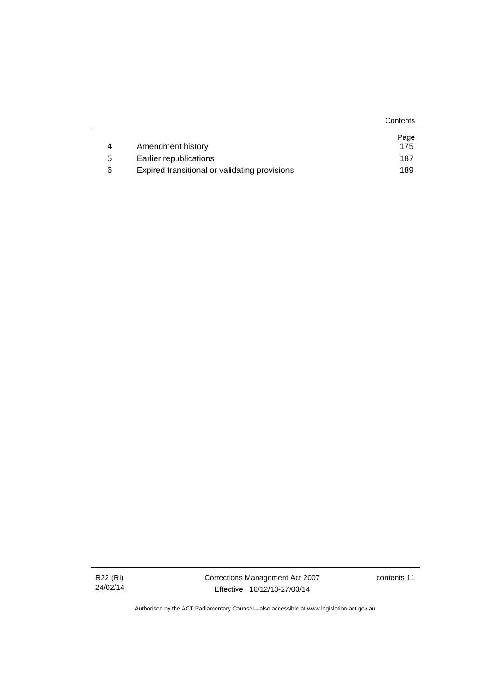|   |                                               | Contents |
|---|-----------------------------------------------|----------|
|   |                                               | Page     |
| 4 | Amendment history                             | 175      |
| 5 | Earlier republications                        | 187      |
| 6 | Expired transitional or validating provisions | 189      |

Corrections Management Act 2007 Effective: 16/12/13-27/03/14

contents 11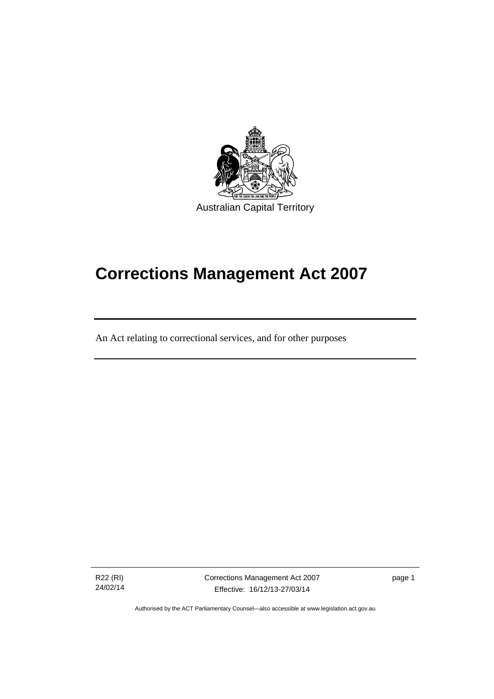

# **Corrections Management Act 2007**

An Act relating to correctional services, and for other purposes

R22 (RI) 24/02/14

֖֚֚֚֬

Corrections Management Act 2007 Effective: 16/12/13-27/03/14

page 1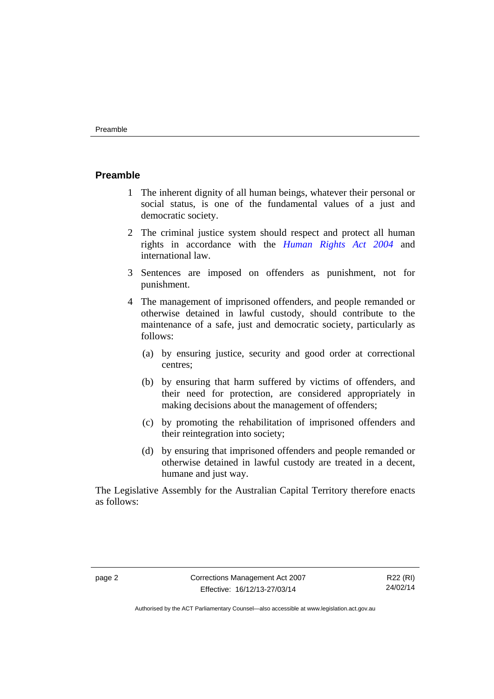#### <span id="page-15-0"></span>**Preamble**

- 1 The inherent dignity of all human beings, whatever their personal or social status, is one of the fundamental values of a just and democratic society.
- 2 The criminal justice system should respect and protect all human rights in accordance with the *[Human Rights Act 2004](http://www.legislation.act.gov.au/a/2004-5)* and international law.
- 3 Sentences are imposed on offenders as punishment, not for punishment.
- 4 The management of imprisoned offenders, and people remanded or otherwise detained in lawful custody, should contribute to the maintenance of a safe, just and democratic society, particularly as follows:
	- (a) by ensuring justice, security and good order at correctional centres;
	- (b) by ensuring that harm suffered by victims of offenders, and their need for protection, are considered appropriately in making decisions about the management of offenders;
	- (c) by promoting the rehabilitation of imprisoned offenders and their reintegration into society;
	- (d) by ensuring that imprisoned offenders and people remanded or otherwise detained in lawful custody are treated in a decent, humane and just way.

The Legislative Assembly for the Australian Capital Territory therefore enacts as follows:

R22 (RI) 24/02/14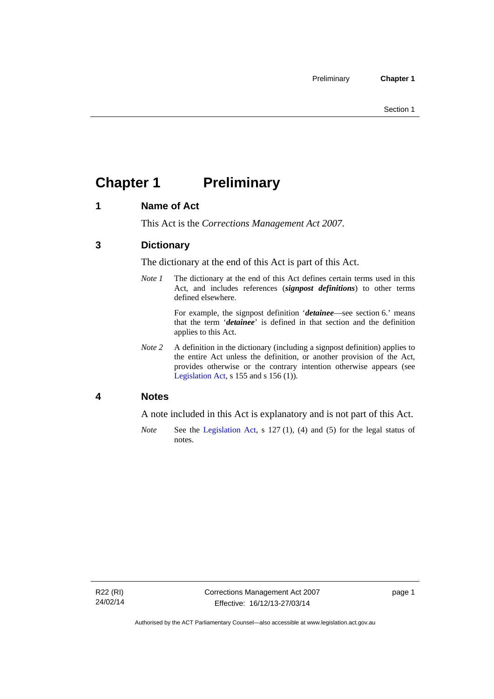## <span id="page-16-0"></span>**Chapter 1 Preliminary**

### <span id="page-16-1"></span>**1 Name of Act**

This Act is the *Corrections Management Act 2007*.

### <span id="page-16-2"></span>**3 Dictionary**

The dictionary at the end of this Act is part of this Act.

*Note 1* The dictionary at the end of this Act defines certain terms used in this Act, and includes references (*signpost definitions*) to other terms defined elsewhere.

> For example, the signpost definition '*detainee*—see section 6.' means that the term '*detainee*' is defined in that section and the definition applies to this Act.

*Note 2* A definition in the dictionary (including a signpost definition) applies to the entire Act unless the definition, or another provision of the Act, provides otherwise or the contrary intention otherwise appears (see [Legislation Act,](http://www.legislation.act.gov.au/a/2001-14) s 155 and s 156 (1)).

### <span id="page-16-3"></span>**4 Notes**

A note included in this Act is explanatory and is not part of this Act.

*Note* See the [Legislation Act,](http://www.legislation.act.gov.au/a/2001-14) s 127 (1), (4) and (5) for the legal status of notes.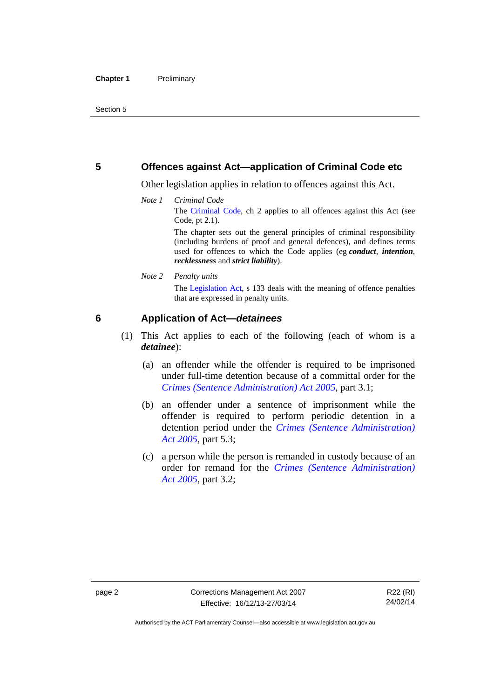### <span id="page-17-0"></span>**5 Offences against Act—application of Criminal Code etc**

Other legislation applies in relation to offences against this Act.

*Note 1 Criminal Code* The [Criminal Code](http://www.legislation.act.gov.au/a/2002-51), ch 2 applies to all offences against this Act (see Code, pt 2.1).

> The chapter sets out the general principles of criminal responsibility (including burdens of proof and general defences), and defines terms used for offences to which the Code applies (eg *conduct*, *intention*, *recklessness* and *strict liability*).

*Note 2 Penalty units* 

The [Legislation Act,](http://www.legislation.act.gov.au/a/2001-14) s 133 deals with the meaning of offence penalties that are expressed in penalty units.

### <span id="page-17-1"></span>**6 Application of Act—***detainees*

- (1) This Act applies to each of the following (each of whom is a *detainee*):
	- (a) an offender while the offender is required to be imprisoned under full-time detention because of a committal order for the *[Crimes \(Sentence Administration\) Act 2005](http://www.legislation.act.gov.au/a/2005-59)*, part 3.1;
	- (b) an offender under a sentence of imprisonment while the offender is required to perform periodic detention in a detention period under the *[Crimes \(Sentence Administration\)](http://www.legislation.act.gov.au/a/2005-59)  [Act 2005](http://www.legislation.act.gov.au/a/2005-59),* part 5.3;
	- (c) a person while the person is remanded in custody because of an order for remand for the *[Crimes \(Sentence Administration\)](http://www.legislation.act.gov.au/a/2005-59)  [Act 2005](http://www.legislation.act.gov.au/a/2005-59)*, part 3.2;

Authorised by the ACT Parliamentary Counsel—also accessible at www.legislation.act.gov.au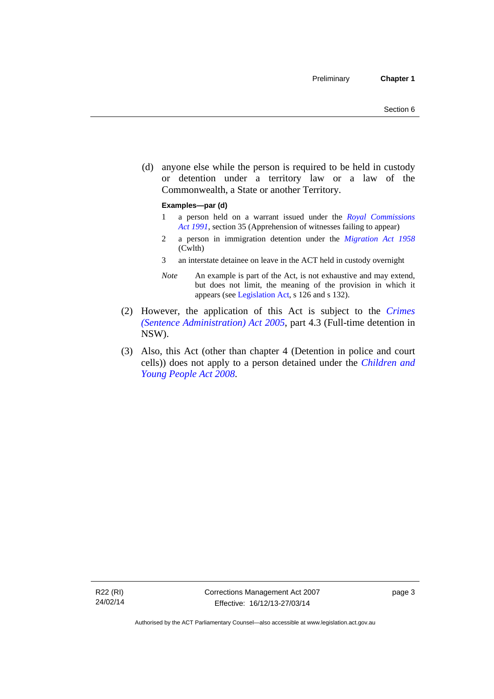(d) anyone else while the person is required to be held in custody or detention under a territory law or a law of the Commonwealth, a State or another Territory.

#### **Examples—par (d)**

- 1 a person held on a warrant issued under the *[Royal Commissions](http://www.legislation.act.gov.au/a/1991-1)  [Act 1991](http://www.legislation.act.gov.au/a/1991-1)*, section 35 (Apprehension of witnesses failing to appear)
- 2 a person in immigration detention under the *[Migration Act 1958](http://www.comlaw.gov.au/Series/C2004A07412)* (Cwlth)
- 3 an interstate detainee on leave in the ACT held in custody overnight
- *Note* An example is part of the Act, is not exhaustive and may extend, but does not limit, the meaning of the provision in which it appears (see [Legislation Act,](http://www.legislation.act.gov.au/a/2001-14) s 126 and s 132).
- (2) However, the application of this Act is subject to the *[Crimes](http://www.legislation.act.gov.au/a/2005-59)  [\(Sentence Administration\) Act 2005](http://www.legislation.act.gov.au/a/2005-59)*, part 4.3 (Full-time detention in NSW).
- (3) Also, this Act (other than chapter 4 (Detention in police and court cells)) does not apply to a person detained under the *[Children and](http://www.legislation.act.gov.au/a/2008-19)  [Young People Act 2008](http://www.legislation.act.gov.au/a/2008-19)*.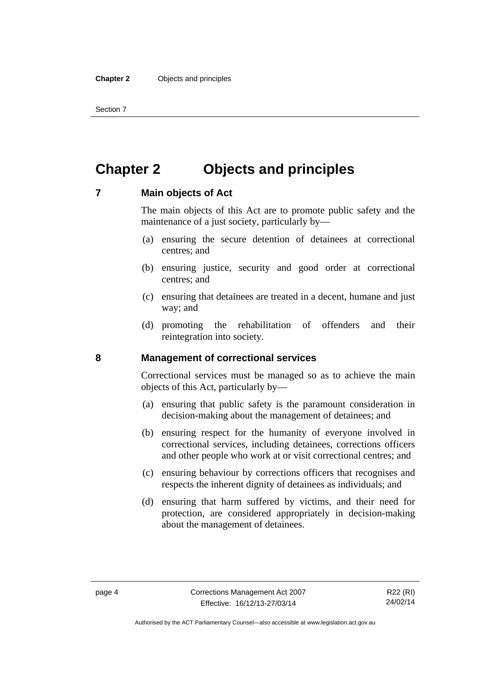Section 7

### <span id="page-19-0"></span>**Chapter 2 Objects and principles**

### <span id="page-19-1"></span>**7 Main objects of Act**

The main objects of this Act are to promote public safety and the maintenance of a just society, particularly by—

- (a) ensuring the secure detention of detainees at correctional centres; and
- (b) ensuring justice, security and good order at correctional centres; and
- (c) ensuring that detainees are treated in a decent, humane and just way; and
- (d) promoting the rehabilitation of offenders and their reintegration into society.

### <span id="page-19-2"></span>**8 Management of correctional services**

Correctional services must be managed so as to achieve the main objects of this Act, particularly by—

- (a) ensuring that public safety is the paramount consideration in decision-making about the management of detainees; and
- (b) ensuring respect for the humanity of everyone involved in correctional services, including detainees, corrections officers and other people who work at or visit correctional centres; and
- (c) ensuring behaviour by corrections officers that recognises and respects the inherent dignity of detainees as individuals; and
- (d) ensuring that harm suffered by victims, and their need for protection, are considered appropriately in decision-making about the management of detainees.

Authorised by the ACT Parliamentary Counsel—also accessible at www.legislation.act.gov.au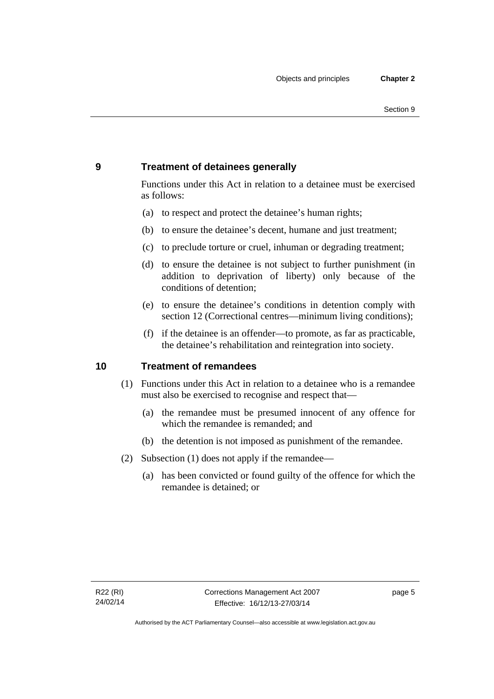### <span id="page-20-0"></span>**9 Treatment of detainees generally**

Functions under this Act in relation to a detainee must be exercised as follows:

- (a) to respect and protect the detainee's human rights;
- (b) to ensure the detainee's decent, humane and just treatment;
- (c) to preclude torture or cruel, inhuman or degrading treatment;
- (d) to ensure the detainee is not subject to further punishment (in addition to deprivation of liberty) only because of the conditions of detention;
- (e) to ensure the detainee's conditions in detention comply with section 12 (Correctional centres—minimum living conditions);
- (f) if the detainee is an offender—to promote, as far as practicable, the detainee's rehabilitation and reintegration into society.

### <span id="page-20-1"></span>**10 Treatment of remandees**

- (1) Functions under this Act in relation to a detainee who is a remandee must also be exercised to recognise and respect that—
	- (a) the remandee must be presumed innocent of any offence for which the remandee is remanded; and
	- (b) the detention is not imposed as punishment of the remandee.
- (2) Subsection (1) does not apply if the remandee—
	- (a) has been convicted or found guilty of the offence for which the remandee is detained; or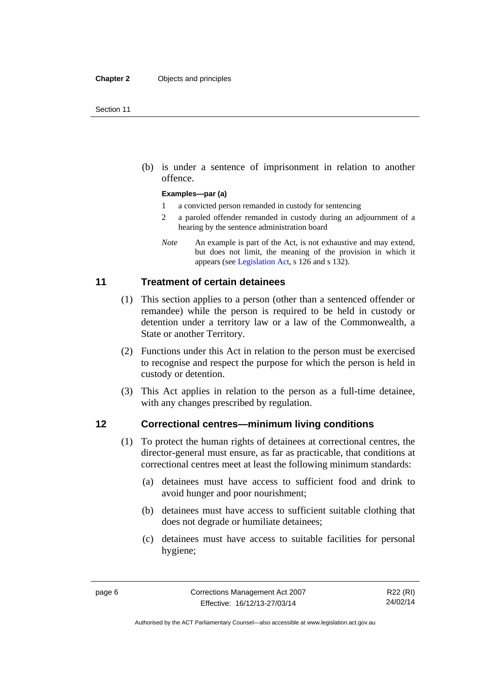(b) is under a sentence of imprisonment in relation to another offence.

#### **Examples—par (a)**

- 1 a convicted person remanded in custody for sentencing
- 2 a paroled offender remanded in custody during an adjournment of a hearing by the sentence administration board
- *Note* An example is part of the Act, is not exhaustive and may extend, but does not limit, the meaning of the provision in which it appears (see [Legislation Act,](http://www.legislation.act.gov.au/a/2001-14) s 126 and s 132).

### <span id="page-21-0"></span>**11 Treatment of certain detainees**

- (1) This section applies to a person (other than a sentenced offender or remandee) while the person is required to be held in custody or detention under a territory law or a law of the Commonwealth, a State or another Territory.
- (2) Functions under this Act in relation to the person must be exercised to recognise and respect the purpose for which the person is held in custody or detention.
- (3) This Act applies in relation to the person as a full-time detainee, with any changes prescribed by regulation.

### <span id="page-21-1"></span>**12 Correctional centres—minimum living conditions**

- (1) To protect the human rights of detainees at correctional centres, the director-general must ensure, as far as practicable, that conditions at correctional centres meet at least the following minimum standards:
	- (a) detainees must have access to sufficient food and drink to avoid hunger and poor nourishment;
	- (b) detainees must have access to sufficient suitable clothing that does not degrade or humiliate detainees;
	- (c) detainees must have access to suitable facilities for personal hygiene;

R22 (RI) 24/02/14

Authorised by the ACT Parliamentary Counsel—also accessible at www.legislation.act.gov.au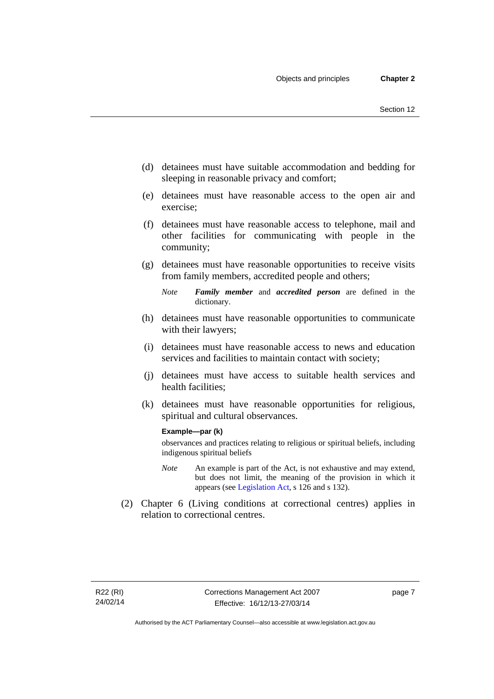- (d) detainees must have suitable accommodation and bedding for sleeping in reasonable privacy and comfort;
- (e) detainees must have reasonable access to the open air and exercise;
- (f) detainees must have reasonable access to telephone, mail and other facilities for communicating with people in the community;
- (g) detainees must have reasonable opportunities to receive visits from family members, accredited people and others;
	- *Note Family member* and *accredited person* are defined in the dictionary.
- (h) detainees must have reasonable opportunities to communicate with their lawyers;
- (i) detainees must have reasonable access to news and education services and facilities to maintain contact with society;
- (j) detainees must have access to suitable health services and health facilities;
- (k) detainees must have reasonable opportunities for religious, spiritual and cultural observances.

#### **Example—par (k)**

observances and practices relating to religious or spiritual beliefs, including indigenous spiritual beliefs

- *Note* An example is part of the Act, is not exhaustive and may extend, but does not limit, the meaning of the provision in which it appears (see [Legislation Act,](http://www.legislation.act.gov.au/a/2001-14) s 126 and s 132).
- (2) Chapter 6 (Living conditions at correctional centres) applies in relation to correctional centres.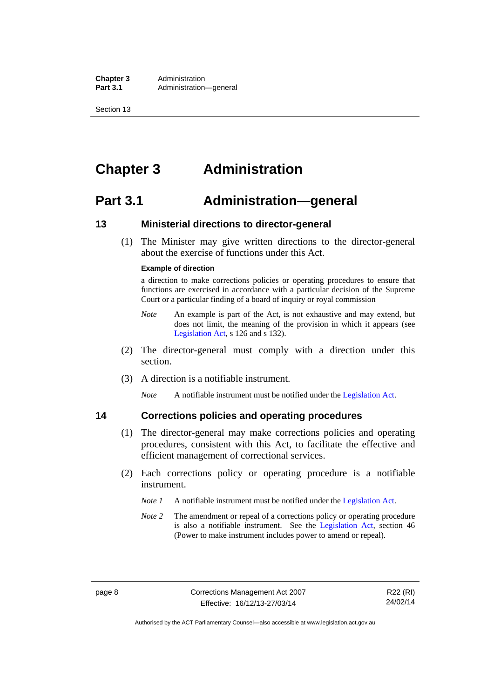**Chapter 3** Administration<br>**Part 3.1** Administration Administration—general

Section 13

### <span id="page-23-0"></span>**Chapter 3 Administration**

### <span id="page-23-1"></span>**Part 3.1 Administration—general**

### <span id="page-23-2"></span>**13 Ministerial directions to director-general**

 (1) The Minister may give written directions to the director-general about the exercise of functions under this Act.

#### **Example of direction**

a direction to make corrections policies or operating procedures to ensure that functions are exercised in accordance with a particular decision of the Supreme Court or a particular finding of a board of inquiry or royal commission

- *Note* An example is part of the Act, is not exhaustive and may extend, but does not limit, the meaning of the provision in which it appears (see [Legislation Act,](http://www.legislation.act.gov.au/a/2001-14) s 126 and s 132).
- (2) The director-general must comply with a direction under this section.
- (3) A direction is a notifiable instrument.

*Note* A notifiable instrument must be notified under the [Legislation Act](http://www.legislation.act.gov.au/a/2001-14).

## <span id="page-23-3"></span>**14 Corrections policies and operating procedures**

- (1) The director-general may make corrections policies and operating procedures, consistent with this Act, to facilitate the effective and efficient management of correctional services.
- (2) Each corrections policy or operating procedure is a notifiable instrument.
	- *Note 1* A notifiable instrument must be notified under the [Legislation Act](http://www.legislation.act.gov.au/a/2001-14).
	- *Note* 2 The amendment or repeal of a corrections policy or operating procedure is also a notifiable instrument. See the [Legislation Act,](http://www.legislation.act.gov.au/a/2001-14) section 46 (Power to make instrument includes power to amend or repeal).

Authorised by the ACT Parliamentary Counsel—also accessible at www.legislation.act.gov.au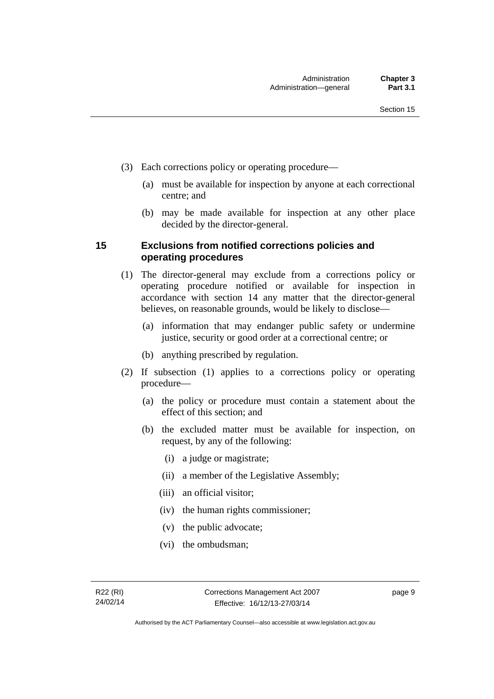- (3) Each corrections policy or operating procedure—
	- (a) must be available for inspection by anyone at each correctional centre; and
	- (b) may be made available for inspection at any other place decided by the director-general.

### <span id="page-24-0"></span>**15 Exclusions from notified corrections policies and operating procedures**

- (1) The director-general may exclude from a corrections policy or operating procedure notified or available for inspection in accordance with section 14 any matter that the director-general believes, on reasonable grounds, would be likely to disclose—
	- (a) information that may endanger public safety or undermine justice, security or good order at a correctional centre; or
	- (b) anything prescribed by regulation.
- (2) If subsection (1) applies to a corrections policy or operating procedure—
	- (a) the policy or procedure must contain a statement about the effect of this section; and
	- (b) the excluded matter must be available for inspection, on request, by any of the following:
		- (i) a judge or magistrate;
		- (ii) a member of the Legislative Assembly;
		- (iii) an official visitor;
		- (iv) the human rights commissioner;
		- (v) the public advocate;
		- (vi) the ombudsman;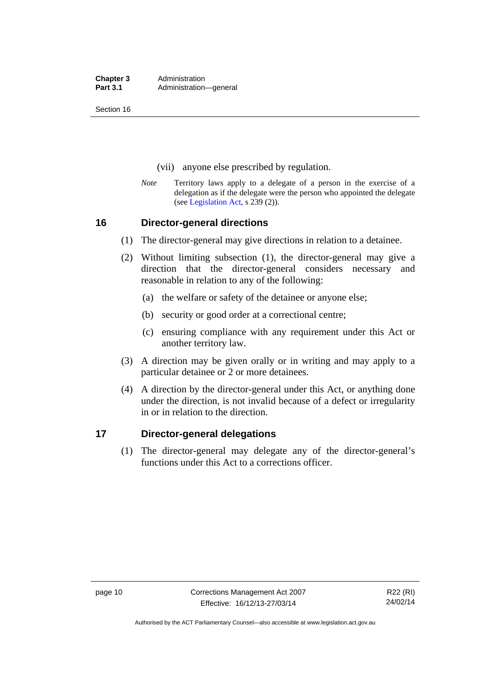**Chapter 3** Administration<br>**Part 3.1** Administration Administration—general

Section 16

- (vii) anyone else prescribed by regulation.
- *Note* Territory laws apply to a delegate of a person in the exercise of a delegation as if the delegate were the person who appointed the delegate (see [Legislation Act,](http://www.legislation.act.gov.au/a/2001-14) s 239 (2)).

### <span id="page-25-0"></span>**16 Director-general directions**

- (1) The director-general may give directions in relation to a detainee.
- (2) Without limiting subsection (1), the director-general may give a direction that the director-general considers necessary and reasonable in relation to any of the following:
	- (a) the welfare or safety of the detainee or anyone else;
	- (b) security or good order at a correctional centre;
	- (c) ensuring compliance with any requirement under this Act or another territory law.
- (3) A direction may be given orally or in writing and may apply to a particular detainee or 2 or more detainees.
- (4) A direction by the director-general under this Act, or anything done under the direction, is not invalid because of a defect or irregularity in or in relation to the direction.

### <span id="page-25-1"></span>**17 Director-general delegations**

(1) The director-general may delegate any of the director-general's functions under this Act to a corrections officer.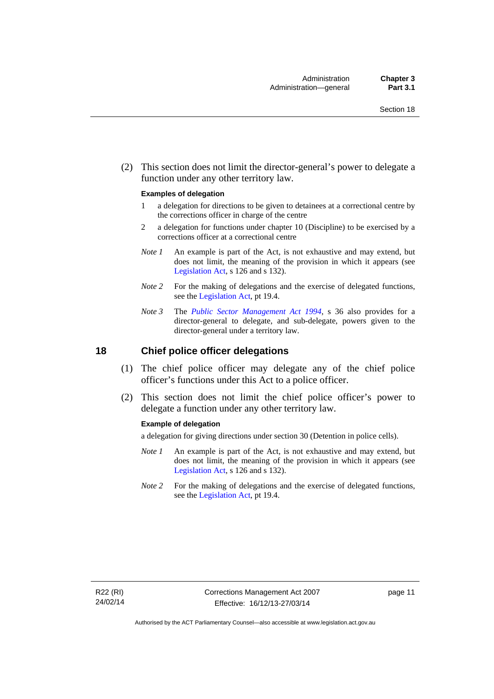(2) This section does not limit the director-general's power to delegate a function under any other territory law.

#### **Examples of delegation**

- 1 a delegation for directions to be given to detainees at a correctional centre by the corrections officer in charge of the centre
- 2 a delegation for functions under chapter 10 (Discipline) to be exercised by a corrections officer at a correctional centre
- *Note 1* An example is part of the Act, is not exhaustive and may extend, but does not limit, the meaning of the provision in which it appears (see [Legislation Act,](http://www.legislation.act.gov.au/a/2001-14) s 126 and s 132).
- *Note* 2 For the making of delegations and the exercise of delegated functions, see the [Legislation Act,](http://www.legislation.act.gov.au/a/2001-14) pt 19.4.
- *Note 3* The *[Public Sector Management Act 1994](http://www.legislation.act.gov.au/a/1994-37)*, s 36 also provides for a director-general to delegate, and sub-delegate, powers given to the director-general under a territory law.

### <span id="page-26-0"></span>**18 Chief police officer delegations**

- (1) The chief police officer may delegate any of the chief police officer's functions under this Act to a police officer.
- (2) This section does not limit the chief police officer's power to delegate a function under any other territory law.

#### **Example of delegation**

a delegation for giving directions under section 30 (Detention in police cells).

- *Note 1* An example is part of the Act, is not exhaustive and may extend, but does not limit, the meaning of the provision in which it appears (see [Legislation Act,](http://www.legislation.act.gov.au/a/2001-14) s 126 and s 132).
- *Note 2* For the making of delegations and the exercise of delegated functions, see the [Legislation Act,](http://www.legislation.act.gov.au/a/2001-14) pt 19.4.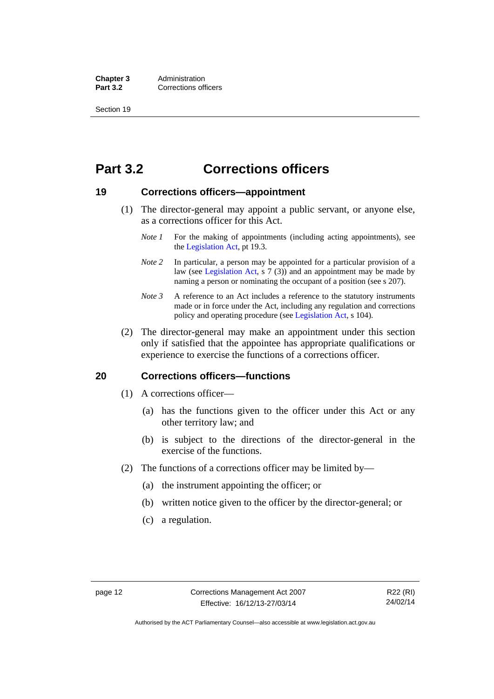**Chapter 3** Administration<br>**Part 3.2** Corrections of **Corrections officers** 

Section 19

### <span id="page-27-0"></span>**Part 3.2 Corrections officers**

### <span id="page-27-1"></span>**19 Corrections officers—appointment**

- (1) The director-general may appoint a public servant, or anyone else, as a corrections officer for this Act.
	- *Note 1* For the making of appointments (including acting appointments), see the [Legislation Act,](http://www.legislation.act.gov.au/a/2001-14) pt 19.3.
	- *Note* 2 In particular, a person may be appointed for a particular provision of a law (see [Legislation Act,](http://www.legislation.act.gov.au/a/2001-14) s 7 (3)) and an appointment may be made by naming a person or nominating the occupant of a position (see s 207).
	- *Note 3* A reference to an Act includes a reference to the statutory instruments made or in force under the Act, including any regulation and corrections policy and operating procedure (see [Legislation Act,](http://www.legislation.act.gov.au/a/2001-14) s 104).
- (2) The director-general may make an appointment under this section only if satisfied that the appointee has appropriate qualifications or experience to exercise the functions of a corrections officer.

### <span id="page-27-2"></span>**20 Corrections officers—functions**

- (1) A corrections officer—
	- (a) has the functions given to the officer under this Act or any other territory law; and
	- (b) is subject to the directions of the director-general in the exercise of the functions.
- (2) The functions of a corrections officer may be limited by—
	- (a) the instrument appointing the officer; or
	- (b) written notice given to the officer by the director-general; or
	- (c) a regulation.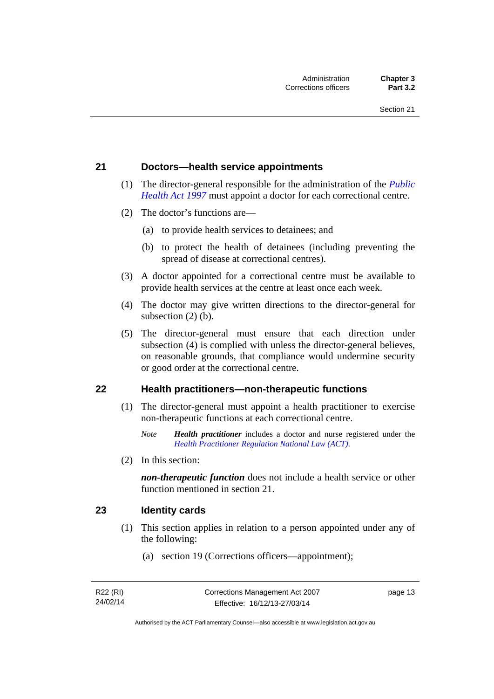### <span id="page-28-0"></span>**21 Doctors—health service appointments**

- (1) The director-general responsible for the administration of the *[Public](http://www.legislation.act.gov.au/a/1997-69)  [Health Act 1997](http://www.legislation.act.gov.au/a/1997-69)* must appoint a doctor for each correctional centre.
- (2) The doctor's functions are—
	- (a) to provide health services to detainees; and
	- (b) to protect the health of detainees (including preventing the spread of disease at correctional centres).
- (3) A doctor appointed for a correctional centre must be available to provide health services at the centre at least once each week.
- (4) The doctor may give written directions to the director-general for subsection (2) (b).
- (5) The director-general must ensure that each direction under subsection (4) is complied with unless the director-general believes, on reasonable grounds, that compliance would undermine security or good order at the correctional centre.

### <span id="page-28-1"></span>**22 Health practitioners—non-therapeutic functions**

- (1) The director-general must appoint a health practitioner to exercise non-therapeutic functions at each correctional centre.
	- *Note Health practitioner* includes a doctor and nurse registered under the *[Health Practitioner Regulation National Law \(ACT\)](http://www.legislation.act.gov.au/a/db_39269/default.asp)*.
- (2) In this section:

*non-therapeutic function* does not include a health service or other function mentioned in section 21.

### <span id="page-28-2"></span>**23 Identity cards**

- (1) This section applies in relation to a person appointed under any of the following:
	- (a) section 19 (Corrections officers—appointment);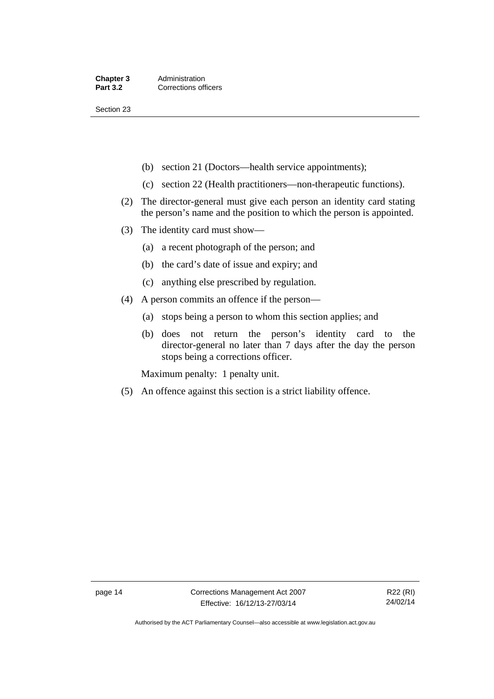Section 23

- (b) section 21 (Doctors—health service appointments);
- (c) section 22 (Health practitioners—non-therapeutic functions).
- (2) The director-general must give each person an identity card stating the person's name and the position to which the person is appointed.
- (3) The identity card must show—
	- (a) a recent photograph of the person; and
	- (b) the card's date of issue and expiry; and
	- (c) anything else prescribed by regulation.
- (4) A person commits an offence if the person—
	- (a) stops being a person to whom this section applies; and
	- (b) does not return the person's identity card to the director-general no later than 7 days after the day the person stops being a corrections officer.

Maximum penalty: 1 penalty unit.

(5) An offence against this section is a strict liability offence.

Authorised by the ACT Parliamentary Counsel—also accessible at www.legislation.act.gov.au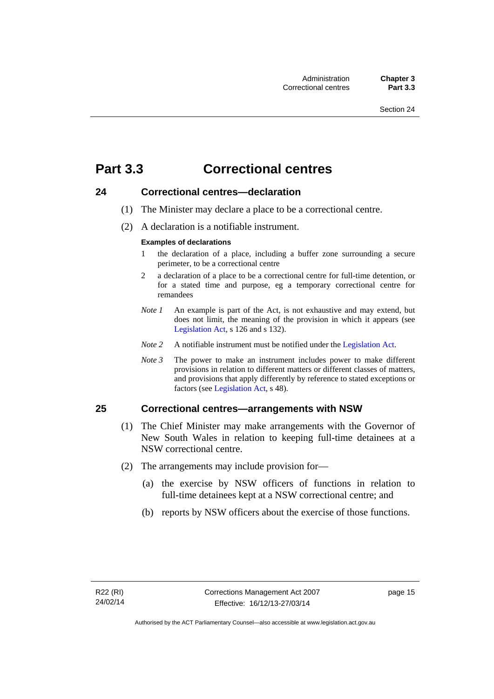### <span id="page-30-0"></span>**Part 3.3 Correctional centres**

### <span id="page-30-1"></span>**24 Correctional centres—declaration**

- (1) The Minister may declare a place to be a correctional centre.
- (2) A declaration is a notifiable instrument.

#### **Examples of declarations**

- 1 the declaration of a place, including a buffer zone surrounding a secure perimeter, to be a correctional centre
- 2 a declaration of a place to be a correctional centre for full-time detention, or for a stated time and purpose, eg a temporary correctional centre for remandees
- *Note 1* An example is part of the Act, is not exhaustive and may extend, but does not limit, the meaning of the provision in which it appears (see [Legislation Act,](http://www.legislation.act.gov.au/a/2001-14) s 126 and s 132).
- *Note 2* A notifiable instrument must be notified under the [Legislation Act](http://www.legislation.act.gov.au/a/2001-14).
- *Note 3* The power to make an instrument includes power to make different provisions in relation to different matters or different classes of matters, and provisions that apply differently by reference to stated exceptions or factors (see [Legislation Act](http://www.legislation.act.gov.au/a/2001-14), s 48).

### <span id="page-30-2"></span>**25 Correctional centres—arrangements with NSW**

- (1) The Chief Minister may make arrangements with the Governor of New South Wales in relation to keeping full-time detainees at a NSW correctional centre.
- (2) The arrangements may include provision for—
	- (a) the exercise by NSW officers of functions in relation to full-time detainees kept at a NSW correctional centre; and
	- (b) reports by NSW officers about the exercise of those functions.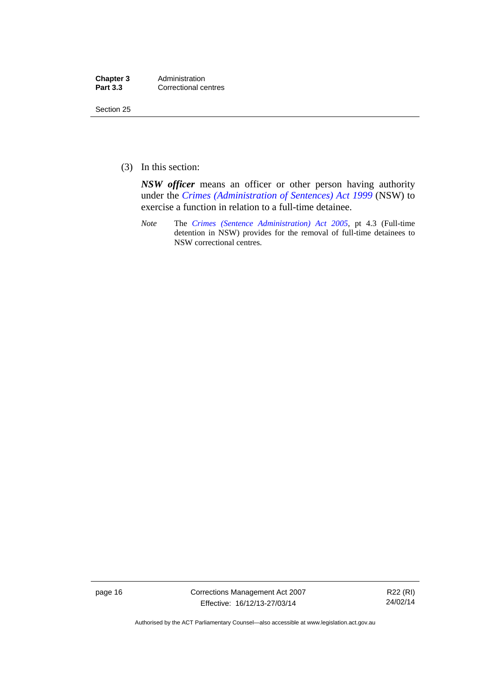| Chapter 3       | Administration       |
|-----------------|----------------------|
| <b>Part 3.3</b> | Correctional centres |

Section 25

(3) In this section:

*NSW officer* means an officer or other person having authority under the *[Crimes \(Administration of Sentences\) Act 1999](http://www.legislation.nsw.gov.au/maintop/view/inforce/act+93+1999+cd+0+N)* (NSW) to exercise a function in relation to a full-time detainee.

*Note* The *[Crimes \(Sentence Administration\) Act 2005](http://www.legislation.act.gov.au/a/2005-59)*, pt 4.3 (Full-time detention in NSW) provides for the removal of full-time detainees to NSW correctional centres.

page 16 Corrections Management Act 2007 Effective: 16/12/13-27/03/14

R22 (RI) 24/02/14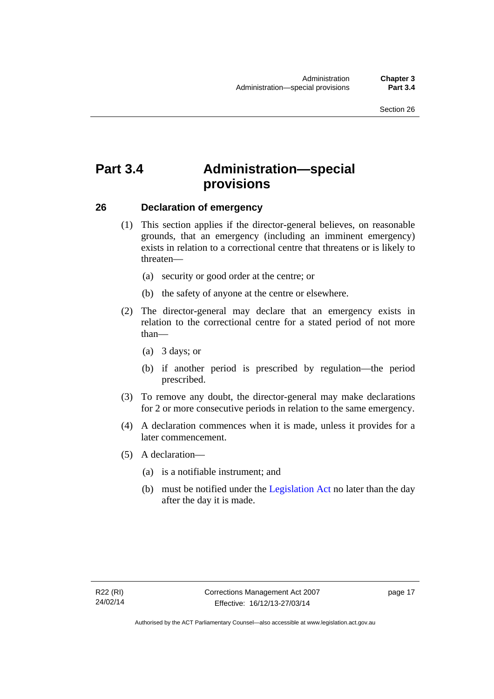### <span id="page-32-0"></span>**Part 3.4 Administration—special provisions**

### <span id="page-32-1"></span>**26 Declaration of emergency**

- (1) This section applies if the director-general believes, on reasonable grounds, that an emergency (including an imminent emergency) exists in relation to a correctional centre that threatens or is likely to threaten—
	- (a) security or good order at the centre; or
	- (b) the safety of anyone at the centre or elsewhere.
- (2) The director-general may declare that an emergency exists in relation to the correctional centre for a stated period of not more than—
	- (a) 3 days; or
	- (b) if another period is prescribed by regulation—the period prescribed.
- (3) To remove any doubt, the director-general may make declarations for 2 or more consecutive periods in relation to the same emergency.
- (4) A declaration commences when it is made, unless it provides for a later commencement.
- (5) A declaration—
	- (a) is a notifiable instrument; and
	- (b) must be notified under the [Legislation Act](http://www.legislation.act.gov.au/a/2001-14) no later than the day after the day it is made.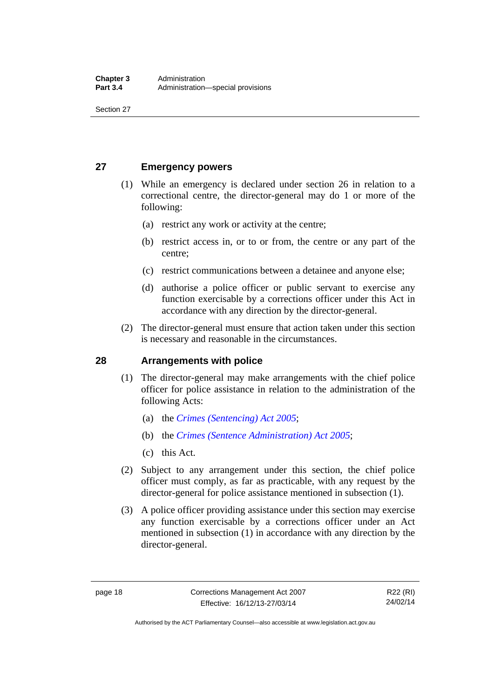Section 27

### <span id="page-33-0"></span>**27 Emergency powers**

- (1) While an emergency is declared under section 26 in relation to a correctional centre, the director-general may do 1 or more of the following:
	- (a) restrict any work or activity at the centre;
	- (b) restrict access in, or to or from, the centre or any part of the centre;
	- (c) restrict communications between a detainee and anyone else;
	- (d) authorise a police officer or public servant to exercise any function exercisable by a corrections officer under this Act in accordance with any direction by the director-general.
- (2) The director-general must ensure that action taken under this section is necessary and reasonable in the circumstances.

### <span id="page-33-1"></span>**28 Arrangements with police**

- (1) The director-general may make arrangements with the chief police officer for police assistance in relation to the administration of the following Acts:
	- (a) the *[Crimes \(Sentencing\) Act 2005](http://www.legislation.act.gov.au/a/2005-58)*;
	- (b) the *[Crimes \(Sentence Administration\) Act 2005](http://www.legislation.act.gov.au/a/2005-59)*;
	- (c) this Act.
- (2) Subject to any arrangement under this section, the chief police officer must comply, as far as practicable, with any request by the director-general for police assistance mentioned in subsection (1).
- (3) A police officer providing assistance under this section may exercise any function exercisable by a corrections officer under an Act mentioned in subsection (1) in accordance with any direction by the director-general.

R22 (RI) 24/02/14

Authorised by the ACT Parliamentary Counsel—also accessible at www.legislation.act.gov.au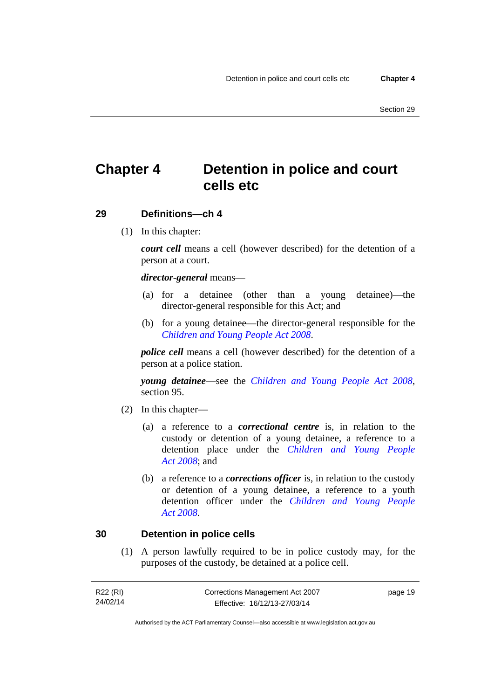### <span id="page-34-0"></span>**Chapter 4 Detention in police and court cells etc**

### <span id="page-34-1"></span>**29 Definitions—ch 4**

(1) In this chapter:

*court cell* means a cell (however described) for the detention of a person at a court.

### *director-general* means—

- (a) for a detainee (other than a young detainee)—the director-general responsible for this Act; and
- (b) for a young detainee—the director-general responsible for the *[Children and Young People Act 2008](http://www.legislation.act.gov.au/a/2008-19)*.

*police cell* means a cell (however described) for the detention of a person at a police station.

*young detainee*—see the *[Children and Young People Act 2008](http://www.legislation.act.gov.au/a/2008-19)*, section 95.

- (2) In this chapter—
	- (a) a reference to a *correctional centre* is, in relation to the custody or detention of a young detainee, a reference to a detention place under the *[Children and Young People](http://www.legislation.act.gov.au/a/2008-19)  [Act 2008](http://www.legislation.act.gov.au/a/2008-19)*; and
	- (b) a reference to a *corrections officer* is, in relation to the custody or detention of a young detainee, a reference to a youth detention officer under the *[Children and Young People](http://www.legislation.act.gov.au/a/2008-19)  [Act 2008](http://www.legislation.act.gov.au/a/2008-19)*.

### <span id="page-34-2"></span>**30 Detention in police cells**

(1) A person lawfully required to be in police custody may, for the purposes of the custody, be detained at a police cell.

| R22 (RI) | Corrections Management Act 2007 | page 19 |
|----------|---------------------------------|---------|
| 24/02/14 | Effective: 16/12/13-27/03/14    |         |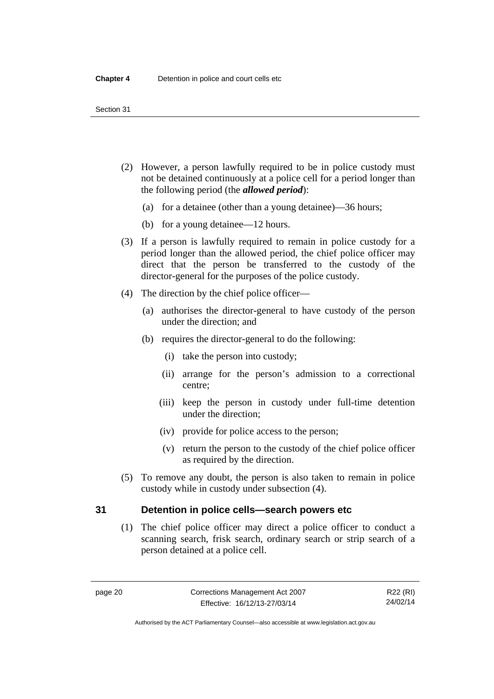- (2) However, a person lawfully required to be in police custody must not be detained continuously at a police cell for a period longer than the following period (the *allowed period*):
	- (a) for a detainee (other than a young detainee)—36 hours;
	- (b) for a young detainee—12 hours.
- (3) If a person is lawfully required to remain in police custody for a period longer than the allowed period, the chief police officer may direct that the person be transferred to the custody of the director-general for the purposes of the police custody.
- (4) The direction by the chief police officer—
	- (a) authorises the director-general to have custody of the person under the direction; and
	- (b) requires the director-general to do the following:
		- (i) take the person into custody;
		- (ii) arrange for the person's admission to a correctional centre;
		- (iii) keep the person in custody under full-time detention under the direction;
		- (iv) provide for police access to the person;
		- (v) return the person to the custody of the chief police officer as required by the direction.
- (5) To remove any doubt, the person is also taken to remain in police custody while in custody under subsection (4).

### <span id="page-35-0"></span>**31 Detention in police cells—search powers etc**

(1) The chief police officer may direct a police officer to conduct a scanning search, frisk search, ordinary search or strip search of a person detained at a police cell.

Authorised by the ACT Parliamentary Counsel—also accessible at www.legislation.act.gov.au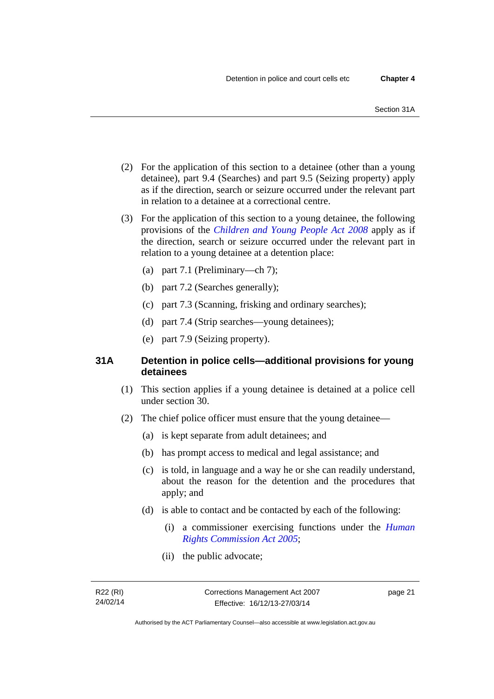- (2) For the application of this section to a detainee (other than a young detainee), part 9.4 (Searches) and part 9.5 (Seizing property) apply as if the direction, search or seizure occurred under the relevant part in relation to a detainee at a correctional centre.
- (3) For the application of this section to a young detainee, the following provisions of the *[Children and Young People Act 2008](http://www.legislation.act.gov.au/a/2008-19)* apply as if the direction, search or seizure occurred under the relevant part in relation to a young detainee at a detention place:
	- (a) part 7.1 (Preliminary—ch 7);
	- (b) part 7.2 (Searches generally);
	- (c) part 7.3 (Scanning, frisking and ordinary searches);
	- (d) part 7.4 (Strip searches—young detainees);
	- (e) part 7.9 (Seizing property).

## **31A Detention in police cells—additional provisions for young detainees**

- (1) This section applies if a young detainee is detained at a police cell under section 30.
- (2) The chief police officer must ensure that the young detainee—
	- (a) is kept separate from adult detainees; and
	- (b) has prompt access to medical and legal assistance; and
	- (c) is told, in language and a way he or she can readily understand, about the reason for the detention and the procedures that apply; and
	- (d) is able to contact and be contacted by each of the following:
		- (i) a commissioner exercising functions under the *[Human](http://www.legislation.act.gov.au/a/2005-40)  [Rights Commission Act 2005](http://www.legislation.act.gov.au/a/2005-40)*;
		- (ii) the public advocate;

page 21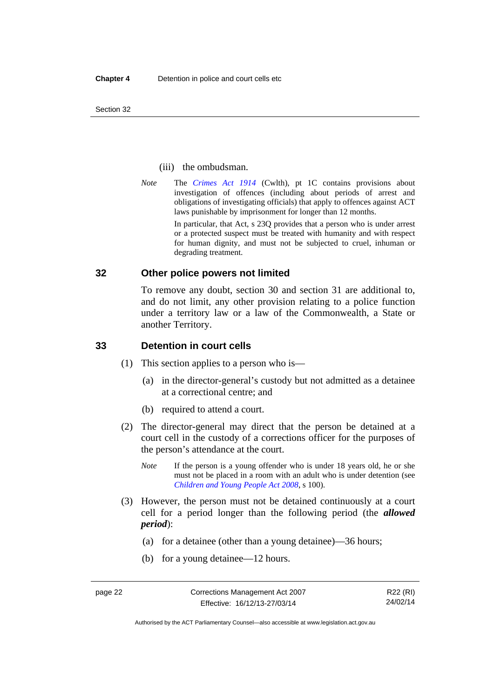Section 32

#### (iii) the ombudsman.

*Note* The *[Crimes Act 1914](http://www.comlaw.gov.au/Series/C2004A07391)* (Cwlth), pt 1C contains provisions about investigation of offences (including about periods of arrest and obligations of investigating officials) that apply to offences against ACT laws punishable by imprisonment for longer than 12 months.

In particular, that Act, s 23Q provides that a person who is under arrest or a protected suspect must be treated with humanity and with respect for human dignity, and must not be subjected to cruel, inhuman or degrading treatment.

## **32 Other police powers not limited**

To remove any doubt, section 30 and section 31 are additional to, and do not limit, any other provision relating to a police function under a territory law or a law of the Commonwealth, a State or another Territory.

## **33 Detention in court cells**

- (1) This section applies to a person who is—
	- (a) in the director-general's custody but not admitted as a detainee at a correctional centre; and
	- (b) required to attend a court.
- (2) The director-general may direct that the person be detained at a court cell in the custody of a corrections officer for the purposes of the person's attendance at the court.
	- *Note* If the person is a young offender who is under 18 years old, he or she must not be placed in a room with an adult who is under detention (see *[Children and Young People Act 2008](http://www.legislation.act.gov.au/a/2008-19)*, s 100).
- (3) However, the person must not be detained continuously at a court cell for a period longer than the following period (the *allowed period*):
	- (a) for a detainee (other than a young detainee)—36 hours;
	- (b) for a young detainee—12 hours.

Authorised by the ACT Parliamentary Counsel—also accessible at www.legislation.act.gov.au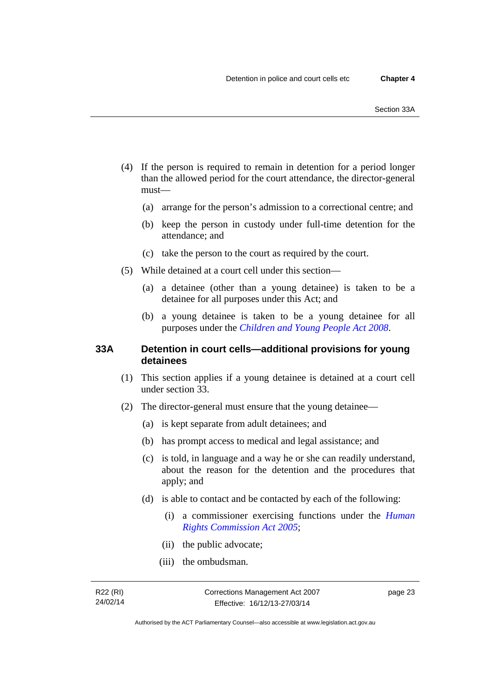- (4) If the person is required to remain in detention for a period longer than the allowed period for the court attendance, the director-general must—
	- (a) arrange for the person's admission to a correctional centre; and
	- (b) keep the person in custody under full-time detention for the attendance; and
	- (c) take the person to the court as required by the court.
- (5) While detained at a court cell under this section—
	- (a) a detainee (other than a young detainee) is taken to be a detainee for all purposes under this Act; and
	- (b) a young detainee is taken to be a young detainee for all purposes under the *[Children and Young People Act 2008](http://www.legislation.act.gov.au/a/2008-19)*.

## **33A Detention in court cells—additional provisions for young detainees**

- (1) This section applies if a young detainee is detained at a court cell under section 33.
- (2) The director-general must ensure that the young detainee—
	- (a) is kept separate from adult detainees; and
	- (b) has prompt access to medical and legal assistance; and
	- (c) is told, in language and a way he or she can readily understand, about the reason for the detention and the procedures that apply; and
	- (d) is able to contact and be contacted by each of the following:
		- (i) a commissioner exercising functions under the *[Human](http://www.legislation.act.gov.au/a/2005-40)  [Rights Commission Act 2005](http://www.legislation.act.gov.au/a/2005-40)*;
		- (ii) the public advocate;
		- (iii) the ombudsman.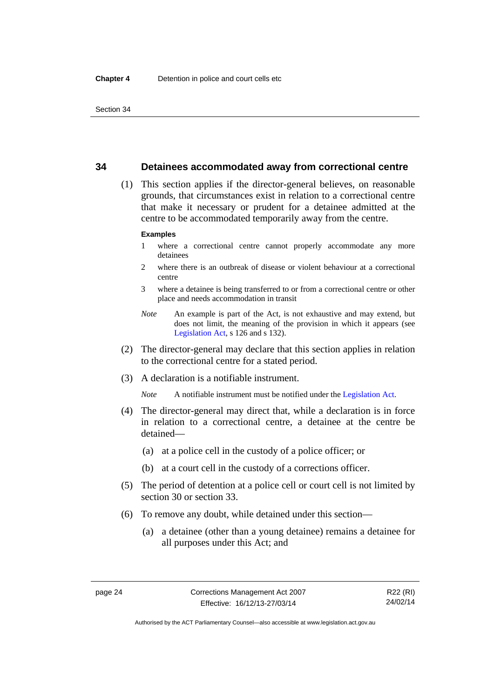## **34 Detainees accommodated away from correctional centre**

 (1) This section applies if the director-general believes, on reasonable grounds, that circumstances exist in relation to a correctional centre that make it necessary or prudent for a detainee admitted at the centre to be accommodated temporarily away from the centre.

#### **Examples**

- 1 where a correctional centre cannot properly accommodate any more detainees
- 2 where there is an outbreak of disease or violent behaviour at a correctional centre
- 3 where a detainee is being transferred to or from a correctional centre or other place and needs accommodation in transit
- *Note* An example is part of the Act, is not exhaustive and may extend, but does not limit, the meaning of the provision in which it appears (see [Legislation Act,](http://www.legislation.act.gov.au/a/2001-14) s 126 and s 132).
- (2) The director-general may declare that this section applies in relation to the correctional centre for a stated period.
- (3) A declaration is a notifiable instrument.

*Note* A notifiable instrument must be notified under the [Legislation Act](http://www.legislation.act.gov.au/a/2001-14).

- (4) The director-general may direct that, while a declaration is in force in relation to a correctional centre, a detainee at the centre be detained—
	- (a) at a police cell in the custody of a police officer; or
	- (b) at a court cell in the custody of a corrections officer.
- (5) The period of detention at a police cell or court cell is not limited by section 30 or section 33.
- (6) To remove any doubt, while detained under this section—
	- (a) a detainee (other than a young detainee) remains a detainee for all purposes under this Act; and

R22 (RI) 24/02/14

Authorised by the ACT Parliamentary Counsel—also accessible at www.legislation.act.gov.au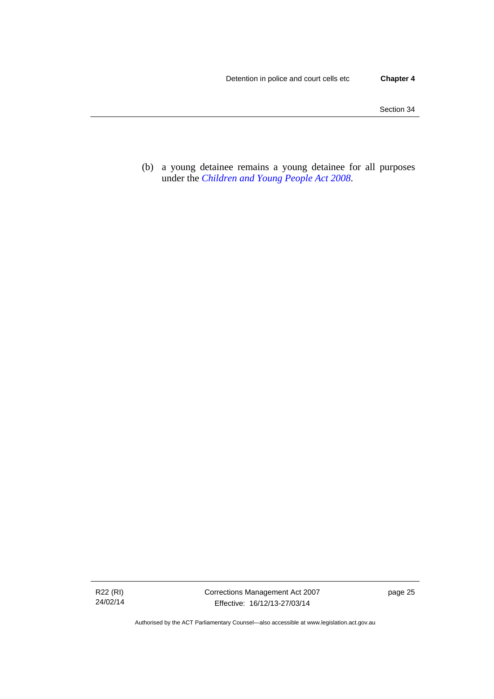(b) a young detainee remains a young detainee for all purposes under the *[Children and Young People Act 2008](http://www.legislation.act.gov.au/a/2008-19)*.

R22 (RI) 24/02/14 Corrections Management Act 2007 Effective: 16/12/13-27/03/14

page 25

Authorised by the ACT Parliamentary Counsel—also accessible at www.legislation.act.gov.au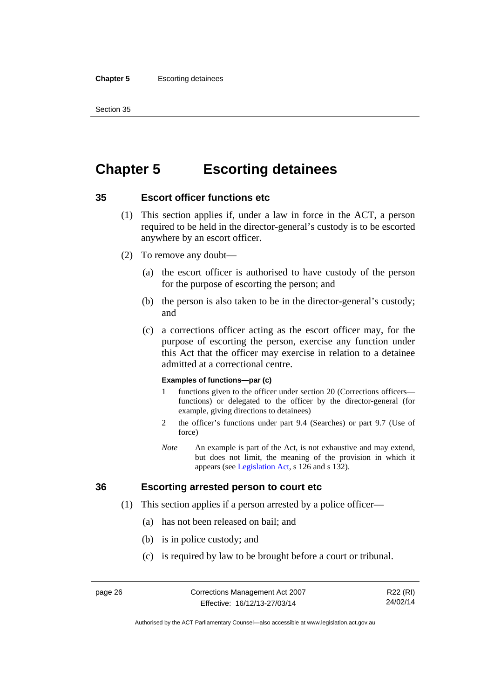#### **Chapter 5** Escorting detainees

Section 35

# **Chapter 5 Escorting detainees**

## **35 Escort officer functions etc**

- (1) This section applies if, under a law in force in the ACT, a person required to be held in the director-general's custody is to be escorted anywhere by an escort officer.
- (2) To remove any doubt—
	- (a) the escort officer is authorised to have custody of the person for the purpose of escorting the person; and
	- (b) the person is also taken to be in the director-general's custody; and
	- (c) a corrections officer acting as the escort officer may, for the purpose of escorting the person, exercise any function under this Act that the officer may exercise in relation to a detainee admitted at a correctional centre.

#### **Examples of functions—par (c)**

- 1 functions given to the officer under section 20 (Corrections officers functions) or delegated to the officer by the director-general (for example, giving directions to detainees)
- 2 the officer's functions under part 9.4 (Searches) or part 9.7 (Use of force)
- *Note* An example is part of the Act, is not exhaustive and may extend, but does not limit, the meaning of the provision in which it appears (see [Legislation Act,](http://www.legislation.act.gov.au/a/2001-14) s 126 and s 132).

## **36 Escorting arrested person to court etc**

- (1) This section applies if a person arrested by a police officer—
	- (a) has not been released on bail; and
	- (b) is in police custody; and
	- (c) is required by law to be brought before a court or tribunal.

R22 (RI) 24/02/14

Authorised by the ACT Parliamentary Counsel—also accessible at www.legislation.act.gov.au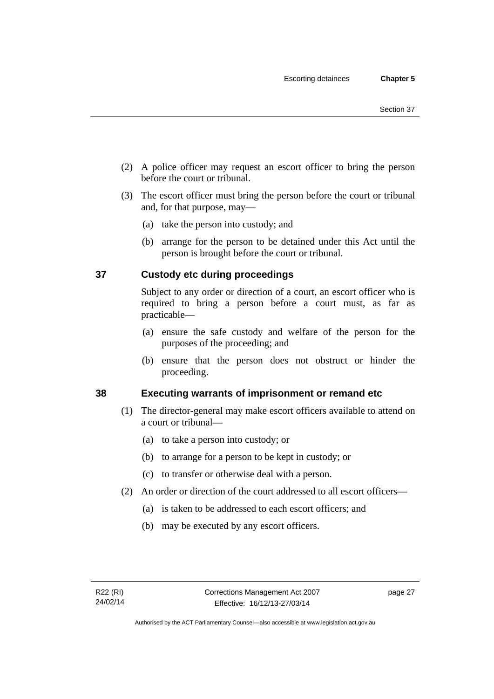- (2) A police officer may request an escort officer to bring the person before the court or tribunal.
- (3) The escort officer must bring the person before the court or tribunal and, for that purpose, may—
	- (a) take the person into custody; and
	- (b) arrange for the person to be detained under this Act until the person is brought before the court or tribunal.

## **37 Custody etc during proceedings**

Subject to any order or direction of a court, an escort officer who is required to bring a person before a court must, as far as practicable—

- (a) ensure the safe custody and welfare of the person for the purposes of the proceeding; and
- (b) ensure that the person does not obstruct or hinder the proceeding.

## **38 Executing warrants of imprisonment or remand etc**

- (1) The director-general may make escort officers available to attend on a court or tribunal—
	- (a) to take a person into custody; or
	- (b) to arrange for a person to be kept in custody; or
	- (c) to transfer or otherwise deal with a person.
- (2) An order or direction of the court addressed to all escort officers—
	- (a) is taken to be addressed to each escort officers; and
	- (b) may be executed by any escort officers.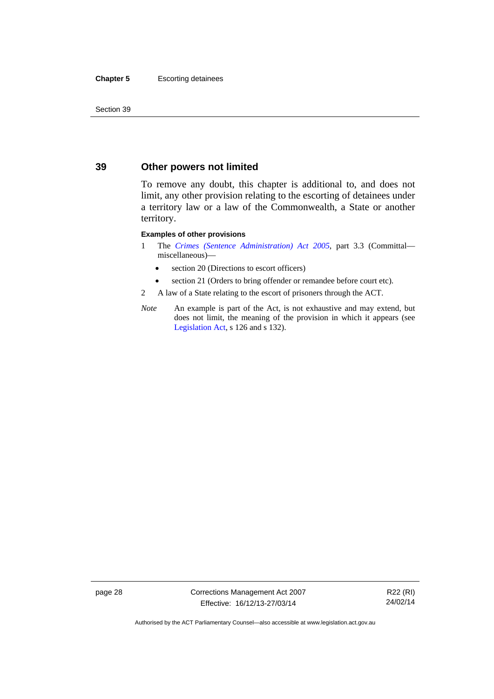#### **Chapter 5** Escorting detainees

Section 39

## **39 Other powers not limited**

To remove any doubt, this chapter is additional to, and does not limit, any other provision relating to the escorting of detainees under a territory law or a law of the Commonwealth, a State or another territory.

#### **Examples of other provisions**

- 1 The *[Crimes \(Sentence Administration\) Act 2005](http://www.legislation.act.gov.au/a/2005-59)*, part 3.3 (Committal miscellaneous)—
	- section 20 (Directions to escort officers)
	- section 21 (Orders to bring offender or remandee before court etc).
- 2 A law of a State relating to the escort of prisoners through the ACT.
- *Note* An example is part of the Act, is not exhaustive and may extend, but does not limit, the meaning of the provision in which it appears (see [Legislation Act,](http://www.legislation.act.gov.au/a/2001-14) s 126 and s 132).

page 28 Corrections Management Act 2007 Effective: 16/12/13-27/03/14

R22 (RI) 24/02/14

Authorised by the ACT Parliamentary Counsel—also accessible at www.legislation.act.gov.au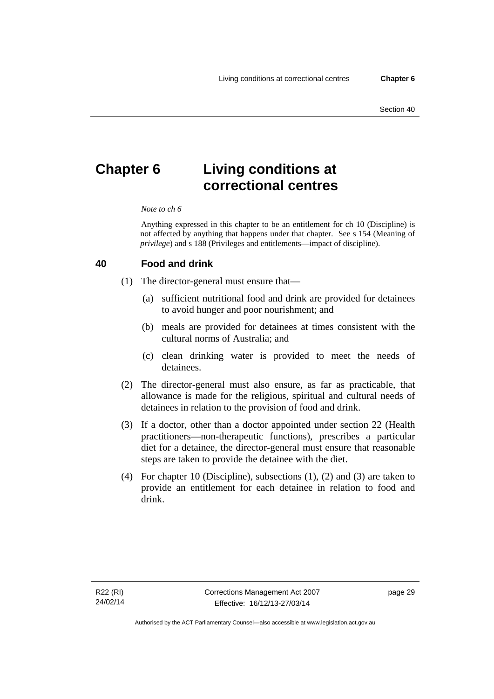# **Chapter 6 Living conditions at correctional centres**

#### *Note to ch 6*

Anything expressed in this chapter to be an entitlement for ch 10 (Discipline) is not affected by anything that happens under that chapter. See s 154 (Meaning of *privilege*) and s 188 (Privileges and entitlements—impact of discipline).

#### **40 Food and drink**

- (1) The director-general must ensure that—
	- (a) sufficient nutritional food and drink are provided for detainees to avoid hunger and poor nourishment; and
	- (b) meals are provided for detainees at times consistent with the cultural norms of Australia; and
	- (c) clean drinking water is provided to meet the needs of detainees.
- (2) The director-general must also ensure, as far as practicable, that allowance is made for the religious, spiritual and cultural needs of detainees in relation to the provision of food and drink.
- (3) If a doctor, other than a doctor appointed under section 22 (Health practitioners—non-therapeutic functions), prescribes a particular diet for a detainee, the director-general must ensure that reasonable steps are taken to provide the detainee with the diet.
- (4) For chapter 10 (Discipline), subsections (1), (2) and (3) are taken to provide an entitlement for each detainee in relation to food and drink.

page 29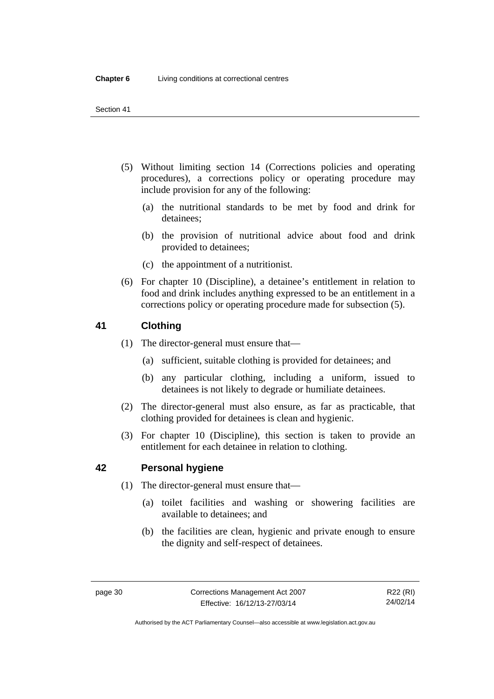- (5) Without limiting section 14 (Corrections policies and operating procedures), a corrections policy or operating procedure may include provision for any of the following:
	- (a) the nutritional standards to be met by food and drink for detainees;
	- (b) the provision of nutritional advice about food and drink provided to detainees;
	- (c) the appointment of a nutritionist.
- (6) For chapter 10 (Discipline), a detainee's entitlement in relation to food and drink includes anything expressed to be an entitlement in a corrections policy or operating procedure made for subsection (5).

## <span id="page-45-0"></span>**41 Clothing**

- (1) The director-general must ensure that—
	- (a) sufficient, suitable clothing is provided for detainees; and
	- (b) any particular clothing, including a uniform, issued to detainees is not likely to degrade or humiliate detainees.
- (2) The director-general must also ensure, as far as practicable, that clothing provided for detainees is clean and hygienic.
- (3) For chapter 10 (Discipline), this section is taken to provide an entitlement for each detainee in relation to clothing.

## **42 Personal hygiene**

- (1) The director-general must ensure that—
	- (a) toilet facilities and washing or showering facilities are available to detainees; and
	- (b) the facilities are clean, hygienic and private enough to ensure the dignity and self-respect of detainees.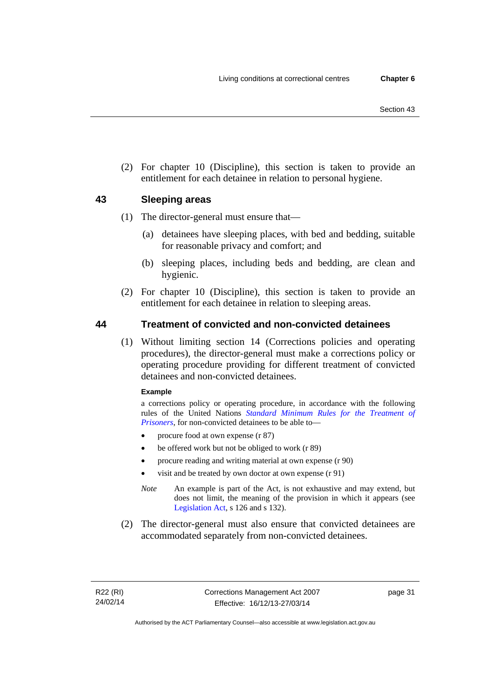(2) For chapter 10 (Discipline), this section is taken to provide an entitlement for each detainee in relation to personal hygiene.

## <span id="page-46-0"></span>**43 Sleeping areas**

- (1) The director-general must ensure that—
	- (a) detainees have sleeping places, with bed and bedding, suitable for reasonable privacy and comfort; and
	- (b) sleeping places, including beds and bedding, are clean and hygienic.
- (2) For chapter 10 (Discipline), this section is taken to provide an entitlement for each detainee in relation to sleeping areas.

## **44 Treatment of convicted and non-convicted detainees**

(1) Without limiting section 14 (Corrections policies and operating procedures), the director-general must make a corrections policy or operating procedure providing for different treatment of convicted detainees and non-convicted detainees.

#### **Example**

a corrections policy or operating procedure, in accordance with the following rules of the United Nations *[Standard Minimum Rules for the Treatment of](http://www2.ohchr.org/english/law/treatmentprisoners.htm)  [Prisoners](http://www2.ohchr.org/english/law/treatmentprisoners.htm)*, for non-convicted detainees to be able to—

- procure food at own expense (r 87)
- be offered work but not be obliged to work (r 89)
- procure reading and writing material at own expense (r 90)
- visit and be treated by own doctor at own expense (r 91)
- *Note* An example is part of the Act, is not exhaustive and may extend, but does not limit, the meaning of the provision in which it appears (see [Legislation Act,](http://www.legislation.act.gov.au/a/2001-14) s 126 and s 132).
- (2) The director-general must also ensure that convicted detainees are accommodated separately from non-convicted detainees.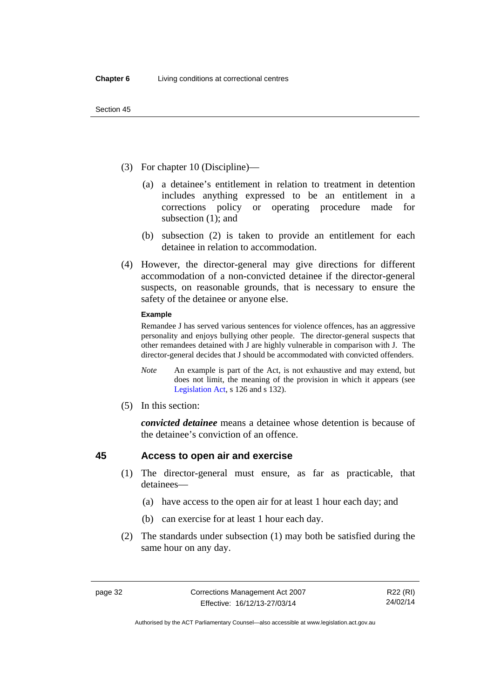- (3) For chapter 10 (Discipline)—
	- (a) a detainee's entitlement in relation to treatment in detention includes anything expressed to be an entitlement in a corrections policy or operating procedure made for subsection (1); and
	- (b) subsection (2) is taken to provide an entitlement for each detainee in relation to accommodation.
- (4) However, the director-general may give directions for different accommodation of a non-convicted detainee if the director-general suspects, on reasonable grounds, that is necessary to ensure the safety of the detainee or anyone else.

#### **Example**

Remandee J has served various sentences for violence offences, has an aggressive personality and enjoys bullying other people. The director-general suspects that other remandees detained with J are highly vulnerable in comparison with J. The director-general decides that J should be accommodated with convicted offenders.

- *Note* An example is part of the Act, is not exhaustive and may extend, but does not limit, the meaning of the provision in which it appears (see [Legislation Act,](http://www.legislation.act.gov.au/a/2001-14) s 126 and s 132).
- (5) In this section:

*convicted detainee* means a detainee whose detention is because of the detainee's conviction of an offence.

## **45 Access to open air and exercise**

- (1) The director-general must ensure, as far as practicable, that detainees—
	- (a) have access to the open air for at least 1 hour each day; and
	- (b) can exercise for at least 1 hour each day.
- (2) The standards under subsection (1) may both be satisfied during the same hour on any day.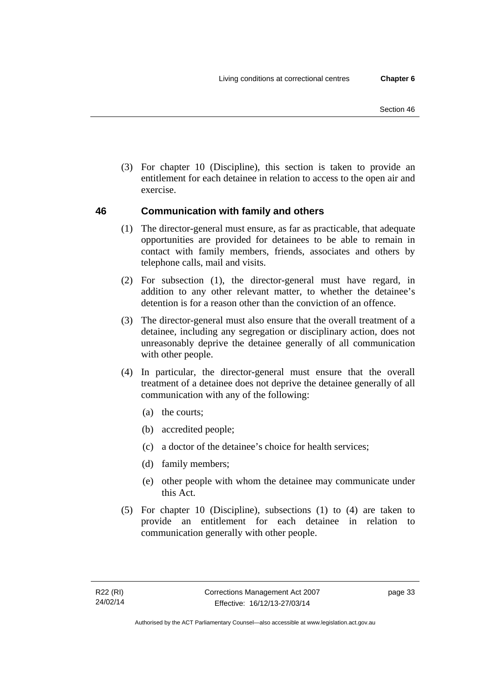(3) For chapter 10 (Discipline), this section is taken to provide an entitlement for each detainee in relation to access to the open air and exercise.

## **46 Communication with family and others**

- (1) The director-general must ensure, as far as practicable, that adequate opportunities are provided for detainees to be able to remain in contact with family members, friends, associates and others by telephone calls, mail and visits.
- (2) For subsection (1), the director-general must have regard, in addition to any other relevant matter, to whether the detainee's detention is for a reason other than the conviction of an offence.
- (3) The director-general must also ensure that the overall treatment of a detainee, including any segregation or disciplinary action, does not unreasonably deprive the detainee generally of all communication with other people.
- (4) In particular, the director-general must ensure that the overall treatment of a detainee does not deprive the detainee generally of all communication with any of the following:
	- (a) the courts;
	- (b) accredited people;
	- (c) a doctor of the detainee's choice for health services;
	- (d) family members;
	- (e) other people with whom the detainee may communicate under this Act.
- (5) For chapter 10 (Discipline), subsections (1) to (4) are taken to provide an entitlement for each detainee in relation to communication generally with other people.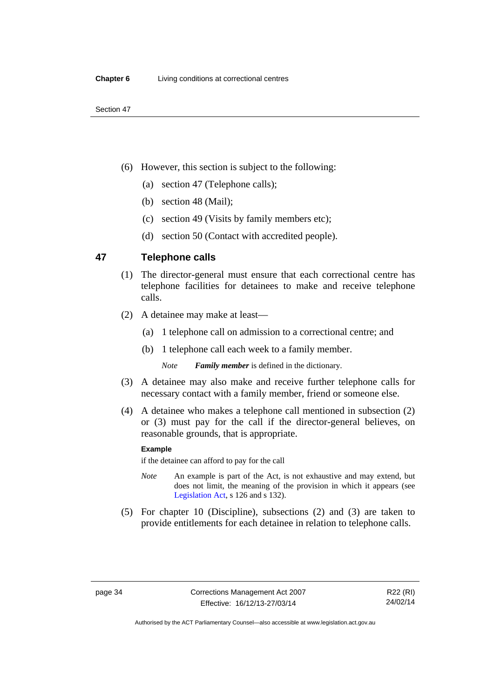- (6) However, this section is subject to the following:
	- (a) section 47 (Telephone calls);
	- (b) section 48 (Mail);
	- (c) section 49 (Visits by family members etc);
	- (d) section 50 (Contact with accredited people).

## **47 Telephone calls**

- (1) The director-general must ensure that each correctional centre has telephone facilities for detainees to make and receive telephone calls.
- (2) A detainee may make at least—
	- (a) 1 telephone call on admission to a correctional centre; and
	- (b) 1 telephone call each week to a family member.

*Note Family member* is defined in the dictionary.

- (3) A detainee may also make and receive further telephone calls for necessary contact with a family member, friend or someone else.
- (4) A detainee who makes a telephone call mentioned in subsection (2) or (3) must pay for the call if the director-general believes, on reasonable grounds, that is appropriate.

#### **Example**

if the detainee can afford to pay for the call

- *Note* An example is part of the Act, is not exhaustive and may extend, but does not limit, the meaning of the provision in which it appears (see [Legislation Act,](http://www.legislation.act.gov.au/a/2001-14) s 126 and s 132).
- (5) For chapter 10 (Discipline), subsections (2) and (3) are taken to provide entitlements for each detainee in relation to telephone calls.

R22 (RI) 24/02/14

Authorised by the ACT Parliamentary Counsel—also accessible at www.legislation.act.gov.au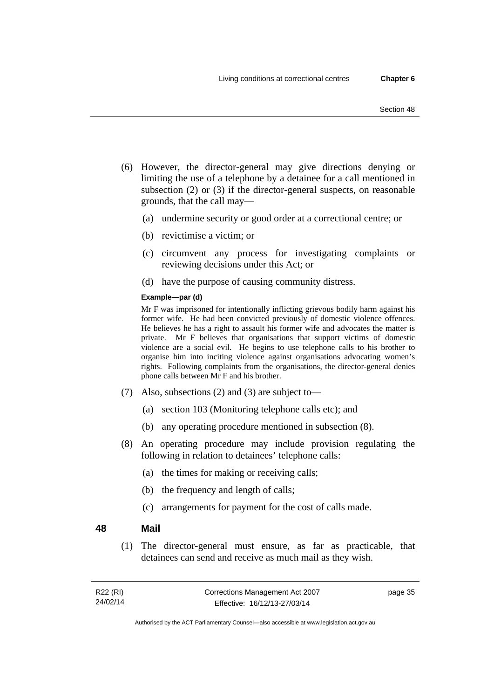- Section 48
- (6) However, the director-general may give directions denying or limiting the use of a telephone by a detainee for a call mentioned in subsection (2) or (3) if the director-general suspects, on reasonable grounds, that the call may—
	- (a) undermine security or good order at a correctional centre; or
	- (b) revictimise a victim; or
	- (c) circumvent any process for investigating complaints or reviewing decisions under this Act; or
	- (d) have the purpose of causing community distress.

#### **Example—par (d)**

Mr F was imprisoned for intentionally inflicting grievous bodily harm against his former wife. He had been convicted previously of domestic violence offences. He believes he has a right to assault his former wife and advocates the matter is private. Mr F believes that organisations that support victims of domestic violence are a social evil. He begins to use telephone calls to his brother to organise him into inciting violence against organisations advocating women's rights. Following complaints from the organisations, the director-general denies phone calls between Mr F and his brother.

- (7) Also, subsections (2) and (3) are subject to—
	- (a) section 103 (Monitoring telephone calls etc); and
	- (b) any operating procedure mentioned in subsection (8).
- (8) An operating procedure may include provision regulating the following in relation to detainees' telephone calls:
	- (a) the times for making or receiving calls;
	- (b) the frequency and length of calls;
	- (c) arrangements for payment for the cost of calls made.

#### **48 Mail**

(1) The director-general must ensure, as far as practicable, that detainees can send and receive as much mail as they wish.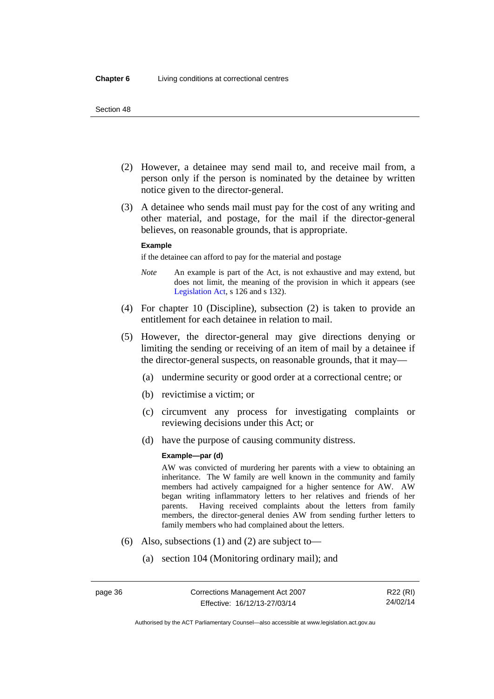- (2) However, a detainee may send mail to, and receive mail from, a person only if the person is nominated by the detainee by written notice given to the director-general.
- (3) A detainee who sends mail must pay for the cost of any writing and other material, and postage, for the mail if the director-general believes, on reasonable grounds, that is appropriate.

#### **Example**

if the detainee can afford to pay for the material and postage

- *Note* An example is part of the Act, is not exhaustive and may extend, but does not limit, the meaning of the provision in which it appears (see [Legislation Act,](http://www.legislation.act.gov.au/a/2001-14) s 126 and s 132).
- (4) For chapter 10 (Discipline), subsection (2) is taken to provide an entitlement for each detainee in relation to mail.
- (5) However, the director-general may give directions denying or limiting the sending or receiving of an item of mail by a detainee if the director-general suspects, on reasonable grounds, that it may—
	- (a) undermine security or good order at a correctional centre; or
	- (b) revictimise a victim; or
	- (c) circumvent any process for investigating complaints or reviewing decisions under this Act; or
	- (d) have the purpose of causing community distress.

#### **Example—par (d)**

AW was convicted of murdering her parents with a view to obtaining an inheritance. The W family are well known in the community and family members had actively campaigned for a higher sentence for AW. AW began writing inflammatory letters to her relatives and friends of her parents. Having received complaints about the letters from family members, the director-general denies AW from sending further letters to family members who had complained about the letters.

- (6) Also, subsections (1) and (2) are subject to—
	- (a) section 104 (Monitoring ordinary mail); and

R22 (RI) 24/02/14

Authorised by the ACT Parliamentary Counsel—also accessible at www.legislation.act.gov.au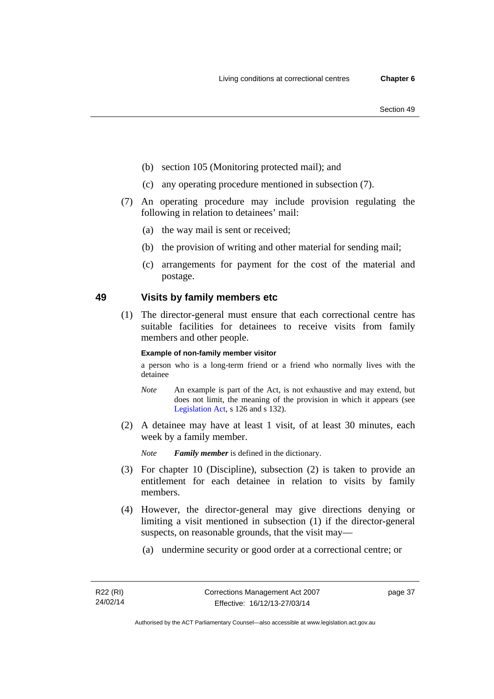- (b) section 105 (Monitoring protected mail); and
- (c) any operating procedure mentioned in subsection (7).
- (7) An operating procedure may include provision regulating the following in relation to detainees' mail:
	- (a) the way mail is sent or received;
	- (b) the provision of writing and other material for sending mail;
	- (c) arrangements for payment for the cost of the material and postage.

#### **49 Visits by family members etc**

(1) The director-general must ensure that each correctional centre has suitable facilities for detainees to receive visits from family members and other people.

#### **Example of non-family member visitor**

a person who is a long-term friend or a friend who normally lives with the detainee

- *Note* An example is part of the Act, is not exhaustive and may extend, but does not limit, the meaning of the provision in which it appears (see [Legislation Act,](http://www.legislation.act.gov.au/a/2001-14) s 126 and s 132).
- (2) A detainee may have at least 1 visit, of at least 30 minutes, each week by a family member.

*Note Family member* is defined in the dictionary.

- (3) For chapter 10 (Discipline), subsection (2) is taken to provide an entitlement for each detainee in relation to visits by family members.
- (4) However, the director-general may give directions denying or limiting a visit mentioned in subsection (1) if the director-general suspects, on reasonable grounds, that the visit may—
	- (a) undermine security or good order at a correctional centre; or

page 37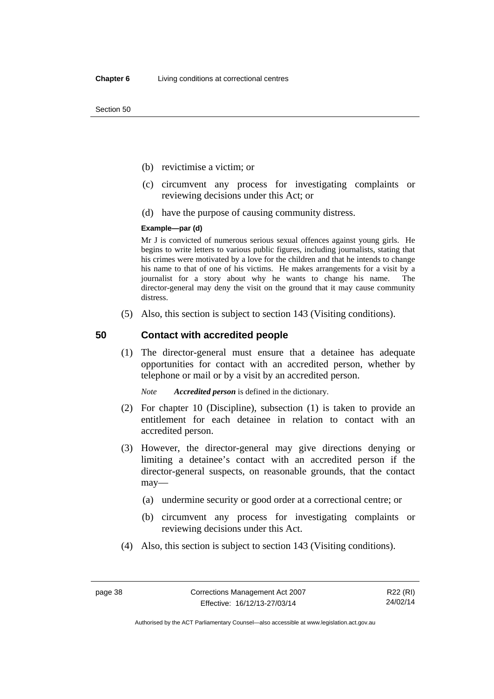- (b) revictimise a victim; or
- (c) circumvent any process for investigating complaints or reviewing decisions under this Act; or
- (d) have the purpose of causing community distress.

#### **Example—par (d)**

Mr J is convicted of numerous serious sexual offences against young girls. He begins to write letters to various public figures, including journalists, stating that his crimes were motivated by a love for the children and that he intends to change his name to that of one of his victims. He makes arrangements for a visit by a journalist for a story about why he wants to change his name. The director-general may deny the visit on the ground that it may cause community distress.

(5) Also, this section is subject to section 143 (Visiting conditions).

## **50 Contact with accredited people**

(1) The director-general must ensure that a detainee has adequate opportunities for contact with an accredited person, whether by telephone or mail or by a visit by an accredited person.

*Note Accredited person* is defined in the dictionary.

- (2) For chapter 10 (Discipline), subsection (1) is taken to provide an entitlement for each detainee in relation to contact with an accredited person.
- (3) However, the director-general may give directions denying or limiting a detainee's contact with an accredited person if the director-general suspects, on reasonable grounds, that the contact may—
	- (a) undermine security or good order at a correctional centre; or
	- (b) circumvent any process for investigating complaints or reviewing decisions under this Act.
- (4) Also, this section is subject to section 143 (Visiting conditions).

R22 (RI) 24/02/14

Authorised by the ACT Parliamentary Counsel—also accessible at www.legislation.act.gov.au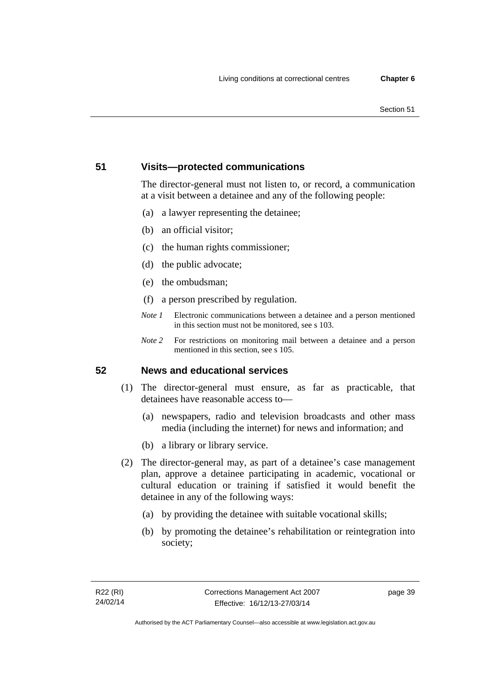#### Section 51

## **51 Visits—protected communications**

The director-general must not listen to, or record, a communication at a visit between a detainee and any of the following people:

- (a) a lawyer representing the detainee;
- (b) an official visitor;
- (c) the human rights commissioner;
- (d) the public advocate;
- (e) the ombudsman;
- (f) a person prescribed by regulation.
- *Note 1* Electronic communications between a detainee and a person mentioned in this section must not be monitored, see s 103.
- *Note 2* For restrictions on monitoring mail between a detainee and a person mentioned in this section, see s 105.

## **52 News and educational services**

- (1) The director-general must ensure, as far as practicable, that detainees have reasonable access to—
	- (a) newspapers, radio and television broadcasts and other mass media (including the internet) for news and information; and
	- (b) a library or library service.
- (2) The director-general may, as part of a detainee's case management plan, approve a detainee participating in academic, vocational or cultural education or training if satisfied it would benefit the detainee in any of the following ways:
	- (a) by providing the detainee with suitable vocational skills;
	- (b) by promoting the detainee's rehabilitation or reintegration into society;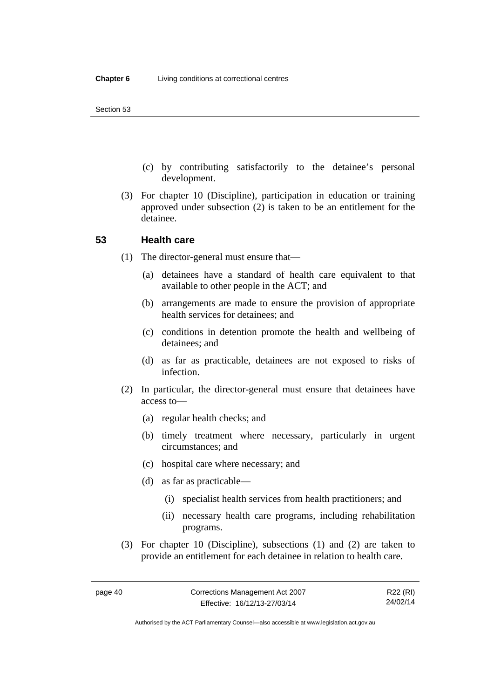- (c) by contributing satisfactorily to the detainee's personal development.
- (3) For chapter 10 (Discipline), participation in education or training approved under subsection (2) is taken to be an entitlement for the detainee.

#### **53 Health care**

- (1) The director-general must ensure that—
	- (a) detainees have a standard of health care equivalent to that available to other people in the ACT; and
	- (b) arrangements are made to ensure the provision of appropriate health services for detainees; and
	- (c) conditions in detention promote the health and wellbeing of detainees; and
	- (d) as far as practicable, detainees are not exposed to risks of infection.
- (2) In particular, the director-general must ensure that detainees have access to—
	- (a) regular health checks; and
	- (b) timely treatment where necessary, particularly in urgent circumstances; and
	- (c) hospital care where necessary; and
	- (d) as far as practicable—
		- (i) specialist health services from health practitioners; and
		- (ii) necessary health care programs, including rehabilitation programs.
- (3) For chapter 10 (Discipline), subsections (1) and (2) are taken to provide an entitlement for each detainee in relation to health care.

R22 (RI) 24/02/14

Authorised by the ACT Parliamentary Counsel—also accessible at www.legislation.act.gov.au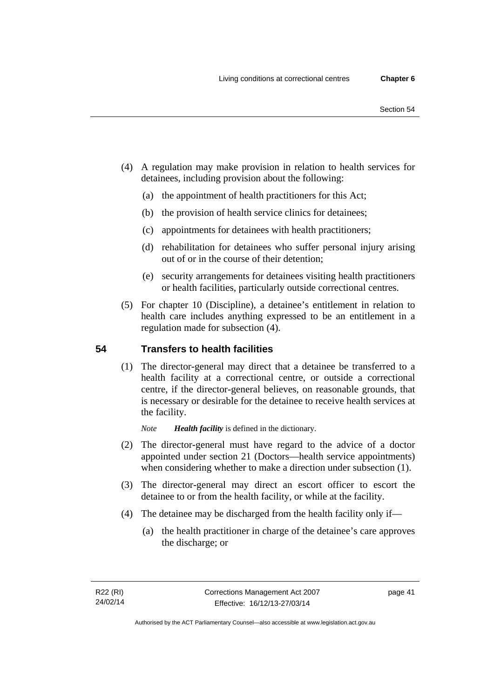- (4) A regulation may make provision in relation to health services for detainees, including provision about the following:
	- (a) the appointment of health practitioners for this Act;
	- (b) the provision of health service clinics for detainees;
	- (c) appointments for detainees with health practitioners;
	- (d) rehabilitation for detainees who suffer personal injury arising out of or in the course of their detention;
	- (e) security arrangements for detainees visiting health practitioners or health facilities, particularly outside correctional centres.
- (5) For chapter 10 (Discipline), a detainee's entitlement in relation to health care includes anything expressed to be an entitlement in a regulation made for subsection (4).

## **54 Transfers to health facilities**

(1) The director-general may direct that a detainee be transferred to a health facility at a correctional centre, or outside a correctional centre, if the director-general believes, on reasonable grounds, that is necessary or desirable for the detainee to receive health services at the facility.

*Note Health facility* is defined in the dictionary.

- (2) The director-general must have regard to the advice of a doctor appointed under section 21 (Doctors—health service appointments) when considering whether to make a direction under subsection  $(1)$ .
- (3) The director-general may direct an escort officer to escort the detainee to or from the health facility, or while at the facility.
- (4) The detainee may be discharged from the health facility only if—
	- (a) the health practitioner in charge of the detainee's care approves the discharge; or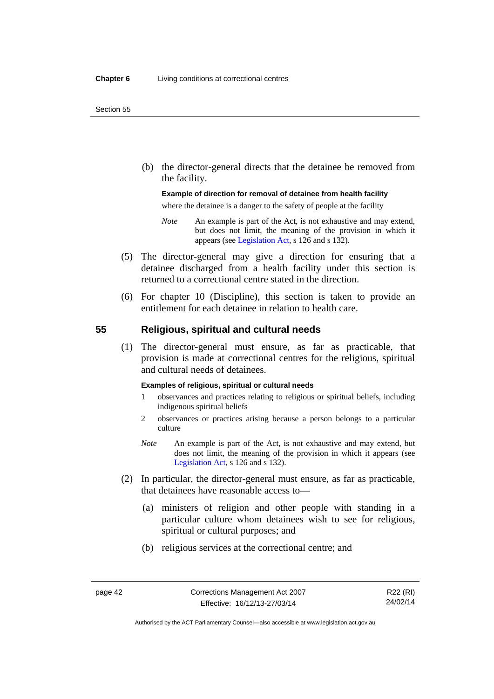(b) the director-general directs that the detainee be removed from the facility.

#### **Example of direction for removal of detainee from health facility**

where the detainee is a danger to the safety of people at the facility

- *Note* An example is part of the Act, is not exhaustive and may extend, but does not limit, the meaning of the provision in which it appears (see [Legislation Act,](http://www.legislation.act.gov.au/a/2001-14) s 126 and s 132).
- (5) The director-general may give a direction for ensuring that a detainee discharged from a health facility under this section is returned to a correctional centre stated in the direction.
- (6) For chapter 10 (Discipline), this section is taken to provide an entitlement for each detainee in relation to health care.

#### **55 Religious, spiritual and cultural needs**

(1) The director-general must ensure, as far as practicable, that provision is made at correctional centres for the religious, spiritual and cultural needs of detainees.

#### **Examples of religious, spiritual or cultural needs**

- 1 observances and practices relating to religious or spiritual beliefs, including indigenous spiritual beliefs
- 2 observances or practices arising because a person belongs to a particular culture
- *Note* An example is part of the Act, is not exhaustive and may extend, but does not limit, the meaning of the provision in which it appears (see [Legislation Act,](http://www.legislation.act.gov.au/a/2001-14) s 126 and s 132).
- (2) In particular, the director-general must ensure, as far as practicable, that detainees have reasonable access to—
	- (a) ministers of religion and other people with standing in a particular culture whom detainees wish to see for religious, spiritual or cultural purposes; and
	- (b) religious services at the correctional centre; and

R22 (RI) 24/02/14

Authorised by the ACT Parliamentary Counsel—also accessible at www.legislation.act.gov.au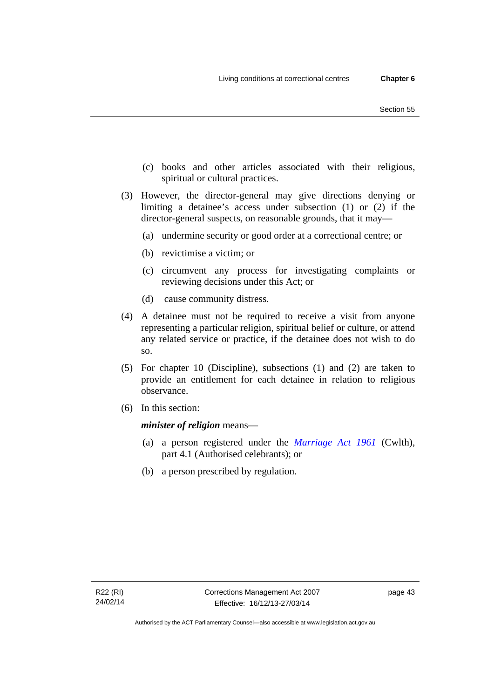- (c) books and other articles associated with their religious, spiritual or cultural practices.
- (3) However, the director-general may give directions denying or limiting a detainee's access under subsection (1) or (2) if the director-general suspects, on reasonable grounds, that it may—
	- (a) undermine security or good order at a correctional centre; or
	- (b) revictimise a victim; or
	- (c) circumvent any process for investigating complaints or reviewing decisions under this Act; or
	- (d) cause community distress.
- (4) A detainee must not be required to receive a visit from anyone representing a particular religion, spiritual belief or culture, or attend any related service or practice, if the detainee does not wish to do so.
- (5) For chapter 10 (Discipline), subsections (1) and (2) are taken to provide an entitlement for each detainee in relation to religious observance.
- (6) In this section:

*minister of religion* means—

- (a) a person registered under the *[Marriage Act 1961](http://www.comlaw.gov.au/Series/C2004A07402)* (Cwlth), part 4.1 (Authorised celebrants); or
- (b) a person prescribed by regulation.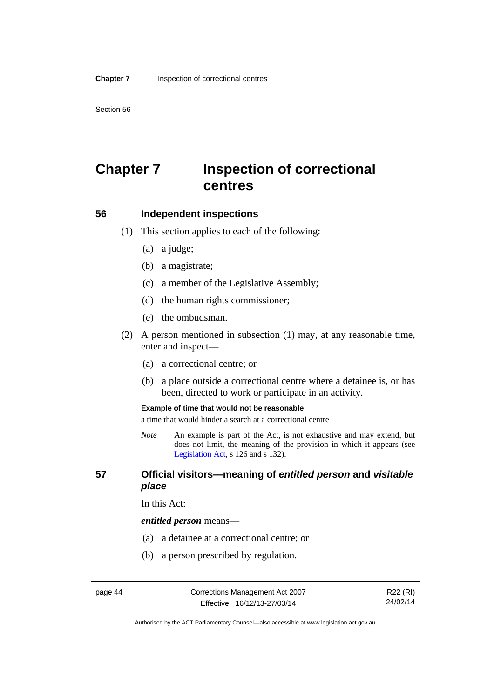Section 56

# **Chapter 7 Inspection of correctional centres**

#### **56 Independent inspections**

- (1) This section applies to each of the following:
	- (a) a judge;
	- (b) a magistrate;
	- (c) a member of the Legislative Assembly;
	- (d) the human rights commissioner;
	- (e) the ombudsman.
- (2) A person mentioned in subsection (1) may, at any reasonable time, enter and inspect—
	- (a) a correctional centre; or
	- (b) a place outside a correctional centre where a detainee is, or has been, directed to work or participate in an activity.

#### **Example of time that would not be reasonable**

a time that would hinder a search at a correctional centre

*Note* An example is part of the Act, is not exhaustive and may extend, but does not limit, the meaning of the provision in which it appears (see [Legislation Act,](http://www.legislation.act.gov.au/a/2001-14) s 126 and s 132).

## **57 Official visitors—meaning of** *entitled person* **and** *visitable place*

In this Act:

#### *entitled person* means—

- (a) a detainee at a correctional centre; or
- (b) a person prescribed by regulation.

Authorised by the ACT Parliamentary Counsel—also accessible at www.legislation.act.gov.au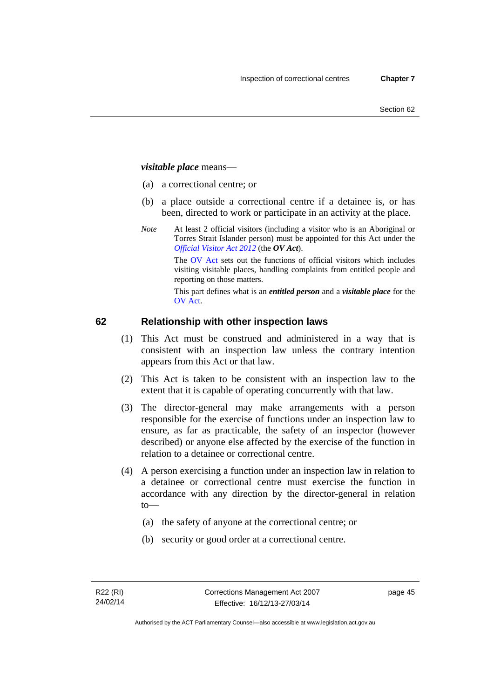## *visitable place* means—

- (a) a correctional centre; or
- (b) a place outside a correctional centre if a detainee is, or has been, directed to work or participate in an activity at the place.
- *Note* At least 2 official visitors (including a visitor who is an Aboriginal or Torres Strait Islander person) must be appointed for this Act under the *[Official Visitor Act 2012](http://www.legislation.act.gov.au/a/2012-33/default.asp)* (the *OV Act*).

The [OV Act sets out](#page-45-0) the functions of official visitors which includes visiting visitable places, handling complaints from entitled people and reporting on those matters.

This part defines what is an *entitled person* and a *visitable place* for the OV Act.

## **[62 Relatio](#page-46-0)nship with other inspection laws**

- (1) This Act must be construed and administered in a way that is consistent with an inspection law unless the contrary intention appears from this Act or that law.
- (2) This Act is taken to be consistent with an inspection law to the extent that it is capable of operating concurrently with that law.
- (3) The director-general may make arrangements with a person responsible for the exercise of functions under an inspection law to ensure, as far as practicable, the safety of an inspector (however described) or anyone else affected by the exercise of the function in relation to a detainee or correctional centre.
- (4) A person exercising a function under an inspection law in relation to a detainee or correctional centre must exercise the function in accordance with any direction by the director-general in relation to—
	- (a) the safety of anyone at the correctional centre; or
	- (b) security or good order at a correctional centre.

page 45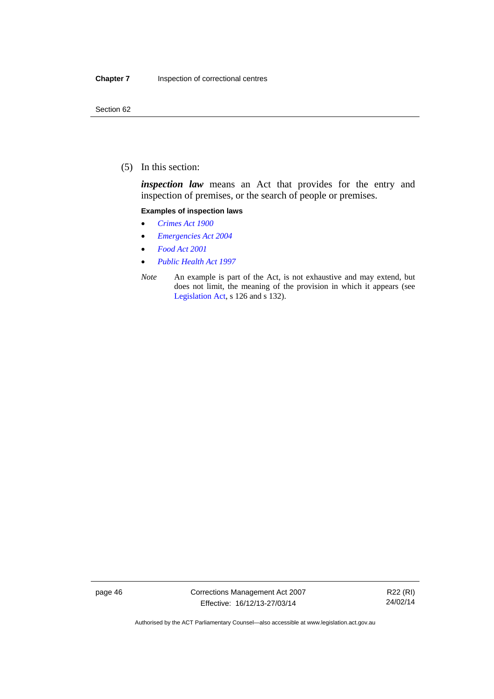(5) In this section:

*inspection law* means an Act that provides for the entry and inspection of premises, or the search of people or premises.

#### **Examples of inspection laws**

- *[Crimes Act 1900](http://www.legislation.act.gov.au/a/1900-40)*
- *[Emergencies Act 2004](http://www.legislation.act.gov.au/a/2004-28)*
- *[Food Act 2001](http://www.legislation.act.gov.au/a/2001-66)*
- *[Public Health Act 1997](http://www.legislation.act.gov.au/a/1997-69)*
- *Note* An example is part of the Act, is not exhaustive and may extend, but does not limit, the meaning of the provision in which it appears (see [Legislation Act,](http://www.legislation.act.gov.au/a/2001-14) s 126 and s 132).

page 46 Corrections Management Act 2007 Effective: 16/12/13-27/03/14

R22 (RI) 24/02/14

Authorised by the ACT Parliamentary Counsel—also accessible at www.legislation.act.gov.au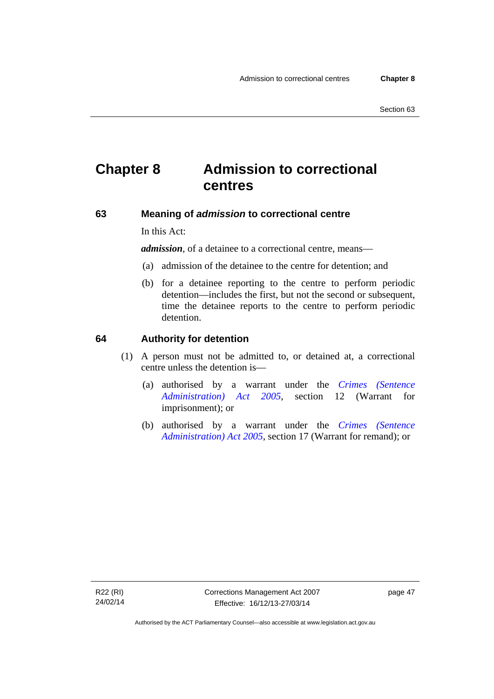# **Chapter 8 Admission to correctional centres**

#### **63 Meaning of** *admission* **to correctional centre**

In this Act:

*admission,* of a detainee to a correctional centre, means—

- (a) admission of the detainee to the centre for detention; and
- (b) for a detainee reporting to the centre to perform periodic detention—includes the first, but not the second or subsequent, time the detainee reports to the centre to perform periodic detention.

#### **64 Authority for detention**

- (1) A person must not be admitted to, or detained at, a correctional centre unless the detention is—
	- (a) authorised by a warrant under the *[Crimes \(Sentence](http://www.legislation.act.gov.au/a/2005-59)  [Administration\) Act 2005](http://www.legislation.act.gov.au/a/2005-59)*, section 12 (Warrant for imprisonment); or
	- (b) authorised by a warrant under the *[Crimes \(Sentence](http://www.legislation.act.gov.au/a/2005-59)  [Administration\) Act 2005](http://www.legislation.act.gov.au/a/2005-59)*, section 17 (Warrant for remand); or

page 47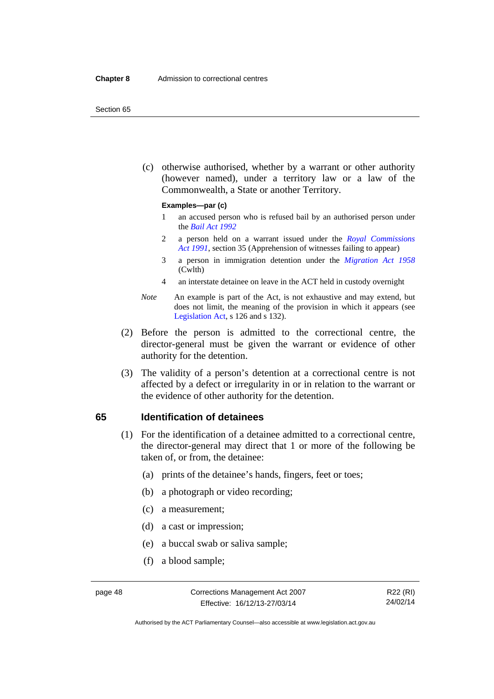#### Section 65

 (c) otherwise authorised, whether by a warrant or other authority (however named), under a territory law or a law of the Commonwealth, a State or another Territory.

#### **Examples—par (c)**

- 1 an accused person who is refused bail by an authorised person under the *[Bail Act 1992](http://www.legislation.act.gov.au/a/1992-8)*
- 2 a person held on a warrant issued under the *[Royal Commissions](http://www.legislation.act.gov.au/a/1991-1)  [Act 1991](http://www.legislation.act.gov.au/a/1991-1)*, section 35 (Apprehension of witnesses failing to appear)
- 3 a person in immigration detention under the *[Migration Act 1958](http://www.comlaw.gov.au/Series/C2004A07412)* (Cwlth)
- 4 an interstate detainee on leave in the ACT held in custody overnight
- *Note* An example is part of the Act, is not exhaustive and may extend, but does not limit, the meaning of the provision in which it appears (see [Legislation Act,](http://www.legislation.act.gov.au/a/2001-14) s 126 and s 132).
- (2) Before the person is admitted to the correctional centre, the director-general must be given the warrant or evidence of other authority for the detention.
- (3) The validity of a person's detention at a correctional centre is not affected by a defect or irregularity in or in relation to the warrant or the evidence of other authority for the detention.

#### **65 Identification of detainees**

- (1) For the identification of a detainee admitted to a correctional centre, the director-general may direct that 1 or more of the following be taken of, or from, the detainee:
	- (a) prints of the detainee's hands, fingers, feet or toes;
	- (b) a photograph or video recording;
	- (c) a measurement;
	- (d) a cast or impression;
	- (e) a buccal swab or saliva sample;
	- (f) a blood sample;

Authorised by the ACT Parliamentary Counsel—also accessible at www.legislation.act.gov.au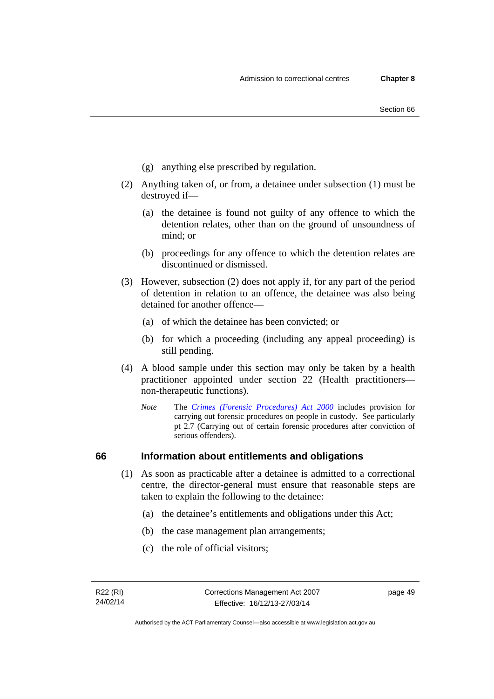- (g) anything else prescribed by regulation.
- (2) Anything taken of, or from, a detainee under subsection (1) must be destroyed if—
	- (a) the detainee is found not guilty of any offence to which the detention relates, other than on the ground of unsoundness of mind; or
	- (b) proceedings for any offence to which the detention relates are discontinued or dismissed.
- (3) However, subsection (2) does not apply if, for any part of the period of detention in relation to an offence, the detainee was also being detained for another offence—
	- (a) of which the detainee has been convicted; or
	- (b) for which a proceeding (including any appeal proceeding) is still pending.
- (4) A blood sample under this section may only be taken by a health practitioner appointed under section 22 (Health practitioners non-therapeutic functions).
	- *Note* The *[Crimes \(Forensic Procedures\) Act 2000](http://www.legislation.act.gov.au/a/2000-61)* includes provision for carrying out forensic procedures on people in custody. See particularly pt 2.7 (Carrying out of certain forensic procedures after conviction of serious offenders).

## **66 Information about entitlements and obligations**

- (1) As soon as practicable after a detainee is admitted to a correctional centre, the director-general must ensure that reasonable steps are taken to explain the following to the detainee:
	- (a) the detainee's entitlements and obligations under this Act;
	- (b) the case management plan arrangements;
	- (c) the role of official visitors;

page 49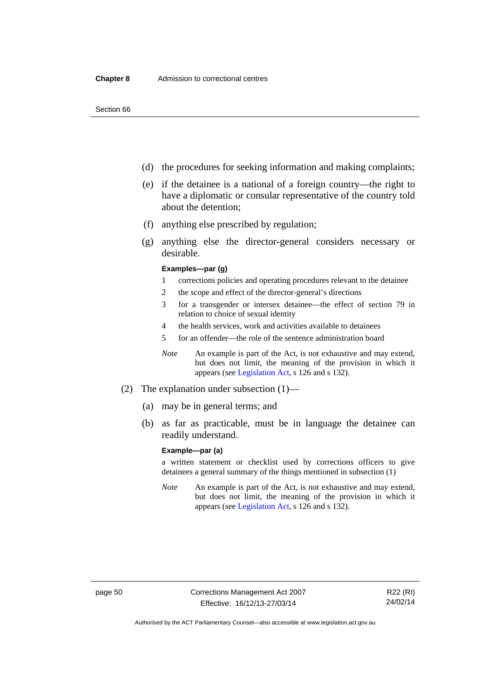- (d) the procedures for seeking information and making complaints;
- (e) if the detainee is a national of a foreign country—the right to have a diplomatic or consular representative of the country told about the detention;
- (f) anything else prescribed by regulation;
- (g) anything else the director-general considers necessary or desirable.

#### **Examples—par (g)**

- 1 corrections policies and operating procedures relevant to the detainee
- 2 the scope and effect of the director-general's directions
- 3 for a transgender or intersex detainee—the effect of section 79 in relation to choice of sexual identity
- 4 the health services, work and activities available to detainees
- 5 for an offender—the role of the sentence administration board
- *Note* An example is part of the Act, is not exhaustive and may extend, but does not limit, the meaning of the provision in which it appears (see [Legislation Act,](http://www.legislation.act.gov.au/a/2001-14) s 126 and s 132).
- (2) The explanation under subsection (1)—
	- (a) may be in general terms; and
	- (b) as far as practicable, must be in language the detainee can readily understand.

#### **Example—par (a)**

a written statement or checklist used by corrections officers to give detainees a general summary of the things mentioned in subsection (1)

*Note* An example is part of the Act, is not exhaustive and may extend, but does not limit, the meaning of the provision in which it appears (see [Legislation Act,](http://www.legislation.act.gov.au/a/2001-14) s 126 and s 132).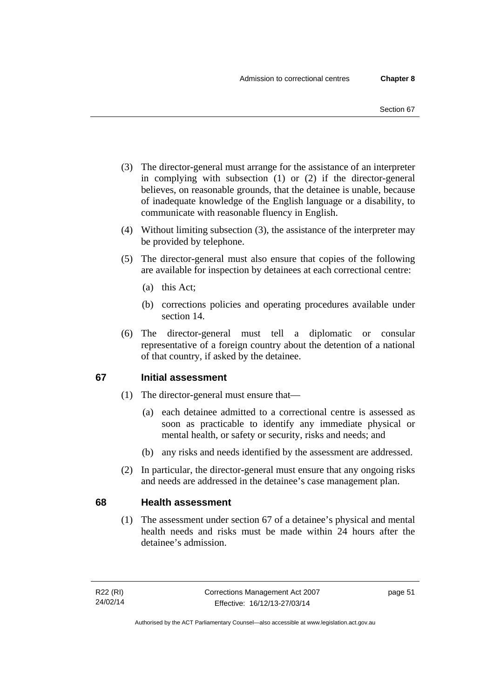- (3) The director-general must arrange for the assistance of an interpreter in complying with subsection (1) or (2) if the director-general believes, on reasonable grounds, that the detainee is unable, because of inadequate knowledge of the English language or a disability, to communicate with reasonable fluency in English.
- (4) Without limiting subsection (3), the assistance of the interpreter may be provided by telephone.
- (5) The director-general must also ensure that copies of the following are available for inspection by detainees at each correctional centre:
	- (a) this Act;
	- (b) corrections policies and operating procedures available under section 14.
- (6) The director-general must tell a diplomatic or consular representative of a foreign country about the detention of a national of that country, if asked by the detainee.

## **67 Initial assessment**

- (1) The director-general must ensure that—
	- (a) each detainee admitted to a correctional centre is assessed as soon as practicable to identify any immediate physical or mental health, or safety or security, risks and needs; and
	- (b) any risks and needs identified by the assessment are addressed.
- (2) In particular, the director-general must ensure that any ongoing risks and needs are addressed in the detainee's case management plan.

## **68 Health assessment**

(1) The assessment under section 67 of a detainee's physical and mental health needs and risks must be made within 24 hours after the detainee's admission.

page 51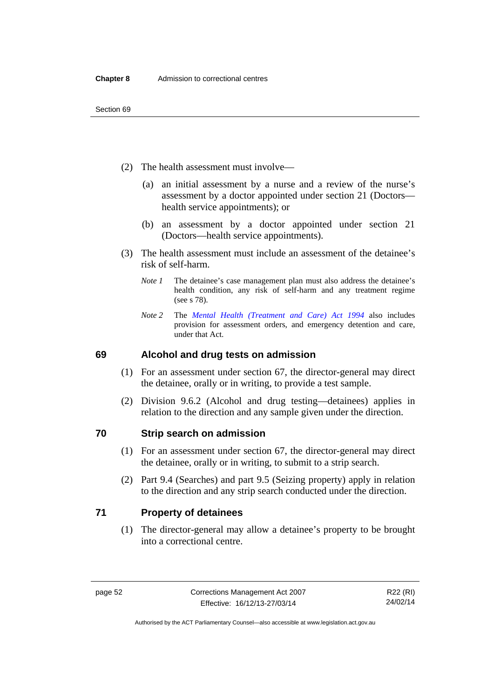- (2) The health assessment must involve—
	- (a) an initial assessment by a nurse and a review of the nurse's assessment by a doctor appointed under section 21 (Doctors health service appointments); or
	- (b) an assessment by a doctor appointed under section 21 (Doctors—health service appointments).
- (3) The health assessment must include an assessment of the detainee's risk of self-harm.
	- *Note 1* The detainee's case management plan must also address the detainee's health condition, any risk of self-harm and any treatment regime (see s 78).
	- *Note 2* The *[Mental Health \(Treatment and Care\) Act 1994](http://www.legislation.act.gov.au/a/1994-44)* also includes provision for assessment orders, and emergency detention and care, under that Act.

## **69 Alcohol and drug tests on admission**

- (1) For an assessment under section 67, the director-general may direct the detainee, orally or in writing, to provide a test sample.
- (2) Division 9.6.2 (Alcohol and drug testing—detainees) applies in relation to the direction and any sample given under the direction.

## **70 Strip search on admission**

- (1) For an assessment under section 67, the director-general may direct the detainee, orally or in writing, to submit to a strip search.
- (2) Part 9.4 (Searches) and part 9.5 (Seizing property) apply in relation to the direction and any strip search conducted under the direction.

## **71 Property of detainees**

(1) The director-general may allow a detainee's property to be brought into a correctional centre.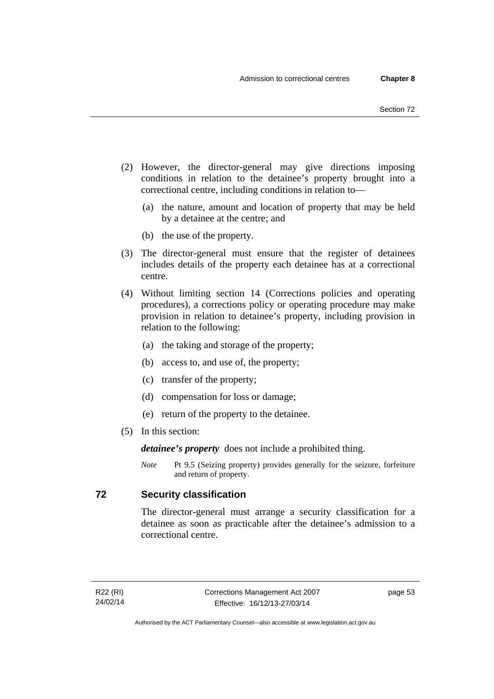- (2) However, the director-general may give directions imposing conditions in relation to the detainee's property brought into a correctional centre, including conditions in relation to—
	- (a) the nature, amount and location of property that may be held by a detainee at the centre; and
	- (b) the use of the property.
- (3) The director-general must ensure that the register of detainees includes details of the property each detainee has at a correctional centre.
- (4) Without limiting section 14 (Corrections policies and operating procedures), a corrections policy or operating procedure may make provision in relation to detainee's property, including provision in relation to the following:
	- (a) the taking and storage of the property;
	- (b) access to, and use of, the property;
	- (c) transfer of the property;
	- (d) compensation for loss or damage;
	- (e) return of the property to the detainee.
- (5) In this section:

*detainee's property* does not include a prohibited thing.

*Note* Pt 9.5 (Seizing property) provides generally for the seizure, forfeiture and return of property.

## **72 Security classification**

The director-general must arrange a security classification for a detainee as soon as practicable after the detainee's admission to a correctional centre.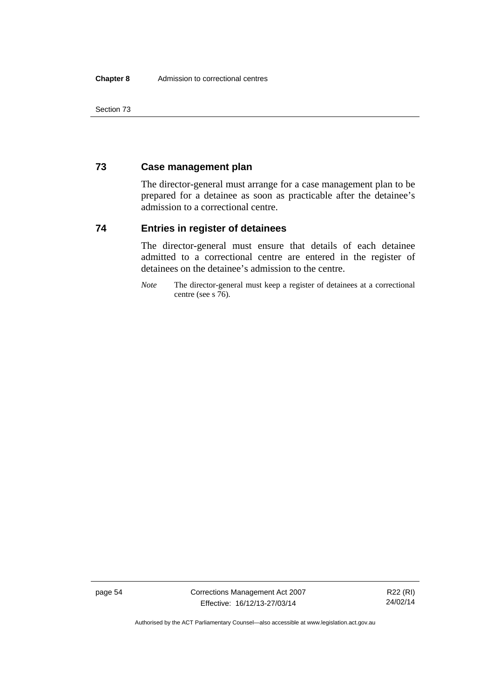Section 73

## **73 Case management plan**

The director-general must arrange for a case management plan to be prepared for a detainee as soon as practicable after the detainee's admission to a correctional centre.

## **74 Entries in register of detainees**

The director-general must ensure that details of each detainee admitted to a correctional centre are entered in the register of detainees on the detainee's admission to the centre.

*Note* The director-general must keep a register of detainees at a correctional centre (see s 76).

page 54 Corrections Management Act 2007 Effective: 16/12/13-27/03/14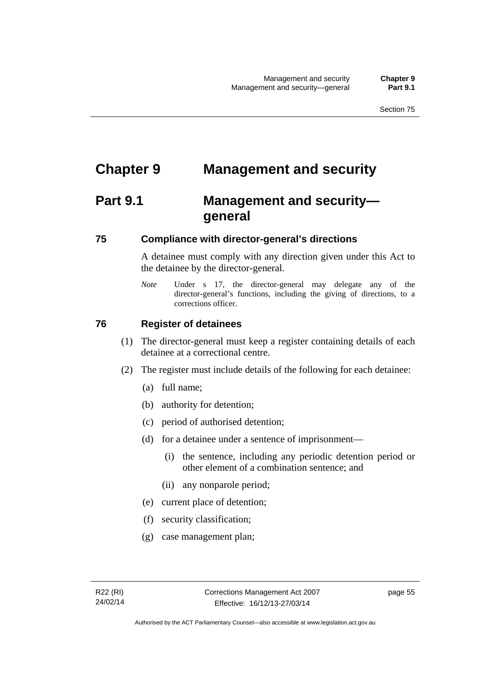# **Chapter 9 Management and security**

# **Part 9.1 Management and security general**

## **75 Compliance with director-general's directions**

A detainee must comply with any direction given under this Act to the detainee by the director-general.

*Note* Under s 17, the director-general may delegate any of the director-general's functions, including the giving of directions, to a corrections officer.

## **76 Register of detainees**

- (1) The director-general must keep a register containing details of each detainee at a correctional centre.
- (2) The register must include details of the following for each detainee:
	- (a) full name;
	- (b) authority for detention;
	- (c) period of authorised detention;
	- (d) for a detainee under a sentence of imprisonment—
		- (i) the sentence, including any periodic detention period or other element of a combination sentence; and
		- (ii) any nonparole period;
	- (e) current place of detention;
	- (f) security classification;
	- (g) case management plan;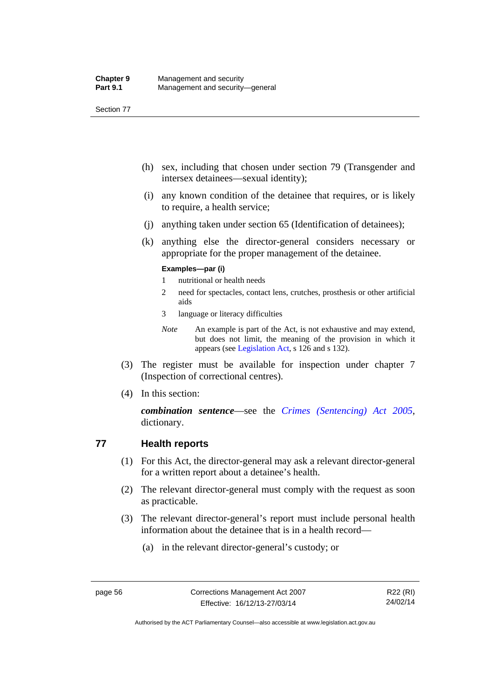Section 77

- (h) sex, including that chosen under section 79 (Transgender and intersex detainees—sexual identity);
- (i) any known condition of the detainee that requires, or is likely to require, a health service;
- (j) anything taken under section 65 (Identification of detainees);
- (k) anything else the director-general considers necessary or appropriate for the proper management of the detainee.

#### **Examples—par (i)**

- 1 nutritional or health needs
- 2 need for spectacles, contact lens, crutches, prosthesis or other artificial aids
- 3 language or literacy difficulties
- *Note* An example is part of the Act, is not exhaustive and may extend, but does not limit, the meaning of the provision in which it appears (see [Legislation Act,](http://www.legislation.act.gov.au/a/2001-14) s 126 and s 132).
- (3) The register must be available for inspection under chapter 7 (Inspection of correctional centres).
- (4) In this section:

*combination sentence*—see the *[Crimes \(Sentencing\) Act 2005](http://www.legislation.act.gov.au/a/2005-58)*, dictionary.

## **77 Health reports**

- (1) For this Act, the director-general may ask a relevant director-general for a written report about a detainee's health.
- (2) The relevant director-general must comply with the request as soon as practicable.
- (3) The relevant director-general's report must include personal health information about the detainee that is in a health record—
	- (a) in the relevant director-general's custody; or

Authorised by the ACT Parliamentary Counsel—also accessible at www.legislation.act.gov.au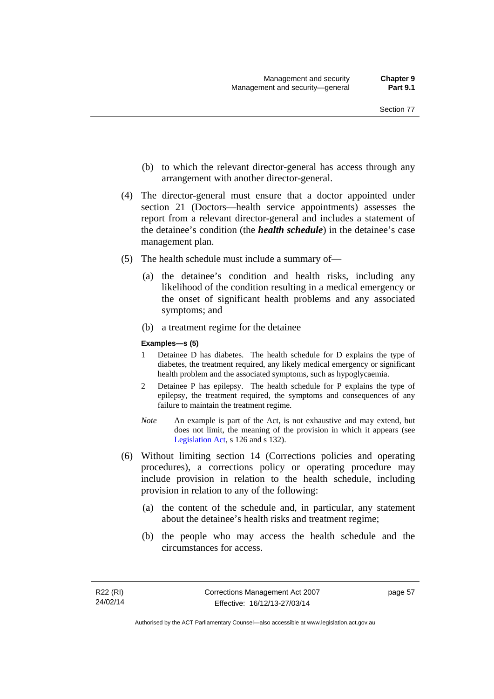- (b) to which the relevant director-general has access through any arrangement with another director-general.
- (4) The director-general must ensure that a doctor appointed under section 21 (Doctors—health service appointments) assesses the report from a relevant director-general and includes a statement of the detainee's condition (the *health schedule*) in the detainee's case management plan.
- (5) The health schedule must include a summary of—
	- (a) the detainee's condition and health risks, including any likelihood of the condition resulting in a medical emergency or the onset of significant health problems and any associated symptoms; and
	- (b) a treatment regime for the detainee

#### **Examples—s (5)**

- 1 Detainee D has diabetes. The health schedule for D explains the type of diabetes, the treatment required, any likely medical emergency or significant health problem and the associated symptoms, such as hypoglycaemia.
- 2 Detainee P has epilepsy. The health schedule for P explains the type of epilepsy, the treatment required, the symptoms and consequences of any failure to maintain the treatment regime.
- *Note* An example is part of the Act, is not exhaustive and may extend, but does not limit, the meaning of the provision in which it appears (see [Legislation Act,](http://www.legislation.act.gov.au/a/2001-14) s 126 and s 132).
- (6) Without limiting section 14 (Corrections policies and operating procedures), a corrections policy or operating procedure may include provision in relation to the health schedule, including provision in relation to any of the following:
	- (a) the content of the schedule and, in particular, any statement about the detainee's health risks and treatment regime;
	- (b) the people who may access the health schedule and the circumstances for access.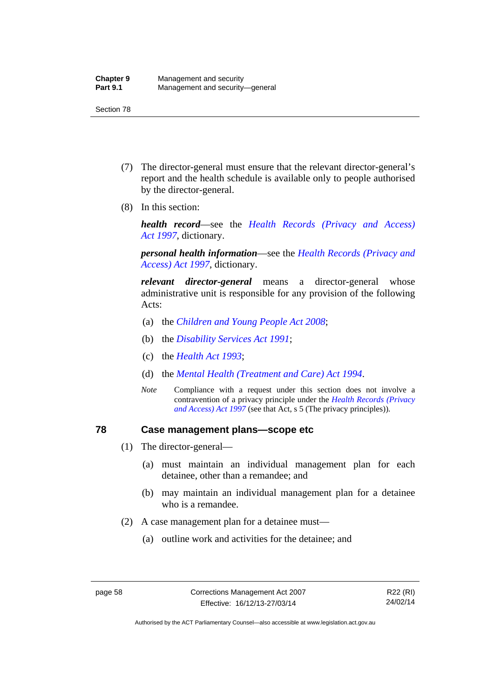- (7) The director-general must ensure that the relevant director-general's report and the health schedule is available only to people authorised by the director-general.
- (8) In this section:

*health record*—see the *[Health Records \(Privacy and Access\)](http://www.legislation.act.gov.au/a/1997-125)  [Act 1997](http://www.legislation.act.gov.au/a/1997-125)*, dictionary.

*personal health information*—see the *[Health Records \(Privacy and](http://www.legislation.act.gov.au/a/1997-125)  [Access\) Act 1997](http://www.legislation.act.gov.au/a/1997-125)*, dictionary.

*relevant director-general* means a director-general whose administrative unit is responsible for any provision of the following Acts:

- (a) the *[Children and Young People Act 2008](http://www.legislation.act.gov.au/a/2008-19)*;
- (b) the *[Disability Services Act 1991](http://www.legislation.act.gov.au/a/1991-98)*;
- (c) the *[Health Act 1993](http://www.legislation.act.gov.au/a/1993-13)*;
- (d) the *[Mental Health \(Treatment and Care\) Act 1994](http://www.legislation.act.gov.au/a/1994-44)*.
- *Note* Compliance with a request under this section does not involve a contravention of a privacy principle under the *[Health Records \(Privacy](http://www.legislation.act.gov.au/a/1997-125)  [and Access\) Act 1997](http://www.legislation.act.gov.au/a/1997-125)* (see that Act, s 5 (The privacy principles))*.*

### **78 Case management plans—scope etc**

- (1) The director-general—
	- (a) must maintain an individual management plan for each detainee, other than a remandee; and
	- (b) may maintain an individual management plan for a detainee who is a remandee.
- (2) A case management plan for a detainee must—
	- (a) outline work and activities for the detainee; and

R22 (RI) 24/02/14

Authorised by the ACT Parliamentary Counsel—also accessible at www.legislation.act.gov.au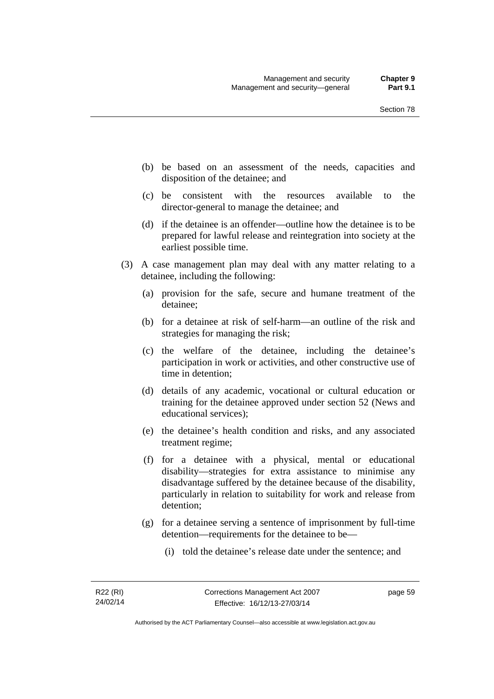- (b) be based on an assessment of the needs, capacities and disposition of the detainee; and
- (c) be consistent with the resources available to the director-general to manage the detainee; and
- (d) if the detainee is an offender—outline how the detainee is to be prepared for lawful release and reintegration into society at the earliest possible time.
- (3) A case management plan may deal with any matter relating to a detainee, including the following:
	- (a) provision for the safe, secure and humane treatment of the detainee;
	- (b) for a detainee at risk of self-harm—an outline of the risk and strategies for managing the risk;
	- (c) the welfare of the detainee, including the detainee's participation in work or activities, and other constructive use of time in detention;
	- (d) details of any academic, vocational or cultural education or training for the detainee approved under section 52 (News and educational services);
	- (e) the detainee's health condition and risks, and any associated treatment regime;
	- (f) for a detainee with a physical, mental or educational disability—strategies for extra assistance to minimise any disadvantage suffered by the detainee because of the disability, particularly in relation to suitability for work and release from detention;
	- (g) for a detainee serving a sentence of imprisonment by full-time detention—requirements for the detainee to be—
		- (i) told the detainee's release date under the sentence; and

page 59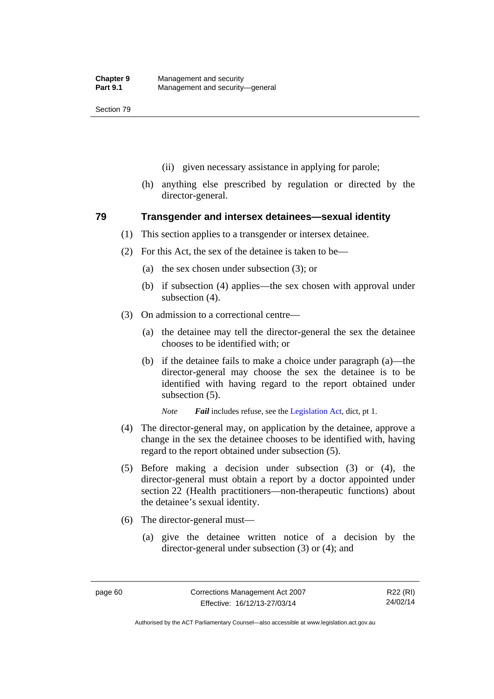- (ii) given necessary assistance in applying for parole;
- (h) anything else prescribed by regulation or directed by the director-general.

### **79 Transgender and intersex detainees—sexual identity**

- (1) This section applies to a transgender or intersex detainee.
- (2) For this Act, the sex of the detainee is taken to be—
	- (a) the sex chosen under subsection (3); or
	- (b) if subsection (4) applies—the sex chosen with approval under subsection (4).
- (3) On admission to a correctional centre—
	- (a) the detainee may tell the director-general the sex the detainee chooses to be identified with; or
	- (b) if the detainee fails to make a choice under paragraph (a)—the director-general may choose the sex the detainee is to be identified with having regard to the report obtained under subsection (5).

*Note Fail* includes refuse, see the [Legislation Act,](http://www.legislation.act.gov.au/a/2001-14) dict, pt 1.

- (4) The director-general may, on application by the detainee, approve a change in the sex the detainee chooses to be identified with, having regard to the report obtained under subsection (5).
- (5) Before making a decision under subsection (3) or (4), the director-general must obtain a report by a doctor appointed under section 22 (Health practitioners—non-therapeutic functions) about the detainee's sexual identity.
- (6) The director-general must—
	- (a) give the detainee written notice of a decision by the director-general under subsection (3) or (4); and

R22 (RI) 24/02/14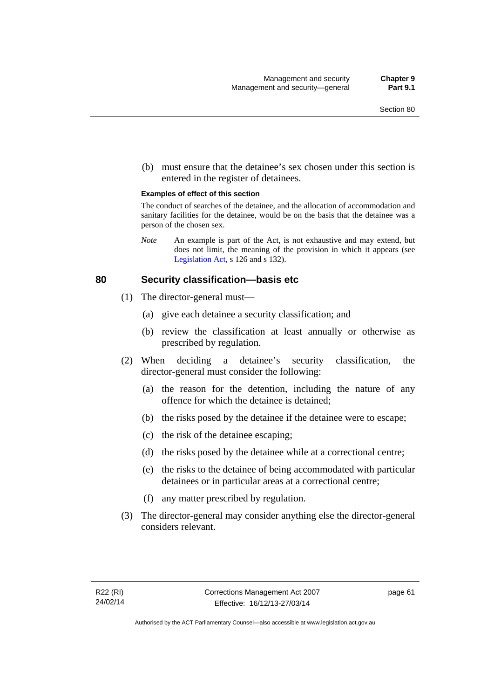(b) must ensure that the detainee's sex chosen under this section is entered in the register of detainees.

#### **Examples of effect of this section**

The conduct of searches of the detainee, and the allocation of accommodation and sanitary facilities for the detainee, would be on the basis that the detainee was a person of the chosen sex.

*Note* An example is part of the Act, is not exhaustive and may extend, but does not limit, the meaning of the provision in which it appears (see [Legislation Act,](http://www.legislation.act.gov.au/a/2001-14) s 126 and s 132).

### **80 Security classification—basis etc**

- (1) The director-general must—
	- (a) give each detainee a security classification; and
	- (b) review the classification at least annually or otherwise as prescribed by regulation.
- (2) When deciding a detainee's security classification, the director-general must consider the following:
	- (a) the reason for the detention, including the nature of any offence for which the detainee is detained;
	- (b) the risks posed by the detainee if the detainee were to escape;
	- (c) the risk of the detainee escaping;
	- (d) the risks posed by the detainee while at a correctional centre;
	- (e) the risks to the detainee of being accommodated with particular detainees or in particular areas at a correctional centre;
	- (f) any matter prescribed by regulation.
- (3) The director-general may consider anything else the director-general considers relevant.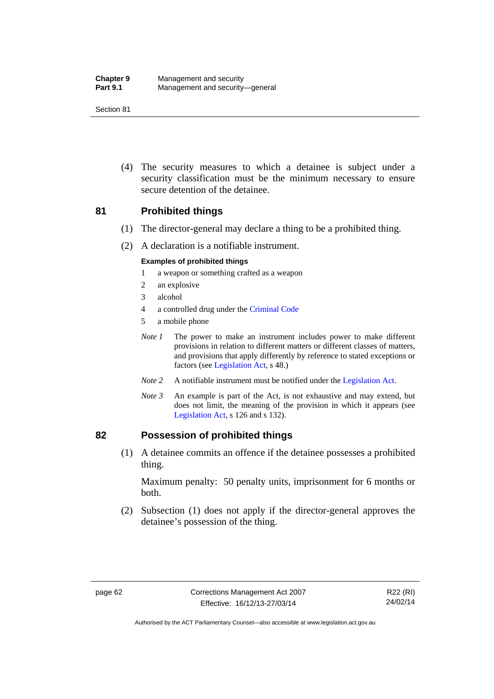| <b>Chapter 9</b> | Management and security         |
|------------------|---------------------------------|
| <b>Part 9.1</b>  | Management and security-general |

 (4) The security measures to which a detainee is subject under a security classification must be the minimum necessary to ensure secure detention of the detainee.

### **81 Prohibited things**

- (1) The director-general may declare a thing to be a prohibited thing.
- (2) A declaration is a notifiable instrument.

#### **Examples of prohibited things**

- 1 a weapon or something crafted as a weapon
- 2 an explosive
- 3 alcohol
- 4 a controlled drug under the [Criminal Code](http://www.legislation.act.gov.au/a/2002-51)
- 5 a mobile phone
- *Note 1* The power to make an instrument includes power to make different provisions in relation to different matters or different classes of matters, and provisions that apply differently by reference to stated exceptions or factors (see [Legislation Act](http://www.legislation.act.gov.au/a/2001-14), s 48.)
- *Note 2* A notifiable instrument must be notified under the [Legislation Act](http://www.legislation.act.gov.au/a/2001-14).
- *Note 3* An example is part of the Act, is not exhaustive and may extend, but does not limit, the meaning of the provision in which it appears (see [Legislation Act,](http://www.legislation.act.gov.au/a/2001-14) s 126 and s 132).

### **82 Possession of prohibited things**

 (1) A detainee commits an offence if the detainee possesses a prohibited thing.

Maximum penalty: 50 penalty units, imprisonment for 6 months or both.

 (2) Subsection (1) does not apply if the director-general approves the detainee's possession of the thing.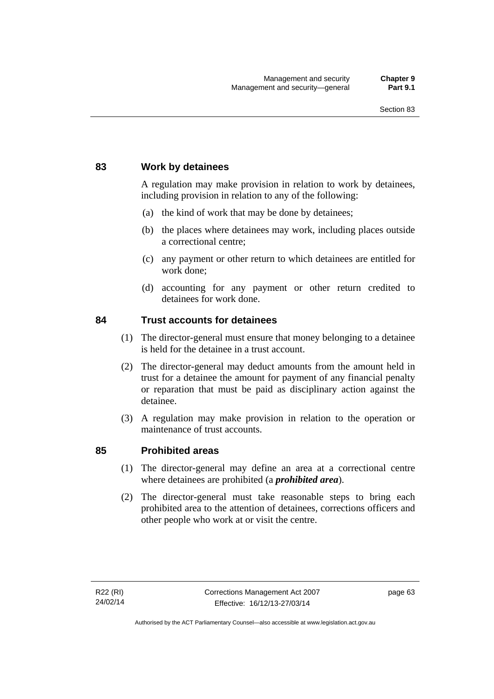### **83 Work by detainees**

A regulation may make provision in relation to work by detainees, including provision in relation to any of the following:

- (a) the kind of work that may be done by detainees;
- (b) the places where detainees may work, including places outside a correctional centre;
- (c) any payment or other return to which detainees are entitled for work done;
- (d) accounting for any payment or other return credited to detainees for work done.

### **84 Trust accounts for detainees**

- (1) The director-general must ensure that money belonging to a detainee is held for the detainee in a trust account.
- (2) The director-general may deduct amounts from the amount held in trust for a detainee the amount for payment of any financial penalty or reparation that must be paid as disciplinary action against the detainee.
- (3) A regulation may make provision in relation to the operation or maintenance of trust accounts.

### **85 Prohibited areas**

- (1) The director-general may define an area at a correctional centre where detainees are prohibited (a *prohibited area*).
- (2) The director-general must take reasonable steps to bring each prohibited area to the attention of detainees, corrections officers and other people who work at or visit the centre.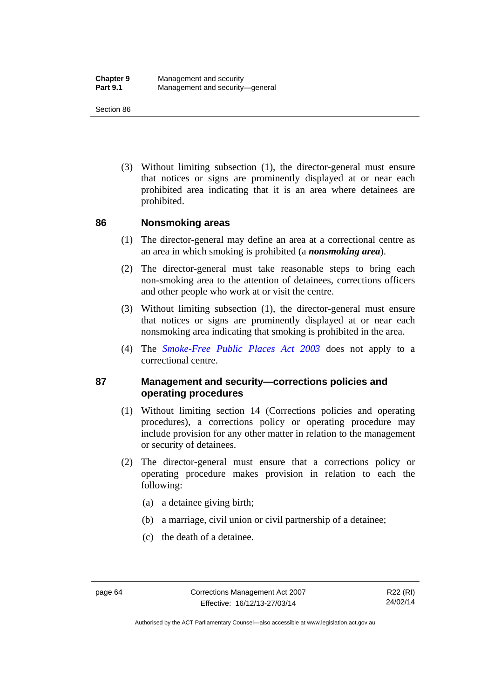(3) Without limiting subsection (1), the director-general must ensure that notices or signs are prominently displayed at or near each prohibited area indicating that it is an area where detainees are prohibited.

### **86 Nonsmoking areas**

- (1) The director-general may define an area at a correctional centre as an area in which smoking is prohibited (a *nonsmoking area*).
- (2) The director-general must take reasonable steps to bring each non-smoking area to the attention of detainees, corrections officers and other people who work at or visit the centre.
- (3) Without limiting subsection (1), the director-general must ensure that notices or signs are prominently displayed at or near each nonsmoking area indicating that smoking is prohibited in the area.
- (4) The *[Smoke-Free Public Places Act 2003](http://www.legislation.act.gov.au/a/2003-51)* does not apply to a correctional centre.

### **87 Management and security—corrections policies and operating procedures**

- (1) Without limiting section 14 (Corrections policies and operating procedures), a corrections policy or operating procedure may include provision for any other matter in relation to the management or security of detainees.
- (2) The director-general must ensure that a corrections policy or operating procedure makes provision in relation to each the following:
	- (a) a detainee giving birth;
	- (b) a marriage, civil union or civil partnership of a detainee;
	- (c) the death of a detainee.

Authorised by the ACT Parliamentary Counsel—also accessible at www.legislation.act.gov.au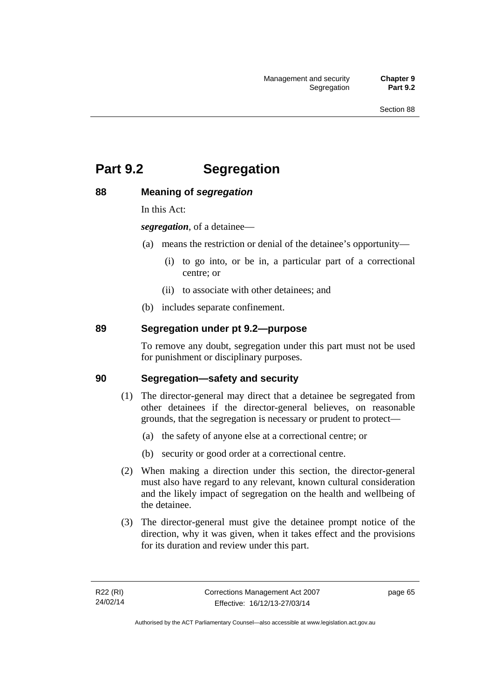# **Part 9.2 Segregation**

### **88 Meaning of** *segregation*

In this Act:

*segregation*, of a detainee—

- (a) means the restriction or denial of the detainee's opportunity—
	- (i) to go into, or be in, a particular part of a correctional centre; or
	- (ii) to associate with other detainees; and
- (b) includes separate confinement.

### **89 Segregation under pt 9.2—purpose**

To remove any doubt, segregation under this part must not be used for punishment or disciplinary purposes.

### **90 Segregation—safety and security**

- (1) The director-general may direct that a detainee be segregated from other detainees if the director-general believes, on reasonable grounds, that the segregation is necessary or prudent to protect—
	- (a) the safety of anyone else at a correctional centre; or
	- (b) security or good order at a correctional centre.
- (2) When making a direction under this section, the director-general must also have regard to any relevant, known cultural consideration and the likely impact of segregation on the health and wellbeing of the detainee.
- (3) The director-general must give the detainee prompt notice of the direction, why it was given, when it takes effect and the provisions for its duration and review under this part.

page 65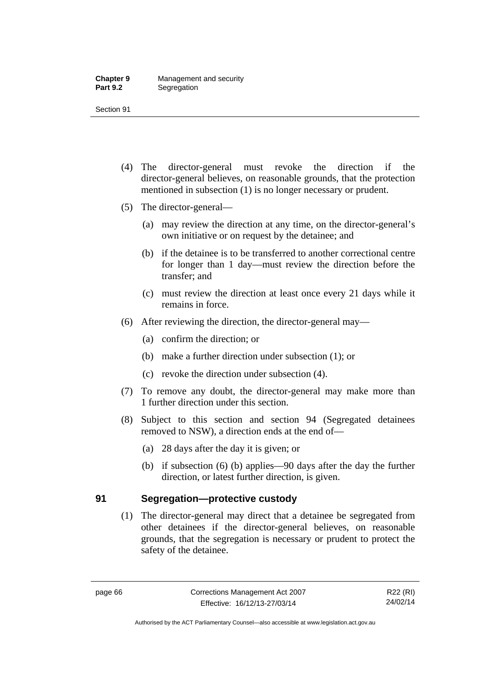- (4) The director-general must revoke the direction if the director-general believes, on reasonable grounds, that the protection mentioned in subsection (1) is no longer necessary or prudent.
- (5) The director-general—
	- (a) may review the direction at any time, on the director-general's own initiative or on request by the detainee; and
	- (b) if the detainee is to be transferred to another correctional centre for longer than 1 day—must review the direction before the transfer; and
	- (c) must review the direction at least once every 21 days while it remains in force.
- (6) After reviewing the direction, the director-general may—
	- (a) confirm the direction; or
	- (b) make a further direction under subsection (1); or
	- (c) revoke the direction under subsection (4).
- (7) To remove any doubt, the director-general may make more than 1 further direction under this section.
- (8) Subject to this section and section 94 (Segregated detainees removed to NSW), a direction ends at the end of—
	- (a) 28 days after the day it is given; or
	- (b) if subsection (6) (b) applies—90 days after the day the further direction, or latest further direction, is given.

### **91 Segregation—protective custody**

(1) The director-general may direct that a detainee be segregated from other detainees if the director-general believes, on reasonable grounds, that the segregation is necessary or prudent to protect the safety of the detainee.

R22 (RI) 24/02/14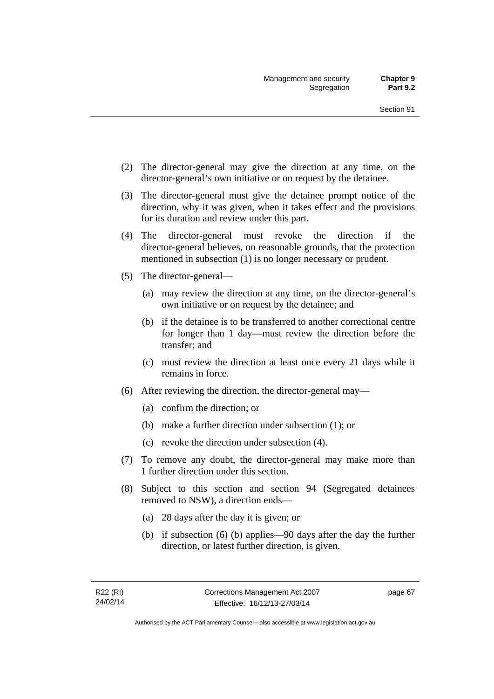- (2) The director-general may give the direction at any time, on the director-general's own initiative or on request by the detainee.
- (3) The director-general must give the detainee prompt notice of the direction, why it was given, when it takes effect and the provisions for its duration and review under this part.
- (4) The director-general must revoke the direction if the director-general believes, on reasonable grounds, that the protection mentioned in subsection (1) is no longer necessary or prudent.
- (5) The director-general—
	- (a) may review the direction at any time, on the director-general's own initiative or on request by the detainee; and
	- (b) if the detainee is to be transferred to another correctional centre for longer than 1 day—must review the direction before the transfer; and
	- (c) must review the direction at least once every 21 days while it remains in force.
- (6) After reviewing the direction, the director-general may—
	- (a) confirm the direction; or
	- (b) make a further direction under subsection (1); or
	- (c) revoke the direction under subsection (4).
- (7) To remove any doubt, the director-general may make more than 1 further direction under this section.
- (8) Subject to this section and section 94 (Segregated detainees removed to NSW), a direction ends—
	- (a) 28 days after the day it is given; or
	- (b) if subsection (6) (b) applies—90 days after the day the further direction, or latest further direction, is given.

page 67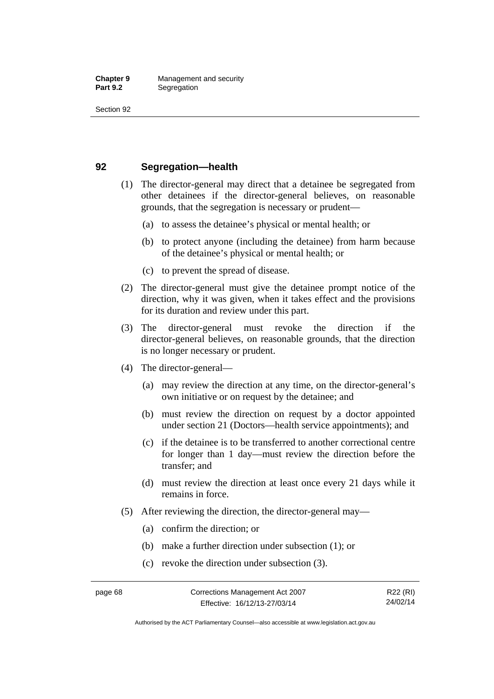### **92 Segregation—health**

- (1) The director-general may direct that a detainee be segregated from other detainees if the director-general believes, on reasonable grounds, that the segregation is necessary or prudent—
	- (a) to assess the detainee's physical or mental health; or
	- (b) to protect anyone (including the detainee) from harm because of the detainee's physical or mental health; or
	- (c) to prevent the spread of disease.
- (2) The director-general must give the detainee prompt notice of the direction, why it was given, when it takes effect and the provisions for its duration and review under this part.
- (3) The director-general must revoke the direction if the director-general believes, on reasonable grounds, that the direction is no longer necessary or prudent.
- (4) The director-general—
	- (a) may review the direction at any time, on the director-general's own initiative or on request by the detainee; and
	- (b) must review the direction on request by a doctor appointed under section 21 (Doctors—health service appointments); and
	- (c) if the detainee is to be transferred to another correctional centre for longer than 1 day—must review the direction before the transfer; and
	- (d) must review the direction at least once every 21 days while it remains in force.
- (5) After reviewing the direction, the director-general may—
	- (a) confirm the direction; or
	- (b) make a further direction under subsection (1); or
	- (c) revoke the direction under subsection (3).

Authorised by the ACT Parliamentary Counsel—also accessible at www.legislation.act.gov.au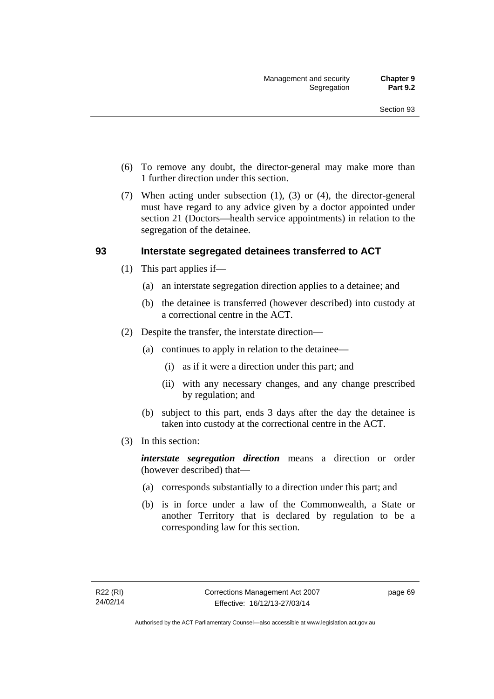- (6) To remove any doubt, the director-general may make more than 1 further direction under this section.
- (7) When acting under subsection (1), (3) or (4), the director-general must have regard to any advice given by a doctor appointed under section 21 (Doctors—health service appointments) in relation to the segregation of the detainee.

### **93 Interstate segregated detainees transferred to ACT**

- (1) This part applies if—
	- (a) an interstate segregation direction applies to a detainee; and
	- (b) the detainee is transferred (however described) into custody at a correctional centre in the ACT.
- (2) Despite the transfer, the interstate direction—
	- (a) continues to apply in relation to the detainee—
		- (i) as if it were a direction under this part; and
		- (ii) with any necessary changes, and any change prescribed by regulation; and
	- (b) subject to this part, ends 3 days after the day the detainee is taken into custody at the correctional centre in the ACT.
- (3) In this section:

*interstate segregation direction* means a direction or order (however described) that—

- (a) corresponds substantially to a direction under this part; and
- (b) is in force under a law of the Commonwealth, a State or another Territory that is declared by regulation to be a corresponding law for this section.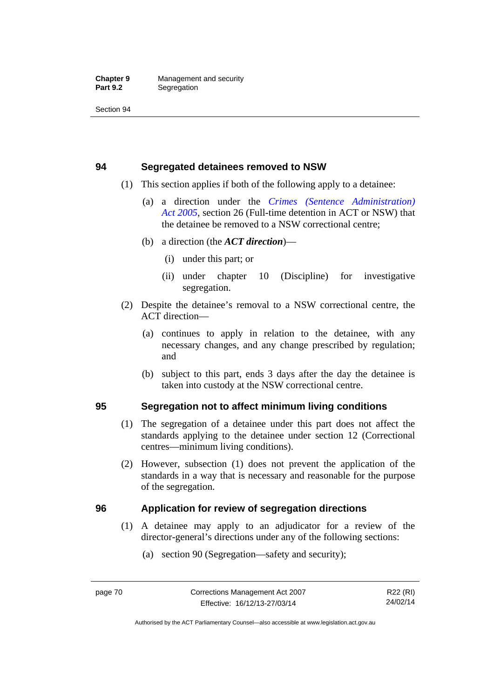### **94 Segregated detainees removed to NSW**

- (1) This section applies if both of the following apply to a detainee:
	- (a) a direction under the *[Crimes \(Sentence Administration\)](http://www.legislation.act.gov.au/a/2005-59)  [Act 2005](http://www.legislation.act.gov.au/a/2005-59)*, section 26 (Full-time detention in ACT or NSW) that the detainee be removed to a NSW correctional centre;
	- (b) a direction (the *ACT direction*)—
		- (i) under this part; or
		- (ii) under chapter 10 (Discipline) for investigative segregation.
- (2) Despite the detainee's removal to a NSW correctional centre, the ACT direction—
	- (a) continues to apply in relation to the detainee, with any necessary changes, and any change prescribed by regulation; and
	- (b) subject to this part, ends 3 days after the day the detainee is taken into custody at the NSW correctional centre.

### **95 Segregation not to affect minimum living conditions**

- (1) The segregation of a detainee under this part does not affect the standards applying to the detainee under section 12 (Correctional centres—minimum living conditions).
- (2) However, subsection (1) does not prevent the application of the standards in a way that is necessary and reasonable for the purpose of the segregation.

### **96 Application for review of segregation directions**

- (1) A detainee may apply to an adjudicator for a review of the director-general's directions under any of the following sections:
	- (a) section 90 (Segregation—safety and security);

Authorised by the ACT Parliamentary Counsel—also accessible at www.legislation.act.gov.au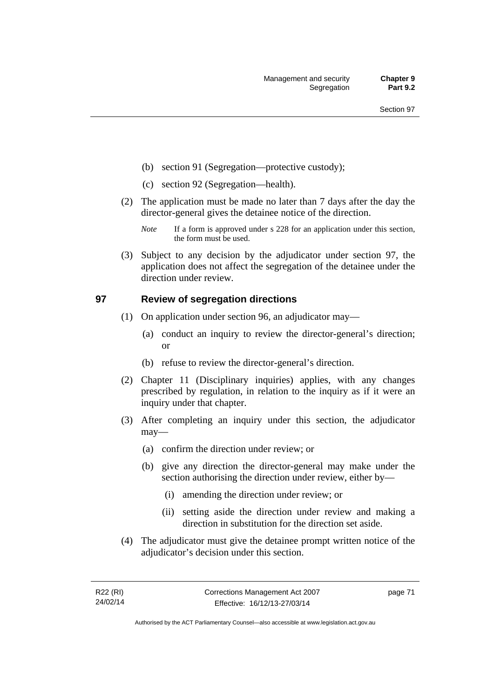- (b) section 91 (Segregation—protective custody);
- (c) section 92 (Segregation—health).
- (2) The application must be made no later than 7 days after the day the director-general gives the detainee notice of the direction.
	- *Note* If a form is approved under s 228 for an application under this section, the form must be used.
- (3) Subject to any decision by the adjudicator under section 97, the application does not affect the segregation of the detainee under the direction under review.

### **97 Review of segregation directions**

- (1) On application under section 96, an adjudicator may—
	- (a) conduct an inquiry to review the director-general's direction; or
	- (b) refuse to review the director-general's direction.
- (2) Chapter 11 (Disciplinary inquiries) applies, with any changes prescribed by regulation, in relation to the inquiry as if it were an inquiry under that chapter.
- (3) After completing an inquiry under this section, the adjudicator may—
	- (a) confirm the direction under review; or
	- (b) give any direction the director-general may make under the section authorising the direction under review, either by—
		- (i) amending the direction under review; or
		- (ii) setting aside the direction under review and making a direction in substitution for the direction set aside.
- (4) The adjudicator must give the detainee prompt written notice of the adjudicator's decision under this section.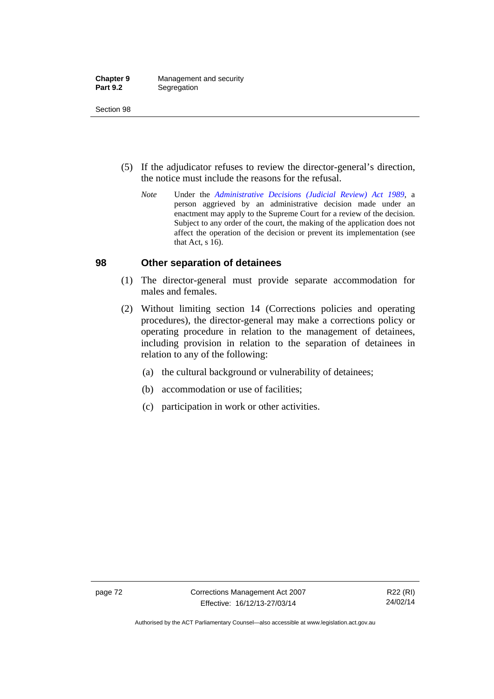| <b>Chapter 9</b> | Management and security |
|------------------|-------------------------|
| <b>Part 9.2</b>  | Segregation             |

- (5) If the adjudicator refuses to review the director-general's direction, the notice must include the reasons for the refusal.
	- *Note* Under the *[Administrative Decisions \(Judicial Review\) Act 1989](http://www.legislation.act.gov.au/a/alt_a1989-33co)*, a person aggrieved by an administrative decision made under an enactment may apply to the Supreme Court for a review of the decision. Subject to any order of the court, the making of the application does not affect the operation of the decision or prevent its implementation (see that Act, s 16).

### **98 Other separation of detainees**

- (1) The director-general must provide separate accommodation for males and females.
- (2) Without limiting section 14 (Corrections policies and operating procedures), the director-general may make a corrections policy or operating procedure in relation to the management of detainees, including provision in relation to the separation of detainees in relation to any of the following:
	- (a) the cultural background or vulnerability of detainees;
	- (b) accommodation or use of facilities;
	- (c) participation in work or other activities.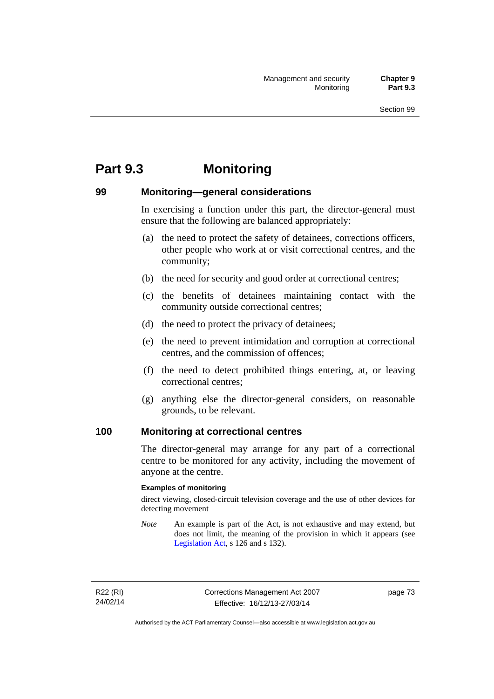# **Part 9.3 Monitoring**

### **99 Monitoring—general considerations**

In exercising a function under this part, the director-general must ensure that the following are balanced appropriately:

- (a) the need to protect the safety of detainees, corrections officers, other people who work at or visit correctional centres, and the community;
- (b) the need for security and good order at correctional centres;
- (c) the benefits of detainees maintaining contact with the community outside correctional centres;
- (d) the need to protect the privacy of detainees;
- (e) the need to prevent intimidation and corruption at correctional centres, and the commission of offences;
- (f) the need to detect prohibited things entering, at, or leaving correctional centres;
- (g) anything else the director-general considers, on reasonable grounds, to be relevant.

### **100 Monitoring at correctional centres**

The director-general may arrange for any part of a correctional centre to be monitored for any activity, including the movement of anyone at the centre.

#### **Examples of monitoring**

direct viewing, closed-circuit television coverage and the use of other devices for detecting movement

*Note* An example is part of the Act, is not exhaustive and may extend, but does not limit, the meaning of the provision in which it appears (see [Legislation Act,](http://www.legislation.act.gov.au/a/2001-14) s 126 and s 132).

R22 (RI) 24/02/14 page 73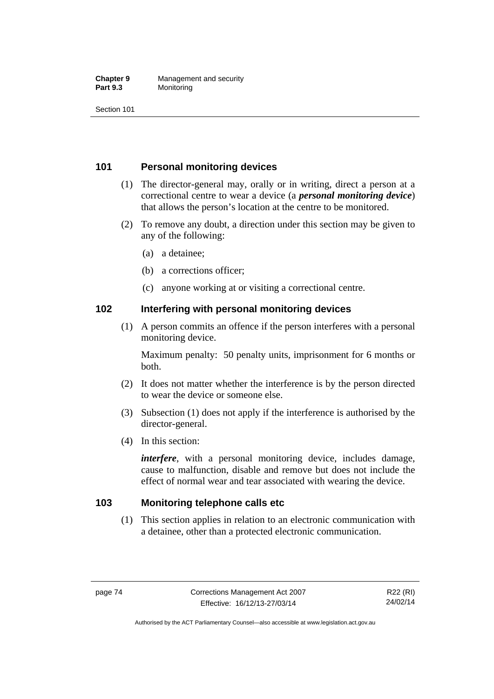#### **Chapter 9** Management and security<br>**Part 9.3** Monitoring **Monitoring**

Section 101

### **101 Personal monitoring devices**

- (1) The director-general may, orally or in writing, direct a person at a correctional centre to wear a device (a *personal monitoring device*) that allows the person's location at the centre to be monitored.
- (2) To remove any doubt, a direction under this section may be given to any of the following:
	- (a) a detainee;
	- (b) a corrections officer;
	- (c) anyone working at or visiting a correctional centre.

### **102 Interfering with personal monitoring devices**

 (1) A person commits an offence if the person interferes with a personal monitoring device.

Maximum penalty: 50 penalty units, imprisonment for 6 months or both.

- (2) It does not matter whether the interference is by the person directed to wear the device or someone else.
- (3) Subsection (1) does not apply if the interference is authorised by the director-general.
- (4) In this section:

*interfere*, with a personal monitoring device, includes damage, cause to malfunction, disable and remove but does not include the effect of normal wear and tear associated with wearing the device.

### **103 Monitoring telephone calls etc**

(1) This section applies in relation to an electronic communication with a detainee, other than a protected electronic communication.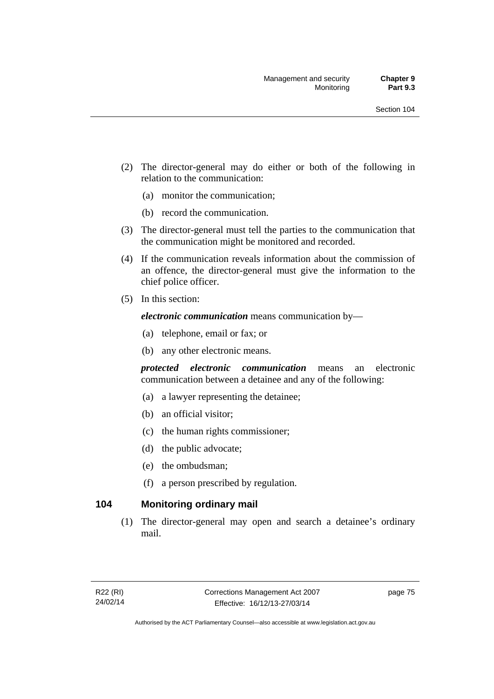- (2) The director-general may do either or both of the following in relation to the communication:
	- (a) monitor the communication;
	- (b) record the communication.
- (3) The director-general must tell the parties to the communication that the communication might be monitored and recorded.
- (4) If the communication reveals information about the commission of an offence, the director-general must give the information to the chief police officer.
- (5) In this section:

*electronic communication* means communication by—

- (a) telephone, email or fax; or
- (b) any other electronic means.

*protected electronic communication* means an electronic communication between a detainee and any of the following:

- (a) a lawyer representing the detainee;
- (b) an official visitor;
- (c) the human rights commissioner;
- (d) the public advocate;
- (e) the ombudsman;
- (f) a person prescribed by regulation.

### **104 Monitoring ordinary mail**

(1) The director-general may open and search a detainee's ordinary mail.

page 75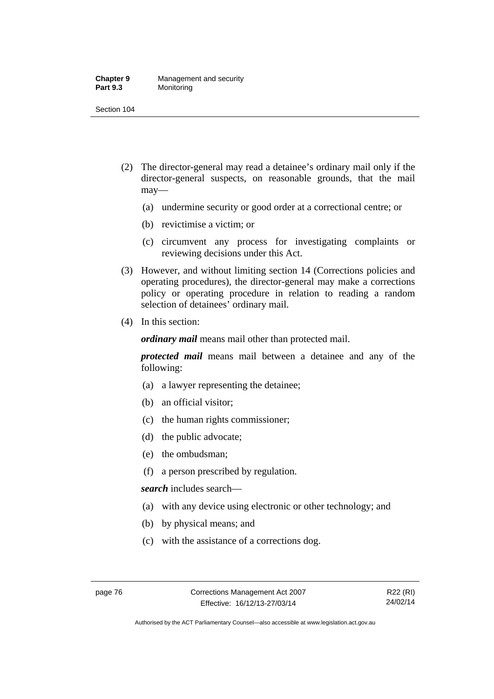#### **Chapter 9** Management and security<br>**Part 9.3** Monitoring **Monitoring**

Section 104

- (2) The director-general may read a detainee's ordinary mail only if the director-general suspects, on reasonable grounds, that the mail may—
	- (a) undermine security or good order at a correctional centre; or
	- (b) revictimise a victim; or
	- (c) circumvent any process for investigating complaints or reviewing decisions under this Act.
- (3) However, and without limiting section 14 (Corrections policies and operating procedures), the director-general may make a corrections policy or operating procedure in relation to reading a random selection of detainees' ordinary mail.
- (4) In this section:

*ordinary mail* means mail other than protected mail.

*protected mail* means mail between a detainee and any of the following:

- (a) a lawyer representing the detainee;
- (b) an official visitor;
- (c) the human rights commissioner;
- (d) the public advocate;
- (e) the ombudsman;
- (f) a person prescribed by regulation.

*search* includes search—

- (a) with any device using electronic or other technology; and
- (b) by physical means; and
- (c) with the assistance of a corrections dog.

Authorised by the ACT Parliamentary Counsel—also accessible at www.legislation.act.gov.au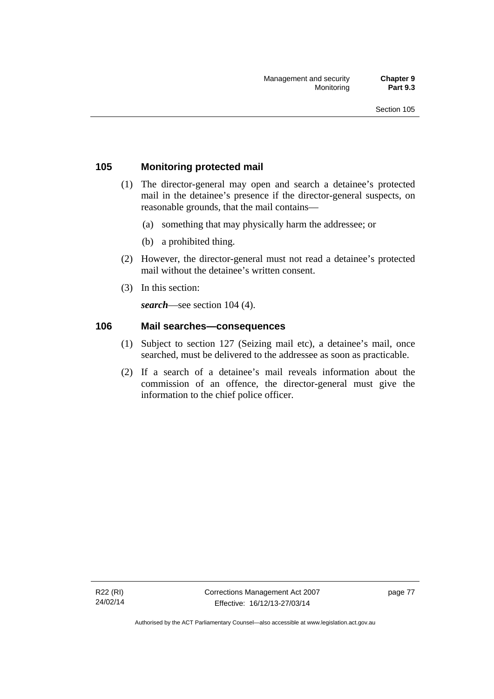### **105 Monitoring protected mail**

- (1) The director-general may open and search a detainee's protected mail in the detainee's presence if the director-general suspects, on reasonable grounds, that the mail contains—
	- (a) something that may physically harm the addressee; or
	- (b) a prohibited thing.
- (2) However, the director-general must not read a detainee's protected mail without the detainee's written consent.
- (3) In this section:

*search*—see section 104 (4).

### **106 Mail searches—consequences**

- (1) Subject to section 127 (Seizing mail etc), a detainee's mail, once searched, must be delivered to the addressee as soon as practicable.
- (2) If a search of a detainee's mail reveals information about the commission of an offence, the director-general must give the information to the chief police officer.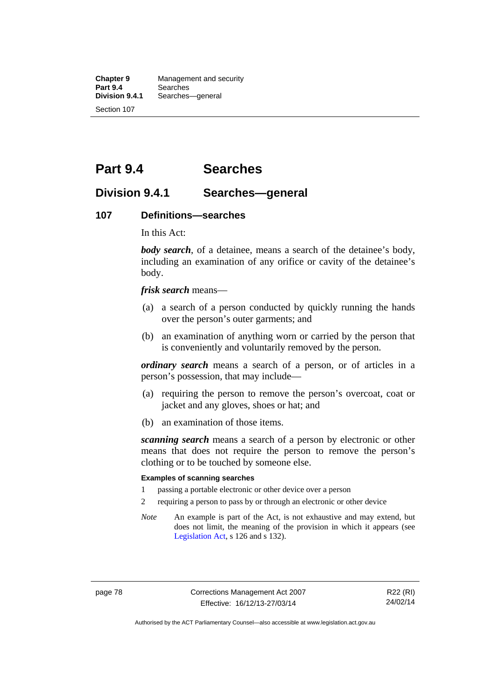**Chapter 9** Management and security<br>**Part 9.4** Searches **Part 9.4 Searches**<br>**Division 9.4.1** Searches Searches—general Section 107

# **Part 9.4 Searches**

### **Division 9.4.1 Searches—general**

#### **107 Definitions—searches**

In this Act:

*body search*, of a detainee, means a search of the detainee's body, including an examination of any orifice or cavity of the detainee's body.

*frisk search* means—

- (a) a search of a person conducted by quickly running the hands over the person's outer garments; and
- (b) an examination of anything worn or carried by the person that is conveniently and voluntarily removed by the person.

*ordinary search* means a search of a person, or of articles in a person's possession, that may include—

- (a) requiring the person to remove the person's overcoat, coat or jacket and any gloves, shoes or hat; and
- (b) an examination of those items.

*scanning search* means a search of a person by electronic or other means that does not require the person to remove the person's clothing or to be touched by someone else.

#### **Examples of scanning searches**

- 1 passing a portable electronic or other device over a person
- 2 requiring a person to pass by or through an electronic or other device
- *Note* An example is part of the Act, is not exhaustive and may extend, but does not limit, the meaning of the provision in which it appears (see [Legislation Act,](http://www.legislation.act.gov.au/a/2001-14) s 126 and s 132).

page 78 Corrections Management Act 2007 Effective: 16/12/13-27/03/14

R22 (RI) 24/02/14

Authorised by the ACT Parliamentary Counsel—also accessible at www.legislation.act.gov.au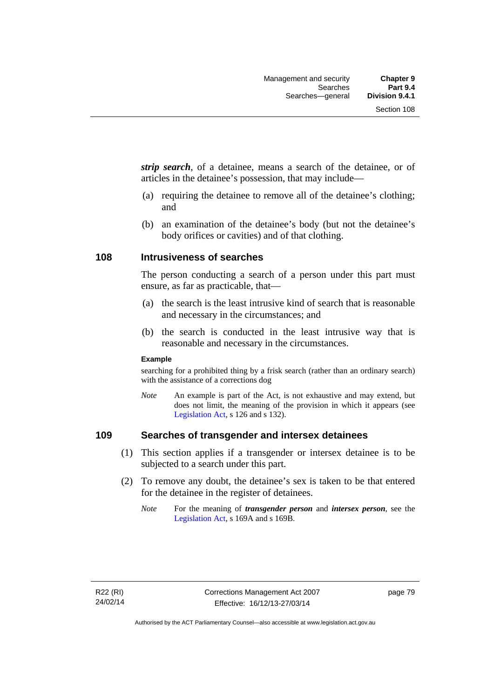*strip search*, of a detainee, means a search of the detainee, or of articles in the detainee's possession, that may include—

- (a) requiring the detainee to remove all of the detainee's clothing; and
- (b) an examination of the detainee's body (but not the detainee's body orifices or cavities) and of that clothing.

### **108 Intrusiveness of searches**

The person conducting a search of a person under this part must ensure, as far as practicable, that—

- (a) the search is the least intrusive kind of search that is reasonable and necessary in the circumstances; and
- (b) the search is conducted in the least intrusive way that is reasonable and necessary in the circumstances.

#### **Example**

searching for a prohibited thing by a frisk search (rather than an ordinary search) with the assistance of a corrections dog

*Note* An example is part of the Act, is not exhaustive and may extend, but does not limit, the meaning of the provision in which it appears (see [Legislation Act,](http://www.legislation.act.gov.au/a/2001-14) s 126 and s 132).

### **109 Searches of transgender and intersex detainees**

- (1) This section applies if a transgender or intersex detainee is to be subjected to a search under this part.
- (2) To remove any doubt, the detainee's sex is taken to be that entered for the detainee in the register of detainees.
	- *Note* For the meaning of *transgender person* and *intersex person*, see the [Legislation Act,](http://www.legislation.act.gov.au/a/2001-14) s 169A and s 169B.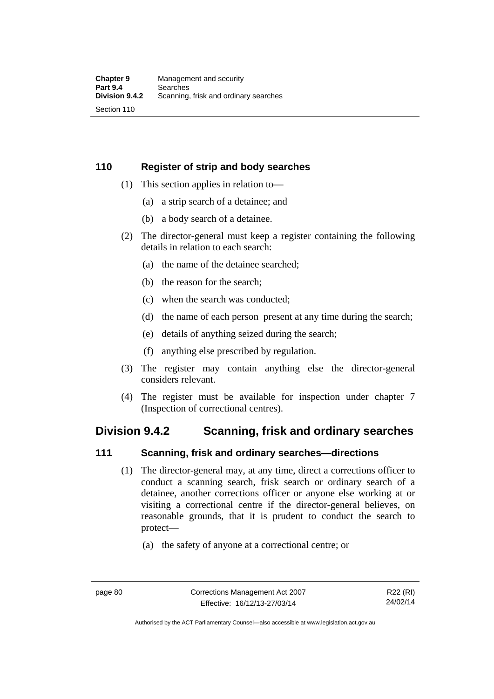### **110 Register of strip and body searches**

- (1) This section applies in relation to—
	- (a) a strip search of a detainee; and
	- (b) a body search of a detainee.
- (2) The director-general must keep a register containing the following details in relation to each search:
	- (a) the name of the detainee searched;
	- (b) the reason for the search;
	- (c) when the search was conducted;
	- (d) the name of each person present at any time during the search;
	- (e) details of anything seized during the search;
	- (f) anything else prescribed by regulation.
- (3) The register may contain anything else the director-general considers relevant.
- (4) The register must be available for inspection under chapter 7 (Inspection of correctional centres).

### **Division 9.4.2 Scanning, frisk and ordinary searches**

### **111 Scanning, frisk and ordinary searches—directions**

- (1) The director-general may, at any time, direct a corrections officer to conduct a scanning search, frisk search or ordinary search of a detainee, another corrections officer or anyone else working at or visiting a correctional centre if the director-general believes, on reasonable grounds, that it is prudent to conduct the search to protect—
	- (a) the safety of anyone at a correctional centre; or

Authorised by the ACT Parliamentary Counsel—also accessible at www.legislation.act.gov.au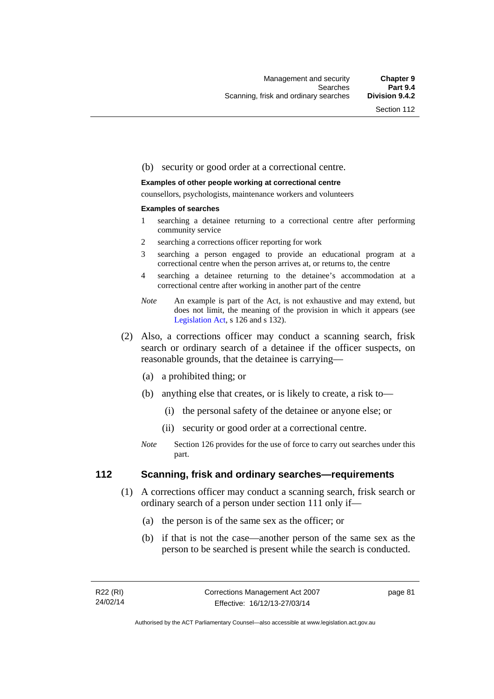#### (b) security or good order at a correctional centre.

#### **Examples of other people working at correctional centre**

counsellors, psychologists, maintenance workers and volunteers

#### **Examples of searches**

- 1 searching a detainee returning to a correctional centre after performing community service
- 2 searching a corrections officer reporting for work
- 3 searching a person engaged to provide an educational program at a correctional centre when the person arrives at, or returns to, the centre
- 4 searching a detainee returning to the detainee's accommodation at a correctional centre after working in another part of the centre
- *Note* An example is part of the Act, is not exhaustive and may extend, but does not limit, the meaning of the provision in which it appears (see [Legislation Act,](http://www.legislation.act.gov.au/a/2001-14) s 126 and s 132).
- (2) Also, a corrections officer may conduct a scanning search, frisk search or ordinary search of a detainee if the officer suspects, on reasonable grounds, that the detainee is carrying—
	- (a) a prohibited thing; or
	- (b) anything else that creates, or is likely to create, a risk to—
		- (i) the personal safety of the detainee or anyone else; or
		- (ii) security or good order at a correctional centre.
	- *Note* Section 126 provides for the use of force to carry out searches under this part.

### **112 Scanning, frisk and ordinary searches—requirements**

- (1) A corrections officer may conduct a scanning search, frisk search or ordinary search of a person under section 111 only if—
	- (a) the person is of the same sex as the officer; or
	- (b) if that is not the case—another person of the same sex as the person to be searched is present while the search is conducted.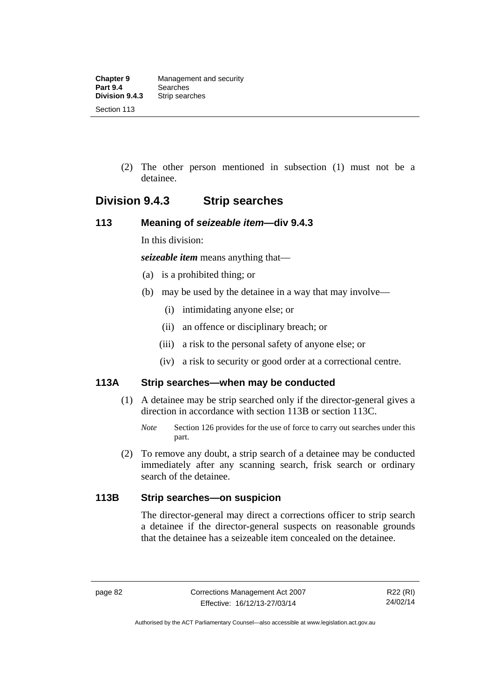(2) The other person mentioned in subsection (1) must not be a detainee.

## **Division 9.4.3 Strip searches**

### **113 Meaning of** *seizeable item***—div 9.4.3**

In this division:

*seizeable item* means anything that—

- (a) is a prohibited thing; or
- (b) may be used by the detainee in a way that may involve—
	- (i) intimidating anyone else; or
	- (ii) an offence or disciplinary breach; or
	- (iii) a risk to the personal safety of anyone else; or
	- (iv) a risk to security or good order at a correctional centre.

### **113A Strip searches—when may be conducted**

- (1) A detainee may be strip searched only if the director-general gives a direction in accordance with section 113B or section 113C.
	- *Note* Section 126 provides for the use of force to carry out searches under this part.
- (2) To remove any doubt, a strip search of a detainee may be conducted immediately after any scanning search, frisk search or ordinary search of the detainee.

### **113B Strip searches—on suspicion**

The director-general may direct a corrections officer to strip search a detainee if the director-general suspects on reasonable grounds that the detainee has a seizeable item concealed on the detainee.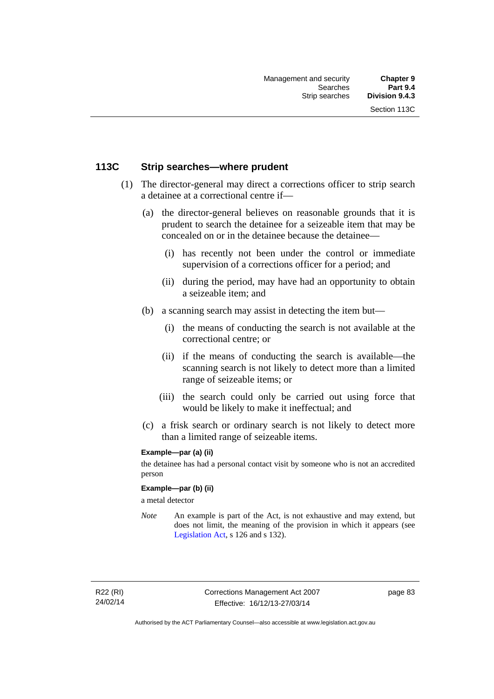### **113C Strip searches—where prudent**

- (1) The director-general may direct a corrections officer to strip search a detainee at a correctional centre if—
	- (a) the director-general believes on reasonable grounds that it is prudent to search the detainee for a seizeable item that may be concealed on or in the detainee because the detainee—
		- (i) has recently not been under the control or immediate supervision of a corrections officer for a period; and
		- (ii) during the period, may have had an opportunity to obtain a seizeable item; and
	- (b) a scanning search may assist in detecting the item but—
		- (i) the means of conducting the search is not available at the correctional centre; or
		- (ii) if the means of conducting the search is available—the scanning search is not likely to detect more than a limited range of seizeable items; or
		- (iii) the search could only be carried out using force that would be likely to make it ineffectual; and
	- (c) a frisk search or ordinary search is not likely to detect more than a limited range of seizeable items.

### **Example—par (a) (ii)**

the detainee has had a personal contact visit by someone who is not an accredited person

#### **Example—par (b) (ii)**

a metal detector

*Note* An example is part of the Act, is not exhaustive and may extend, but does not limit, the meaning of the provision in which it appears (see [Legislation Act,](http://www.legislation.act.gov.au/a/2001-14) s 126 and s 132).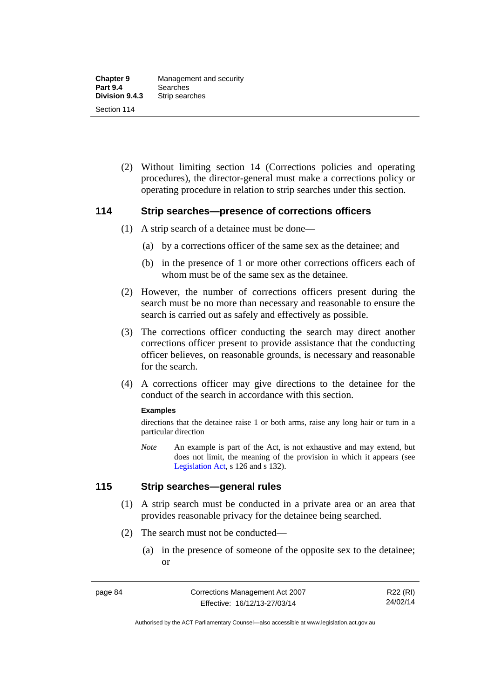(2) Without limiting section 14 (Corrections policies and operating procedures), the director-general must make a corrections policy or operating procedure in relation to strip searches under this section.

### **114 Strip searches—presence of corrections officers**

- (1) A strip search of a detainee must be done—
	- (a) by a corrections officer of the same sex as the detainee; and
	- (b) in the presence of 1 or more other corrections officers each of whom must be of the same sex as the detainee.
- (2) However, the number of corrections officers present during the search must be no more than necessary and reasonable to ensure the search is carried out as safely and effectively as possible.
- (3) The corrections officer conducting the search may direct another corrections officer present to provide assistance that the conducting officer believes, on reasonable grounds, is necessary and reasonable for the search.
- (4) A corrections officer may give directions to the detainee for the conduct of the search in accordance with this section.

#### **Examples**

directions that the detainee raise 1 or both arms, raise any long hair or turn in a particular direction

*Note* An example is part of the Act, is not exhaustive and may extend, but does not limit, the meaning of the provision in which it appears (see [Legislation Act,](http://www.legislation.act.gov.au/a/2001-14) s 126 and s 132).

### **115 Strip searches—general rules**

- (1) A strip search must be conducted in a private area or an area that provides reasonable privacy for the detainee being searched.
- (2) The search must not be conducted—
	- (a) in the presence of someone of the opposite sex to the detainee; or

R22 (RI) 24/02/14

Authorised by the ACT Parliamentary Counsel—also accessible at www.legislation.act.gov.au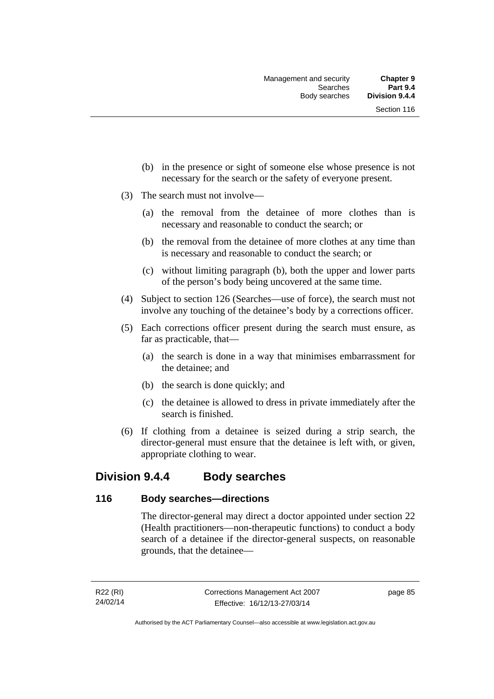- (b) in the presence or sight of someone else whose presence is not necessary for the search or the safety of everyone present.
- (3) The search must not involve—
	- (a) the removal from the detainee of more clothes than is necessary and reasonable to conduct the search; or
	- (b) the removal from the detainee of more clothes at any time than is necessary and reasonable to conduct the search; or
	- (c) without limiting paragraph (b), both the upper and lower parts of the person's body being uncovered at the same time.
- (4) Subject to section 126 (Searches—use of force), the search must not involve any touching of the detainee's body by a corrections officer.
- (5) Each corrections officer present during the search must ensure, as far as practicable, that—
	- (a) the search is done in a way that minimises embarrassment for the detainee; and
	- (b) the search is done quickly; and
	- (c) the detainee is allowed to dress in private immediately after the search is finished.
- (6) If clothing from a detainee is seized during a strip search, the director-general must ensure that the detainee is left with, or given, appropriate clothing to wear.

### **Division 9.4.4 Body searches**

### **116 Body searches—directions**

The director-general may direct a doctor appointed under section 22 (Health practitioners—non-therapeutic functions) to conduct a body search of a detainee if the director-general suspects, on reasonable grounds, that the detainee—

page 85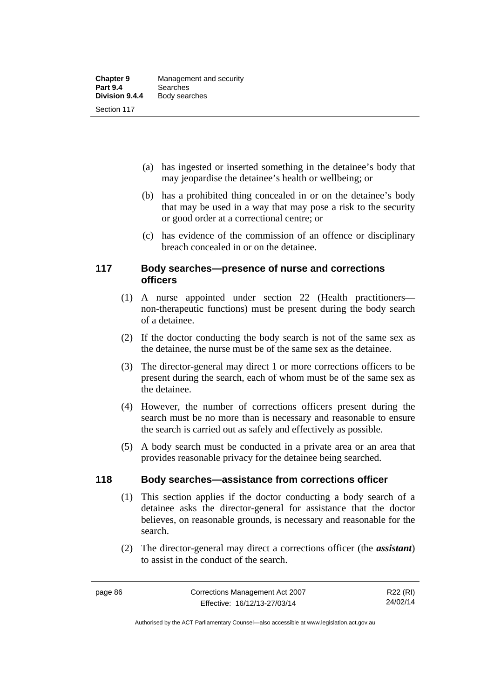- (a) has ingested or inserted something in the detainee's body that may jeopardise the detainee's health or wellbeing; or
- (b) has a prohibited thing concealed in or on the detainee's body that may be used in a way that may pose a risk to the security or good order at a correctional centre; or
- (c) has evidence of the commission of an offence or disciplinary breach concealed in or on the detainee.

### **117 Body searches—presence of nurse and corrections officers**

- (1) A nurse appointed under section 22 (Health practitioners non-therapeutic functions) must be present during the body search of a detainee.
- (2) If the doctor conducting the body search is not of the same sex as the detainee, the nurse must be of the same sex as the detainee.
- (3) The director-general may direct 1 or more corrections officers to be present during the search, each of whom must be of the same sex as the detainee.
- (4) However, the number of corrections officers present during the search must be no more than is necessary and reasonable to ensure the search is carried out as safely and effectively as possible.
- (5) A body search must be conducted in a private area or an area that provides reasonable privacy for the detainee being searched.

### **118 Body searches—assistance from corrections officer**

- (1) This section applies if the doctor conducting a body search of a detainee asks the director-general for assistance that the doctor believes, on reasonable grounds, is necessary and reasonable for the search.
- (2) The director-general may direct a corrections officer (the *assistant*) to assist in the conduct of the search.

R22 (RI) 24/02/14

Authorised by the ACT Parliamentary Counsel—also accessible at www.legislation.act.gov.au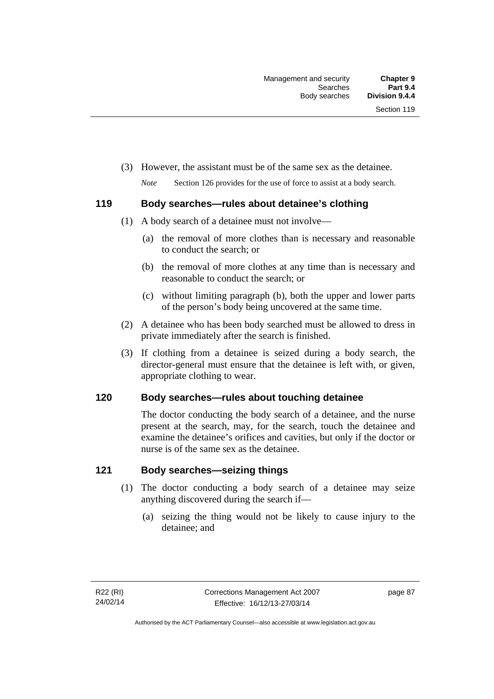(3) However, the assistant must be of the same sex as the detainee.

*Note* Section 126 provides for the use of force to assist at a body search.

### **119 Body searches—rules about detainee's clothing**

- (1) A body search of a detainee must not involve—
	- (a) the removal of more clothes than is necessary and reasonable to conduct the search; or
	- (b) the removal of more clothes at any time than is necessary and reasonable to conduct the search; or
	- (c) without limiting paragraph (b), both the upper and lower parts of the person's body being uncovered at the same time.
- (2) A detainee who has been body searched must be allowed to dress in private immediately after the search is finished.
- (3) If clothing from a detainee is seized during a body search, the director-general must ensure that the detainee is left with, or given, appropriate clothing to wear.

### **120 Body searches—rules about touching detainee**

The doctor conducting the body search of a detainee, and the nurse present at the search, may, for the search, touch the detainee and examine the detainee's orifices and cavities, but only if the doctor or nurse is of the same sex as the detainee.

### **121 Body searches—seizing things**

- (1) The doctor conducting a body search of a detainee may seize anything discovered during the search if—
	- (a) seizing the thing would not be likely to cause injury to the detainee; and

page 87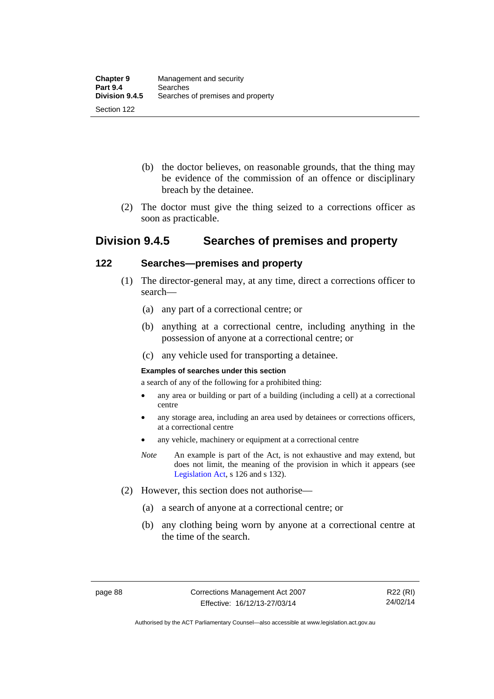- (b) the doctor believes, on reasonable grounds, that the thing may be evidence of the commission of an offence or disciplinary breach by the detainee.
- (2) The doctor must give the thing seized to a corrections officer as soon as practicable.

### **Division 9.4.5 Searches of premises and property**

### **122 Searches—premises and property**

- (1) The director-general may, at any time, direct a corrections officer to search—
	- (a) any part of a correctional centre; or
	- (b) anything at a correctional centre, including anything in the possession of anyone at a correctional centre; or
	- (c) any vehicle used for transporting a detainee.

#### **Examples of searches under this section**

a search of any of the following for a prohibited thing:

- any area or building or part of a building (including a cell) at a correctional centre
- any storage area, including an area used by detainees or corrections officers, at a correctional centre
- any vehicle, machinery or equipment at a correctional centre
- *Note* An example is part of the Act, is not exhaustive and may extend, but does not limit, the meaning of the provision in which it appears (see [Legislation Act,](http://www.legislation.act.gov.au/a/2001-14) s 126 and s 132).
- (2) However, this section does not authorise—
	- (a) a search of anyone at a correctional centre; or
	- (b) any clothing being worn by anyone at a correctional centre at the time of the search.

R22 (RI) 24/02/14

Authorised by the ACT Parliamentary Counsel—also accessible at www.legislation.act.gov.au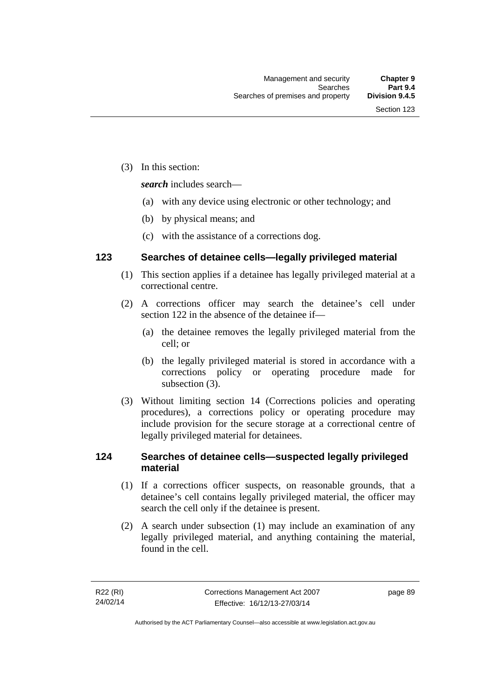(3) In this section:

*search* includes search—

- (a) with any device using electronic or other technology; and
- (b) by physical means; and
- (c) with the assistance of a corrections dog.

### **123 Searches of detainee cells—legally privileged material**

- (1) This section applies if a detainee has legally privileged material at a correctional centre.
- (2) A corrections officer may search the detainee's cell under section 122 in the absence of the detainee if—
	- (a) the detainee removes the legally privileged material from the cell; or
	- (b) the legally privileged material is stored in accordance with a corrections policy or operating procedure made for subsection (3).
- (3) Without limiting section 14 (Corrections policies and operating procedures), a corrections policy or operating procedure may include provision for the secure storage at a correctional centre of legally privileged material for detainees.

### **124 Searches of detainee cells—suspected legally privileged material**

- (1) If a corrections officer suspects, on reasonable grounds, that a detainee's cell contains legally privileged material, the officer may search the cell only if the detainee is present.
- (2) A search under subsection (1) may include an examination of any legally privileged material, and anything containing the material, found in the cell.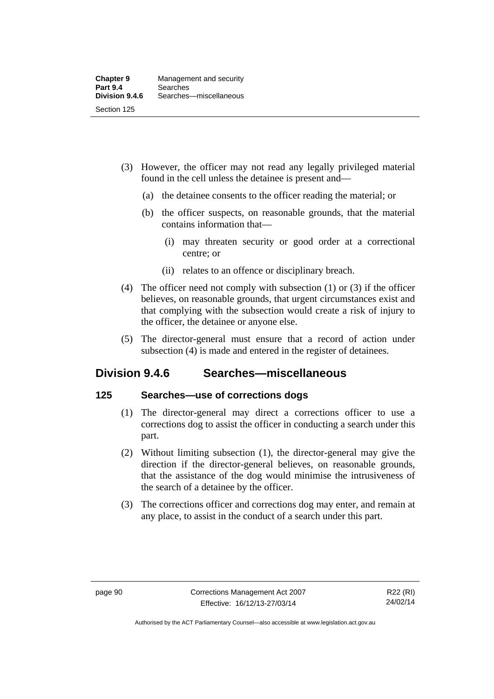- (3) However, the officer may not read any legally privileged material found in the cell unless the detainee is present and—
	- (a) the detainee consents to the officer reading the material; or
	- (b) the officer suspects, on reasonable grounds, that the material contains information that—
		- (i) may threaten security or good order at a correctional centre; or
		- (ii) relates to an offence or disciplinary breach.
- (4) The officer need not comply with subsection (1) or (3) if the officer believes, on reasonable grounds, that urgent circumstances exist and that complying with the subsection would create a risk of injury to the officer, the detainee or anyone else.
- (5) The director-general must ensure that a record of action under subsection (4) is made and entered in the register of detainees.

### **Division 9.4.6 Searches—miscellaneous**

### **125 Searches—use of corrections dogs**

- (1) The director-general may direct a corrections officer to use a corrections dog to assist the officer in conducting a search under this part.
- (2) Without limiting subsection (1), the director-general may give the direction if the director-general believes, on reasonable grounds, that the assistance of the dog would minimise the intrusiveness of the search of a detainee by the officer.
- (3) The corrections officer and corrections dog may enter, and remain at any place, to assist in the conduct of a search under this part.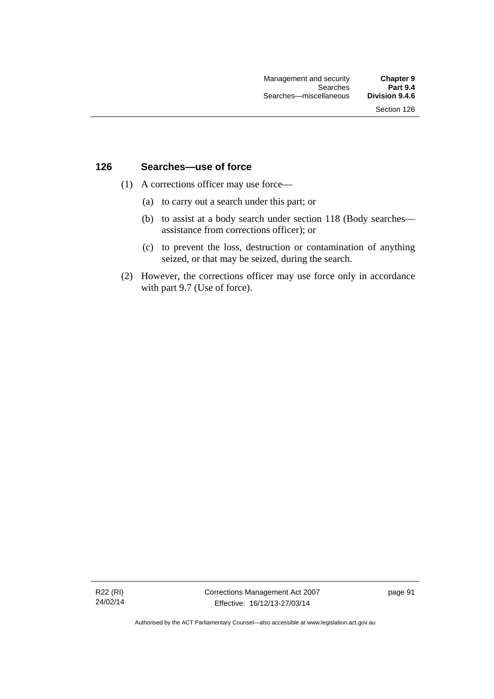### **126 Searches—use of force**

- (1) A corrections officer may use force—
	- (a) to carry out a search under this part; or
	- (b) to assist at a body search under section 118 (Body searches assistance from corrections officer); or
	- (c) to prevent the loss, destruction or contamination of anything seized, or that may be seized, during the search.
- (2) However, the corrections officer may use force only in accordance with part 9.7 (Use of force).

R22 (RI) 24/02/14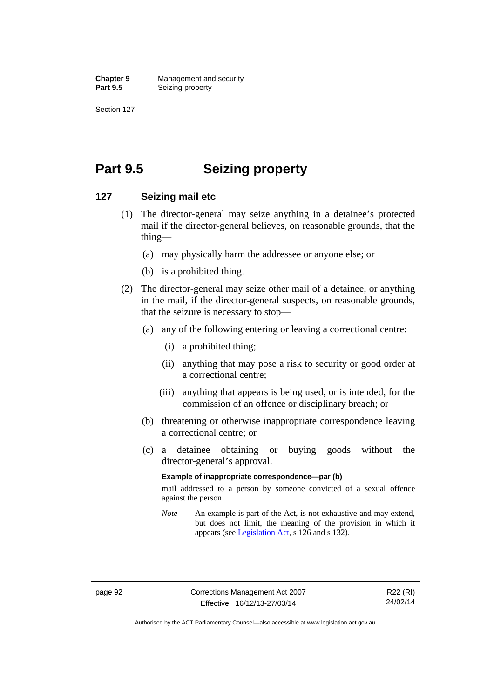**Chapter 9 Management and security**<br>**Part 9.5 Conserved Seizing property Seizing property** 

Section 127

# **Part 9.5 Seizing property**

### **127 Seizing mail etc**

- (1) The director-general may seize anything in a detainee's protected mail if the director-general believes, on reasonable grounds, that the thing—
	- (a) may physically harm the addressee or anyone else; or
	- (b) is a prohibited thing.
- (2) The director-general may seize other mail of a detainee, or anything in the mail, if the director-general suspects, on reasonable grounds, that the seizure is necessary to stop—
	- (a) any of the following entering or leaving a correctional centre:
		- (i) a prohibited thing;
		- (ii) anything that may pose a risk to security or good order at a correctional centre;
		- (iii) anything that appears is being used, or is intended, for the commission of an offence or disciplinary breach; or
	- (b) threatening or otherwise inappropriate correspondence leaving a correctional centre; or
	- (c) a detainee obtaining or buying goods without the director-general's approval.

#### **Example of inappropriate correspondence—par (b)**

mail addressed to a person by someone convicted of a sexual offence against the person

*Note* An example is part of the Act, is not exhaustive and may extend, but does not limit, the meaning of the provision in which it appears (see [Legislation Act,](http://www.legislation.act.gov.au/a/2001-14) s 126 and s 132).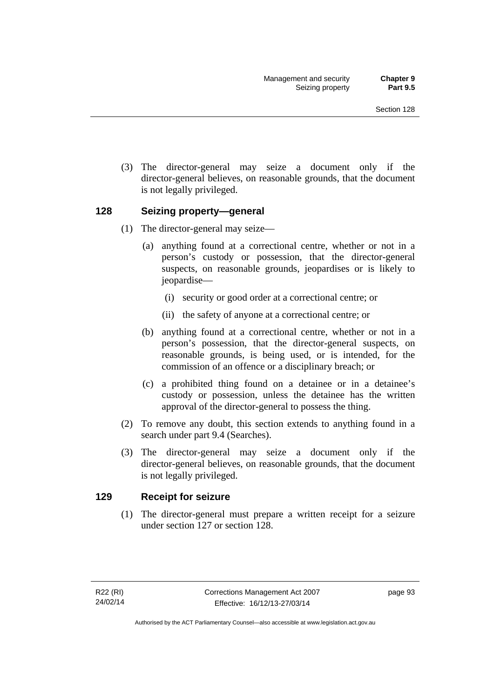(3) The director-general may seize a document only if the director-general believes, on reasonable grounds, that the document is not legally privileged.

### **128 Seizing property—general**

- (1) The director-general may seize—
	- (a) anything found at a correctional centre, whether or not in a person's custody or possession, that the director-general suspects, on reasonable grounds, jeopardises or is likely to jeopardise—
		- (i) security or good order at a correctional centre; or
		- (ii) the safety of anyone at a correctional centre; or
	- (b) anything found at a correctional centre, whether or not in a person's possession, that the director-general suspects, on reasonable grounds, is being used, or is intended, for the commission of an offence or a disciplinary breach; or
	- (c) a prohibited thing found on a detainee or in a detainee's custody or possession, unless the detainee has the written approval of the director-general to possess the thing.
- (2) To remove any doubt, this section extends to anything found in a search under part 9.4 (Searches).
- (3) The director-general may seize a document only if the director-general believes, on reasonable grounds, that the document is not legally privileged.

### **129 Receipt for seizure**

(1) The director-general must prepare a written receipt for a seizure under section 127 or section 128.

page 93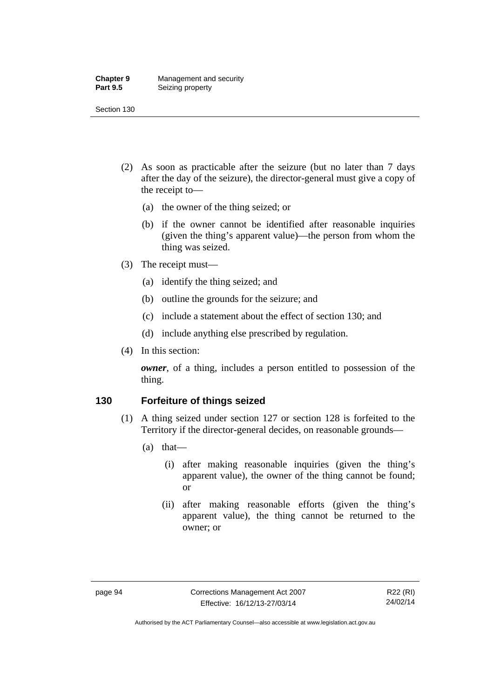### **Chapter 9** Management and security<br>**Part 9.5** Seizing property **Seizing property**

Section 130

- (2) As soon as practicable after the seizure (but no later than 7 days after the day of the seizure), the director-general must give a copy of the receipt to—
	- (a) the owner of the thing seized; or
	- (b) if the owner cannot be identified after reasonable inquiries (given the thing's apparent value)—the person from whom the thing was seized.
- (3) The receipt must—
	- (a) identify the thing seized; and
	- (b) outline the grounds for the seizure; and
	- (c) include a statement about the effect of section 130; and
	- (d) include anything else prescribed by regulation.
- (4) In this section:

*owner*, of a thing, includes a person entitled to possession of the thing.

### **130 Forfeiture of things seized**

- (1) A thing seized under section 127 or section 128 is forfeited to the Territory if the director-general decides, on reasonable grounds—
	- (a) that—
		- (i) after making reasonable inquiries (given the thing's apparent value), the owner of the thing cannot be found; or
		- (ii) after making reasonable efforts (given the thing's apparent value), the thing cannot be returned to the owner; or

Authorised by the ACT Parliamentary Counsel—also accessible at www.legislation.act.gov.au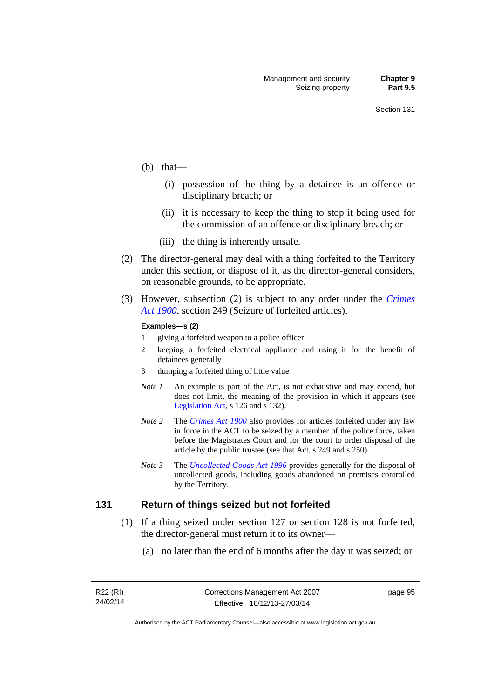- (b) that—
	- (i) possession of the thing by a detainee is an offence or disciplinary breach; or
	- (ii) it is necessary to keep the thing to stop it being used for the commission of an offence or disciplinary breach; or
	- (iii) the thing is inherently unsafe.
- (2) The director-general may deal with a thing forfeited to the Territory under this section, or dispose of it, as the director-general considers, on reasonable grounds, to be appropriate.
- (3) However, subsection (2) is subject to any order under the *[Crimes](http://www.legislation.act.gov.au/a/1900-40)  [Act 1900](http://www.legislation.act.gov.au/a/1900-40),* section 249 (Seizure of forfeited articles).

#### **Examples—s (2)**

- 1 giving a forfeited weapon to a police officer
- 2 keeping a forfeited electrical appliance and using it for the benefit of detainees generally
- 3 dumping a forfeited thing of little value
- *Note 1* An example is part of the Act, is not exhaustive and may extend, but does not limit, the meaning of the provision in which it appears (see [Legislation Act,](http://www.legislation.act.gov.au/a/2001-14) s 126 and s 132).
- *Note 2* The *[Crimes Act 1900](http://www.legislation.act.gov.au/a/1900-40)* also provides for articles forfeited under any law in force in the ACT to be seized by a member of the police force, taken before the Magistrates Court and for the court to order disposal of the article by the public trustee (see that Act, s 249 and s 250).
- *Note 3* The *[Uncollected Goods Act 1996](http://www.legislation.act.gov.au/a/1996-86)* provides generally for the disposal of uncollected goods, including goods abandoned on premises controlled by the Territory.

### **131 Return of things seized but not forfeited**

- (1) If a thing seized under section 127 or section 128 is not forfeited, the director-general must return it to its owner—
	- (a) no later than the end of 6 months after the day it was seized; or

page 95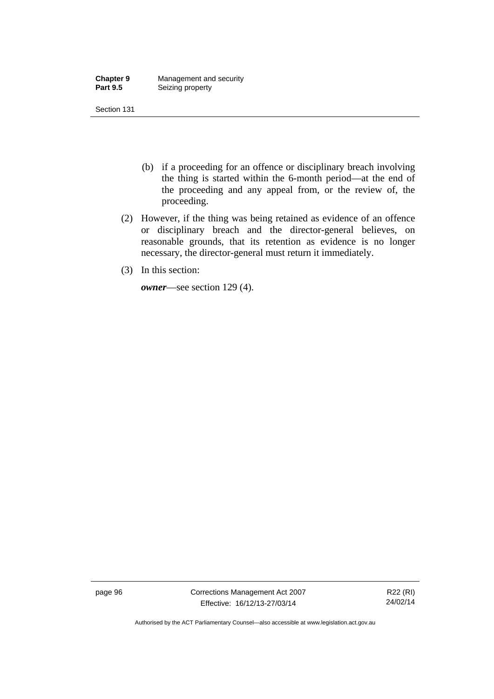| <b>Chapter 9</b> | Management and security |
|------------------|-------------------------|
| <b>Part 9.5</b>  | Seizing property        |

- (b) if a proceeding for an offence or disciplinary breach involving the thing is started within the 6-month period—at the end of the proceeding and any appeal from, or the review of, the proceeding.
- (2) However, if the thing was being retained as evidence of an offence or disciplinary breach and the director-general believes, on reasonable grounds, that its retention as evidence is no longer necessary, the director-general must return it immediately.
- (3) In this section:

*owner*—see section 129 (4).

page 96 Corrections Management Act 2007 Effective: 16/12/13-27/03/14

R22 (RI) 24/02/14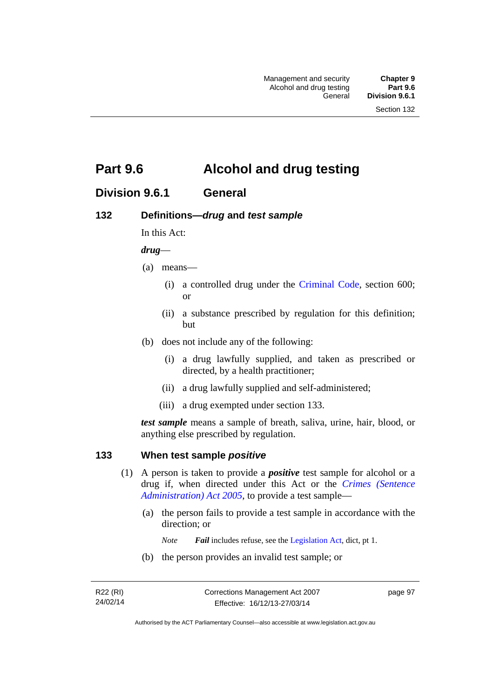# **Part 9.6 Alcohol and drug testing**

## **Division 9.6.1 General**

### **132 Definitions—***drug* **and** *test sample*

In this Act:

### *drug*—

- (a) means—
	- (i) a controlled drug under the [Criminal Code](http://www.legislation.act.gov.au/a/2002-51), section 600; or
	- (ii) a substance prescribed by regulation for this definition; but
- (b) does not include any of the following:
	- (i) a drug lawfully supplied, and taken as prescribed or directed, by a health practitioner;
	- (ii) a drug lawfully supplied and self-administered;
	- (iii) a drug exempted under section 133.

*test sample* means a sample of breath, saliva, urine, hair, blood, or anything else prescribed by regulation.

### **133 When test sample** *positive*

- (1) A person is taken to provide a *positive* test sample for alcohol or a drug if, when directed under this Act or the *[Crimes \(Sentence](http://www.legislation.act.gov.au/a/2005-59)  [Administration\) Act 2005](http://www.legislation.act.gov.au/a/2005-59)*, to provide a test sample—
	- (a) the person fails to provide a test sample in accordance with the direction; or
		- *Note Fail* includes refuse, see the [Legislation Act,](http://www.legislation.act.gov.au/a/2001-14) dict, pt 1.
	- (b) the person provides an invalid test sample; or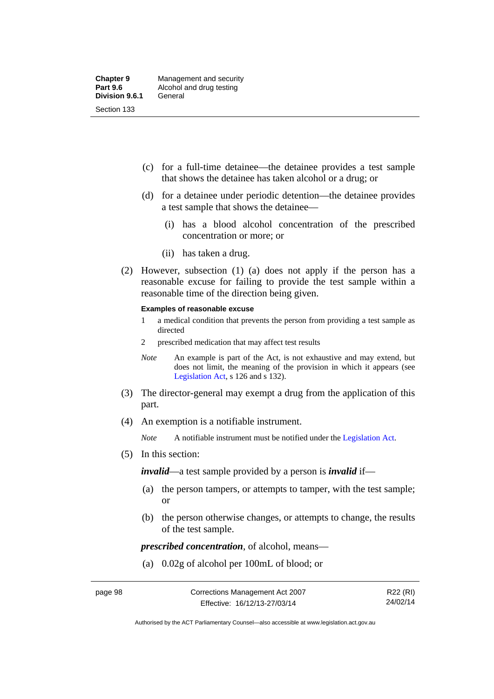- (c) for a full-time detainee—the detainee provides a test sample that shows the detainee has taken alcohol or a drug; or
- (d) for a detainee under periodic detention—the detainee provides a test sample that shows the detainee—
	- (i) has a blood alcohol concentration of the prescribed concentration or more; or
	- (ii) has taken a drug.
- (2) However, subsection (1) (a) does not apply if the person has a reasonable excuse for failing to provide the test sample within a reasonable time of the direction being given.

#### **Examples of reasonable excuse**

- 1 a medical condition that prevents the person from providing a test sample as directed
- 2 prescribed medication that may affect test results
- *Note* An example is part of the Act, is not exhaustive and may extend, but does not limit, the meaning of the provision in which it appears (see [Legislation Act,](http://www.legislation.act.gov.au/a/2001-14) s 126 and s 132).
- (3) The director-general may exempt a drug from the application of this part.
- (4) An exemption is a notifiable instrument.

*Note* A notifiable instrument must be notified under the [Legislation Act](http://www.legislation.act.gov.au/a/2001-14).

(5) In this section:

*invalid*—a test sample provided by a person is *invalid* if—

- (a) the person tampers, or attempts to tamper, with the test sample; or
- (b) the person otherwise changes, or attempts to change, the results of the test sample.

*prescribed concentration*, of alcohol, means—

(a) 0.02g of alcohol per 100mL of blood; or

R22 (RI) 24/02/14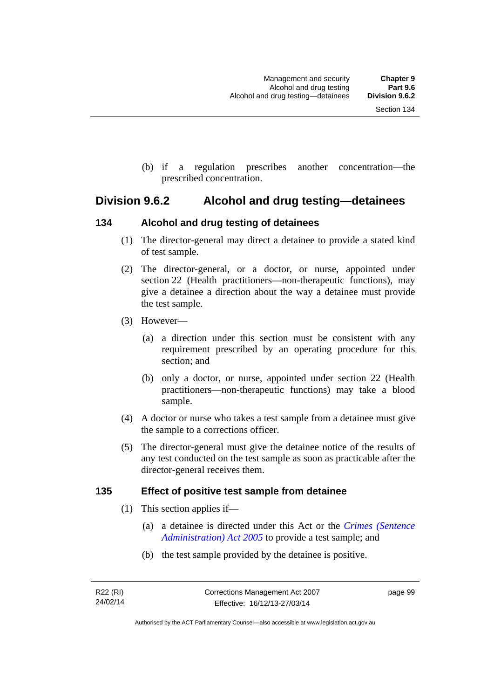(b) if a regulation prescribes another concentration—the prescribed concentration.

## **Division 9.6.2 Alcohol and drug testing—detainees**

### **134 Alcohol and drug testing of detainees**

- (1) The director-general may direct a detainee to provide a stated kind of test sample.
- (2) The director-general, or a doctor, or nurse, appointed under section 22 (Health practitioners—non-therapeutic functions), may give a detainee a direction about the way a detainee must provide the test sample.
- (3) However—
	- (a) a direction under this section must be consistent with any requirement prescribed by an operating procedure for this section; and
	- (b) only a doctor, or nurse, appointed under section 22 (Health practitioners—non-therapeutic functions) may take a blood sample.
- (4) A doctor or nurse who takes a test sample from a detainee must give the sample to a corrections officer.
- (5) The director-general must give the detainee notice of the results of any test conducted on the test sample as soon as practicable after the director-general receives them.

### **135 Effect of positive test sample from detainee**

- (1) This section applies if—
	- (a) a detainee is directed under this Act or the *[Crimes \(Sentence](http://www.legislation.act.gov.au/a/2005-59)  [Administration\) Act 2005](http://www.legislation.act.gov.au/a/2005-59)* to provide a test sample; and
	- (b) the test sample provided by the detainee is positive.

page 99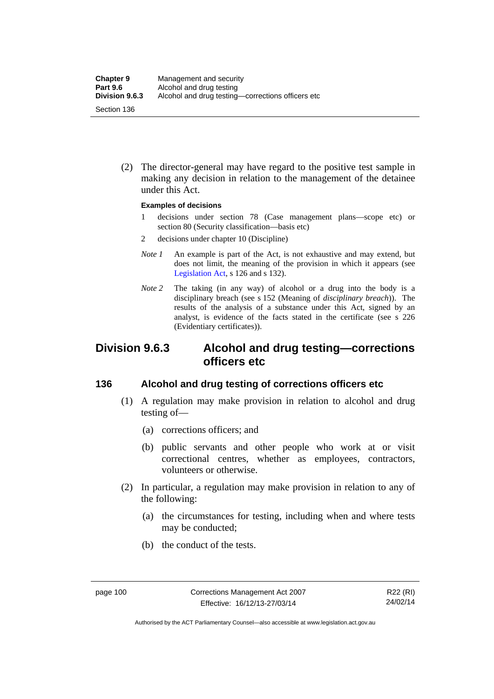(2) The director-general may have regard to the positive test sample in making any decision in relation to the management of the detainee under this Act.

### **Examples of decisions**

- 1 decisions under section 78 (Case management plans—scope etc) or section 80 (Security classification—basis etc)
- 2 decisions under chapter 10 (Discipline)
- *Note 1* An example is part of the Act, is not exhaustive and may extend, but does not limit, the meaning of the provision in which it appears (see [Legislation Act,](http://www.legislation.act.gov.au/a/2001-14) s 126 and s 132).
- *Note* 2 The taking (in any way) of alcohol or a drug into the body is a disciplinary breach (see s 152 (Meaning of *disciplinary breach*)). The results of the analysis of a substance under this Act, signed by an analyst, is evidence of the facts stated in the certificate (see s 226 (Evidentiary certificates)).

## **Division 9.6.3 Alcohol and drug testing—corrections officers etc**

### **136 Alcohol and drug testing of corrections officers etc**

- (1) A regulation may make provision in relation to alcohol and drug testing of—
	- (a) corrections officers; and
	- (b) public servants and other people who work at or visit correctional centres, whether as employees, contractors, volunteers or otherwise.
- (2) In particular, a regulation may make provision in relation to any of the following:
	- (a) the circumstances for testing, including when and where tests may be conducted;
	- (b) the conduct of the tests.

Authorised by the ACT Parliamentary Counsel—also accessible at www.legislation.act.gov.au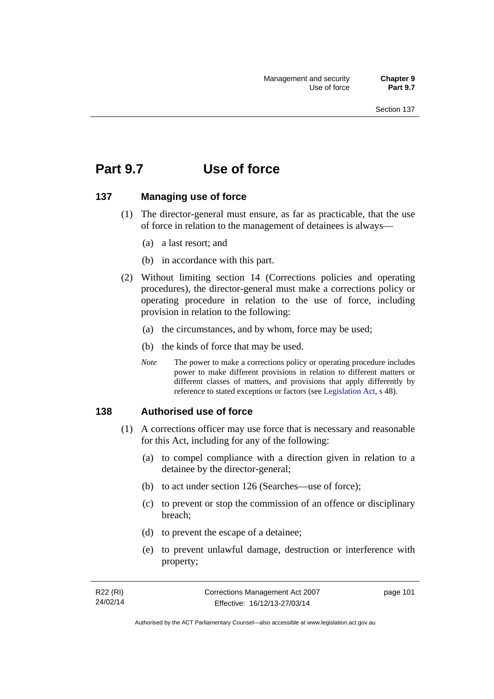# **Part 9.7 Use of force**

### **137 Managing use of force**

- (1) The director-general must ensure, as far as practicable, that the use of force in relation to the management of detainees is always—
	- (a) a last resort; and
	- (b) in accordance with this part.
- (2) Without limiting section 14 (Corrections policies and operating procedures), the director-general must make a corrections policy or operating procedure in relation to the use of force, including provision in relation to the following:
	- (a) the circumstances, and by whom, force may be used;
	- (b) the kinds of force that may be used.
	- *Note* The power to make a corrections policy or operating procedure includes power to make different provisions in relation to different matters or different classes of matters, and provisions that apply differently by reference to stated exceptions or factors (see [Legislation Act](http://www.legislation.act.gov.au/a/2001-14), s 48).

### **138 Authorised use of force**

- (1) A corrections officer may use force that is necessary and reasonable for this Act, including for any of the following:
	- (a) to compel compliance with a direction given in relation to a detainee by the director-general;
	- (b) to act under section 126 (Searches—use of force);
	- (c) to prevent or stop the commission of an offence or disciplinary breach;
	- (d) to prevent the escape of a detainee;
	- (e) to prevent unlawful damage, destruction or interference with property;

| R22 (RI) | Corrections Management Act 2007 | page 101 |
|----------|---------------------------------|----------|
| 24/02/14 | Effective: 16/12/13-27/03/14    |          |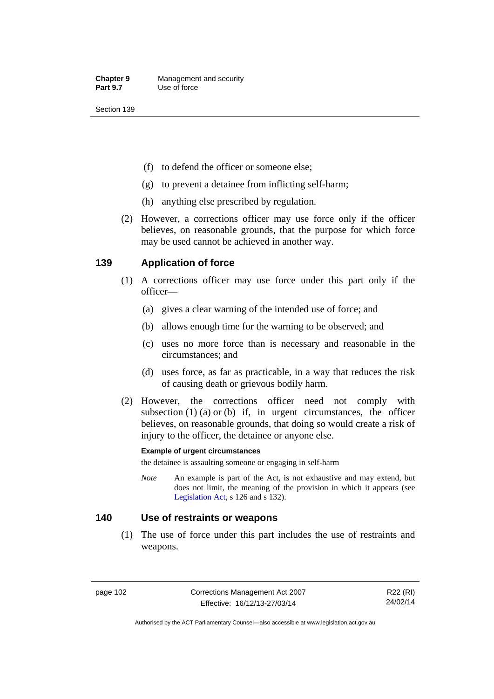- (f) to defend the officer or someone else;
- (g) to prevent a detainee from inflicting self-harm;
- (h) anything else prescribed by regulation.
- (2) However, a corrections officer may use force only if the officer believes, on reasonable grounds, that the purpose for which force may be used cannot be achieved in another way.

### **139 Application of force**

- (1) A corrections officer may use force under this part only if the officer—
	- (a) gives a clear warning of the intended use of force; and
	- (b) allows enough time for the warning to be observed; and
	- (c) uses no more force than is necessary and reasonable in the circumstances; and
	- (d) uses force, as far as practicable, in a way that reduces the risk of causing death or grievous bodily harm.
- (2) However, the corrections officer need not comply with subsection  $(1)$   $(a)$  or  $(b)$  if, in urgent circumstances, the officer believes, on reasonable grounds, that doing so would create a risk of injury to the officer, the detainee or anyone else.

### **Example of urgent circumstances**

the detainee is assaulting someone or engaging in self-harm

*Note* An example is part of the Act, is not exhaustive and may extend, but does not limit, the meaning of the provision in which it appears (see [Legislation Act,](http://www.legislation.act.gov.au/a/2001-14) s 126 and s 132).

### **140 Use of restraints or weapons**

 (1) The use of force under this part includes the use of restraints and weapons.

page 102 Corrections Management Act 2007 Effective: 16/12/13-27/03/14

R22 (RI) 24/02/14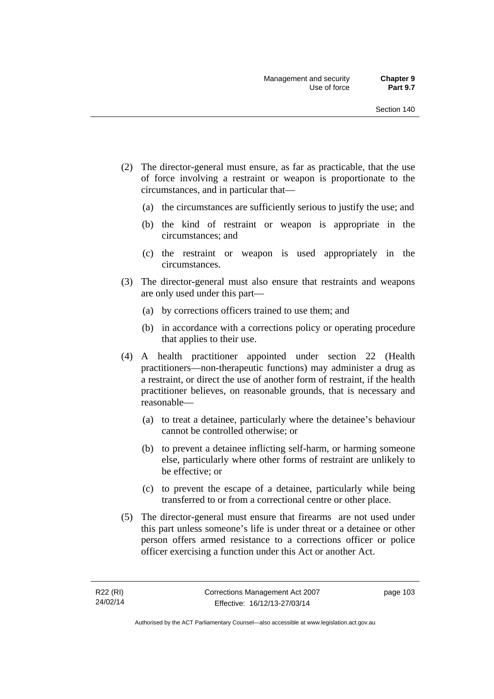- (2) The director-general must ensure, as far as practicable, that the use of force involving a restraint or weapon is proportionate to the circumstances, and in particular that—
	- (a) the circumstances are sufficiently serious to justify the use; and
	- (b) the kind of restraint or weapon is appropriate in the circumstances; and
	- (c) the restraint or weapon is used appropriately in the circumstances.
- (3) The director-general must also ensure that restraints and weapons are only used under this part—
	- (a) by corrections officers trained to use them; and
	- (b) in accordance with a corrections policy or operating procedure that applies to their use.
- (4) A health practitioner appointed under section 22 (Health practitioners—non-therapeutic functions) may administer a drug as a restraint, or direct the use of another form of restraint, if the health practitioner believes, on reasonable grounds, that is necessary and reasonable—
	- (a) to treat a detainee, particularly where the detainee's behaviour cannot be controlled otherwise; or
	- (b) to prevent a detainee inflicting self-harm, or harming someone else, particularly where other forms of restraint are unlikely to be effective; or
	- (c) to prevent the escape of a detainee, particularly while being transferred to or from a correctional centre or other place.
- (5) The director-general must ensure that firearms are not used under this part unless someone's life is under threat or a detainee or other person offers armed resistance to a corrections officer or police officer exercising a function under this Act or another Act.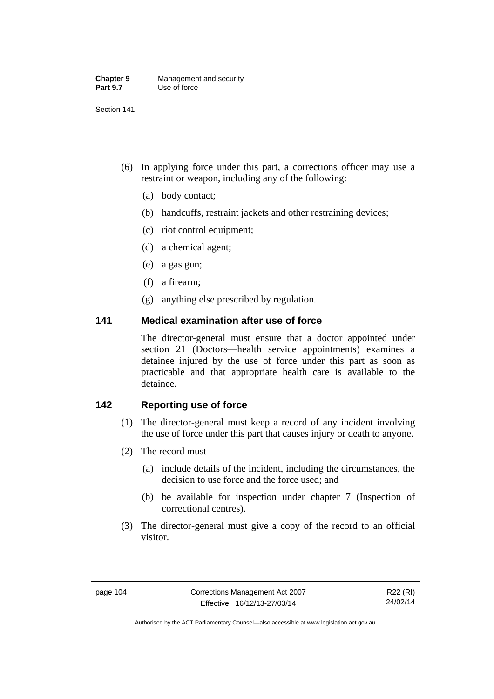| <b>Chapter 9</b> | Management and security |
|------------------|-------------------------|
| <b>Part 9.7</b>  | Use of force            |

- (6) In applying force under this part, a corrections officer may use a restraint or weapon, including any of the following:
	- (a) body contact;
	- (b) handcuffs, restraint jackets and other restraining devices;
	- (c) riot control equipment;
	- (d) a chemical agent;
	- (e) a gas gun;
	- (f) a firearm;
	- (g) anything else prescribed by regulation.

### **141 Medical examination after use of force**

The director-general must ensure that a doctor appointed under section 21 (Doctors—health service appointments) examines a detainee injured by the use of force under this part as soon as practicable and that appropriate health care is available to the detainee.

## **142 Reporting use of force**

- (1) The director-general must keep a record of any incident involving the use of force under this part that causes injury or death to anyone.
- (2) The record must—
	- (a) include details of the incident, including the circumstances, the decision to use force and the force used; and
	- (b) be available for inspection under chapter 7 (Inspection of correctional centres).
- (3) The director-general must give a copy of the record to an official visitor.

Authorised by the ACT Parliamentary Counsel—also accessible at www.legislation.act.gov.au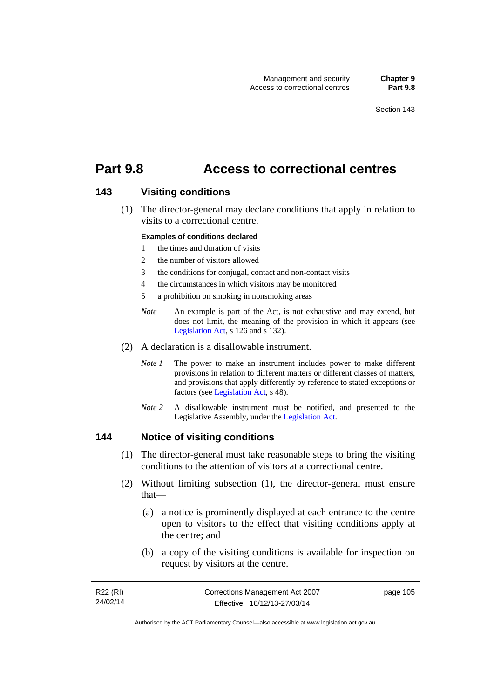## **Part 9.8 Access to correctional centres**

### **143 Visiting conditions**

 (1) The director-general may declare conditions that apply in relation to visits to a correctional centre.

### **Examples of conditions declared**

- 1 the times and duration of visits
- 2 the number of visitors allowed
- 3 the conditions for conjugal, contact and non-contact visits
- 4 the circumstances in which visitors may be monitored
- 5 a prohibition on smoking in nonsmoking areas
- *Note* An example is part of the Act, is not exhaustive and may extend, but does not limit, the meaning of the provision in which it appears (see [Legislation Act,](http://www.legislation.act.gov.au/a/2001-14) s 126 and s 132).
- (2) A declaration is a disallowable instrument.
	- *Note I* The power to make an instrument includes power to make different provisions in relation to different matters or different classes of matters, and provisions that apply differently by reference to stated exceptions or factors (see [Legislation Act](http://www.legislation.act.gov.au/a/2001-14), s 48).
	- *Note 2* A disallowable instrument must be notified, and presented to the Legislative Assembly, under the [Legislation Act.](http://www.legislation.act.gov.au/a/2001-14)

### **144 Notice of visiting conditions**

- (1) The director-general must take reasonable steps to bring the visiting conditions to the attention of visitors at a correctional centre.
- (2) Without limiting subsection (1), the director-general must ensure that—
	- (a) a notice is prominently displayed at each entrance to the centre open to visitors to the effect that visiting conditions apply at the centre; and
	- (b) a copy of the visiting conditions is available for inspection on request by visitors at the centre.

| R22 (RI) | Corrections Management Act 2007 | page 105 |
|----------|---------------------------------|----------|
| 24/02/14 | Effective: 16/12/13-27/03/14    |          |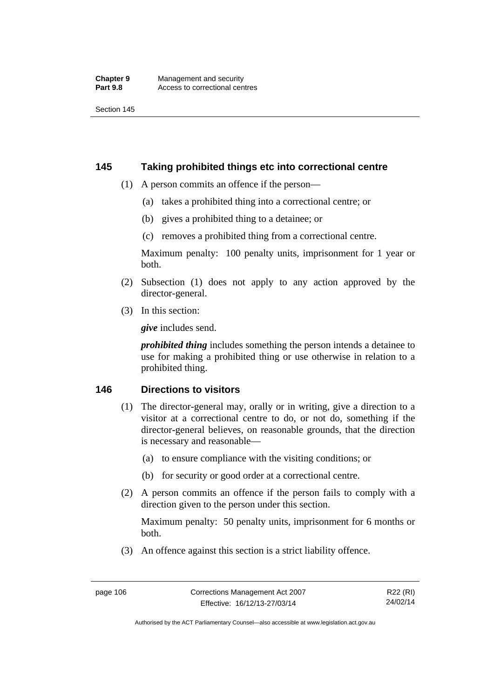### **145 Taking prohibited things etc into correctional centre**

- (1) A person commits an offence if the person—
	- (a) takes a prohibited thing into a correctional centre; or
	- (b) gives a prohibited thing to a detainee; or
	- (c) removes a prohibited thing from a correctional centre.

Maximum penalty: 100 penalty units, imprisonment for 1 year or both.

- (2) Subsection (1) does not apply to any action approved by the director-general.
- (3) In this section:

*give* includes send.

*prohibited thing* includes something the person intends a detainee to use for making a prohibited thing or use otherwise in relation to a prohibited thing.

### **146 Directions to visitors**

- (1) The director-general may, orally or in writing, give a direction to a visitor at a correctional centre to do, or not do, something if the director-general believes, on reasonable grounds, that the direction is necessary and reasonable—
	- (a) to ensure compliance with the visiting conditions; or
	- (b) for security or good order at a correctional centre.
- (2) A person commits an offence if the person fails to comply with a direction given to the person under this section.

Maximum penalty: 50 penalty units, imprisonment for 6 months or both.

(3) An offence against this section is a strict liability offence.

R22 (RI) 24/02/14

Authorised by the ACT Parliamentary Counsel—also accessible at www.legislation.act.gov.au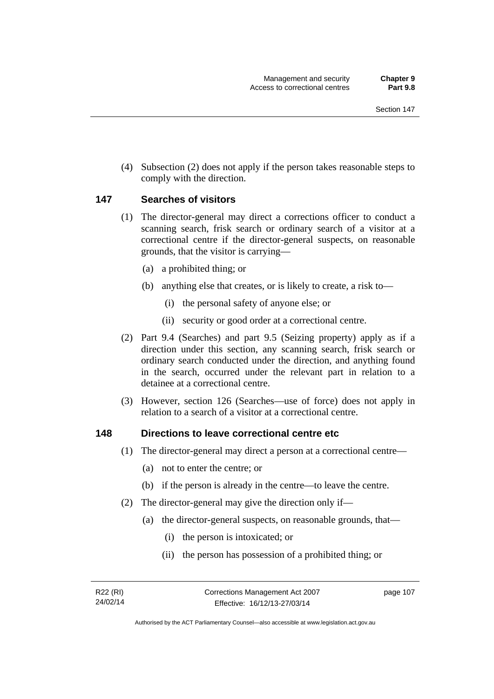(4) Subsection (2) does not apply if the person takes reasonable steps to comply with the direction.

### **147 Searches of visitors**

- (1) The director-general may direct a corrections officer to conduct a scanning search, frisk search or ordinary search of a visitor at a correctional centre if the director-general suspects, on reasonable grounds, that the visitor is carrying—
	- (a) a prohibited thing; or
	- (b) anything else that creates, or is likely to create, a risk to—
		- (i) the personal safety of anyone else; or
		- (ii) security or good order at a correctional centre.
- (2) Part 9.4 (Searches) and part 9.5 (Seizing property) apply as if a direction under this section, any scanning search, frisk search or ordinary search conducted under the direction, and anything found in the search, occurred under the relevant part in relation to a detainee at a correctional centre.
- (3) However, section 126 (Searches—use of force) does not apply in relation to a search of a visitor at a correctional centre.

### **148 Directions to leave correctional centre etc**

- (1) The director-general may direct a person at a correctional centre—
	- (a) not to enter the centre; or
	- (b) if the person is already in the centre—to leave the centre.
- (2) The director-general may give the direction only if—
	- (a) the director-general suspects, on reasonable grounds, that—
		- (i) the person is intoxicated; or
		- (ii) the person has possession of a prohibited thing; or

page 107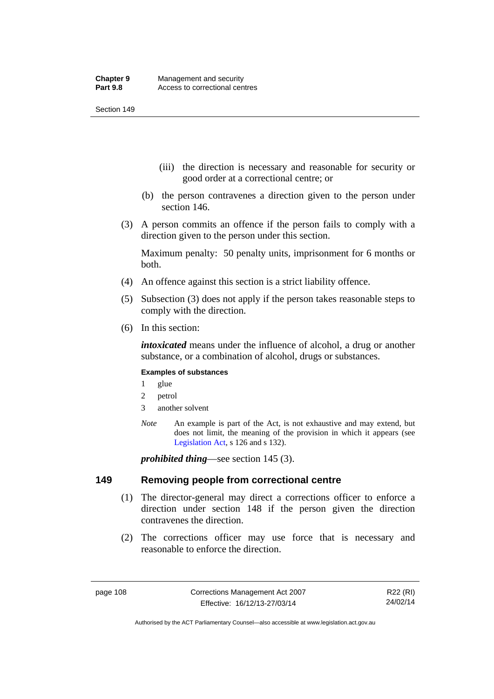- (iii) the direction is necessary and reasonable for security or good order at a correctional centre; or
- (b) the person contravenes a direction given to the person under section 146.
- (3) A person commits an offence if the person fails to comply with a direction given to the person under this section.

Maximum penalty: 50 penalty units, imprisonment for 6 months or both.

- (4) An offence against this section is a strict liability offence.
- (5) Subsection (3) does not apply if the person takes reasonable steps to comply with the direction.
- (6) In this section:

*intoxicated* means under the influence of alcohol, a drug or another substance, or a combination of alcohol, drugs or substances.

### **Examples of substances**

- 1 glue
- 2 petrol
- 3 another solvent
- *Note* An example is part of the Act, is not exhaustive and may extend, but does not limit, the meaning of the provision in which it appears (see [Legislation Act,](http://www.legislation.act.gov.au/a/2001-14) s 126 and s 132).

*prohibited thing*—see section 145 (3).

### **149 Removing people from correctional centre**

- (1) The director-general may direct a corrections officer to enforce a direction under section 148 if the person given the direction contravenes the direction.
- (2) The corrections officer may use force that is necessary and reasonable to enforce the direction.

R22 (RI) 24/02/14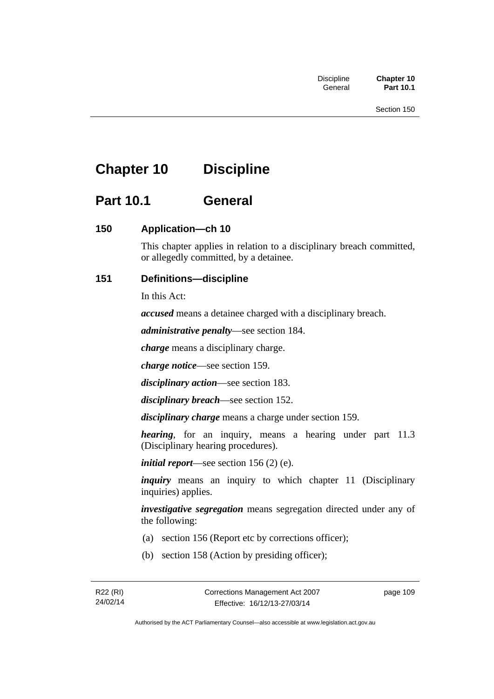# **Chapter 10 Discipline**

# **Part 10.1 General**

## **150 Application—ch 10**

This chapter applies in relation to a disciplinary breach committed, or allegedly committed, by a detainee.

## **151 Definitions—discipline**

In this Act:

*accused* means a detainee charged with a disciplinary breach.

*administrative penalty*—see section 184.

*charge* means a disciplinary charge.

*charge notice*—see section 159.

*disciplinary action*—see section 183.

*disciplinary breach*—see section 152.

*disciplinary charge* means a charge under section 159.

*hearing*, for an inquiry, means a hearing under part 11.3 (Disciplinary hearing procedures).

*initial report*—see section 156 (2) (e).

*inquiry* means an inquiry to which chapter 11 (Disciplinary inquiries) applies.

*investigative segregation* means segregation directed under any of the following:

- (a) section 156 (Report etc by corrections officer);
- (b) section 158 (Action by presiding officer);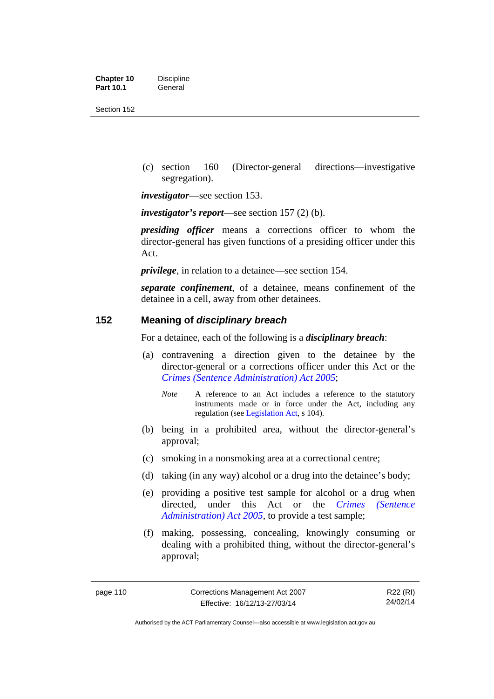| <b>Chapter 10</b> | <b>Discipline</b> |
|-------------------|-------------------|
| <b>Part 10.1</b>  | General           |

 (c) section 160 (Director-general directions—investigative segregation).

*investigator*—see section 153.

*investigator's report*—see section 157 (2) (b).

*presiding officer* means a corrections officer to whom the director-general has given functions of a presiding officer under this Act.

*privilege*, in relation to a detainee—see section 154.

*separate confinement*, of a detainee, means confinement of the detainee in a cell, away from other detainees.

### **152 Meaning of** *disciplinary breach*

For a detainee, each of the following is a *disciplinary breach*:

- (a) contravening a direction given to the detainee by the director-general or a corrections officer under this Act or the *[Crimes \(Sentence Administration\) Act 2005](http://www.legislation.act.gov.au/a/2005-59)*;
	- *Note* A reference to an Act includes a reference to the statutory instruments made or in force under the Act, including any regulation (see [Legislation Act,](http://www.legislation.act.gov.au/a/2001-14) s 104).
- (b) being in a prohibited area, without the director-general's approval;
- (c) smoking in a nonsmoking area at a correctional centre;
- (d) taking (in any way) alcohol or a drug into the detainee's body;
- (e) providing a positive test sample for alcohol or a drug when directed, under this Act or the *[Crimes \(Sentence](http://www.legislation.act.gov.au/a/2005-59)  [Administration\) Act 2005](http://www.legislation.act.gov.au/a/2005-59)*, to provide a test sample;
- (f) making, possessing, concealing, knowingly consuming or dealing with a prohibited thing, without the director-general's approval;

R22 (RI) 24/02/14

Authorised by the ACT Parliamentary Counsel—also accessible at www.legislation.act.gov.au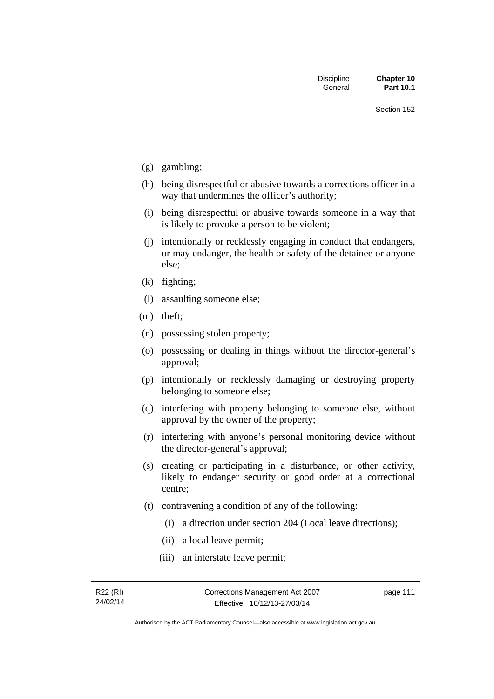- (g) gambling;
- (h) being disrespectful or abusive towards a corrections officer in a way that undermines the officer's authority;
- (i) being disrespectful or abusive towards someone in a way that is likely to provoke a person to be violent;
- (j) intentionally or recklessly engaging in conduct that endangers, or may endanger, the health or safety of the detainee or anyone else;
- (k) fighting;
- (l) assaulting someone else;
- (m) theft;
- (n) possessing stolen property;
- (o) possessing or dealing in things without the director-general's approval;
- (p) intentionally or recklessly damaging or destroying property belonging to someone else;
- (q) interfering with property belonging to someone else, without approval by the owner of the property;
- (r) interfering with anyone's personal monitoring device without the director-general's approval;
- (s) creating or participating in a disturbance, or other activity, likely to endanger security or good order at a correctional centre;
- (t) contravening a condition of any of the following:
	- (i) a direction under section 204 (Local leave directions);
	- (ii) a local leave permit;
	- (iii) an interstate leave permit;

page 111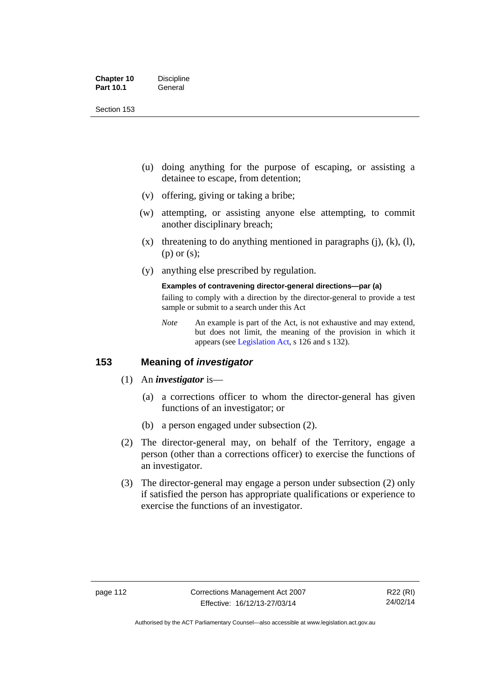| <b>Chapter 10</b> | <b>Discipline</b> |
|-------------------|-------------------|
| <b>Part 10.1</b>  | General           |

- (u) doing anything for the purpose of escaping, or assisting a detainee to escape, from detention;
- (v) offering, giving or taking a bribe;
- (w) attempting, or assisting anyone else attempting, to commit another disciplinary breach;
- $(x)$  threatening to do anything mentioned in paragraphs (j), (k), (l), (p) or (s);
- (y) anything else prescribed by regulation.

## **Examples of contravening director-general directions—par (a)**

failing to comply with a direction by the director-general to provide a test sample or submit to a search under this Act

*Note* An example is part of the Act, is not exhaustive and may extend, but does not limit, the meaning of the provision in which it appears (see [Legislation Act,](http://www.legislation.act.gov.au/a/2001-14) s 126 and s 132).

### **153 Meaning of** *investigator*

- (1) An *investigator* is—
	- (a) a corrections officer to whom the director-general has given functions of an investigator; or
	- (b) a person engaged under subsection (2).
- (2) The director-general may, on behalf of the Territory, engage a person (other than a corrections officer) to exercise the functions of an investigator.
- (3) The director-general may engage a person under subsection (2) only if satisfied the person has appropriate qualifications or experience to exercise the functions of an investigator.

Authorised by the ACT Parliamentary Counsel—also accessible at www.legislation.act.gov.au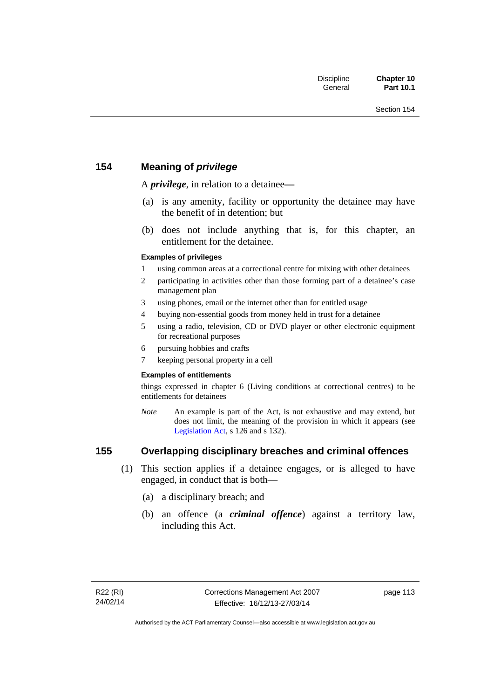## **154 Meaning of** *privilege*

A *privilege*, in relation to a detainee*—*

- (a) is any amenity, facility or opportunity the detainee may have the benefit of in detention; but
- (b) does not include anything that is, for this chapter, an entitlement for the detainee.

### **Examples of privileges**

- 1 using common areas at a correctional centre for mixing with other detainees
- 2 participating in activities other than those forming part of a detainee's case management plan
- 3 using phones, email or the internet other than for entitled usage
- 4 buying non-essential goods from money held in trust for a detainee
- 5 using a radio, television, CD or DVD player or other electronic equipment for recreational purposes
- 6 pursuing hobbies and crafts
- 7 keeping personal property in a cell

### **Examples of entitlements**

things expressed in chapter 6 (Living conditions at correctional centres) to be entitlements for detainees

*Note* An example is part of the Act, is not exhaustive and may extend, but does not limit, the meaning of the provision in which it appears (see [Legislation Act,](http://www.legislation.act.gov.au/a/2001-14) s 126 and s 132).

## **155 Overlapping disciplinary breaches and criminal offences**

- (1) This section applies if a detainee engages, or is alleged to have engaged, in conduct that is both—
	- (a) a disciplinary breach; and
	- (b) an offence (a *criminal offence*) against a territory law, including this Act.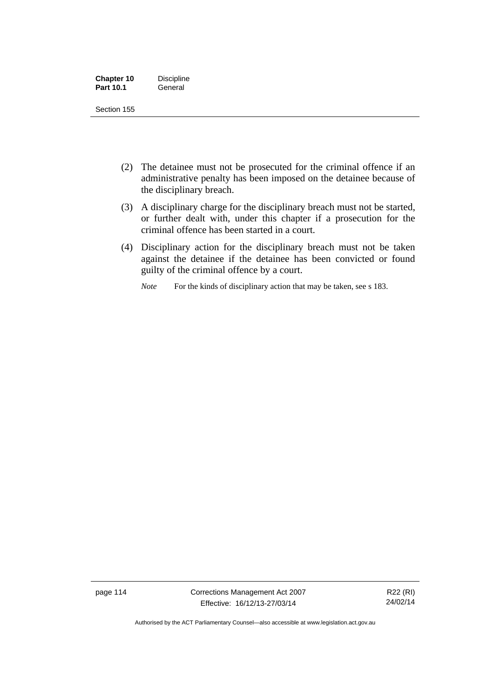| <b>Chapter 10</b> | <b>Discipline</b> |
|-------------------|-------------------|
| <b>Part 10.1</b>  | General           |

- (2) The detainee must not be prosecuted for the criminal offence if an administrative penalty has been imposed on the detainee because of the disciplinary breach.
- (3) A disciplinary charge for the disciplinary breach must not be started, or further dealt with, under this chapter if a prosecution for the criminal offence has been started in a court.
- (4) Disciplinary action for the disciplinary breach must not be taken against the detainee if the detainee has been convicted or found guilty of the criminal offence by a court.

*Note* For the kinds of disciplinary action that may be taken, see s 183.

page 114 Corrections Management Act 2007 Effective: 16/12/13-27/03/14

R22 (RI) 24/02/14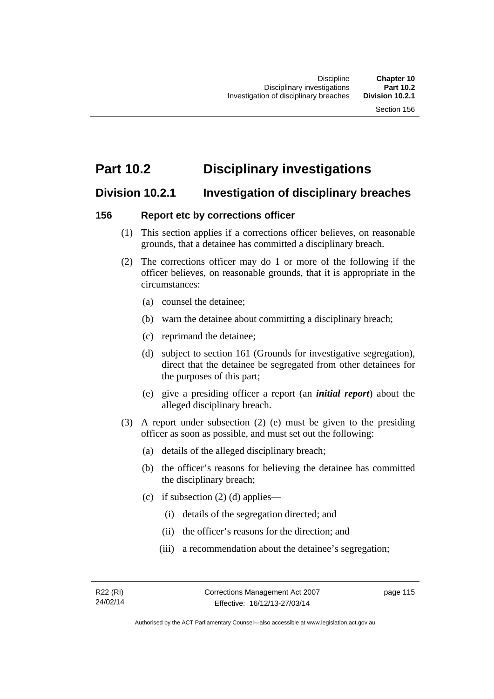# **Part 10.2 Disciplinary investigations**

## **Division 10.2.1 Investigation of disciplinary breaches**

### **156 Report etc by corrections officer**

- (1) This section applies if a corrections officer believes, on reasonable grounds, that a detainee has committed a disciplinary breach.
- (2) The corrections officer may do 1 or more of the following if the officer believes, on reasonable grounds, that it is appropriate in the circumstances:
	- (a) counsel the detainee;
	- (b) warn the detainee about committing a disciplinary breach;
	- (c) reprimand the detainee;
	- (d) subject to section 161 (Grounds for investigative segregation), direct that the detainee be segregated from other detainees for the purposes of this part;
	- (e) give a presiding officer a report (an *initial report*) about the alleged disciplinary breach.
- (3) A report under subsection (2) (e) must be given to the presiding officer as soon as possible, and must set out the following:
	- (a) details of the alleged disciplinary breach;
	- (b) the officer's reasons for believing the detainee has committed the disciplinary breach;
	- (c) if subsection  $(2)$  (d) applies—
		- (i) details of the segregation directed; and
		- (ii) the officer's reasons for the direction; and
		- (iii) a recommendation about the detainee's segregation;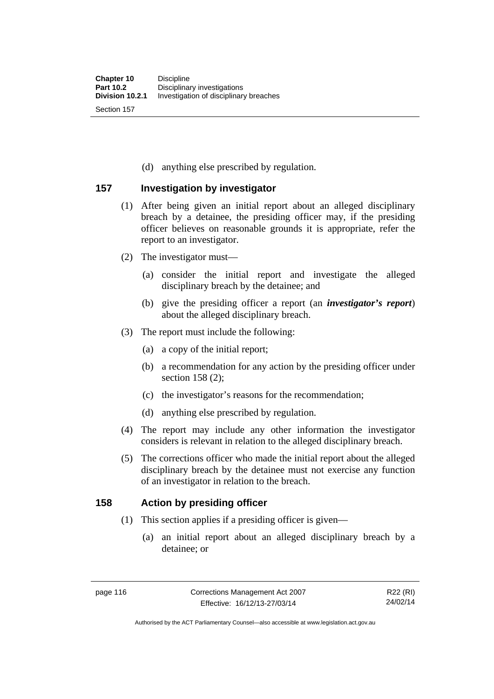(d) anything else prescribed by regulation.

### **157 Investigation by investigator**

- (1) After being given an initial report about an alleged disciplinary breach by a detainee, the presiding officer may, if the presiding officer believes on reasonable grounds it is appropriate, refer the report to an investigator.
- (2) The investigator must—
	- (a) consider the initial report and investigate the alleged disciplinary breach by the detainee; and
	- (b) give the presiding officer a report (an *investigator's report*) about the alleged disciplinary breach.
- (3) The report must include the following:
	- (a) a copy of the initial report;
	- (b) a recommendation for any action by the presiding officer under section 158 (2):
	- (c) the investigator's reasons for the recommendation;
	- (d) anything else prescribed by regulation.
- (4) The report may include any other information the investigator considers is relevant in relation to the alleged disciplinary breach.
- (5) The corrections officer who made the initial report about the alleged disciplinary breach by the detainee must not exercise any function of an investigator in relation to the breach.

### **158 Action by presiding officer**

- (1) This section applies if a presiding officer is given—
	- (a) an initial report about an alleged disciplinary breach by a detainee; or

Authorised by the ACT Parliamentary Counsel—also accessible at www.legislation.act.gov.au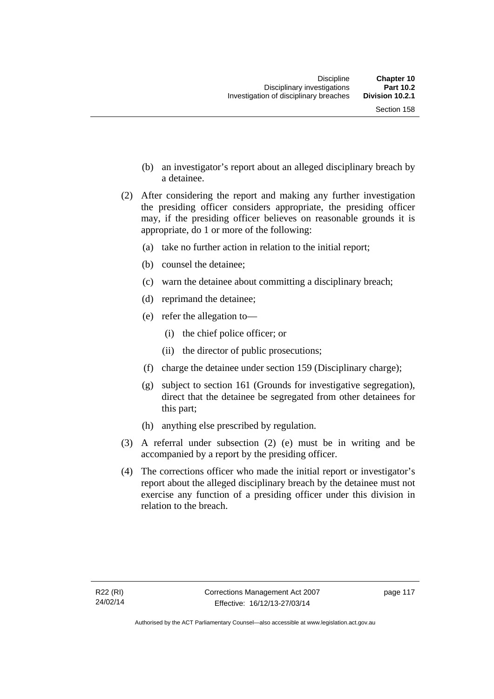- (b) an investigator's report about an alleged disciplinary breach by a detainee.
- (2) After considering the report and making any further investigation the presiding officer considers appropriate, the presiding officer may, if the presiding officer believes on reasonable grounds it is appropriate, do 1 or more of the following:
	- (a) take no further action in relation to the initial report;
	- (b) counsel the detainee;
	- (c) warn the detainee about committing a disciplinary breach;
	- (d) reprimand the detainee;
	- (e) refer the allegation to—
		- (i) the chief police officer; or
		- (ii) the director of public prosecutions;
	- (f) charge the detainee under section 159 (Disciplinary charge);
	- (g) subject to section 161 (Grounds for investigative segregation), direct that the detainee be segregated from other detainees for this part;
	- (h) anything else prescribed by regulation.
- (3) A referral under subsection (2) (e) must be in writing and be accompanied by a report by the presiding officer.
- (4) The corrections officer who made the initial report or investigator's report about the alleged disciplinary breach by the detainee must not exercise any function of a presiding officer under this division in relation to the breach.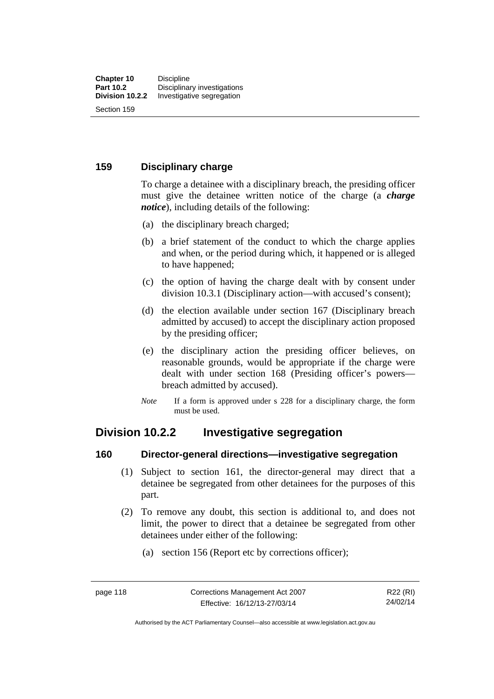### **159 Disciplinary charge**

To charge a detainee with a disciplinary breach, the presiding officer must give the detainee written notice of the charge (a *charge notice*), including details of the following:

- (a) the disciplinary breach charged;
- (b) a brief statement of the conduct to which the charge applies and when, or the period during which, it happened or is alleged to have happened;
- (c) the option of having the charge dealt with by consent under division 10.3.1 (Disciplinary action—with accused's consent);
- (d) the election available under section 167 (Disciplinary breach admitted by accused) to accept the disciplinary action proposed by the presiding officer;
- (e) the disciplinary action the presiding officer believes, on reasonable grounds, would be appropriate if the charge were dealt with under section 168 (Presiding officer's powers breach admitted by accused).
- *Note* If a form is approved under s 228 for a disciplinary charge, the form must be used.

## **Division 10.2.2 Investigative segregation**

### **160 Director-general directions—investigative segregation**

- (1) Subject to section 161, the director-general may direct that a detainee be segregated from other detainees for the purposes of this part.
- (2) To remove any doubt, this section is additional to, and does not limit, the power to direct that a detainee be segregated from other detainees under either of the following:
	- (a) section 156 (Report etc by corrections officer);

Authorised by the ACT Parliamentary Counsel—also accessible at www.legislation.act.gov.au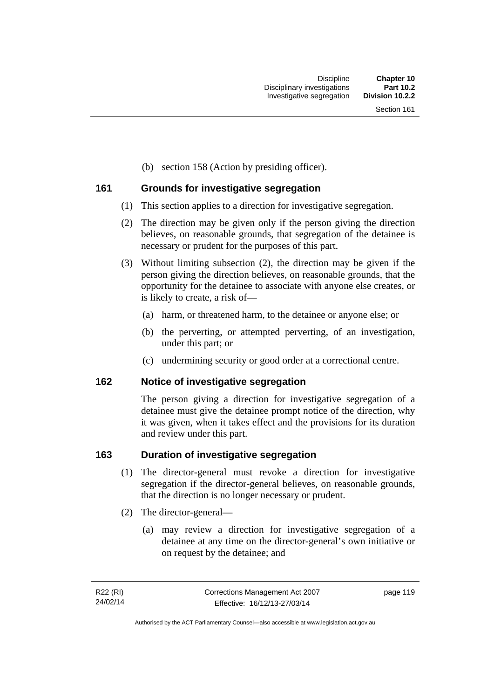(b) section 158 (Action by presiding officer).

### **161 Grounds for investigative segregation**

- (1) This section applies to a direction for investigative segregation.
- (2) The direction may be given only if the person giving the direction believes, on reasonable grounds, that segregation of the detainee is necessary or prudent for the purposes of this part.
- (3) Without limiting subsection (2), the direction may be given if the person giving the direction believes, on reasonable grounds, that the opportunity for the detainee to associate with anyone else creates, or is likely to create, a risk of—
	- (a) harm, or threatened harm, to the detainee or anyone else; or
	- (b) the perverting, or attempted perverting, of an investigation, under this part; or
	- (c) undermining security or good order at a correctional centre.

### **162 Notice of investigative segregation**

The person giving a direction for investigative segregation of a detainee must give the detainee prompt notice of the direction, why it was given, when it takes effect and the provisions for its duration and review under this part.

### **163 Duration of investigative segregation**

- (1) The director-general must revoke a direction for investigative segregation if the director-general believes, on reasonable grounds, that the direction is no longer necessary or prudent.
- (2) The director-general—
	- (a) may review a direction for investigative segregation of a detainee at any time on the director-general's own initiative or on request by the detainee; and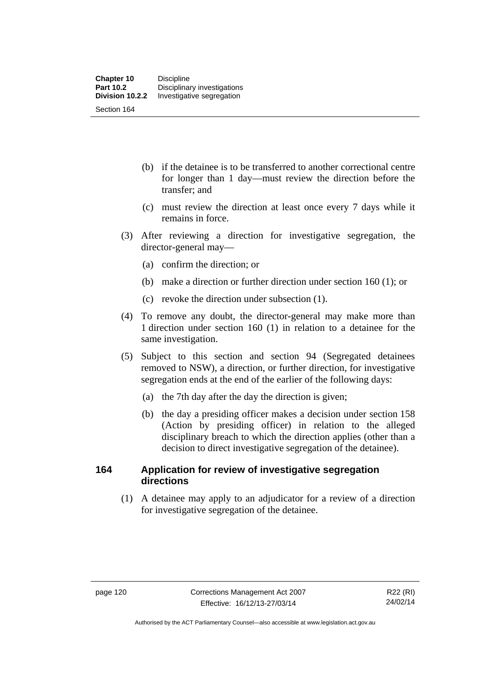- (b) if the detainee is to be transferred to another correctional centre for longer than 1 day—must review the direction before the transfer; and
- (c) must review the direction at least once every 7 days while it remains in force.
- (3) After reviewing a direction for investigative segregation, the director-general may—
	- (a) confirm the direction; or
	- (b) make a direction or further direction under section 160 (1); or
	- (c) revoke the direction under subsection (1).
- (4) To remove any doubt, the director-general may make more than 1 direction under section 160 (1) in relation to a detainee for the same investigation.
- (5) Subject to this section and section 94 (Segregated detainees removed to NSW), a direction, or further direction, for investigative segregation ends at the end of the earlier of the following days:
	- (a) the 7th day after the day the direction is given;
	- (b) the day a presiding officer makes a decision under section 158 (Action by presiding officer) in relation to the alleged disciplinary breach to which the direction applies (other than a decision to direct investigative segregation of the detainee).

### **164 Application for review of investigative segregation directions**

(1) A detainee may apply to an adjudicator for a review of a direction for investigative segregation of the detainee.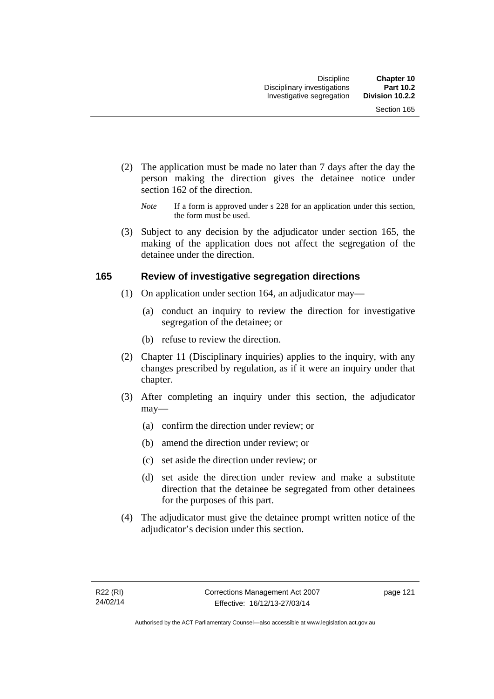- (2) The application must be made no later than 7 days after the day the person making the direction gives the detainee notice under section 162 of the direction.
	- *Note* If a form is approved under s 228 for an application under this section, the form must be used.
- (3) Subject to any decision by the adjudicator under section 165, the making of the application does not affect the segregation of the detainee under the direction.

### **165 Review of investigative segregation directions**

- (1) On application under section 164, an adjudicator may—
	- (a) conduct an inquiry to review the direction for investigative segregation of the detainee; or
	- (b) refuse to review the direction.
- (2) Chapter 11 (Disciplinary inquiries) applies to the inquiry, with any changes prescribed by regulation, as if it were an inquiry under that chapter.
- (3) After completing an inquiry under this section, the adjudicator may—
	- (a) confirm the direction under review; or
	- (b) amend the direction under review; or
	- (c) set aside the direction under review; or
	- (d) set aside the direction under review and make a substitute direction that the detainee be segregated from other detainees for the purposes of this part.
- (4) The adjudicator must give the detainee prompt written notice of the adjudicator's decision under this section.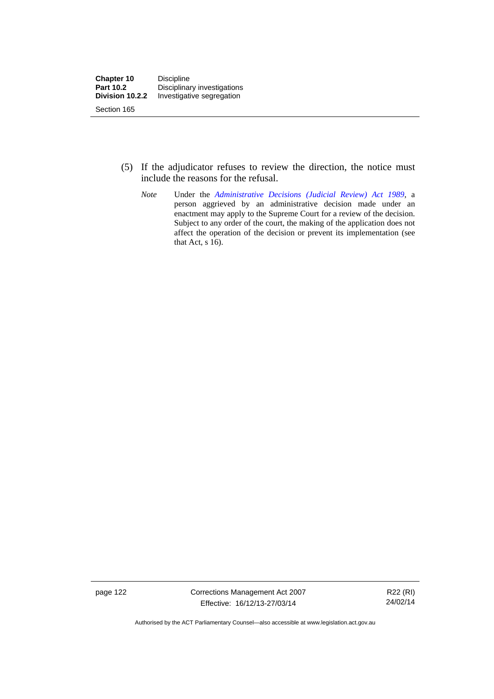- (5) If the adjudicator refuses to review the direction, the notice must include the reasons for the refusal.
	- *Note* Under the *[Administrative Decisions \(Judicial Review\) Act 1989](http://www.legislation.act.gov.au/a/alt_a1989-33co)*, a person aggrieved by an administrative decision made under an enactment may apply to the Supreme Court for a review of the decision. Subject to any order of the court, the making of the application does not affect the operation of the decision or prevent its implementation (see that Act, s 16).

page 122 Corrections Management Act 2007 Effective: 16/12/13-27/03/14

R22 (RI) 24/02/14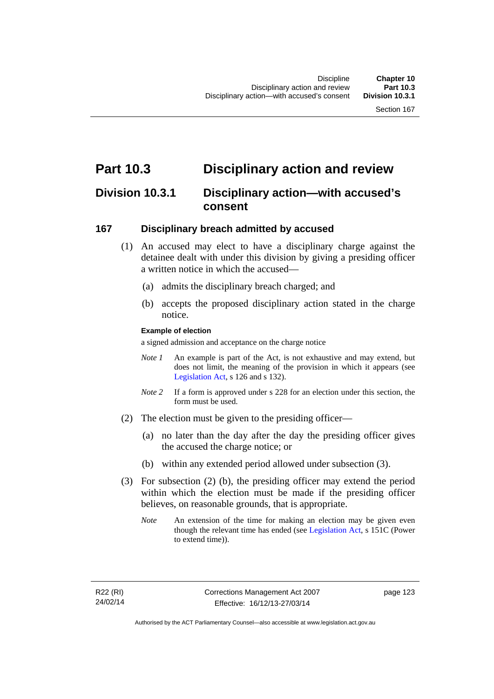# **Part 10.3 Disciplinary action and review**

## **Division 10.3.1 Disciplinary action—with accused's consent**

### **167 Disciplinary breach admitted by accused**

- (1) An accused may elect to have a disciplinary charge against the detainee dealt with under this division by giving a presiding officer a written notice in which the accused—
	- (a) admits the disciplinary breach charged; and
	- (b) accepts the proposed disciplinary action stated in the charge notice.

### **Example of election**

a signed admission and acceptance on the charge notice

- *Note 1* An example is part of the Act, is not exhaustive and may extend, but does not limit, the meaning of the provision in which it appears (see [Legislation Act,](http://www.legislation.act.gov.au/a/2001-14) s 126 and s 132).
- *Note* 2 If a form is approved under s 228 for an election under this section, the form must be used.
- (2) The election must be given to the presiding officer—
	- (a) no later than the day after the day the presiding officer gives the accused the charge notice; or
	- (b) within any extended period allowed under subsection (3).
- (3) For subsection (2) (b), the presiding officer may extend the period within which the election must be made if the presiding officer believes, on reasonable grounds, that is appropriate.
	- *Note* An extension of the time for making an election may be given even though the relevant time has ended (see [Legislation Act](http://www.legislation.act.gov.au/a/2001-14), s 151C (Power to extend time)).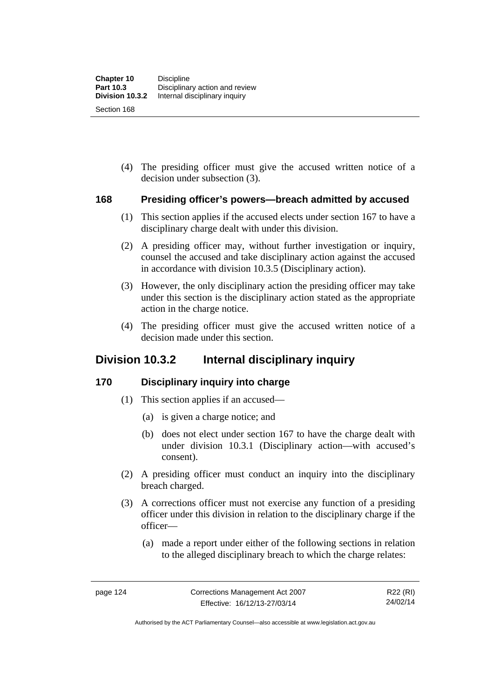(4) The presiding officer must give the accused written notice of a decision under subsection (3).

### **168 Presiding officer's powers—breach admitted by accused**

- (1) This section applies if the accused elects under section 167 to have a disciplinary charge dealt with under this division.
- (2) A presiding officer may, without further investigation or inquiry, counsel the accused and take disciplinary action against the accused in accordance with division 10.3.5 (Disciplinary action).
- (3) However, the only disciplinary action the presiding officer may take under this section is the disciplinary action stated as the appropriate action in the charge notice.
- (4) The presiding officer must give the accused written notice of a decision made under this section.

## **Division 10.3.2 Internal disciplinary inquiry**

### **170 Disciplinary inquiry into charge**

- (1) This section applies if an accused—
	- (a) is given a charge notice; and
	- (b) does not elect under section 167 to have the charge dealt with under division 10.3.1 (Disciplinary action—with accused's consent).
- (2) A presiding officer must conduct an inquiry into the disciplinary breach charged.
- (3) A corrections officer must not exercise any function of a presiding officer under this division in relation to the disciplinary charge if the officer—
	- (a) made a report under either of the following sections in relation to the alleged disciplinary breach to which the charge relates:

Authorised by the ACT Parliamentary Counsel—also accessible at www.legislation.act.gov.au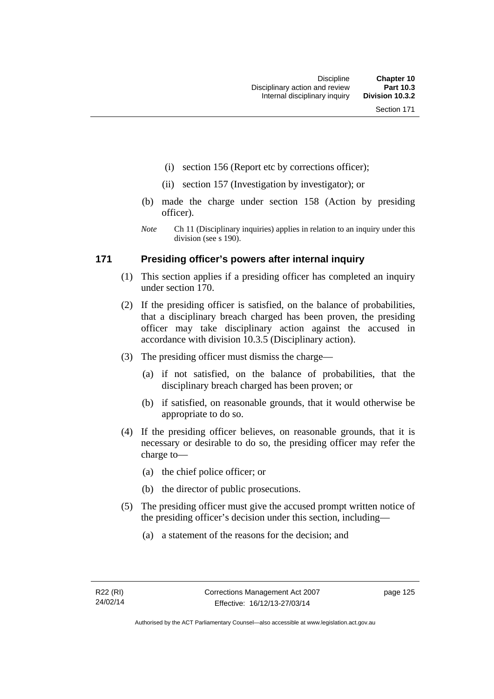- (i) section 156 (Report etc by corrections officer);
- (ii) section 157 (Investigation by investigator); or
- (b) made the charge under section 158 (Action by presiding officer).
- *Note* Ch 11 (Disciplinary inquiries) applies in relation to an inquiry under this division (see s 190).

### **171 Presiding officer's powers after internal inquiry**

- (1) This section applies if a presiding officer has completed an inquiry under section 170.
- (2) If the presiding officer is satisfied, on the balance of probabilities, that a disciplinary breach charged has been proven, the presiding officer may take disciplinary action against the accused in accordance with division 10.3.5 (Disciplinary action).
- (3) The presiding officer must dismiss the charge—
	- (a) if not satisfied, on the balance of probabilities, that the disciplinary breach charged has been proven; or
	- (b) if satisfied, on reasonable grounds, that it would otherwise be appropriate to do so.
- (4) If the presiding officer believes, on reasonable grounds, that it is necessary or desirable to do so, the presiding officer may refer the charge to—
	- (a) the chief police officer; or
	- (b) the director of public prosecutions.
- (5) The presiding officer must give the accused prompt written notice of the presiding officer's decision under this section, including—
	- (a) a statement of the reasons for the decision; and

page 125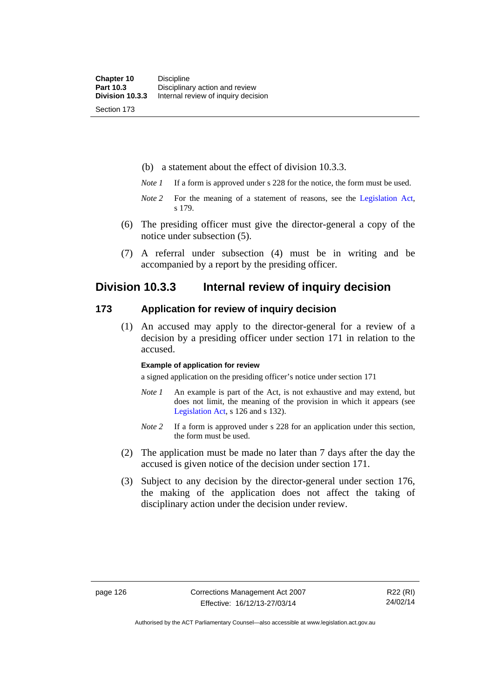(b) a statement about the effect of division 10.3.3.

- *Note 1* If a form is approved under s 228 for the notice, the form must be used.
- *Note 2* For the meaning of a statement of reasons, see the [Legislation Act,](http://www.legislation.act.gov.au/a/2001-14) s 179.
- (6) The presiding officer must give the director-general a copy of the notice under subsection (5).
- (7) A referral under subsection (4) must be in writing and be accompanied by a report by the presiding officer.

## **Division 10.3.3 Internal review of inquiry decision**

### **173 Application for review of inquiry decision**

 (1) An accused may apply to the director-general for a review of a decision by a presiding officer under section 171 in relation to the accused.

#### **Example of application for review**

a signed application on the presiding officer's notice under section 171

- *Note 1* An example is part of the Act, is not exhaustive and may extend, but does not limit, the meaning of the provision in which it appears (see [Legislation Act,](http://www.legislation.act.gov.au/a/2001-14) s 126 and s 132).
- *Note 2* If a form is approved under s 228 for an application under this section, the form must be used.
- (2) The application must be made no later than 7 days after the day the accused is given notice of the decision under section 171.
- (3) Subject to any decision by the director-general under section 176, the making of the application does not affect the taking of disciplinary action under the decision under review.

Authorised by the ACT Parliamentary Counsel—also accessible at www.legislation.act.gov.au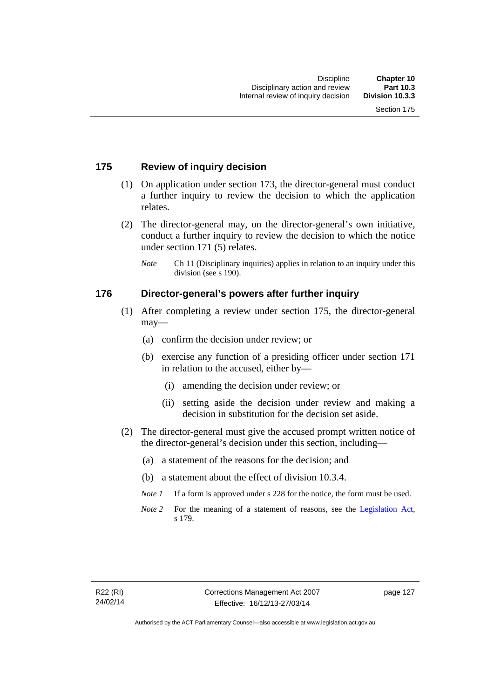### **175 Review of inquiry decision**

- (1) On application under section 173, the director-general must conduct a further inquiry to review the decision to which the application relates.
- (2) The director-general may, on the director-general's own initiative, conduct a further inquiry to review the decision to which the notice under section 171 (5) relates.
	- *Note* Ch 11 (Disciplinary inquiries) applies in relation to an inquiry under this division (see s 190).

### **176 Director-general's powers after further inquiry**

- (1) After completing a review under section 175, the director-general may—
	- (a) confirm the decision under review; or
	- (b) exercise any function of a presiding officer under section 171 in relation to the accused, either by—
		- (i) amending the decision under review; or
		- (ii) setting aside the decision under review and making a decision in substitution for the decision set aside.
- (2) The director-general must give the accused prompt written notice of the director-general's decision under this section, including—
	- (a) a statement of the reasons for the decision; and
	- (b) a statement about the effect of division 10.3.4.
	- *Note 1* If a form is approved under s 228 for the notice, the form must be used.
	- *Note* 2 For the meaning of a statement of reasons, see the [Legislation Act,](http://www.legislation.act.gov.au/a/2001-14) s 179.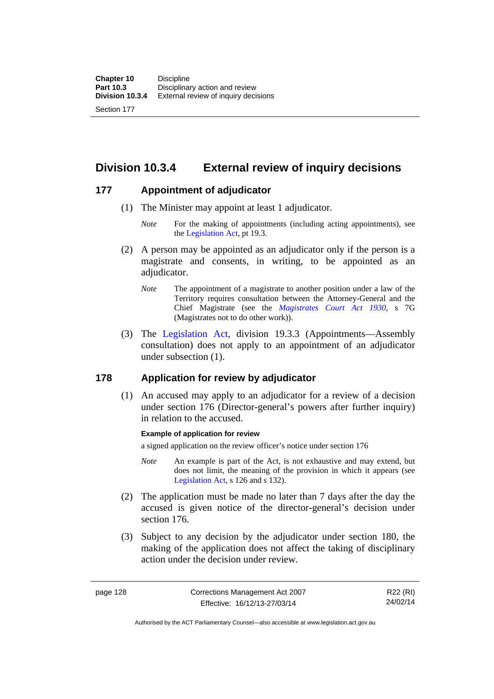**Division 10.3.4 External review of inquiry decisions** 

### **177 Appointment of adjudicator**

- (1) The Minister may appoint at least 1 adjudicator.
	- *Note* For the making of appointments (including acting appointments), see the [Legislation Act,](http://www.legislation.act.gov.au/a/2001-14) pt 19.3.
- (2) A person may be appointed as an adjudicator only if the person is a magistrate and consents, in writing, to be appointed as an adjudicator.
	- *Note* The appointment of a magistrate to another position under a law of the Territory requires consultation between the Attorney-General and the Chief Magistrate (see the *[Magistrates Court Act 1930](http://www.legislation.act.gov.au/a/1930-21)*, s 7G (Magistrates not to do other work)).
- (3) The [Legislation Act,](http://www.legislation.act.gov.au/a/2001-14) division 19.3.3 (Appointments—Assembly consultation) does not apply to an appointment of an adjudicator under subsection (1).

## **178 Application for review by adjudicator**

 (1) An accused may apply to an adjudicator for a review of a decision under section 176 (Director-general's powers after further inquiry) in relation to the accused.

### **Example of application for review**

a signed application on the review officer's notice under section 176

- *Note* An example is part of the Act, is not exhaustive and may extend, but does not limit, the meaning of the provision in which it appears (see [Legislation Act,](http://www.legislation.act.gov.au/a/2001-14) s 126 and s 132).
- (2) The application must be made no later than 7 days after the day the accused is given notice of the director-general's decision under section 176.
- (3) Subject to any decision by the adjudicator under section 180, the making of the application does not affect the taking of disciplinary action under the decision under review.

page 128 Corrections Management Act 2007 Effective: 16/12/13-27/03/14

R22 (RI) 24/02/14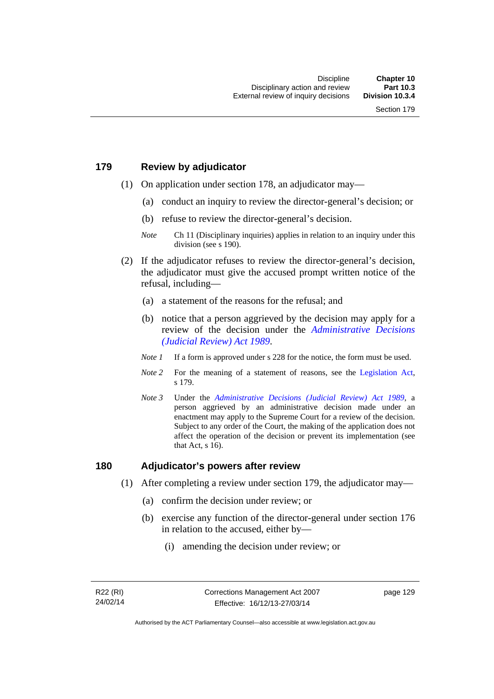# **179 Review by adjudicator**

- (1) On application under section 178, an adjudicator may—
	- (a) conduct an inquiry to review the director-general's decision; or
	- (b) refuse to review the director-general's decision.

- (2) If the adjudicator refuses to review the director-general's decision, the adjudicator must give the accused prompt written notice of the refusal, including—
	- (a) a statement of the reasons for the refusal; and
	- (b) notice that a person aggrieved by the decision may apply for a review of the decision under the *[Administrative Decisions](http://www.legislation.act.gov.au/a/alt_a1989-33co)  [\(Judicial Review\) Act 1989](http://www.legislation.act.gov.au/a/alt_a1989-33co)*.
	- *Note 1* If a form is approved under s 228 for the notice, the form must be used.
	- *Note 2* For the meaning of a statement of reasons, see the [Legislation Act,](http://www.legislation.act.gov.au/a/2001-14) s 179.
	- *Note 3* Under the *[Administrative Decisions \(Judicial Review\) Act 1989](http://www.legislation.act.gov.au/a/alt_a1989-33co)*, a person aggrieved by an administrative decision made under an enactment may apply to the Supreme Court for a review of the decision. Subject to any order of the Court, the making of the application does not affect the operation of the decision or prevent its implementation (see that Act, s 16).

## **180 Adjudicator's powers after review**

- (1) After completing a review under section 179, the adjudicator may—
	- (a) confirm the decision under review; or
	- (b) exercise any function of the director-general under section 176 in relation to the accused, either by—
		- (i) amending the decision under review; or

*Note* Ch 11 (Disciplinary inquiries) applies in relation to an inquiry under this division (see s 190).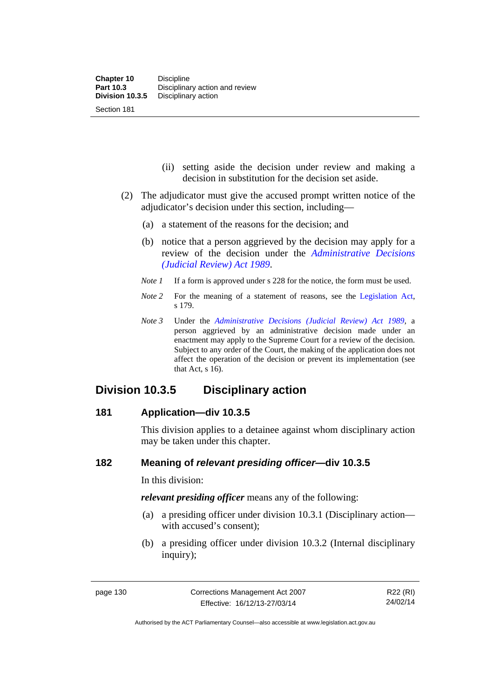- (ii) setting aside the decision under review and making a decision in substitution for the decision set aside.
- (2) The adjudicator must give the accused prompt written notice of the adjudicator's decision under this section, including—
	- (a) a statement of the reasons for the decision; and
	- (b) notice that a person aggrieved by the decision may apply for a review of the decision under the *[Administrative Decisions](http://www.legislation.act.gov.au/a/alt_a1989-33co)  [\(Judicial Review\) Act 1989](http://www.legislation.act.gov.au/a/alt_a1989-33co)*.
	- *Note 1* If a form is approved under s 228 for the notice, the form must be used.
	- *Note* 2 For the meaning of a statement of reasons, see the [Legislation Act,](http://www.legislation.act.gov.au/a/2001-14) s 179.
	- *Note 3* Under the *[Administrative Decisions \(Judicial Review\) Act 1989](http://www.legislation.act.gov.au/a/alt_a1989-33co)*, a person aggrieved by an administrative decision made under an enactment may apply to the Supreme Court for a review of the decision. Subject to any order of the Court, the making of the application does not affect the operation of the decision or prevent its implementation (see that Act, s 16).

# **Division 10.3.5 Disciplinary action**

# **181 Application—div 10.3.5**

This division applies to a detainee against whom disciplinary action may be taken under this chapter.

# **182 Meaning of** *relevant presiding officer***—div 10.3.5**

In this division:

*relevant presiding officer* means any of the following:

- (a) a presiding officer under division 10.3.1 (Disciplinary action with accused's consent);
- (b) a presiding officer under division 10.3.2 (Internal disciplinary inquiry);

Authorised by the ACT Parliamentary Counsel—also accessible at www.legislation.act.gov.au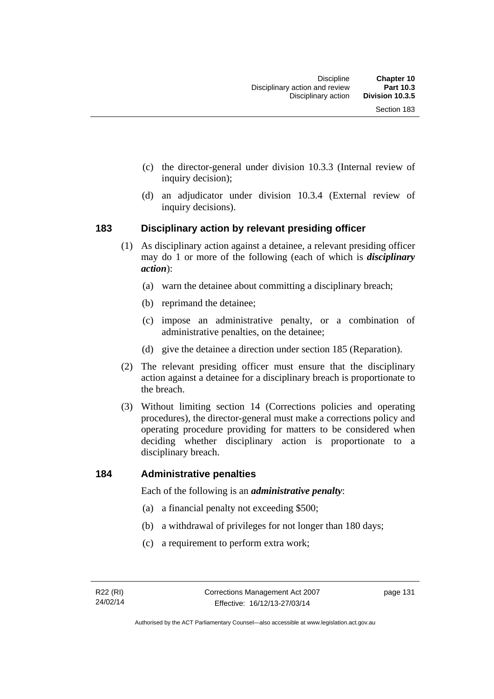- (c) the director-general under division 10.3.3 (Internal review of inquiry decision);
- (d) an adjudicator under division 10.3.4 (External review of inquiry decisions).

# **183 Disciplinary action by relevant presiding officer**

- (1) As disciplinary action against a detainee, a relevant presiding officer may do 1 or more of the following (each of which is *disciplinary action*):
	- (a) warn the detainee about committing a disciplinary breach;
	- (b) reprimand the detainee;
	- (c) impose an administrative penalty, or a combination of administrative penalties, on the detainee;
	- (d) give the detainee a direction under section 185 (Reparation).
- (2) The relevant presiding officer must ensure that the disciplinary action against a detainee for a disciplinary breach is proportionate to the breach.
- (3) Without limiting section 14 (Corrections policies and operating procedures), the director-general must make a corrections policy and operating procedure providing for matters to be considered when deciding whether disciplinary action is proportionate to a disciplinary breach.

# **184 Administrative penalties**

Each of the following is an *administrative penalty*:

- (a) a financial penalty not exceeding \$500;
- (b) a withdrawal of privileges for not longer than 180 days;
- (c) a requirement to perform extra work;

page 131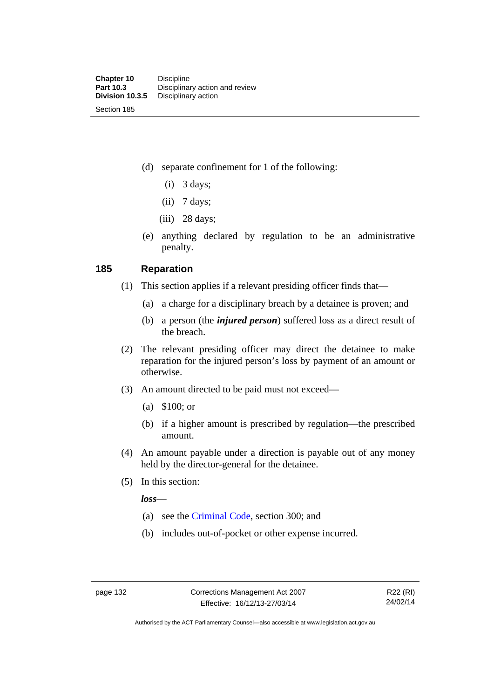(d) separate confinement for 1 of the following:

- $(i)$  3 days;
- $(ii)$  7 days;
- (iii) 28 days;
- (e) anything declared by regulation to be an administrative penalty.

## **185 Reparation**

- (1) This section applies if a relevant presiding officer finds that—
	- (a) a charge for a disciplinary breach by a detainee is proven; and
	- (b) a person (the *injured person*) suffered loss as a direct result of the breach.
- (2) The relevant presiding officer may direct the detainee to make reparation for the injured person's loss by payment of an amount or otherwise.
- (3) An amount directed to be paid must not exceed—
	- (a) \$100; or
	- (b) if a higher amount is prescribed by regulation—the prescribed amount.
- (4) An amount payable under a direction is payable out of any money held by the director-general for the detainee.
- (5) In this section:

*loss*—

- (a) see the [Criminal Code](http://www.legislation.act.gov.au/a/2002-51), section 300; and
- (b) includes out-of-pocket or other expense incurred.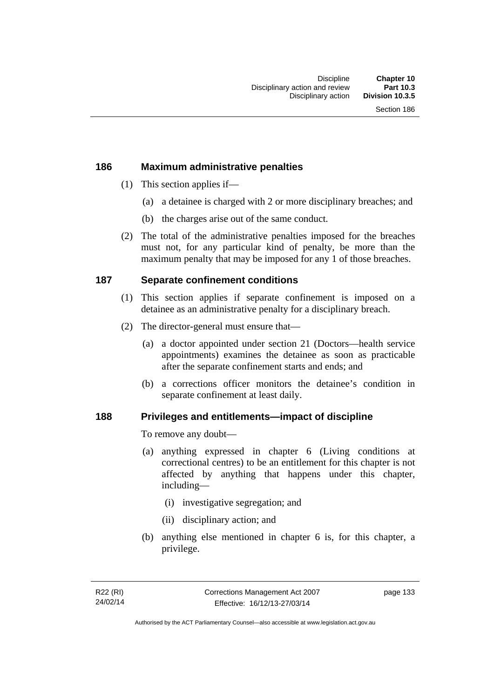# **186 Maximum administrative penalties**

- (1) This section applies if—
	- (a) a detainee is charged with 2 or more disciplinary breaches; and
	- (b) the charges arise out of the same conduct.
- (2) The total of the administrative penalties imposed for the breaches must not, for any particular kind of penalty, be more than the maximum penalty that may be imposed for any 1 of those breaches.

# **187 Separate confinement conditions**

- (1) This section applies if separate confinement is imposed on a detainee as an administrative penalty for a disciplinary breach.
- (2) The director-general must ensure that—
	- (a) a doctor appointed under section 21 (Doctors—health service appointments) examines the detainee as soon as practicable after the separate confinement starts and ends; and
	- (b) a corrections officer monitors the detainee's condition in separate confinement at least daily.

# **188 Privileges and entitlements—impact of discipline**

To remove any doubt—

- (a) anything expressed in chapter 6 (Living conditions at correctional centres) to be an entitlement for this chapter is not affected by anything that happens under this chapter, including—
	- (i) investigative segregation; and
	- (ii) disciplinary action; and
- (b) anything else mentioned in chapter 6 is, for this chapter, a privilege.

page 133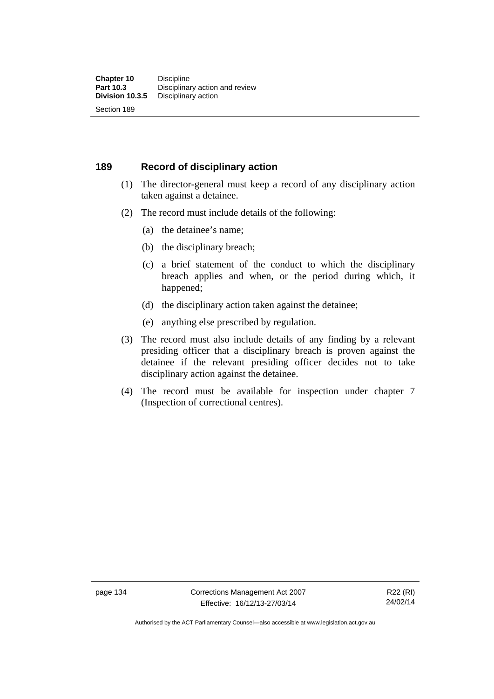# **189 Record of disciplinary action**

- (1) The director-general must keep a record of any disciplinary action taken against a detainee.
- (2) The record must include details of the following:
	- (a) the detainee's name;
	- (b) the disciplinary breach;
	- (c) a brief statement of the conduct to which the disciplinary breach applies and when, or the period during which, it happened;
	- (d) the disciplinary action taken against the detainee;
	- (e) anything else prescribed by regulation.
- (3) The record must also include details of any finding by a relevant presiding officer that a disciplinary breach is proven against the detainee if the relevant presiding officer decides not to take disciplinary action against the detainee.
- (4) The record must be available for inspection under chapter 7 (Inspection of correctional centres).

page 134 Corrections Management Act 2007 Effective: 16/12/13-27/03/14

R22 (RI) 24/02/14

Authorised by the ACT Parliamentary Counsel—also accessible at www.legislation.act.gov.au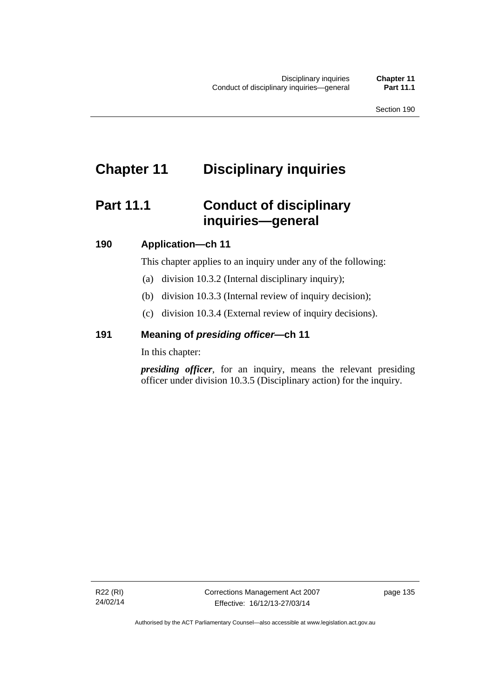# **Chapter 11 Disciplinary inquiries**

# **Part 11.1 Conduct of disciplinary inquiries—general**

# **190 Application—ch 11**

This chapter applies to an inquiry under any of the following:

- (a) division 10.3.2 (Internal disciplinary inquiry);
- (b) division 10.3.3 (Internal review of inquiry decision);
- (c) division 10.3.4 (External review of inquiry decisions).

# **191 Meaning of** *presiding officer—***ch 11**

In this chapter:

*presiding officer*, for an inquiry, means the relevant presiding officer under division 10.3.5 (Disciplinary action) for the inquiry.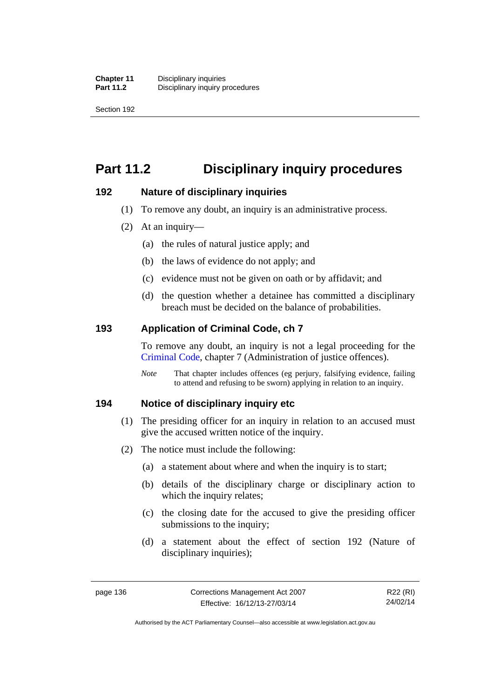Section 192

# **Part 11.2 Disciplinary inquiry procedures**

# **192 Nature of disciplinary inquiries**

- (1) To remove any doubt, an inquiry is an administrative process.
- (2) At an inquiry—
	- (a) the rules of natural justice apply; and
	- (b) the laws of evidence do not apply; and
	- (c) evidence must not be given on oath or by affidavit; and
	- (d) the question whether a detainee has committed a disciplinary breach must be decided on the balance of probabilities.

# **193 Application of Criminal Code, ch 7**

To remove any doubt, an inquiry is not a legal proceeding for the [Criminal Code](http://www.legislation.act.gov.au/a/2002-51), chapter 7 (Administration of justice offences).

*Note* That chapter includes offences (eg perjury, falsifying evidence, failing to attend and refusing to be sworn) applying in relation to an inquiry.

# **194 Notice of disciplinary inquiry etc**

- (1) The presiding officer for an inquiry in relation to an accused must give the accused written notice of the inquiry.
- (2) The notice must include the following:
	- (a) a statement about where and when the inquiry is to start;
	- (b) details of the disciplinary charge or disciplinary action to which the inquiry relates:
	- (c) the closing date for the accused to give the presiding officer submissions to the inquiry;
	- (d) a statement about the effect of section 192 (Nature of disciplinary inquiries);

R22 (RI) 24/02/14

Authorised by the ACT Parliamentary Counsel—also accessible at www.legislation.act.gov.au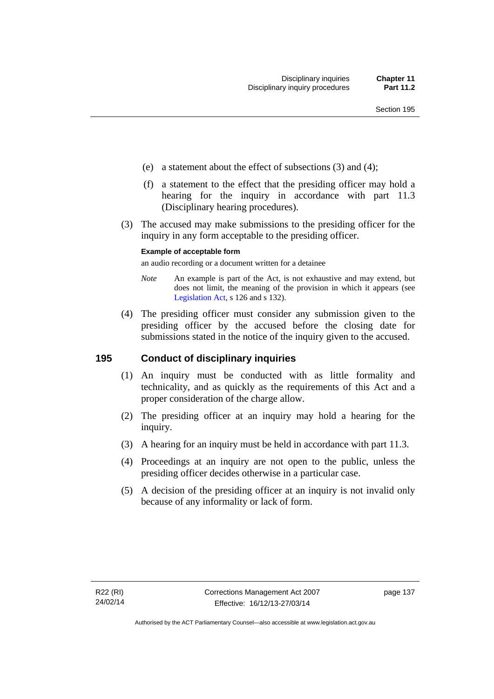- (e) a statement about the effect of subsections (3) and (4);
- (f) a statement to the effect that the presiding officer may hold a hearing for the inquiry in accordance with part 11.3 (Disciplinary hearing procedures).
- (3) The accused may make submissions to the presiding officer for the inquiry in any form acceptable to the presiding officer.

### **Example of acceptable form**

an audio recording or a document written for a detainee

- *Note* An example is part of the Act, is not exhaustive and may extend, but does not limit, the meaning of the provision in which it appears (see [Legislation Act,](http://www.legislation.act.gov.au/a/2001-14) s 126 and s 132).
- (4) The presiding officer must consider any submission given to the presiding officer by the accused before the closing date for submissions stated in the notice of the inquiry given to the accused.

# **195 Conduct of disciplinary inquiries**

- (1) An inquiry must be conducted with as little formality and technicality, and as quickly as the requirements of this Act and a proper consideration of the charge allow.
- (2) The presiding officer at an inquiry may hold a hearing for the inquiry.
- (3) A hearing for an inquiry must be held in accordance with part 11.3.
- (4) Proceedings at an inquiry are not open to the public, unless the presiding officer decides otherwise in a particular case.
- (5) A decision of the presiding officer at an inquiry is not invalid only because of any informality or lack of form.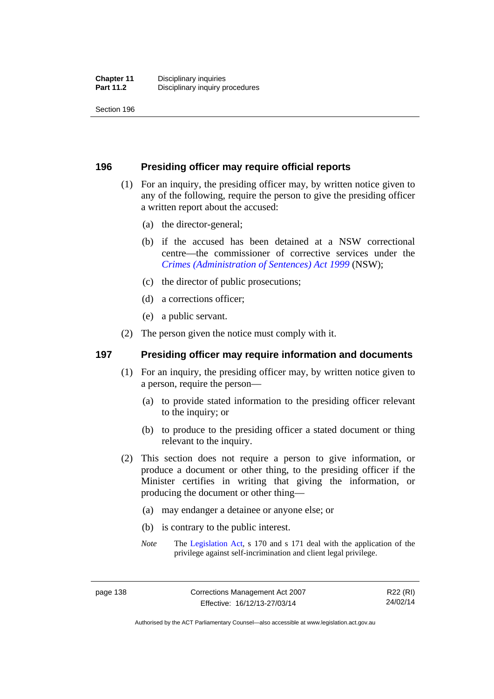Section 196

# **196 Presiding officer may require official reports**

- (1) For an inquiry, the presiding officer may, by written notice given to any of the following, require the person to give the presiding officer a written report about the accused:
	- (a) the director-general;
	- (b) if the accused has been detained at a NSW correctional centre—the commissioner of corrective services under the *[Crimes \(Administration of Sentences\) Act 1999](http://www.legislation.nsw.gov.au/maintop/view/inforce/act+93+1999+cd+0+N)* (NSW);
	- (c) the director of public prosecutions;
	- (d) a corrections officer;
	- (e) a public servant.
- (2) The person given the notice must comply with it.

# **197 Presiding officer may require information and documents**

- (1) For an inquiry, the presiding officer may, by written notice given to a person, require the person—
	- (a) to provide stated information to the presiding officer relevant to the inquiry; or
	- (b) to produce to the presiding officer a stated document or thing relevant to the inquiry.
- (2) This section does not require a person to give information, or produce a document or other thing, to the presiding officer if the Minister certifies in writing that giving the information, or producing the document or other thing—
	- (a) may endanger a detainee or anyone else; or
	- (b) is contrary to the public interest.
	- *Note* The [Legislation Act,](http://www.legislation.act.gov.au/a/2001-14) s 170 and s 171 deal with the application of the privilege against self-incrimination and client legal privilege.

Authorised by the ACT Parliamentary Counsel—also accessible at www.legislation.act.gov.au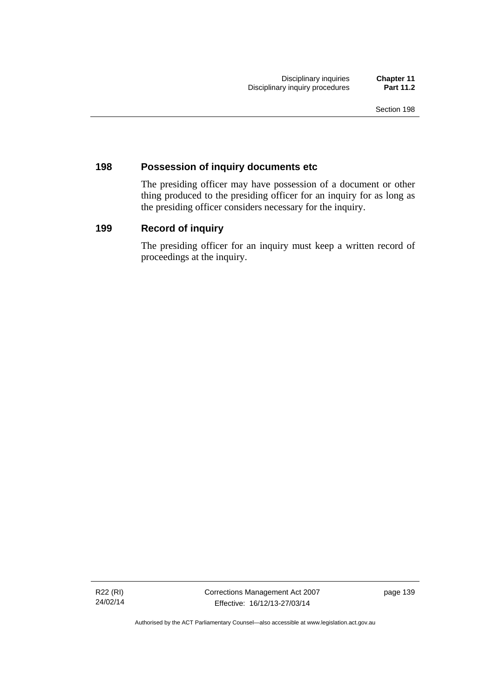# **198 Possession of inquiry documents etc**

The presiding officer may have possession of a document or other thing produced to the presiding officer for an inquiry for as long as the presiding officer considers necessary for the inquiry.

# **199 Record of inquiry**

The presiding officer for an inquiry must keep a written record of proceedings at the inquiry.

R22 (RI) 24/02/14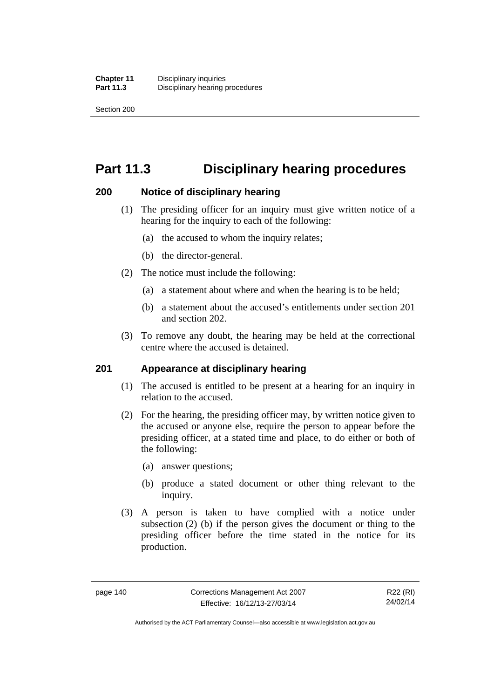Section 200

# **Part 11.3 Disciplinary hearing procedures**

# **200 Notice of disciplinary hearing**

- (1) The presiding officer for an inquiry must give written notice of a hearing for the inquiry to each of the following:
	- (a) the accused to whom the inquiry relates;
	- (b) the director-general.
- (2) The notice must include the following:
	- (a) a statement about where and when the hearing is to be held;
	- (b) a statement about the accused's entitlements under section 201 and section 202.
- (3) To remove any doubt, the hearing may be held at the correctional centre where the accused is detained.

# **201 Appearance at disciplinary hearing**

- (1) The accused is entitled to be present at a hearing for an inquiry in relation to the accused.
- (2) For the hearing, the presiding officer may, by written notice given to the accused or anyone else, require the person to appear before the presiding officer, at a stated time and place, to do either or both of the following:
	- (a) answer questions;
	- (b) produce a stated document or other thing relevant to the inquiry.
- (3) A person is taken to have complied with a notice under subsection (2) (b) if the person gives the document or thing to the presiding officer before the time stated in the notice for its production.

R22 (RI) 24/02/14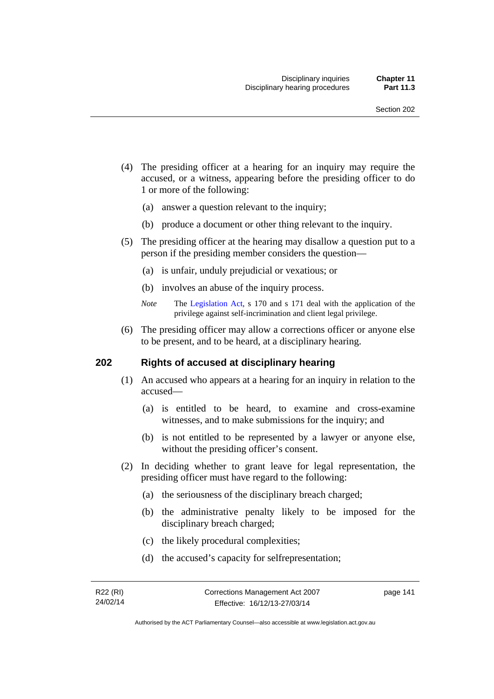- (4) The presiding officer at a hearing for an inquiry may require the accused, or a witness, appearing before the presiding officer to do 1 or more of the following:
	- (a) answer a question relevant to the inquiry;
	- (b) produce a document or other thing relevant to the inquiry.
- (5) The presiding officer at the hearing may disallow a question put to a person if the presiding member considers the question—
	- (a) is unfair, unduly prejudicial or vexatious; or
	- (b) involves an abuse of the inquiry process.
	- *Note* The [Legislation Act,](http://www.legislation.act.gov.au/a/2001-14) s 170 and s 171 deal with the application of the privilege against self-incrimination and client legal privilege.
- (6) The presiding officer may allow a corrections officer or anyone else to be present, and to be heard, at a disciplinary hearing.

## **202 Rights of accused at disciplinary hearing**

- (1) An accused who appears at a hearing for an inquiry in relation to the accused—
	- (a) is entitled to be heard, to examine and cross-examine witnesses, and to make submissions for the inquiry; and
	- (b) is not entitled to be represented by a lawyer or anyone else, without the presiding officer's consent.
- (2) In deciding whether to grant leave for legal representation, the presiding officer must have regard to the following:
	- (a) the seriousness of the disciplinary breach charged;
	- (b) the administrative penalty likely to be imposed for the disciplinary breach charged;
	- (c) the likely procedural complexities;
	- (d) the accused's capacity for selfrepresentation;

page 141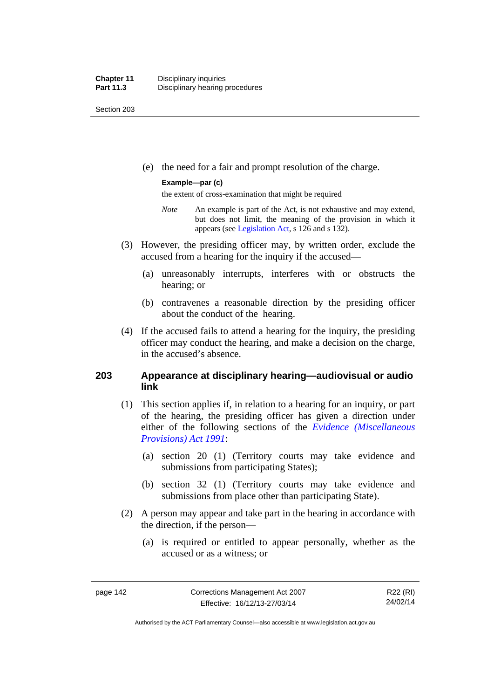Section 203

(e) the need for a fair and prompt resolution of the charge.

### **Example—par (c)**

the extent of cross-examination that might be required

- *Note* An example is part of the Act, is not exhaustive and may extend, but does not limit, the meaning of the provision in which it appears (see [Legislation Act,](http://www.legislation.act.gov.au/a/2001-14) s 126 and s 132).
- (3) However, the presiding officer may, by written order, exclude the accused from a hearing for the inquiry if the accused—
	- (a) unreasonably interrupts, interferes with or obstructs the hearing; or
	- (b) contravenes a reasonable direction by the presiding officer about the conduct of the hearing.
- (4) If the accused fails to attend a hearing for the inquiry, the presiding officer may conduct the hearing, and make a decision on the charge, in the accused's absence.

# **203 Appearance at disciplinary hearing—audiovisual or audio link**

- (1) This section applies if, in relation to a hearing for an inquiry, or part of the hearing, the presiding officer has given a direction under either of the following sections of the *[Evidence \(Miscellaneous](http://www.legislation.act.gov.au/a/1991-34)  [Provisions\) Act 1991](http://www.legislation.act.gov.au/a/1991-34)*:
	- (a) section 20 (1) (Territory courts may take evidence and submissions from participating States);
	- (b) section 32 (1) (Territory courts may take evidence and submissions from place other than participating State).
- (2) A person may appear and take part in the hearing in accordance with the direction, if the person—
	- (a) is required or entitled to appear personally, whether as the accused or as a witness; or

Authorised by the ACT Parliamentary Counsel—also accessible at www.legislation.act.gov.au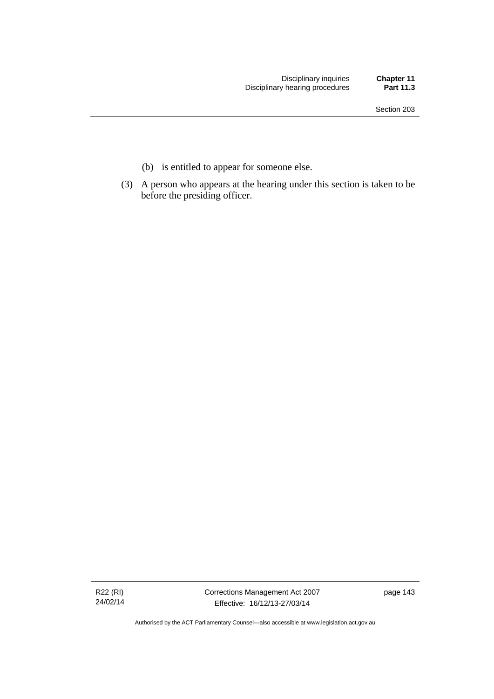- (b) is entitled to appear for someone else.
- (3) A person who appears at the hearing under this section is taken to be before the presiding officer.

R22 (RI) 24/02/14 Corrections Management Act 2007 Effective: 16/12/13-27/03/14

page 143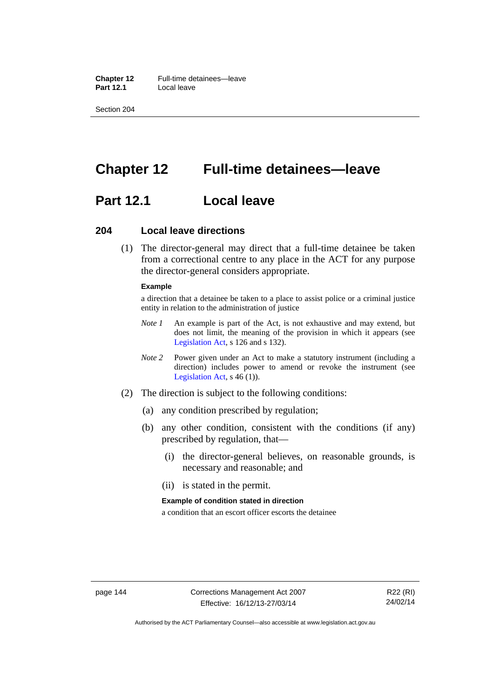**Chapter 12** Full-time detainees—leave<br>**Part 12.1** Local leave **Part 12.1** 

Section 204

# **Chapter 12 Full-time detainees—leave**

# **Part 12.1 Local leave**

### **204 Local leave directions**

 (1) The director-general may direct that a full-time detainee be taken from a correctional centre to any place in the ACT for any purpose the director-general considers appropriate.

### **Example**

a direction that a detainee be taken to a place to assist police or a criminal justice entity in relation to the administration of justice

- *Note 1* An example is part of the Act, is not exhaustive and may extend, but does not limit, the meaning of the provision in which it appears (see [Legislation Act,](http://www.legislation.act.gov.au/a/2001-14) s 126 and s 132).
- *Note 2* Power given under an Act to make a statutory instrument (including a direction) includes power to amend or revoke the instrument (see [Legislation Act,](http://www.legislation.act.gov.au/a/2001-14) s 46 (1)).
- (2) The direction is subject to the following conditions:
	- (a) any condition prescribed by regulation;
	- (b) any other condition, consistent with the conditions (if any) prescribed by regulation, that—
		- (i) the director-general believes, on reasonable grounds, is necessary and reasonable; and
		- (ii) is stated in the permit.

#### **Example of condition stated in direction**

a condition that an escort officer escorts the detainee

Authorised by the ACT Parliamentary Counsel—also accessible at www.legislation.act.gov.au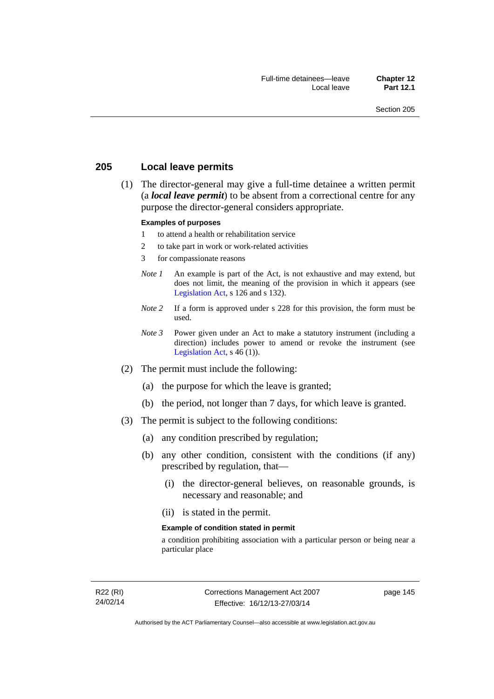# **205 Local leave permits**

 (1) The director-general may give a full-time detainee a written permit (a *local leave permit*) to be absent from a correctional centre for any purpose the director-general considers appropriate.

### **Examples of purposes**

- 1 to attend a health or rehabilitation service
- 2 to take part in work or work-related activities
- 3 for compassionate reasons
- *Note 1* An example is part of the Act, is not exhaustive and may extend, but does not limit, the meaning of the provision in which it appears (see [Legislation Act,](http://www.legislation.act.gov.au/a/2001-14) s 126 and s 132).
- *Note* 2 If a form is approved under s 228 for this provision, the form must be used.
- *Note 3* Power given under an Act to make a statutory instrument (including a direction) includes power to amend or revoke the instrument (see [Legislation Act,](http://www.legislation.act.gov.au/a/2001-14)  $s$  46 (1)).
- (2) The permit must include the following:
	- (a) the purpose for which the leave is granted;
	- (b) the period, not longer than 7 days, for which leave is granted.
- (3) The permit is subject to the following conditions:
	- (a) any condition prescribed by regulation;
	- (b) any other condition, consistent with the conditions (if any) prescribed by regulation, that—
		- (i) the director-general believes, on reasonable grounds, is necessary and reasonable; and
		- (ii) is stated in the permit.

#### **Example of condition stated in permit**

a condition prohibiting association with a particular person or being near a particular place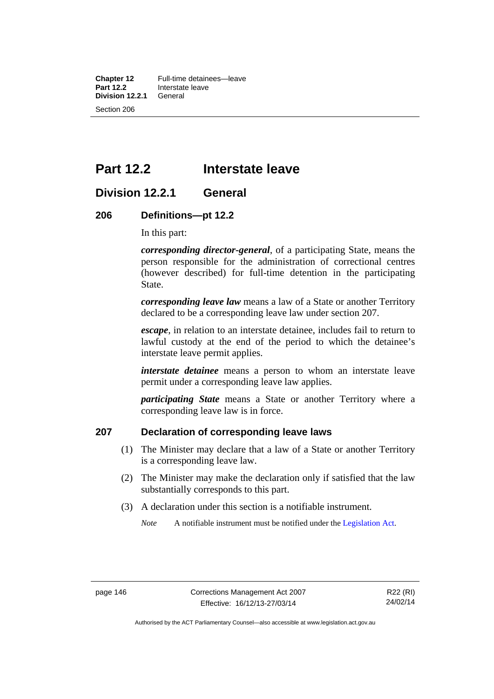**Chapter 12** Full-time detainees—leave<br>**Part 12.2** Interstate leave **Interstate leave**<br>General **Division 12.2.1** Section 206

# **Part 12.2 Interstate leave**

# **Division 12.2.1 General**

### **206 Definitions—pt 12.2**

In this part:

*corresponding director-general*, of a participating State, means the person responsible for the administration of correctional centres (however described) for full-time detention in the participating State.

*corresponding leave law* means a law of a State or another Territory declared to be a corresponding leave law under section 207.

*escape*, in relation to an interstate detainee, includes fail to return to lawful custody at the end of the period to which the detainee's interstate leave permit applies.

*interstate detainee* means a person to whom an interstate leave permit under a corresponding leave law applies.

*participating State* means a State or another Territory where a corresponding leave law is in force.

# **207 Declaration of corresponding leave laws**

- (1) The Minister may declare that a law of a State or another Territory is a corresponding leave law.
- (2) The Minister may make the declaration only if satisfied that the law substantially corresponds to this part.
- (3) A declaration under this section is a notifiable instrument.

*Note* A notifiable instrument must be notified under the [Legislation Act](http://www.legislation.act.gov.au/a/2001-14).

Authorised by the ACT Parliamentary Counsel—also accessible at www.legislation.act.gov.au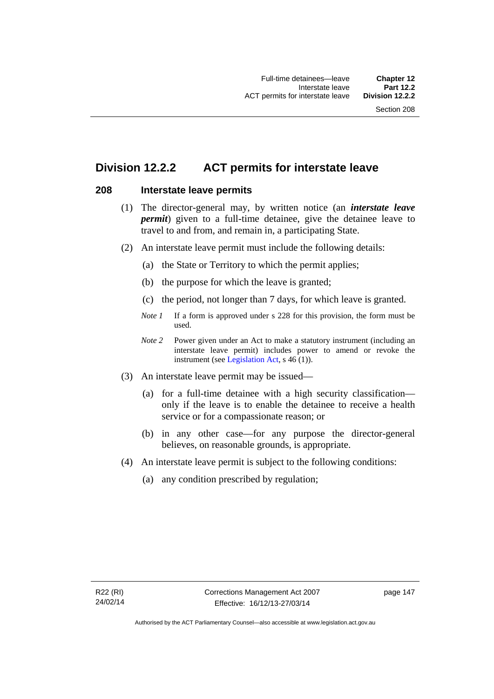# **Division 12.2.2 ACT permits for interstate leave**

# **208 Interstate leave permits**

- (1) The director-general may, by written notice (an *interstate leave permit*) given to a full-time detainee, give the detainee leave to travel to and from, and remain in, a participating State.
- (2) An interstate leave permit must include the following details:
	- (a) the State or Territory to which the permit applies;
	- (b) the purpose for which the leave is granted;
	- (c) the period, not longer than 7 days, for which leave is granted.
	- *Note 1* If a form is approved under s 228 for this provision, the form must be used.
	- *Note 2* Power given under an Act to make a statutory instrument (including an interstate leave permit) includes power to amend or revoke the instrument (see [Legislation Act,](http://www.legislation.act.gov.au/a/2001-14) s 46 (1)).
- (3) An interstate leave permit may be issued—
	- (a) for a full-time detainee with a high security classification only if the leave is to enable the detainee to receive a health service or for a compassionate reason; or
	- (b) in any other case—for any purpose the director-general believes, on reasonable grounds, is appropriate.
- (4) An interstate leave permit is subject to the following conditions:
	- (a) any condition prescribed by regulation;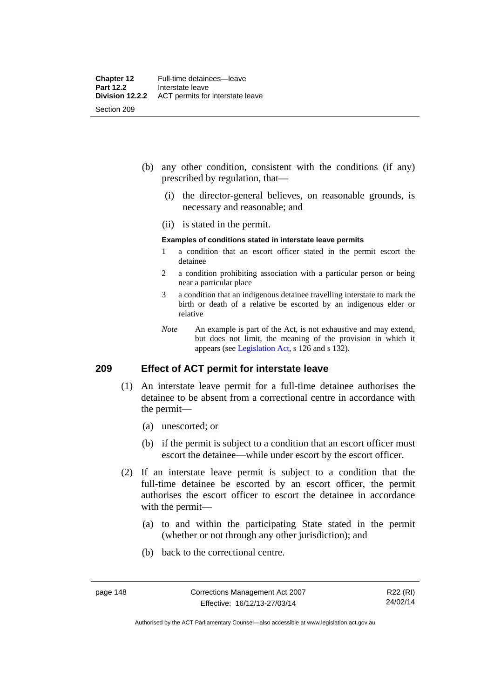- (b) any other condition, consistent with the conditions (if any) prescribed by regulation, that—
	- (i) the director-general believes, on reasonable grounds, is necessary and reasonable; and
	- (ii) is stated in the permit.

### **Examples of conditions stated in interstate leave permits**

- 1 a condition that an escort officer stated in the permit escort the detainee
- 2 a condition prohibiting association with a particular person or being near a particular place
- 3 a condition that an indigenous detainee travelling interstate to mark the birth or death of a relative be escorted by an indigenous elder or relative
- *Note* An example is part of the Act, is not exhaustive and may extend, but does not limit, the meaning of the provision in which it appears (see [Legislation Act,](http://www.legislation.act.gov.au/a/2001-14) s 126 and s 132).

# **209 Effect of ACT permit for interstate leave**

- (1) An interstate leave permit for a full-time detainee authorises the detainee to be absent from a correctional centre in accordance with the permit—
	- (a) unescorted; or
	- (b) if the permit is subject to a condition that an escort officer must escort the detainee—while under escort by the escort officer.
- (2) If an interstate leave permit is subject to a condition that the full-time detainee be escorted by an escort officer, the permit authorises the escort officer to escort the detainee in accordance with the permit—
	- (a) to and within the participating State stated in the permit (whether or not through any other jurisdiction); and
	- (b) back to the correctional centre.

Authorised by the ACT Parliamentary Counsel—also accessible at www.legislation.act.gov.au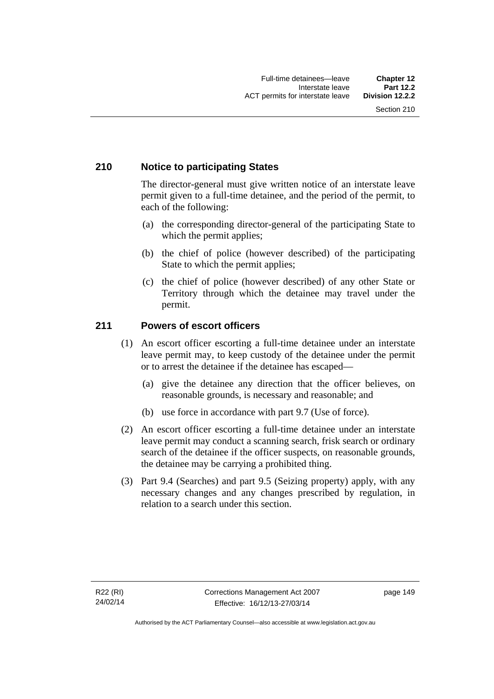# **210 Notice to participating States**

The director-general must give written notice of an interstate leave permit given to a full-time detainee, and the period of the permit, to each of the following:

- (a) the corresponding director-general of the participating State to which the permit applies;
- (b) the chief of police (however described) of the participating State to which the permit applies;
- (c) the chief of police (however described) of any other State or Territory through which the detainee may travel under the permit.

# **211 Powers of escort officers**

- (1) An escort officer escorting a full-time detainee under an interstate leave permit may, to keep custody of the detainee under the permit or to arrest the detainee if the detainee has escaped—
	- (a) give the detainee any direction that the officer believes, on reasonable grounds, is necessary and reasonable; and
	- (b) use force in accordance with part 9.7 (Use of force).
- (2) An escort officer escorting a full-time detainee under an interstate leave permit may conduct a scanning search, frisk search or ordinary search of the detainee if the officer suspects, on reasonable grounds, the detainee may be carrying a prohibited thing.
- (3) Part 9.4 (Searches) and part 9.5 (Seizing property) apply, with any necessary changes and any changes prescribed by regulation, in relation to a search under this section.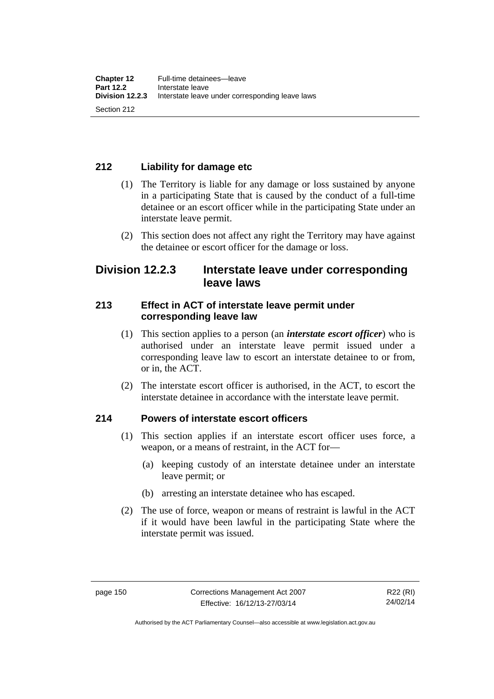# **212 Liability for damage etc**

- (1) The Territory is liable for any damage or loss sustained by anyone in a participating State that is caused by the conduct of a full-time detainee or an escort officer while in the participating State under an interstate leave permit.
- (2) This section does not affect any right the Territory may have against the detainee or escort officer for the damage or loss.

# **Division 12.2.3 Interstate leave under corresponding leave laws**

# **213 Effect in ACT of interstate leave permit under corresponding leave law**

- (1) This section applies to a person (an *interstate escort officer*) who is authorised under an interstate leave permit issued under a corresponding leave law to escort an interstate detainee to or from, or in, the ACT.
- (2) The interstate escort officer is authorised, in the ACT, to escort the interstate detainee in accordance with the interstate leave permit.

# **214 Powers of interstate escort officers**

- (1) This section applies if an interstate escort officer uses force, a weapon, or a means of restraint, in the ACT for—
	- (a) keeping custody of an interstate detainee under an interstate leave permit; or
	- (b) arresting an interstate detainee who has escaped.
- (2) The use of force, weapon or means of restraint is lawful in the ACT if it would have been lawful in the participating State where the interstate permit was issued.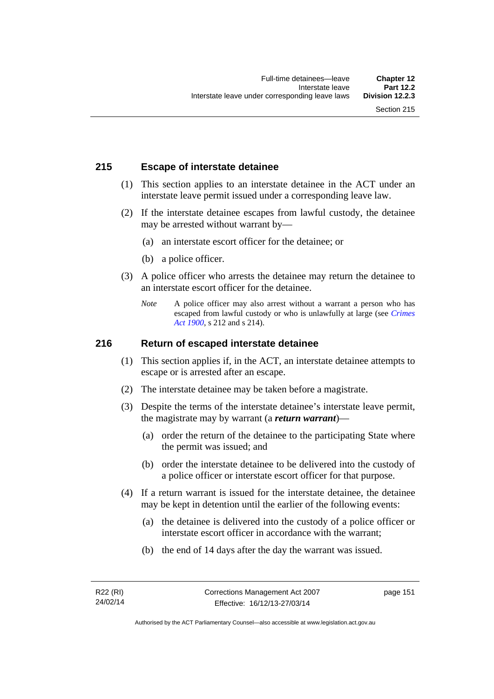# **215 Escape of interstate detainee**

- (1) This section applies to an interstate detainee in the ACT under an interstate leave permit issued under a corresponding leave law.
- (2) If the interstate detainee escapes from lawful custody, the detainee may be arrested without warrant by—
	- (a) an interstate escort officer for the detainee; or
	- (b) a police officer.
- (3) A police officer who arrests the detainee may return the detainee to an interstate escort officer for the detainee.
	- *Note* A police officer may also arrest without a warrant a person who has escaped from lawful custody or who is unlawfully at large (see *[Crimes](http://www.legislation.act.gov.au/a/1900-40)  [Act 1900](http://www.legislation.act.gov.au/a/1900-40)*, s 212 and s 214).

## **216 Return of escaped interstate detainee**

- (1) This section applies if, in the ACT, an interstate detainee attempts to escape or is arrested after an escape.
- (2) The interstate detainee may be taken before a magistrate.
- (3) Despite the terms of the interstate detainee's interstate leave permit, the magistrate may by warrant (a *return warrant*)—
	- (a) order the return of the detainee to the participating State where the permit was issued; and
	- (b) order the interstate detainee to be delivered into the custody of a police officer or interstate escort officer for that purpose.
- (4) If a return warrant is issued for the interstate detainee, the detainee may be kept in detention until the earlier of the following events:
	- (a) the detainee is delivered into the custody of a police officer or interstate escort officer in accordance with the warrant;
	- (b) the end of 14 days after the day the warrant was issued.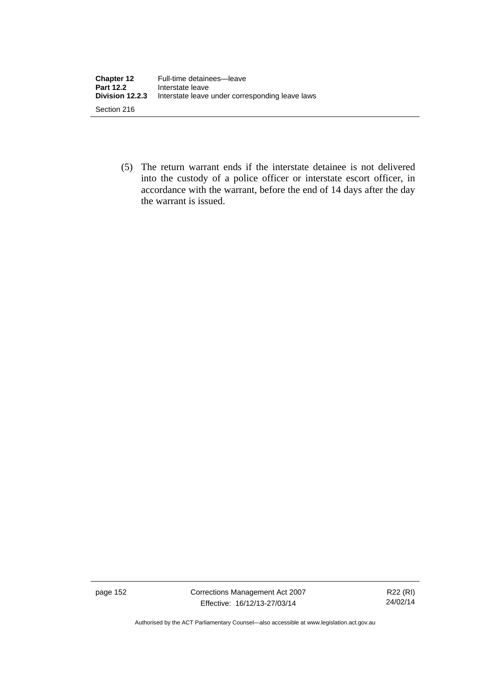| <b>Chapter 12</b><br><b>Part 12.2</b> | Full-time detainees-leave<br>Interstate leave   |
|---------------------------------------|-------------------------------------------------|
| Division 12.2.3                       | Interstate leave under corresponding leave laws |
| Section 216                           |                                                 |

 (5) The return warrant ends if the interstate detainee is not delivered into the custody of a police officer or interstate escort officer, in accordance with the warrant, before the end of 14 days after the day the warrant is issued.

page 152 Corrections Management Act 2007 Effective: 16/12/13-27/03/14

R22 (RI) 24/02/14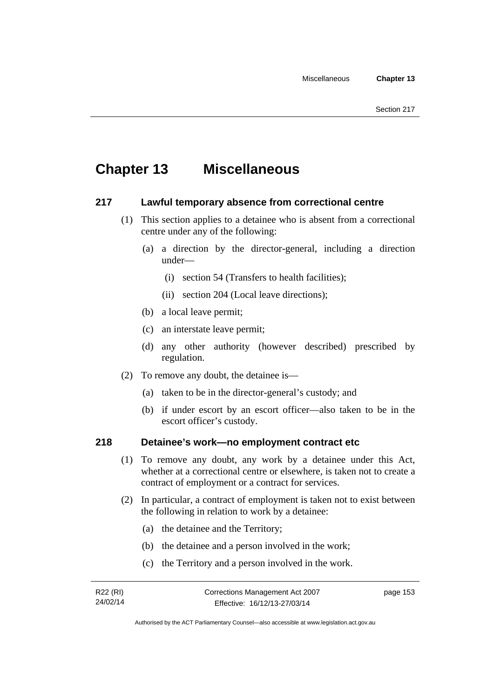# **Chapter 13 Miscellaneous**

# **217 Lawful temporary absence from correctional centre**

- (1) This section applies to a detainee who is absent from a correctional centre under any of the following:
	- (a) a direction by the director-general, including a direction under—
		- (i) section 54 (Transfers to health facilities);
		- (ii) section 204 (Local leave directions);
	- (b) a local leave permit;
	- (c) an interstate leave permit;
	- (d) any other authority (however described) prescribed by regulation.
- (2) To remove any doubt, the detainee is—
	- (a) taken to be in the director-general's custody; and
	- (b) if under escort by an escort officer—also taken to be in the escort officer's custody.

# **218 Detainee's work—no employment contract etc**

- (1) To remove any doubt, any work by a detainee under this Act, whether at a correctional centre or elsewhere, is taken not to create a contract of employment or a contract for services.
- (2) In particular, a contract of employment is taken not to exist between the following in relation to work by a detainee:
	- (a) the detainee and the Territory;
	- (b) the detainee and a person involved in the work;
	- (c) the Territory and a person involved in the work.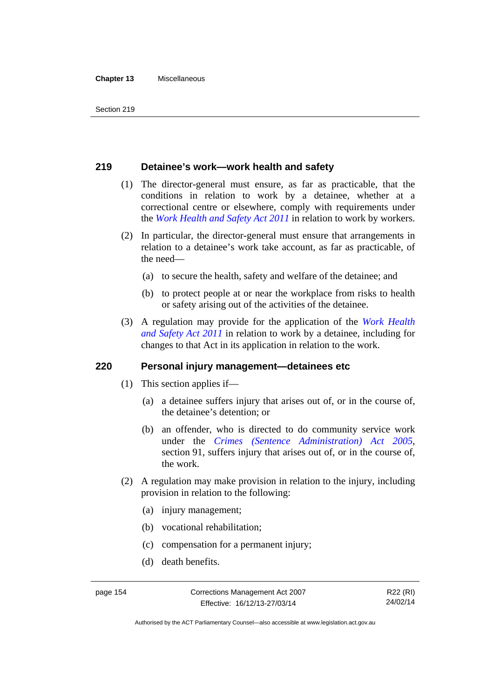#### **Chapter 13** Miscellaneous

## **219 Detainee's work—work health and safety**

- (1) The director-general must ensure, as far as practicable, that the conditions in relation to work by a detainee, whether at a correctional centre or elsewhere, comply with requirements under the *[Work Health and Safety Act 2011](http://www.legislation.act.gov.au/a/2011-35)* in relation to work by workers.
- (2) In particular, the director-general must ensure that arrangements in relation to a detainee's work take account, as far as practicable, of the need—
	- (a) to secure the health, safety and welfare of the detainee; and
	- (b) to protect people at or near the workplace from risks to health or safety arising out of the activities of the detainee.
- (3) A regulation may provide for the application of the *[Work Health](http://www.legislation.act.gov.au/a/2011-35)  [and Safety Act 2011](http://www.legislation.act.gov.au/a/2011-35)* in relation to work by a detainee, including for changes to that Act in its application in relation to the work.

### **220 Personal injury management—detainees etc**

- (1) This section applies if—
	- (a) a detainee suffers injury that arises out of, or in the course of, the detainee's detention; or
	- (b) an offender, who is directed to do community service work under the *[Crimes \(Sentence Administration\) Act 2005](http://www.legislation.act.gov.au/a/2005-59)*, section 91, suffers injury that arises out of, or in the course of, the work.
- (2) A regulation may make provision in relation to the injury, including provision in relation to the following:
	- (a) injury management;
	- (b) vocational rehabilitation;
	- (c) compensation for a permanent injury;
	- (d) death benefits.

Authorised by the ACT Parliamentary Counsel—also accessible at www.legislation.act.gov.au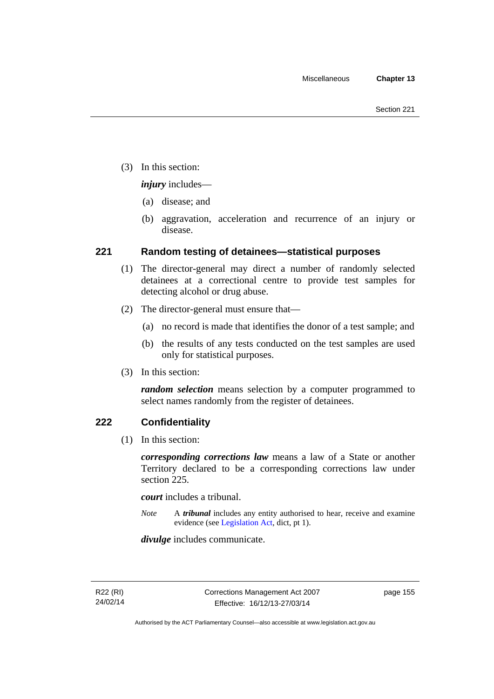(3) In this section:

*injury* includes—

- (a) disease; and
- (b) aggravation, acceleration and recurrence of an injury or disease.

# **221 Random testing of detainees—statistical purposes**

- (1) The director-general may direct a number of randomly selected detainees at a correctional centre to provide test samples for detecting alcohol or drug abuse.
- (2) The director-general must ensure that—
	- (a) no record is made that identifies the donor of a test sample; and
	- (b) the results of any tests conducted on the test samples are used only for statistical purposes.
- (3) In this section:

*random selection* means selection by a computer programmed to select names randomly from the register of detainees.

# **222 Confidentiality**

(1) In this section:

*corresponding corrections law* means a law of a State or another Territory declared to be a corresponding corrections law under section 225.

*court* includes a tribunal.

*Note* A *tribunal* includes any entity authorised to hear, receive and examine evidence (see [Legislation Act,](http://www.legislation.act.gov.au/a/2001-14) dict, pt 1).

*divulge* includes communicate.

page 155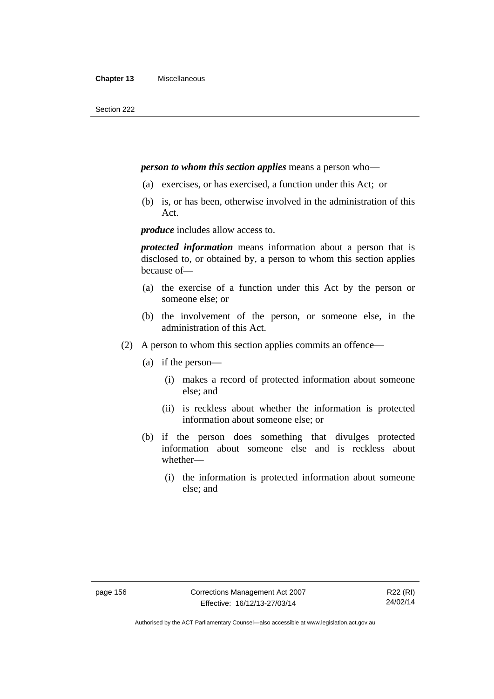### *person to whom this section applies* means a person who—

- (a) exercises, or has exercised, a function under this Act; or
- (b) is, or has been, otherwise involved in the administration of this Act.

*produce* includes allow access to.

*protected information* means information about a person that is disclosed to, or obtained by, a person to whom this section applies because of—

- (a) the exercise of a function under this Act by the person or someone else; or
- (b) the involvement of the person, or someone else, in the administration of this Act.
- (2) A person to whom this section applies commits an offence—
	- (a) if the person—
		- (i) makes a record of protected information about someone else; and
		- (ii) is reckless about whether the information is protected information about someone else; or
	- (b) if the person does something that divulges protected information about someone else and is reckless about whether—
		- (i) the information is protected information about someone else; and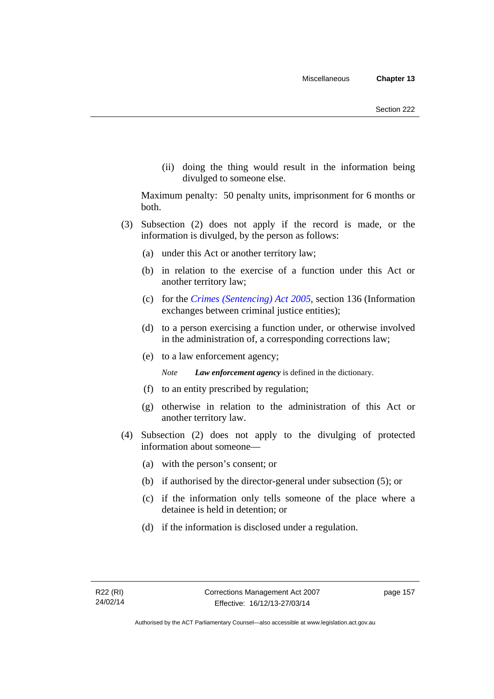(ii) doing the thing would result in the information being divulged to someone else.

Maximum penalty: 50 penalty units, imprisonment for 6 months or both.

- (3) Subsection (2) does not apply if the record is made, or the information is divulged, by the person as follows:
	- (a) under this Act or another territory law;
	- (b) in relation to the exercise of a function under this Act or another territory law;
	- (c) for the *[Crimes \(Sentencing\) Act 2005](http://www.legislation.act.gov.au/a/2005-58)*, section 136 (Information exchanges between criminal justice entities);
	- (d) to a person exercising a function under, or otherwise involved in the administration of, a corresponding corrections law;
	- (e) to a law enforcement agency;

*Note Law enforcement agency* is defined in the dictionary.

- (f) to an entity prescribed by regulation;
- (g) otherwise in relation to the administration of this Act or another territory law.
- (4) Subsection (2) does not apply to the divulging of protected information about someone—
	- (a) with the person's consent; or
	- (b) if authorised by the director-general under subsection (5); or
	- (c) if the information only tells someone of the place where a detainee is held in detention; or
	- (d) if the information is disclosed under a regulation.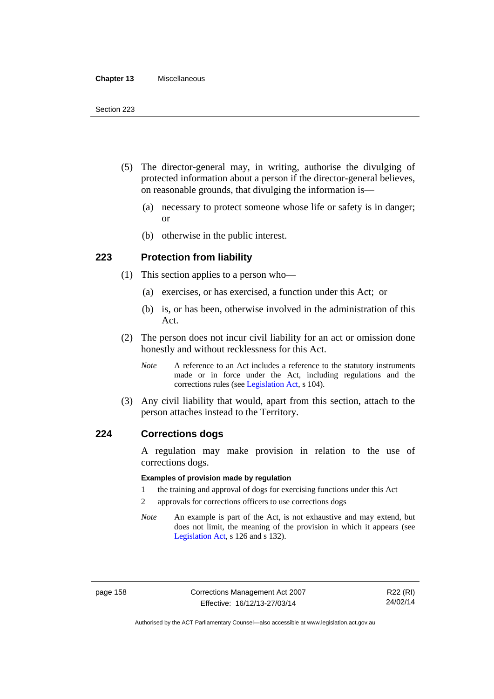#### **Chapter 13** Miscellaneous

- (5) The director-general may, in writing, authorise the divulging of protected information about a person if the director-general believes, on reasonable grounds, that divulging the information is—
	- (a) necessary to protect someone whose life or safety is in danger; or
	- (b) otherwise in the public interest.

## **223 Protection from liability**

- (1) This section applies to a person who—
	- (a) exercises, or has exercised, a function under this Act; or
	- (b) is, or has been, otherwise involved in the administration of this Act.
- (2) The person does not incur civil liability for an act or omission done honestly and without recklessness for this Act.
	- *Note* A reference to an Act includes a reference to the statutory instruments made or in force under the Act, including regulations and the corrections rules (see [Legislation Act,](http://www.legislation.act.gov.au/a/2001-14) s 104).
- (3) Any civil liability that would, apart from this section, attach to the person attaches instead to the Territory.

### **224 Corrections dogs**

A regulation may make provision in relation to the use of corrections dogs.

### **Examples of provision made by regulation**

- 1 the training and approval of dogs for exercising functions under this Act
- 2 approvals for corrections officers to use corrections dogs
- *Note* An example is part of the Act, is not exhaustive and may extend, but does not limit, the meaning of the provision in which it appears (see [Legislation Act,](http://www.legislation.act.gov.au/a/2001-14) s 126 and s 132).

Authorised by the ACT Parliamentary Counsel—also accessible at www.legislation.act.gov.au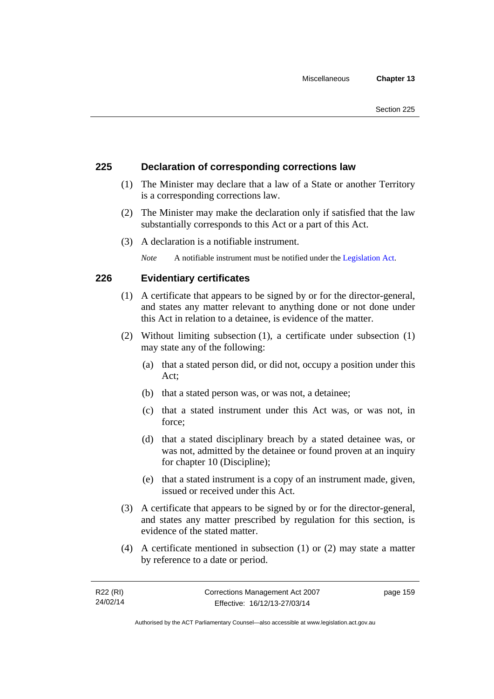# **225 Declaration of corresponding corrections law**

- (1) The Minister may declare that a law of a State or another Territory is a corresponding corrections law.
- (2) The Minister may make the declaration only if satisfied that the law substantially corresponds to this Act or a part of this Act.
- (3) A declaration is a notifiable instrument.

*Note* A notifiable instrument must be notified under the [Legislation Act](http://www.legislation.act.gov.au/a/2001-14).

# **226 Evidentiary certificates**

- (1) A certificate that appears to be signed by or for the director-general, and states any matter relevant to anything done or not done under this Act in relation to a detainee, is evidence of the matter.
- (2) Without limiting subsection (1), a certificate under subsection (1) may state any of the following:
	- (a) that a stated person did, or did not, occupy a position under this Act;
	- (b) that a stated person was, or was not, a detainee;
	- (c) that a stated instrument under this Act was, or was not, in force;
	- (d) that a stated disciplinary breach by a stated detainee was, or was not, admitted by the detainee or found proven at an inquiry for chapter 10 (Discipline);
	- (e) that a stated instrument is a copy of an instrument made, given, issued or received under this Act.
- (3) A certificate that appears to be signed by or for the director-general, and states any matter prescribed by regulation for this section, is evidence of the stated matter.
- (4) A certificate mentioned in subsection (1) or (2) may state a matter by reference to a date or period.

page 159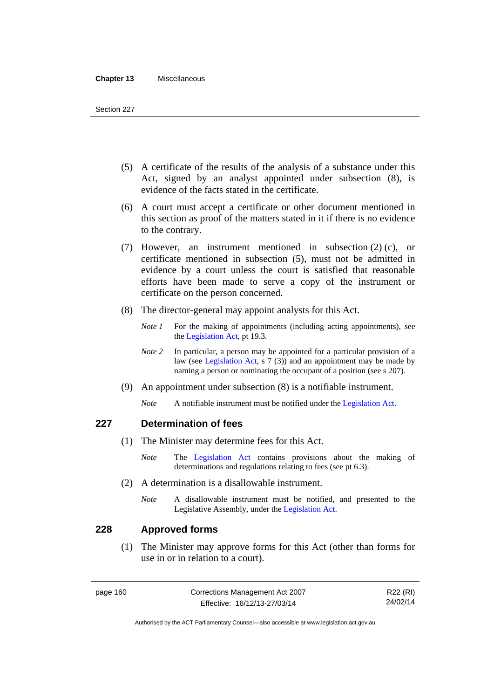#### **Chapter 13** Miscellaneous

- (5) A certificate of the results of the analysis of a substance under this Act, signed by an analyst appointed under subsection (8), is evidence of the facts stated in the certificate.
- (6) A court must accept a certificate or other document mentioned in this section as proof of the matters stated in it if there is no evidence to the contrary.
- (7) However, an instrument mentioned in subsection (2) (c), or certificate mentioned in subsection (5), must not be admitted in evidence by a court unless the court is satisfied that reasonable efforts have been made to serve a copy of the instrument or certificate on the person concerned.
- (8) The director-general may appoint analysts for this Act.
	- *Note 1* For the making of appointments (including acting appointments), see the [Legislation Act,](http://www.legislation.act.gov.au/a/2001-14) pt 19.3.
	- *Note* 2 In particular, a person may be appointed for a particular provision of a law (see [Legislation Act,](http://www.legislation.act.gov.au/a/2001-14) s 7 (3)) and an appointment may be made by naming a person or nominating the occupant of a position (see s 207).
- (9) An appointment under subsection (8) is a notifiable instrument.
	- *Note* A notifiable instrument must be notified under the [Legislation Act](http://www.legislation.act.gov.au/a/2001-14).

## **227 Determination of fees**

- (1) The Minister may determine fees for this Act.
	- *Note* The [Legislation Act](http://www.legislation.act.gov.au/a/2001-14) contains provisions about the making of determinations and regulations relating to fees (see pt 6.3).
- (2) A determination is a disallowable instrument.
	- *Note* A disallowable instrument must be notified, and presented to the Legislative Assembly, under the [Legislation Act.](http://www.legislation.act.gov.au/a/2001-14)

### **228 Approved forms**

 (1) The Minister may approve forms for this Act (other than forms for use in or in relation to a court).

page 160 Corrections Management Act 2007 Effective: 16/12/13-27/03/14

R22 (RI) 24/02/14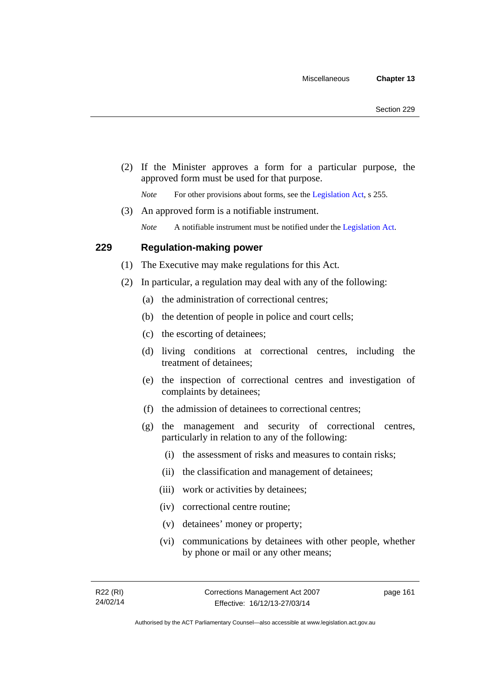(2) If the Minister approves a form for a particular purpose, the approved form must be used for that purpose.

*Note* For other provisions about forms, see the [Legislation Act,](http://www.legislation.act.gov.au/a/2001-14) s 255.

(3) An approved form is a notifiable instrument.

*Note* A notifiable instrument must be notified under the [Legislation Act](http://www.legislation.act.gov.au/a/2001-14).

## **229 Regulation-making power**

- (1) The Executive may make regulations for this Act.
- (2) In particular, a regulation may deal with any of the following:
	- (a) the administration of correctional centres;
	- (b) the detention of people in police and court cells;
	- (c) the escorting of detainees;
	- (d) living conditions at correctional centres, including the treatment of detainees;
	- (e) the inspection of correctional centres and investigation of complaints by detainees;
	- (f) the admission of detainees to correctional centres;
	- (g) the management and security of correctional centres, particularly in relation to any of the following:
		- (i) the assessment of risks and measures to contain risks;
		- (ii) the classification and management of detainees;
		- (iii) work or activities by detainees;
		- (iv) correctional centre routine;
		- (v) detainees' money or property;
		- (vi) communications by detainees with other people, whether by phone or mail or any other means;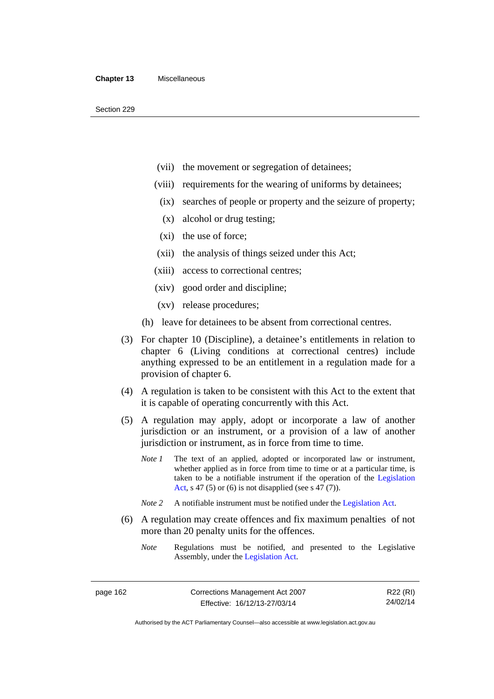- (vii) the movement or segregation of detainees;
- (viii) requirements for the wearing of uniforms by detainees;
	- (ix) searches of people or property and the seizure of property;
	- (x) alcohol or drug testing;
- (xi) the use of force;
- (xii) the analysis of things seized under this Act;
- (xiii) access to correctional centres;
- (xiv) good order and discipline;
- (xv) release procedures;
- (h) leave for detainees to be absent from correctional centres.
- (3) For chapter 10 (Discipline), a detainee's entitlements in relation to chapter 6 (Living conditions at correctional centres) include anything expressed to be an entitlement in a regulation made for a provision of chapter 6.
- (4) A regulation is taken to be consistent with this Act to the extent that it is capable of operating concurrently with this Act.
- (5) A regulation may apply, adopt or incorporate a law of another jurisdiction or an instrument, or a provision of a law of another jurisdiction or instrument, as in force from time to time.
	- *Note 1* The text of an applied, adopted or incorporated law or instrument, whether applied as in force from time to time or at a particular time, is taken to be a notifiable instrument if the operation of the [Legislation](http://www.legislation.act.gov.au/a/2001-14)  [Act,](http://www.legislation.act.gov.au/a/2001-14) s 47 (5) or (6) is not disapplied (see s 47 (7)).
	- *Note 2* A notifiable instrument must be notified under the [Legislation Act](http://www.legislation.act.gov.au/a/2001-14).
- (6) A regulation may create offences and fix maximum penalties of not more than 20 penalty units for the offences.
	- *Note* Regulations must be notified, and presented to the Legislative Assembly, under the [Legislation Act](http://www.legislation.act.gov.au/a/2001-14).

page 162 Corrections Management Act 2007 Effective: 16/12/13-27/03/14

R22 (RI) 24/02/14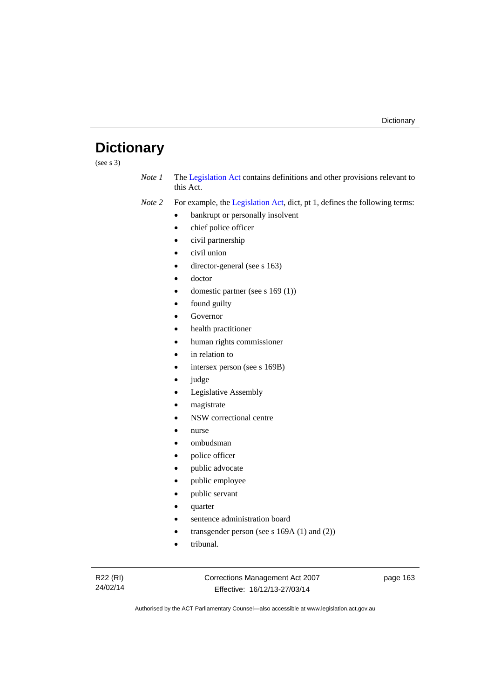# **Dictionary**

(see s 3)

*Note 1* The [Legislation Act](http://www.legislation.act.gov.au/a/2001-14) contains definitions and other provisions relevant to this Act.

*Note 2* For example, the [Legislation Act,](http://www.legislation.act.gov.au/a/2001-14) dict, pt 1, defines the following terms:

- bankrupt or personally insolvent
- chief police officer
- civil partnership
- civil union
- director-general (see s 163)
- doctor
- domestic partner (see s 169 (1))
- found guilty
- Governor
- health practitioner
- human rights commissioner
- in relation to
- intersex person (see s 169B)
- judge
- Legislative Assembly
- magistrate
- NSW correctional centre
- nurse
- ombudsman
- police officer
- public advocate
- public employee
- public servant
- quarter
- sentence administration board
- transgender person (see s 169A (1) and (2))
- tribunal.

Corrections Management Act 2007 Effective: 16/12/13-27/03/14

page 163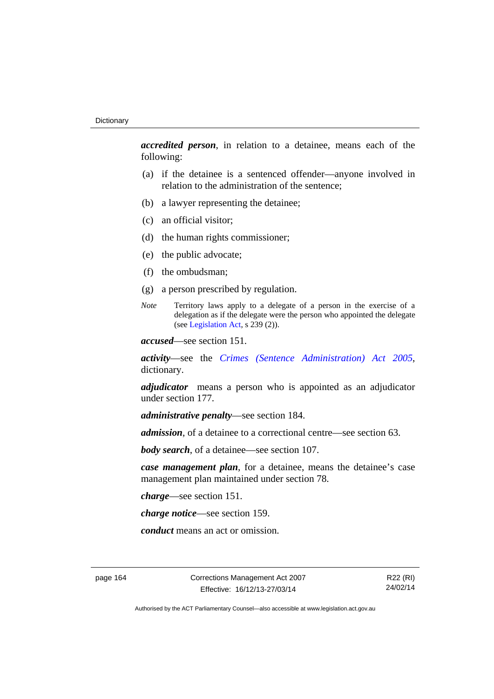*accredited person*, in relation to a detainee, means each of the following:

- (a) if the detainee is a sentenced offender—anyone involved in relation to the administration of the sentence;
- (b) a lawyer representing the detainee;
- (c) an official visitor;
- (d) the human rights commissioner;
- (e) the public advocate;
- (f) the ombudsman;
- (g) a person prescribed by regulation.
- *Note* Territory laws apply to a delegate of a person in the exercise of a delegation as if the delegate were the person who appointed the delegate (see [Legislation Act,](http://www.legislation.act.gov.au/a/2001-14) s 239 (2)).

*accused*—see section 151.

*activity*—see the *[Crimes \(Sentence Administration\) Act 2005](http://www.legislation.act.gov.au/a/2005-59)*, dictionary.

*adjudicator* means a person who is appointed as an adjudicator under section 177.

*administrative penalty*—see section 184.

*admission*, of a detainee to a correctional centre—see section 63.

*body search*, of a detainee—see section 107.

*case management plan*, for a detainee, means the detainee's case management plan maintained under section 78.

*charge*—see section 151.

*charge notice*—see section 159.

*conduct* means an act or omission.

page 164 Corrections Management Act 2007 Effective: 16/12/13-27/03/14

R22 (RI) 24/02/14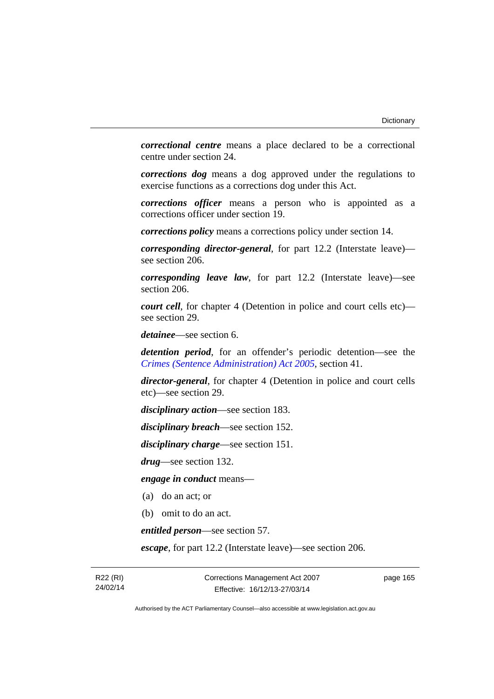*correctional centre* means a place declared to be a correctional centre under section 24.

*corrections dog* means a dog approved under the regulations to exercise functions as a corrections dog under this Act.

*corrections officer* means a person who is appointed as a corrections officer under section 19.

*corrections policy* means a corrections policy under section 14.

*corresponding director-general*, for part 12.2 (Interstate leave) see section 206.

*corresponding leave law*, for part 12.2 (Interstate leave)—see section 206.

*court cell*, for chapter 4 (Detention in police and court cells etc) see section 29.

*detainee*—see section 6.

*detention period*, for an offender's periodic detention—see the *[Crimes \(Sentence Administration\) Act 2005](http://www.legislation.act.gov.au/a/2005-59)*, section 41.

*director-general*, for chapter 4 (Detention in police and court cells etc)—see section 29.

*disciplinary action*—see section 183.

*disciplinary breach*—see section 152.

*disciplinary charge*—see section 151.

*drug*—see section 132.

*engage in conduct* means—

- (a) do an act; or
- (b) omit to do an act.

*entitled person*—see section 57.

*escape*, for part 12.2 (Interstate leave)—see section 206.

R22 (RI) 24/02/14 page 165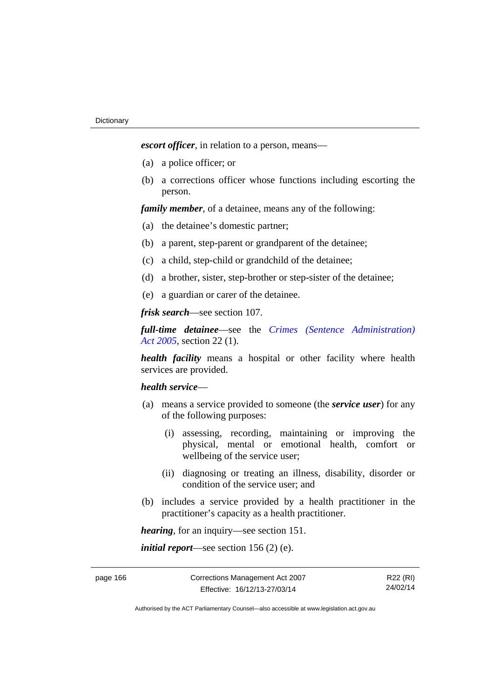*escort officer*, in relation to a person, means—

- (a) a police officer; or
- (b) a corrections officer whose functions including escorting the person.

*family member*, of a detainee, means any of the following:

- (a) the detainee's domestic partner;
- (b) a parent, step-parent or grandparent of the detainee;
- (c) a child, step-child or grandchild of the detainee;
- (d) a brother, sister, step-brother or step-sister of the detainee;
- (e) a guardian or carer of the detainee.

*frisk search*—see section 107.

*full-time detainee*—see the *[Crimes \(Sentence Administration\)](http://www.legislation.act.gov.au/a/2005-59)  [Act 2005](http://www.legislation.act.gov.au/a/2005-59)*, section 22 (1).

*health facility* means a hospital or other facility where health services are provided.

## *health service*—

- (a) means a service provided to someone (the *service user*) for any of the following purposes:
	- (i) assessing, recording, maintaining or improving the physical, mental or emotional health, comfort or wellbeing of the service user;
	- (ii) diagnosing or treating an illness, disability, disorder or condition of the service user; and
- (b) includes a service provided by a health practitioner in the practitioner's capacity as a health practitioner.

*hearing*, for an inquiry—see section 151.

*initial report*—see section 156 (2) (e).

R22 (RI) 24/02/14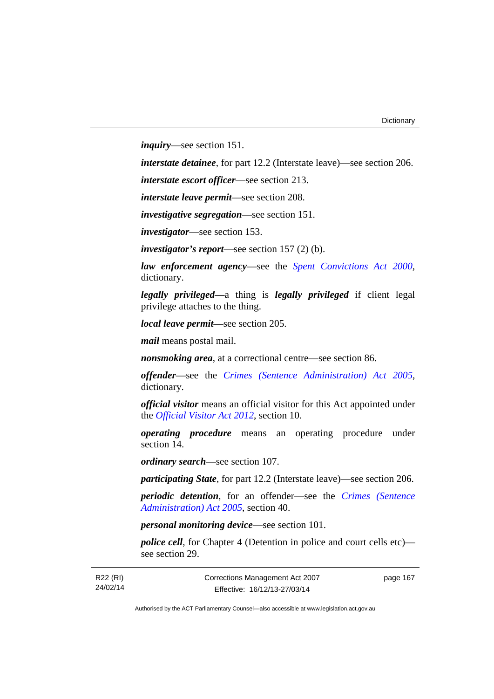*inquiry*—see section 151.

*interstate detainee*, for part 12.2 (Interstate leave)—see section 206.

*interstate escort officer*—see section 213.

*interstate leave permit*—see section 208.

*investigative segregation*—see section 151.

*investigator*—see section 153.

*investigator's report*—see section 157 (2) (b).

*law enforcement agency*—see the *[Spent Convictions Act 2000](http://www.legislation.act.gov.au/a/2000-48)*, dictionary.

*legally privileged—*a thing is *legally privileged* if client legal privilege attaches to the thing.

*local leave permit—*see section 205.

*mail* means postal mail.

*nonsmoking area*, at a correctional centre—see section 86.

*offender*—see the *[Crimes \(Sentence Administration\) Act 2005](http://www.legislation.act.gov.au/a/2005-59)*, dictionary.

*official visitor* means an official visitor for this Act appointed under the *[Official Visitor Act 2012](http://www.legislation.act.gov.au/a/2012-33)*, section 10.

*operating procedure* means an operating procedure under section 14.

*ordinary search*—see section 107.

*participating State*, for part 12.2 (Interstate leave)—see section 206.

*periodic detention*, for an offender—see the *[Crimes \(Sentence](http://www.legislation.act.gov.au/a/2005-59)  [Administration\) Act 2005](http://www.legislation.act.gov.au/a/2005-59)*, section 40.

*personal monitoring device*—see section 101.

*police cell*, for Chapter 4 (Detention in police and court cells etc) see section 29.

R22 (RI) 24/02/14 page 167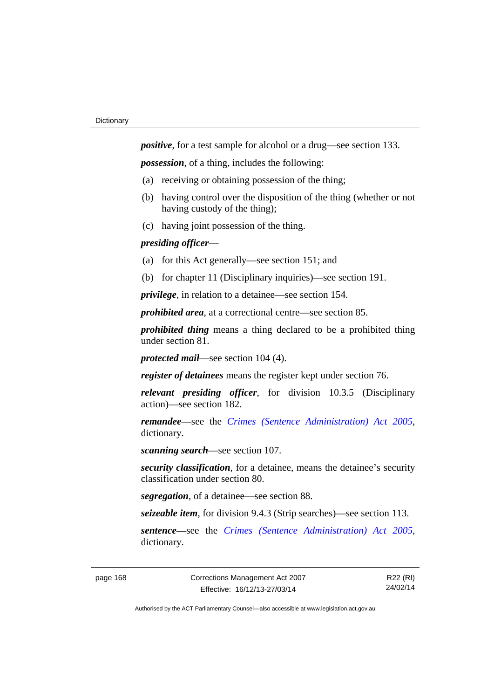*positive*, for a test sample for alcohol or a drug—see section 133.

*possession*, of a thing, includes the following:

- (a) receiving or obtaining possession of the thing;
- (b) having control over the disposition of the thing (whether or not having custody of the thing);
- (c) having joint possession of the thing.

# *presiding officer*—

- (a) for this Act generally—see section 151; and
- (b) for chapter 11 (Disciplinary inquiries)—see section 191.

*privilege*, in relation to a detainee—see section 154.

*prohibited area*, at a correctional centre—see section 85.

*prohibited thing* means a thing declared to be a prohibited thing under section 81.

*protected mail*—see section 104 (4).

*register of detainees* means the register kept under section 76.

*relevant presiding officer*, for division 10.3.5 (Disciplinary action)—see section 182.

*remandee*—see the *[Crimes \(Sentence Administration\) Act 2005](http://www.legislation.act.gov.au/a/2005-59)*, dictionary.

*scanning search*—see section 107.

*security classification*, for a detainee, means the detainee's security classification under section 80.

*segregation*, of a detainee—see section 88.

*seizeable item*, for division 9.4.3 (Strip searches)—see section 113.

*sentence—*see the *[Crimes \(Sentence Administration\) Act 2005](http://www.legislation.act.gov.au/a/2005-59)*, dictionary.

R22 (RI) 24/02/14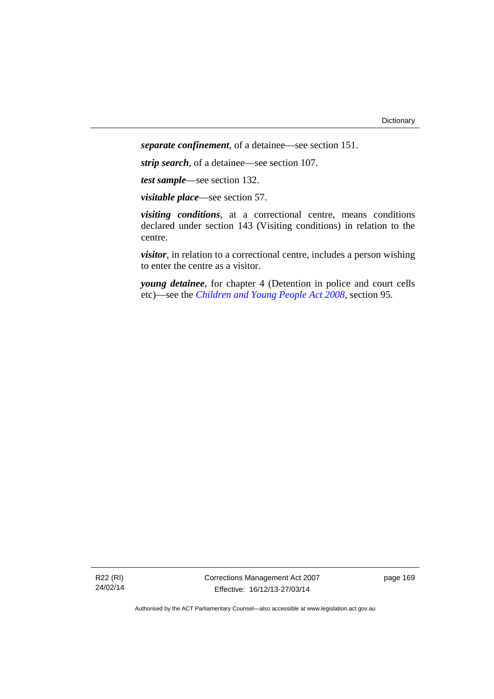*separate confinement*, of a detainee—see section 151.

*strip search*, of a detainee—see section 107.

*test sample*—see section 132.

*visitable place*—see section 57.

*visiting conditions*, at a correctional centre, means conditions declared under section 143 (Visiting conditions) in relation to the centre.

*visitor*, in relation to a correctional centre, includes a person wishing to enter the centre as a visitor.

*young detainee*, for chapter 4 (Detention in police and court cells etc)—see the *[Children and Young People Act 2008](http://www.legislation.act.gov.au/a/2008-19)*, section 95.

R22 (RI) 24/02/14 Corrections Management Act 2007 Effective: 16/12/13-27/03/14

page 169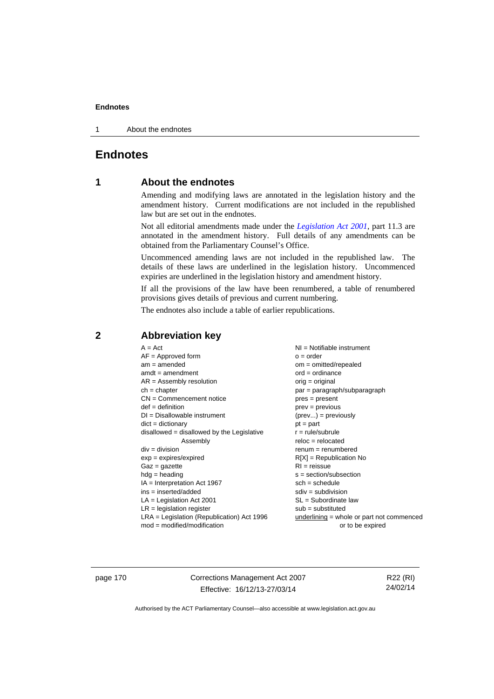1 About the endnotes

# **Endnotes**

# **1 About the endnotes**

Amending and modifying laws are annotated in the legislation history and the amendment history. Current modifications are not included in the republished law but are set out in the endnotes.

Not all editorial amendments made under the *[Legislation Act 2001](http://www.legislation.act.gov.au/a/2001-14)*, part 11.3 are annotated in the amendment history. Full details of any amendments can be obtained from the Parliamentary Counsel's Office.

Uncommenced amending laws are not included in the republished law. The details of these laws are underlined in the legislation history. Uncommenced expiries are underlined in the legislation history and amendment history.

If all the provisions of the law have been renumbered, a table of renumbered provisions gives details of previous and current numbering.

The endnotes also include a table of earlier republications.

| $A = Act$                                    | NI = Notifiable instrument                  |
|----------------------------------------------|---------------------------------------------|
| $AF =$ Approved form                         | $o = order$                                 |
| $am = amended$                               | $om = omitted/repealed$                     |
| $amdt = amendment$                           | $ord = ordinance$                           |
| $AR = Assembly resolution$                   | $orig = original$                           |
| $ch = chapter$                               | $par = paragraph/subparagraph$              |
| $CN =$ Commencement notice                   | $pres = present$                            |
| $def = definition$                           | $prev = previous$                           |
| $DI = Disallowable instrument$               | $(\text{prev}) = \text{previously}$         |
| $dict = dictionary$                          | $pt = part$                                 |
| disallowed = disallowed by the Legislative   | $r = rule/subrule$                          |
| Assembly                                     | $reloc = relocated$                         |
| $div = division$                             | $renum = renumbered$                        |
| $exp = expires/expired$                      | $R[X]$ = Republication No                   |
| $Gaz = gazette$                              | $RI = reissue$                              |
| $hdg = heading$                              | $s = section/subsection$                    |
| $IA = Interpretation Act 1967$               | $sch = schedule$                            |
| $ins = inserted/added$                       | $sdiv = subdivision$                        |
| $LA =$ Legislation Act 2001                  | $SL = Subordinate$ law                      |
| $LR =$ legislation register                  | $sub =$ substituted                         |
|                                              |                                             |
| $LRA =$ Legislation (Republication) Act 1996 | $underlining = whole or part not commenced$ |
| $mod = modified/modification$                | or to be expired                            |

# **2 Abbreviation key**

page 170 Corrections Management Act 2007 Effective: 16/12/13-27/03/14

R22 (RI) 24/02/14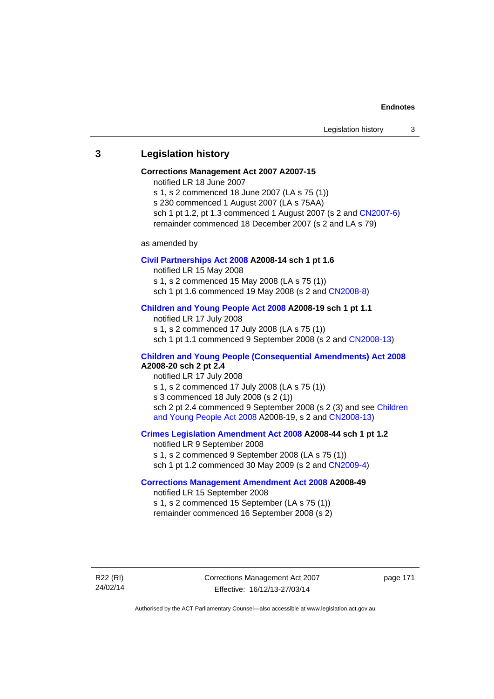# **3 Legislation history**

## **Corrections Management Act 2007 A2007-15**

notified LR 18 June 2007

s 1, s 2 commenced 18 June 2007 (LA s 75 (1)) s 230 commenced 1 August 2007 (LA s 75AA) sch 1 pt 1.2, pt 1.3 commenced 1 August 2007 (s 2 and [CN2007-6](http://www.legislation.act.gov.au/cn/2007-6/default.asp))

remainder commenced 18 December 2007 (s 2 and LA s 79)

as amended by

## **[Civil Partnerships Act 2008](http://www.legislation.act.gov.au/a/2008-14) A2008-14 sch 1 pt 1.6**

notified LR 15 May 2008

s 1, s 2 commenced 15 May 2008 (LA s 75 (1))

sch 1 pt 1.6 commenced 19 May 2008 (s 2 and [CN2008-8\)](http://www.legislation.act.gov.au/cn/2008-8/default.asp)

## **[Children and Young People Act 2008](http://www.legislation.act.gov.au/a/2008-19) A2008-19 sch 1 pt 1.1**

notified LR 17 July 2008 s 1, s 2 commenced 17 July 2008 (LA s 75 (1)) sch 1 pt 1.1 commenced 9 September 2008 (s 2 and [CN2008-13\)](http://www.legislation.act.gov.au/cn/2008-13/default.asp)

## **[Children and Young People \(Consequential Amendments\) Act 2008](http://www.legislation.act.gov.au/a/2008-20) A2008-20 sch 2 pt 2.4**

notified LR 17 July 2008 s 1, s 2 commenced 17 July 2008 (LA s 75 (1)) s 3 commenced 18 July 2008 (s 2 (1)) sch 2 pt 2.4 commenced 9 September 2008 (s 2 (3) and see Children [and Young People Act 2008](http://www.legislation.act.gov.au/a/2008-19) A2008-19, s 2 and [CN2008-13](http://www.legislation.act.gov.au/cn/2008-13/default.asp))

## **[Crimes Legislation Amendment Act 2008](http://www.legislation.act.gov.au/a/2008-44) A2008-44 sch 1 pt 1.2**

notified LR 9 September 2008 s 1, s 2 commenced 9 September 2008 (LA s 75 (1)) sch 1 pt 1.2 commenced 30 May 2009 (s 2 and [CN2009-4\)](http://www.legislation.act.gov.au/cn/2009-4/default.asp)

# **[Corrections Management Amendment Act 2008](http://www.legislation.act.gov.au/a/2008-49) A2008-49**

notified LR 15 September 2008 s 1, s 2 commenced 15 September (LA s 75 (1)) remainder commenced 16 September 2008 (s 2)

R22 (RI) 24/02/14 Corrections Management Act 2007 Effective: 16/12/13-27/03/14

page 171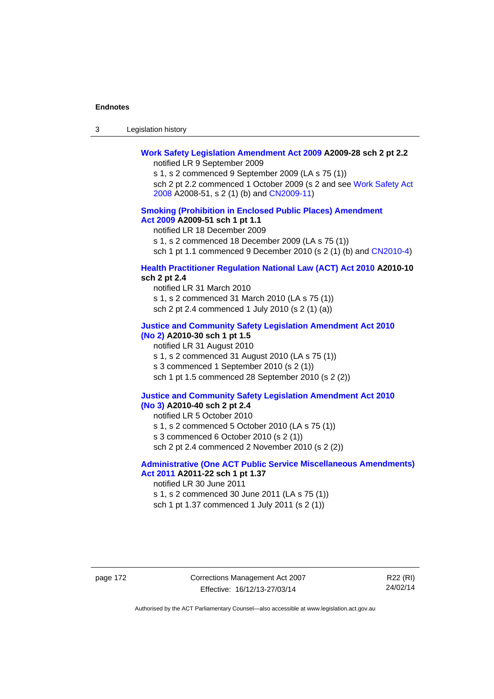| -3 | Legislation history |  |
|----|---------------------|--|
|----|---------------------|--|

## **[Work Safety Legislation Amendment Act 2009](http://www.legislation.act.gov.au/a/2009-28) A2009-28 sch 2 pt 2.2**  notified LR 9 September 2009

s 1, s 2 commenced 9 September 2009 (LA s 75 (1)) sch 2 pt 2.2 commenced 1 October 2009 (s 2 and see [Work Safety Act](http://www.legislation.act.gov.au/a/2008-51)  [2008](http://www.legislation.act.gov.au/a/2008-51) A2008-51, s 2 (1) (b) and [CN2009-11\)](http://www.legislation.act.gov.au/cn/2009-11/default.asp)

## **[Smoking \(Prohibition in Enclosed Public Places\) Amendment](http://www.legislation.act.gov.au/a/2009-51)  [Act 2009](http://www.legislation.act.gov.au/a/2009-51) A2009-51 sch 1 pt 1.1**

notified LR 18 December 2009

s 1, s 2 commenced 18 December 2009 (LA s 75 (1))

sch 1 pt 1.1 commenced 9 December 2010 (s 2 (1) (b) and [CN2010-4\)](http://www.legislation.act.gov.au/cn/2010-4/default.asp)

## **[Health Practitioner Regulation National Law \(ACT\) Act 2010](http://www.legislation.act.gov.au/a/2010-10) A2010-10 sch 2 pt 2.4**

notified LR 31 March 2010 s 1, s 2 commenced 31 March 2010 (LA s 75 (1)) sch 2 pt 2.4 commenced 1 July 2010 (s 2 (1) (a))

## **[Justice and Community Safety Legislation Amendment Act 2010](http://www.legislation.act.gov.au/a/2010-30)**

# **[\(No 2\)](http://www.legislation.act.gov.au/a/2010-30) A2010-30 sch 1 pt 1.5**  notified LR 31 August 2010 s 1, s 2 commenced 31 August 2010 (LA s 75 (1)) s 3 commenced 1 September 2010 (s 2 (1)) sch 1 pt 1.5 commenced 28 September 2010 (s 2 (2))

#### **[Justice and Community Safety Legislation Amendment Act 2010](http://www.legislation.act.gov.au/a/2010-40)  [\(No 3\)](http://www.legislation.act.gov.au/a/2010-40) A2010-40 sch 2 pt 2.4**

notified LR 5 October 2010

s 1, s 2 commenced 5 October 2010 (LA s 75 (1))

s 3 commenced 6 October 2010 (s 2 (1))

sch 2 pt 2.4 commenced 2 November 2010 (s 2 (2))

## **[Administrative \(One ACT Public Service Miscellaneous Amendments\)](http://www.legislation.act.gov.au/a/2011-22)  [Act 2011](http://www.legislation.act.gov.au/a/2011-22) A2011-22 sch 1 pt 1.37**

notified LR 30 June 2011

s 1, s 2 commenced 30 June 2011 (LA s 75 (1)) sch 1 pt 1.37 commenced 1 July 2011 (s 2 (1))

page 172 Corrections Management Act 2007 Effective: 16/12/13-27/03/14

R22 (RI) 24/02/14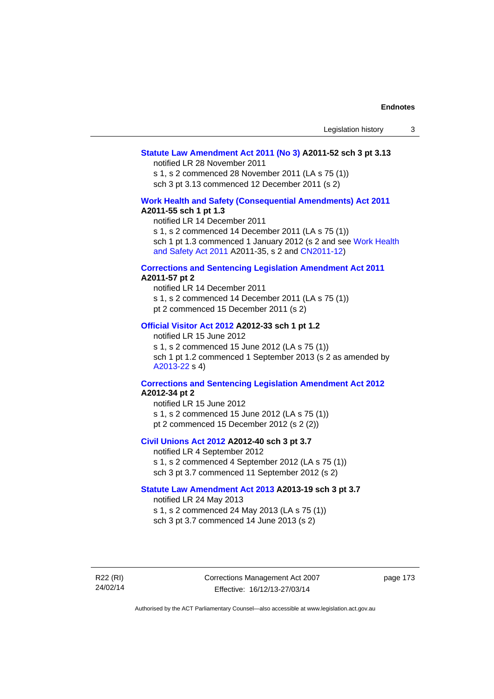## **[Statute Law Amendment Act 2011 \(No 3\)](http://www.legislation.act.gov.au/a/2011-52) A2011-52 sch 3 pt 3.13**

notified LR 28 November 2011

s 1, s 2 commenced 28 November 2011 (LA s 75 (1)) sch 3 pt 3.13 commenced 12 December 2011 (s 2)

## **[Work Health and Safety \(Consequential Amendments\) Act 2011](http://www.legislation.act.gov.au/a/2011-55) A2011-55 sch 1 pt 1.3**

notified LR 14 December 2011

s 1, s 2 commenced 14 December 2011 (LA s 75 (1))

sch 1 pt 1.3 commenced 1 January 2012 (s 2 and see Work Health [and Safety Act 2011](http://www.legislation.act.gov.au/a/2011-35) A2011-35, s 2 and [CN2011-12\)](http://www.legislation.act.gov.au/cn/2011-12/default.asp)

#### **[Corrections and Sentencing Legislation Amendment Act 2011](http://www.legislation.act.gov.au/a/2011-57) A2011-57 pt 2**

notified LR 14 December 2011 s 1, s 2 commenced 14 December 2011 (LA s 75 (1)) pt 2 commenced 15 December 2011 (s 2)

### **[Official Visitor Act 2012](http://www.legislation.act.gov.au/a/2012-33) A2012-33 sch 1 pt 1.2**

notified LR 15 June 2012 s 1, s 2 commenced 15 June 2012 (LA s 75 (1)) sch 1 pt 1.2 commenced 1 September 2013 (s 2 as amended by [A2013-22](http://www.legislation.act.gov.au/a/2013-22) s 4)

## **[Corrections and Sentencing Legislation Amendment Act 2012](http://www.legislation.act.gov.au/a/2012-34) A2012-34 pt 2**

notified LR 15 June 2012 s 1, s 2 commenced 15 June 2012 (LA s 75 (1)) pt 2 commenced 15 December 2012 (s 2 (2))

## **[Civil Unions Act 2012](http://www.legislation.act.gov.au/a/2012-40) A2012-40 sch 3 pt 3.7**

notified LR 4 September 2012 s 1, s 2 commenced 4 September 2012 (LA s 75 (1)) sch 3 pt 3.7 commenced 11 September 2012 (s 2)

## **[Statute Law Amendment Act 2013](http://www.legislation.act.gov.au/a/2013-19) A2013-19 sch 3 pt 3.7**

notified LR 24 May 2013 s 1, s 2 commenced 24 May 2013 (LA s 75 (1)) sch 3 pt 3.7 commenced 14 June 2013 (s 2)

R22 (RI) 24/02/14 Corrections Management Act 2007 Effective: 16/12/13-27/03/14

page 173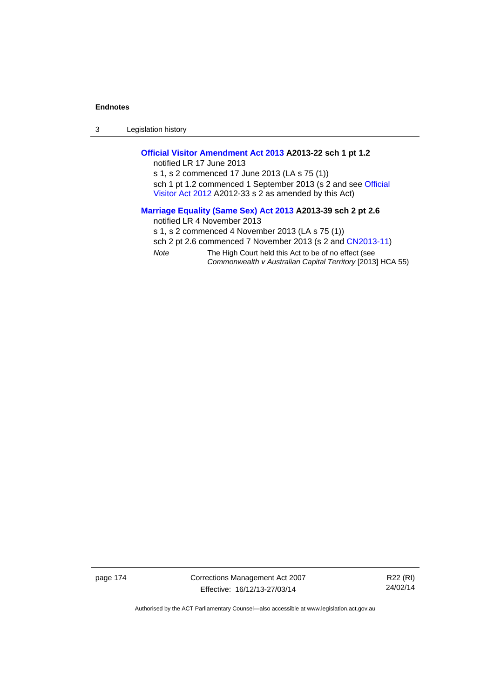3 Legislation history

## **[Official Visitor Amendment Act 2013](http://www.legislation.act.gov.au/a/2013-22) A2013-22 sch 1 pt 1.2**

notified LR 17 June 2013 s 1, s 2 commenced 17 June 2013 (LA s 75 (1)) sch 1 pt 1.2 commenced 1 September 2013 (s 2 and see Official [Visitor Act 2012](http://www.legislation.act.gov.au/a/2012-33) A2012-33 s 2 as amended by this Act)

## **[Marriage Equality \(Same Sex\) Act 2013](http://www.legislation.act.gov.au/a/2013-39) A2013-39 sch 2 pt 2.6**

notified LR 4 November 2013

s 1, s 2 commenced 4 November 2013 (LA s 75 (1))

sch 2 pt 2.6 commenced 7 November 2013 (s 2 and [CN2013-11](http://www.legislation.act.gov.au/cn/2013-11))

*Note* The High Court held this Act to be of no effect (see *Commonwealth v Australian Capital Territory* [2013] HCA 55)

page 174 Corrections Management Act 2007 Effective: 16/12/13-27/03/14

R22 (RI) 24/02/14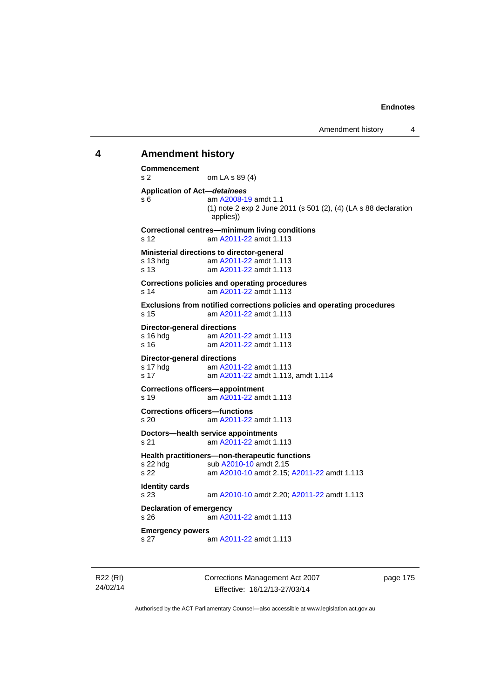# **4 Amendment history Commencement**  s 2 om LA s 89 (4) **Application of Act—***detainees* s 6 am [A2008-19](http://www.legislation.act.gov.au/a/2008-19) amdt 1.1 (1) note 2 exp 2 June 2011 (s 501 (2), (4) (LA s 88 declaration applies)) **Correctional centres—minimum living conditions**  s 12 am [A2011-22](http://www.legislation.act.gov.au/a/2011-22) amdt 1.113 **Ministerial directions to director-general**  s 13 hdg am [A2011-22](http://www.legislation.act.gov.au/a/2011-22) amdt 1.113 s 13 am [A2011-22](http://www.legislation.act.gov.au/a/2011-22) amdt 1.113 **Corrections policies and operating procedures**  s 14 am [A2011-22](http://www.legislation.act.gov.au/a/2011-22) amdt 1.113 **Exclusions from notified corrections policies and operating procedures**  s 15 am [A2011-22](http://www.legislation.act.gov.au/a/2011-22) amdt 1.113 **Director-general directions**  s 16 hdg am [A2011-22](http://www.legislation.act.gov.au/a/2011-22) amdt 1.113 s 16 am [A2011-22](http://www.legislation.act.gov.au/a/2011-22) amdt 1.113 **Director-general directions**<br>s 17 hdg am A201 am [A2011-22](http://www.legislation.act.gov.au/a/2011-22) amdt 1.113 s 17 am [A2011-22](http://www.legislation.act.gov.au/a/2011-22) amdt 1.113, amdt 1.114 **Corrections officers—appointment**  s 19 am [A2011-22](http://www.legislation.act.gov.au/a/2011-22) amdt 1.113 **Corrections officers—functions**  s 20 am [A2011-22](http://www.legislation.act.gov.au/a/2011-22) amdt 1.113 **Doctors—health service appointments**  s 21 am [A2011-22](http://www.legislation.act.gov.au/a/2011-22) amdt 1.113 **Health practitioners—non-therapeutic functions**  s 22 hdg sub [A2010-10](http://www.legislation.act.gov.au/a/2010-10) amdt 2.15 s 22 am [A2010-10](http://www.legislation.act.gov.au/a/2010-10) amdt 2.15; [A2011-22](http://www.legislation.act.gov.au/a/2011-22) amdt 1.113 **Identity cards**  s 23 am [A2010-10](http://www.legislation.act.gov.au/a/2010-10) amdt 2.20; [A2011-22](http://www.legislation.act.gov.au/a/2011-22) amdt 1.113 **Declaration of emergency**  s 26 am [A2011-22](http://www.legislation.act.gov.au/a/2011-22) amdt 1.113 **Emergency powers**  s 27 am [A2011-22](http://www.legislation.act.gov.au/a/2011-22) amdt 1.113

R22 (RI) 24/02/14 Corrections Management Act 2007 Effective: 16/12/13-27/03/14

page 175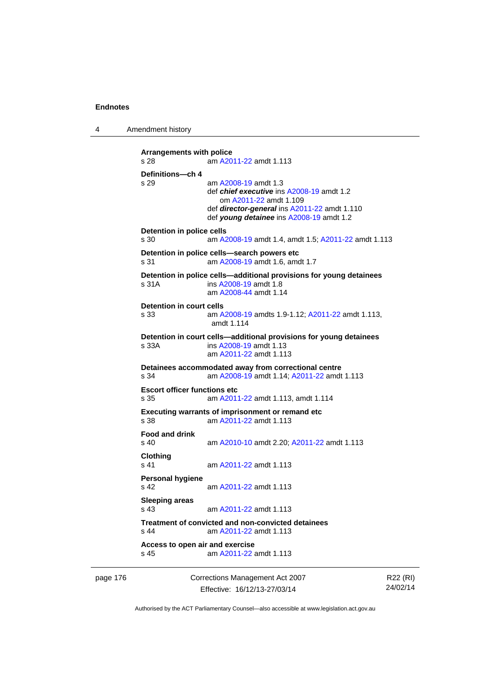4 Amendment history

```
page 176 Corrections Management Act 2007 
                                                                     R22 (RI)
          Arrangements with police 
          s 28 am A2011-22 amdt 1.113
          Definitions—ch 4 
          s 29 am A2008-19 amdt 1.3
                           def chief executive ins A2008-19 amdt 1.2 
                              om A2011-22 amdt 1.109
                           def director-general ins A2011-22 amdt 1.110 
                           def young detainee ins A2008-19 amdt 1.2 
          Detention in police cells 
          s 30 am A2008-19 amdt 1.4, amdt 1.5; A2011-22 amdt 1.113
          Detention in police cells—search powers etc 
          s 31 am A2008-19 amdt 1.6, amdt 1.7 
          Detention in police cells—additional provisions for young detainees 
          s 31A ins A2008-19 amdt 1.8 
                           am A2008-44 amdt 1.14
          Detention in court cells 
          s 33 am A2008-19 amdts 1.9-1.12; A2011-22 amdt 1.113, 
                           amdt 1.114 
          Detention in court cells—additional provisions for young detainees 
          s 33A ins A2008-19 amdt 1.13 
                           am A2011-22 amdt 1.113
          Detainees accommodated away from correctional centre 
          s 34 am A2008-19 amdt 1.14; A2011-22 amdt 1.113 
          Escort officer functions etc 
          s 35 am A2011-22 amdt 1.113, amdt 1.114 
          Executing warrants of imprisonment or remand etc 
          s 38 am A2011-22 amdt 1.113
          Food and drink 
          s 40 am A2010-10 amdt 2.20; A2011-22 amdt 1.113 
          Clothing 
          s 41 A2011-22 amdt 1.113
          Personal hygiene 
          s 42  A2011-22 amdt 1.113
          Sleeping areas 
          s 43  A2011-22 amdt 1.113
          Treatment of convicted and non-convicted detainees 
          s 44 am A2011-22 amdt 1.113
          Access to open air and exercise 
          s 45 am A2011-22 amdt 1.113
```
Effective: 16/12/13-27/03/14

Authorised by the ACT Parliamentary Counsel—also accessible at www.legislation.act.gov.au

24/02/14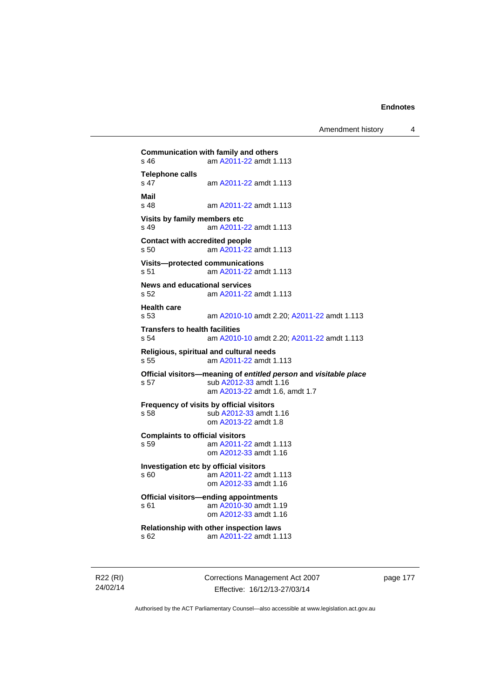Amendment history 4

```
Communication with family and others<br>s 46 am A2011-22 amdt 1.
                A2011-22 amdt 1.113
Telephone calls 
                 s 47 am A2011-22 amdt 1.113
Mail 
                 A2011-22 amdt 1.113
Visits by family members etc 
s 49 am A2011-22 amdt 1.113
Contact with accredited people 
s 50 am A2011-22 amdt 1.113
Visits—protected communications 
s 51 am A2011-22 amdt 1.113
News and educational services 
s 52 am A2011-22 amdt 1.113
Health care 
s 53 am A2010-10 amdt 2.20; A2011-22 amdt 1.113 
Transfers to health facilities 
s 54 am A2010-10 amdt 2.20; A2011-22 amdt 1.113 
Religious, spiritual and cultural needs 
s 55 am A2011-22 amdt 1.113
Official visitors—meaning of entitled person and visitable place 
s 57 sub A2012-33 amdt 1.16 
                  am A2013-22 amdt 1.6, amdt 1.7 
Frequency of visits by official visitors<br>s 58 sub A2012-33 amdt
                 A2012-33 amdt 1.16
                 om A2013-22 amdt 1.8
Complaints to official visitors 
s 59 am A2011-22 amdt 1.113
                 om A2012-33 amdt 1.16
Investigation etc by official visitors 
s 60 am A2011-22 amdt 1.113
                 om A2012-33 amdt 1.16
Official visitors—ending appointments 
 A2010-30 amdt 1.19
                 om A2012-33 amdt 1.16
Relationship with other inspection laws 
s 62 am A2011-22 amdt 1.113
```
R22 (RI) 24/02/14 Corrections Management Act 2007 Effective: 16/12/13-27/03/14

page 177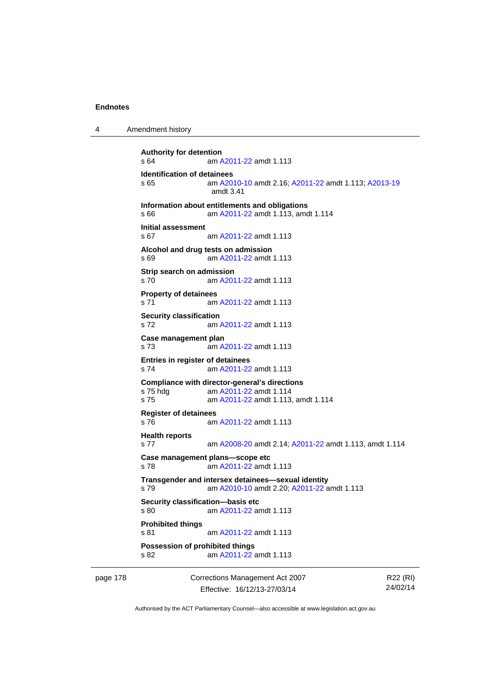4 Amendment history

```
Authority for detention 
s 64 am A2011-22 amdt 1.113
Identification of detainees 
s 65 am A2010-10 amdt 2.16; A2011-22 amdt 1.113; A2013-19
                amdt 3.41
Information about entitlements and obligations 
s 66 am A2011-22 amdt 1.113, amdt 1.114 
Initial assessment 
s 67 am A2011-22 amdt 1.113
Alcohol and drug tests on admission 
s 69 am A2011-22 amdt 1.113
Strip search on admission 
s 70 am A2011-22 amdt 1.113
Property of detainees 
s 71 am A2011-22 amdt 1.113
Security classification 
s 72 am A2011-22 amdt 1.113
Case management plan 
s 73 am A2011-22 amdt 1.113
Entries in register of detainees 
s 74 am A2011-22 amdt 1.113
Compliance with director-general's directions 
s 75 hdg am A2011-22 amdt 1.114
s 75 am A2011-22 amdt 1.113, amdt 1.114 
Register of detainees 
s 76 am A2011-22 amdt 1.113
Health reports 
s 77 am A2008-20 amdt 2.14; A2011-22 amdt 1.113, amdt 1.114 
Case management plans—scope etc 
s 78 am A2011-22 amdt 1.113
Transgender and intersex detainees—sexual identity 
s 79 am A2010-10 amdt 2.20; A2011-22 amdt 1.113 
Security classification—basis etc 
s 80 am A2011-22 amdt 1.113
Prohibited things 
s 81 am A2011-22 amdt 1.113
Possession of prohibited things 
s 82 am A2011-22 amdt 1.113
```
page 178 Corrections Management Act 2007 Effective: 16/12/13-27/03/14

R22 (RI) 24/02/14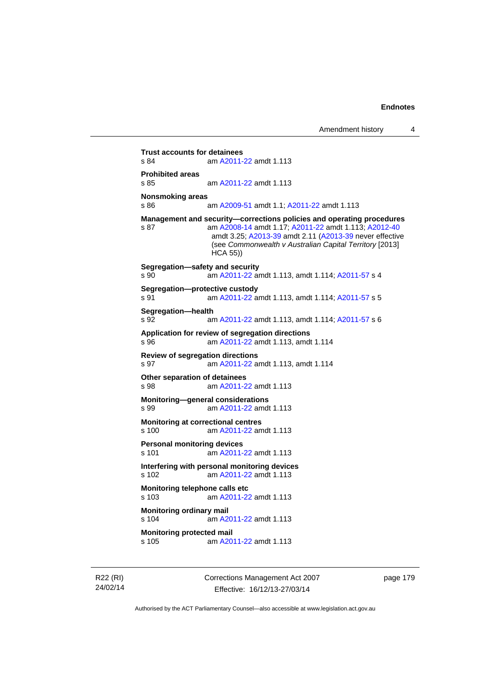**Trust accounts for detainees**<br>s 84 am A2011-am [A2011-22](http://www.legislation.act.gov.au/a/2011-22) amdt 1.113 **Prohibited areas**  s 85 am [A2011-22](http://www.legislation.act.gov.au/a/2011-22) amdt 1.113 **Nonsmoking areas**  s 86 am [A2009-51](http://www.legislation.act.gov.au/a/2009-51) amdt 1.1; [A2011-22](http://www.legislation.act.gov.au/a/2011-22) amdt 1.113 **Management and security—corrections policies and operating procedures**  s 87 am [A2008-14](http://www.legislation.act.gov.au/a/2008-14) amdt 1.17; [A2011-22](http://www.legislation.act.gov.au/a/2011-22) amdt 1.113; [A2012-40](http://www.legislation.act.gov.au/a/2012-40) amdt 3.25; [A2013-39](http://www.legislation.act.gov.au/a/2013-39) amdt 2.11 [\(A2013-39](http://www.legislation.act.gov.au/a/2013-39) never effective (see *Commonwealth v Australian Capital Territory* [2013] HCA 55)) **Segregation—safety and security**  s 90 am [A2011-22](http://www.legislation.act.gov.au/a/2011-22) amdt 1.113, amdt 1.114; [A2011-57](http://www.legislation.act.gov.au/a/2011-57) s 4 **Segregation—protective custody**  s 91 am [A2011-22](http://www.legislation.act.gov.au/a/2011-22) amdt 1.113, amdt 1.114; [A2011-57](http://www.legislation.act.gov.au/a/2011-57) s 5 **Segregation—health**  s 92 am [A2011-22](http://www.legislation.act.gov.au/a/2011-22) amdt 1.113, amdt 1.114; [A2011-57](http://www.legislation.act.gov.au/a/2011-57) s 6 **Application for review of segregation directions**  s 96 am [A2011-22](http://www.legislation.act.gov.au/a/2011-22) amdt 1.113, amdt 1.114 **Review of segregation directions**  s 97 am [A2011-22](http://www.legislation.act.gov.au/a/2011-22) amdt 1.113, amdt 1.114 **Other separation of detainees**  s 98 am [A2011-22](http://www.legislation.act.gov.au/a/2011-22) amdt 1.113 **Monitoring—general considerations**  s 99 am [A2011-22](http://www.legislation.act.gov.au/a/2011-22) amdt 1.113 **Monitoring at correctional centres**  s 100 am [A2011-22](http://www.legislation.act.gov.au/a/2011-22) amdt 1.113 **Personal monitoring devices**  s 101 am [A2011-22](http://www.legislation.act.gov.au/a/2011-22) amdt 1.113 **Interfering with personal monitoring devices**  s 102 am [A2011-22](http://www.legislation.act.gov.au/a/2011-22) amdt 1.113 **Monitoring telephone calls etc**  s 103 am [A2011-22](http://www.legislation.act.gov.au/a/2011-22) amdt 1.113 **Monitoring ordinary mail**  s 104 am [A2011-22](http://www.legislation.act.gov.au/a/2011-22) amdt 1.113 **Monitoring protected mail**<br>s 105 am A20 am [A2011-22](http://www.legislation.act.gov.au/a/2011-22) amdt 1.113

R22 (RI) 24/02/14 Corrections Management Act 2007 Effective: 16/12/13-27/03/14

page 179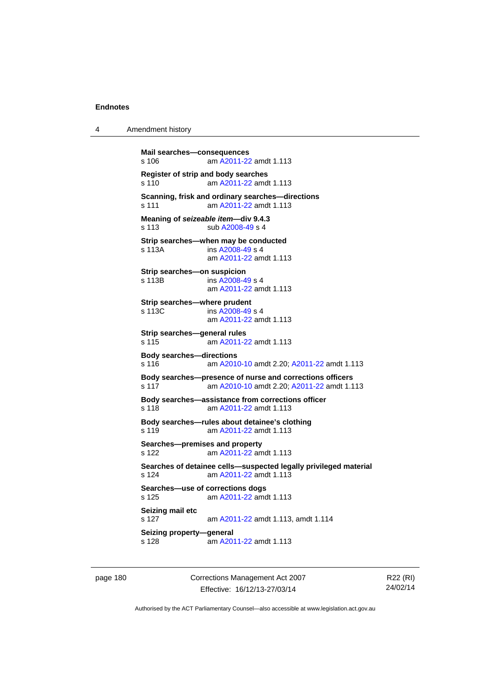4 Amendment history

```
Mail searches—consequences 
s 106 am A2011-22 amdt 1.113
Register of strip and body searches 
s 110 am A2011-22 amdt 1.113
Scanning, frisk and ordinary searches—directions 
s 111 am A2011-22 amdt 1.113
Meaning of seizeable item—div 9.4.3 
s 113 sub A2008-49 s 4 
Strip searches—when may be conducted 
s 113A  A2008-49 s 4
                am A2011-22 amdt 1.113
Strip searches—on suspicion 
s 113B ins A2008-49 s 4
                am A2011-22 amdt 1.113
Strip searches—where prudent 
s 113C ins A2008-49 s 4
                am A2011-22 amdt 1.113
Strip searches—general rules 
s 115 am A2011-22 amdt 1.113
Body searches—directions 
s 116 am A2010-10 amdt 2.20; A2011-22 amdt 1.113 
Body searches—presence of nurse and corrections officers 
s 117 am A2010-10 amdt 2.20; A2011-22 amdt 1.113 
Body searches—assistance from corrections officer 
s 118 am A2011-22 amdt 1.113
Body searches—rules about detainee's clothing 
s 119 am A2011-22 amdt 1.113
Searches—premises and property 
s 122 am A2011-22 amdt 1.113
Searches of detainee cells—suspected legally privileged material 
s 124 am A2011-22 amdt 1.113
Searches—use of corrections dogs 
s 125 am A2011-22 amdt 1.113
Seizing mail etc 
s 127 am A2011-22 amdt 1.113, amdt 1.114 
Seizing property—general 
s 128  A2011-22 amdt 1.113
```
page 180 Corrections Management Act 2007 Effective: 16/12/13-27/03/14

R22 (RI) 24/02/14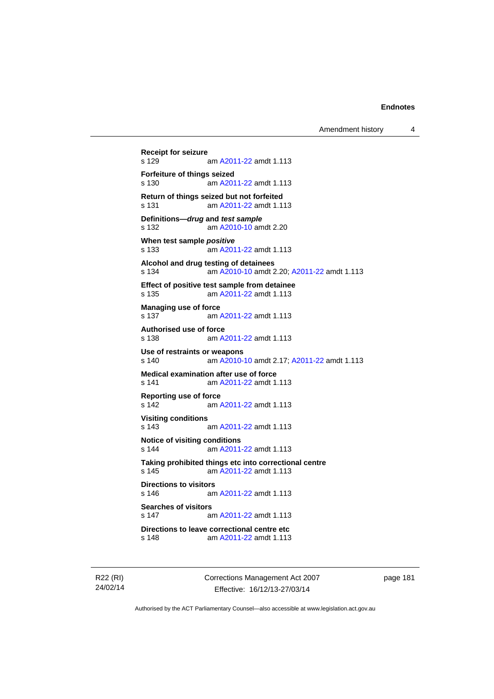```
Receipt for seizure 
               A2011-22 amdt 1.113
Forfeiture of things seized 
s 130 am A2011-22 amdt 1.113
Return of things seized but not forfeited 
s 131 am A2011-22 amdt 1.113
Definitions—drug and test sample
s 132 am A2010-10 amdt 2.20
When test sample positive
s 133 am A2011-22 amdt 1.113
Alcohol and drug testing of detainees 
s 134 am A2010-10 amdt 2.20; A2011-22 amdt 1.113 
Effect of positive test sample from detainee 
s 135 am A2011-22 amdt 1.113
Managing use of force 
 A2011-22 amdt 1.113
Authorised use of force 
s 138 am A2011-22 amdt 1.113
Use of restraints or weapons 
s 140 am A2010-10 amdt 2.17; A2011-22 amdt 1.113 
Medical examination after use of force 
s 141 am A2011-22 amdt 1.113
Reporting use of force 
s 142 am A2011-22 amdt 1.113
Visiting conditions 
s 143 am A2011-22 amdt 1.113
Notice of visiting conditions 
s 144 am A2011-22 amdt 1.113
Taking prohibited things etc into correctional centre 
 A2011-22 amdt 1.113
Directions to visitors 
s 146 am A2011-22 amdt 1.113
Searches of visitors 
s 147 am A2011-22 amdt 1.113
Directions to leave correctional centre etc 
s 148 am A2011-22 amdt 1.113
```
R22 (RI) 24/02/14 Corrections Management Act 2007 Effective: 16/12/13-27/03/14

page 181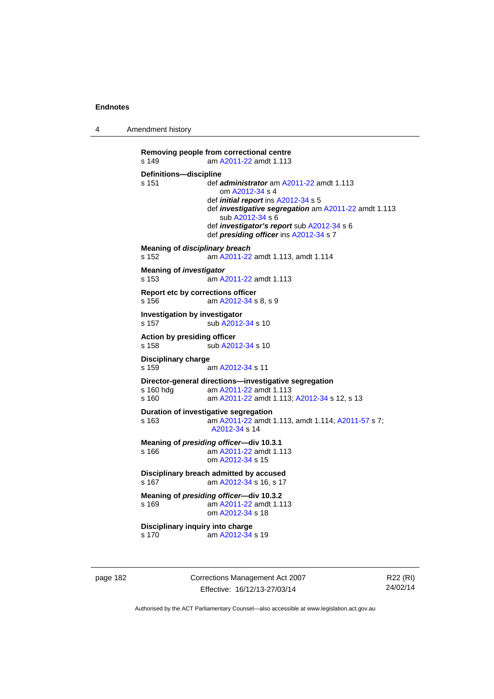4 Amendment history

```
Removing people from correctional centre 
s 149 am A2011-22 amdt 1.113
Definitions—discipline<br>s 151 def a
                 s 151 def administrator am A2011-22 amdt 1.113 
                     om A2012-34 s 4 
                  def initial report ins A2012-34 s 5 
                  def investigative segregation am A2011-22 amdt 1.113 
                     sub A2012-34 s 6 
                  def investigator's report sub A2012-34 s 6 
                  def presiding officer ins A2012-34 s 7 
Meaning of disciplinary breach
s 152 am A2011-22 amdt 1.113, amdt 1.114 
Meaning of investigator
s 153 am A2011-22 amdt 1.113
Report etc by corrections officer 
s 156 am A2012-34 s 8, s 9 
Investigation by investigator 
A2012-34 s 10
Action by presiding officer 
A2012-34 s 10
Disciplinary charge 
s 159 am A2012-34 s 11 
Director-general directions—investigative segregation 
s 160 hdg am A2011-22 amdt 1.113
s 160 am A2011-22 amdt 1.113; A2012-34 s 12, s 13
Duration of investigative segregation 
s 163 am A2011-22 amdt 1.113, amdt 1.114; A2011-57 s 7; 
                  A2012-34 s 14 
Meaning of presiding officer—div 10.3.1 
s 166 am A2011-22 amdt 1.113
                  om A2012-34 s 15 
Disciplinary breach admitted by accused 
 A2012-34 s 16, s 17
Meaning of presiding officer—div 10.3.2<br>s 169 am A2011-22 amdt 1.1
                  A2011-22 amdt 1.113
                  om A2012-34 s 18 
Disciplinary inquiry into charge 
s 170 am A2012-34 s 19
```
page 182 Corrections Management Act 2007 Effective: 16/12/13-27/03/14

R22 (RI) 24/02/14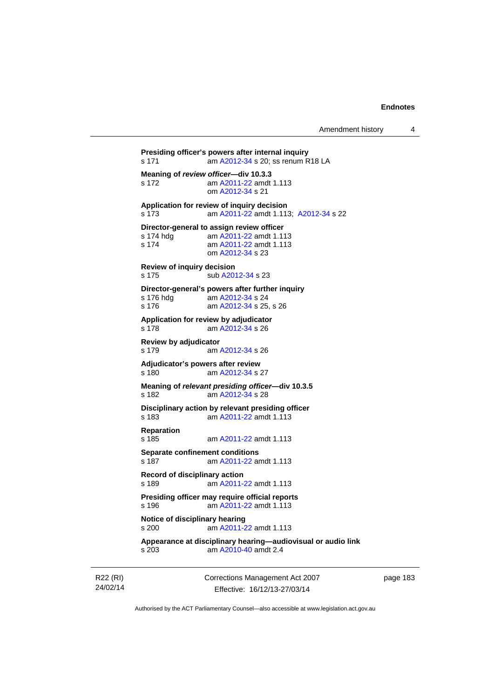```
Presiding officer's powers after internal inquiry 
s 171 am A2012-34 s 20; ss renum R18 LA
Meaning of review officer—div 10.3.3 
s 172 am A2011-22 amdt 1.113
                 om A2012-34 s 21 
Application for review of inquiry decision 
s 173 am A2011-22 amdt 1.113; A2012-34 s 22 
Director-general to assign review officer<br>s 174 hdg am A2011-22 amdt 1.11
                 A2011-22 amdt 1.113
s 174 am A2011-22 amdt 1.113
                 om A2012-34 s 23 
Review of inquiry decision 
A2012-34 s 23
Director-general's powers after further inquiry 
s 176 hdg<br>s 176  A2012-34 s 25
                 A2012-34 s 25, s 26
Application for review by adjudicator 
s 178 am A2012-34 s 26 
Review by adjudicator 
                A2012-34 s 26
Adjudicator's powers after review 
s 180 am A2012-34 s 27 
Meaning of relevant presiding officer—div 10.3.5 
s 182 am A2012-34 s 28 
Disciplinary action by relevant presiding officer 
s 183 am A2011-22 amdt 1.113
Reparation 
                 A2011-22 amdt 1.113
Separate confinement conditions 
s 187 am A2011-22 amdt 1.113
Record of disciplinary action 
s 189 am A2011-22 amdt 1.113
Presiding officer may require official reports 
s 196 am A2011-22 amdt 1.113
Notice of disciplinary hearing 
s 200 am A2011-22 amdt 1.113
Appearance at disciplinary hearing—audiovisual or audio link 
s 203 am A2010-40 amdt 2.4
```
R22 (RI) 24/02/14 Corrections Management Act 2007 Effective: 16/12/13-27/03/14

page 183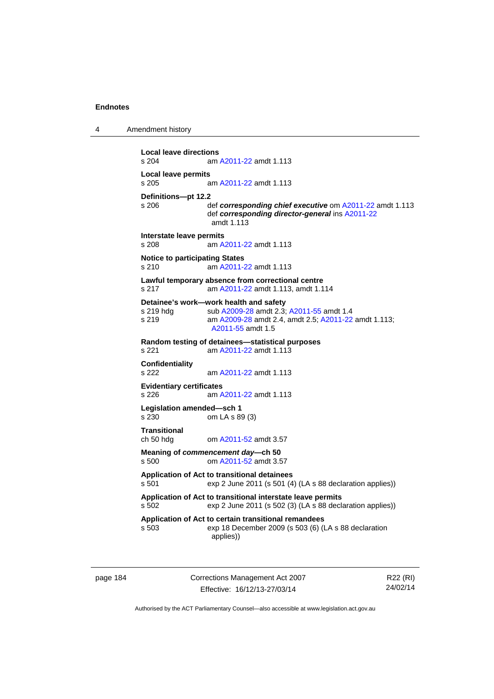4 Amendment history

```
Local leave directions 
                 A2011-22 amdt 1.113
Local leave permits 
s 205 am A2011-22 amdt 1.113
Definitions—pt 12.2 
                 def corresponding chief executiveA2011-22 amdt 1.113
                  def corresponding director-general ins A2011-22
                  amdt 1.113
Interstate leave permits 
s 208 am A2011-22 amdt 1.113
Notice to participating States 
s 210 am A2011-22 amdt 1.113
Lawful temporary absence from correctional centre 
s 217 am A2011-22 amdt 1.113, amdt 1.114 
Detainee's work—work health and safety<br>s 219 hdg sub A2009-28 amdt 2.3;
                A2009-28A2011-55 amdt 1.4
s 219 am A2009-28 amdt 2.4, amdt 2.5; A2011-22 amdt 1.113; 
                  A2011-55 amdt 1.5 
Random testing of detainees—statistical purposes 
                A2011-22 amdt 1.113
Confidentiality 
s 222 am A2011-22 amdt 1.113
Evidentiary certificates 
s 226 am A2011-22 amdt 1.113
Legislation amended—sch 1 
s 230 om LA s 89 (3) 
Transitional 
ch 50 hdg om A2011-52 amdt 3.57
Meaning of commencement day—ch 50 
s 500 om A2011-52 amdt 3.57
Application of Act to transitional detainees 
s 501 exp 2 June 2011 (s 501 (4) (LA s 88 declaration applies)) 
Application of Act to transitional interstate leave permits 
s 502 exp 2 June 2011 (s 502 (3) (LA s 88 declaration applies)) 
Application of Act to certain transitional remandees 
s 503 exp 18 December 2009 (s 503 (6) (LA s 88 declaration 
                  applies))
```
page 184 Corrections Management Act 2007 Effective: 16/12/13-27/03/14

R22 (RI) 24/02/14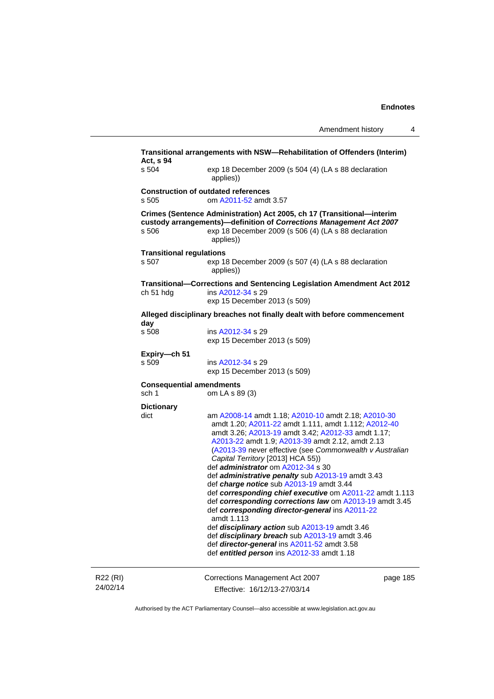|                      | Transitional arrangements with NSW—Rehabilitation of Offenders (Interim)<br>Act, s 94                                                                                                                                       |                                                                                                                                                                                                                                                                                                                                                                                                                                                                                                                                                                                                                                                                                                                                                                                                                                                                                                                           |          |  |
|----------------------|-----------------------------------------------------------------------------------------------------------------------------------------------------------------------------------------------------------------------------|---------------------------------------------------------------------------------------------------------------------------------------------------------------------------------------------------------------------------------------------------------------------------------------------------------------------------------------------------------------------------------------------------------------------------------------------------------------------------------------------------------------------------------------------------------------------------------------------------------------------------------------------------------------------------------------------------------------------------------------------------------------------------------------------------------------------------------------------------------------------------------------------------------------------------|----------|--|
|                      | s 504                                                                                                                                                                                                                       | exp 18 December 2009 (s 504 (4) (LA s 88 declaration<br>applies))                                                                                                                                                                                                                                                                                                                                                                                                                                                                                                                                                                                                                                                                                                                                                                                                                                                         |          |  |
|                      | <b>Construction of outdated references</b><br>s 505<br>om A2011-52 amdt 3.57                                                                                                                                                |                                                                                                                                                                                                                                                                                                                                                                                                                                                                                                                                                                                                                                                                                                                                                                                                                                                                                                                           |          |  |
|                      | Crimes (Sentence Administration) Act 2005, ch 17 (Transitional-interim<br>custody arrangements)-definition of Corrections Management Act 2007<br>exp 18 December 2009 (s 506 (4) (LA s 88 declaration<br>s 506<br>applies)) |                                                                                                                                                                                                                                                                                                                                                                                                                                                                                                                                                                                                                                                                                                                                                                                                                                                                                                                           |          |  |
|                      | <b>Transitional regulations</b><br>s 507                                                                                                                                                                                    | exp 18 December 2009 (s 507 (4) (LA s 88 declaration<br>applies))                                                                                                                                                                                                                                                                                                                                                                                                                                                                                                                                                                                                                                                                                                                                                                                                                                                         |          |  |
|                      | ch 51 hdg                                                                                                                                                                                                                   | Transitional-Corrections and Sentencing Legislation Amendment Act 2012<br>ins A2012-34 s 29<br>exp 15 December 2013 (s 509)                                                                                                                                                                                                                                                                                                                                                                                                                                                                                                                                                                                                                                                                                                                                                                                               |          |  |
|                      | Alleged disciplinary breaches not finally dealt with before commencement                                                                                                                                                    |                                                                                                                                                                                                                                                                                                                                                                                                                                                                                                                                                                                                                                                                                                                                                                                                                                                                                                                           |          |  |
|                      | day<br>s 508                                                                                                                                                                                                                | ins A2012-34 s 29<br>exp 15 December 2013 (s 509)                                                                                                                                                                                                                                                                                                                                                                                                                                                                                                                                                                                                                                                                                                                                                                                                                                                                         |          |  |
|                      | Expiry-ch 51<br>s 509                                                                                                                                                                                                       | ins A2012-34 s 29<br>exp 15 December 2013 (s 509)                                                                                                                                                                                                                                                                                                                                                                                                                                                                                                                                                                                                                                                                                                                                                                                                                                                                         |          |  |
|                      | sch 1                                                                                                                                                                                                                       | <b>Consequential amendments</b><br>om LA s 89 (3)<br>am A2008-14 amdt 1.18; A2010-10 amdt 2.18; A2010-30<br>amdt 1.20; A2011-22 amdt 1.111, amdt 1.112; A2012-40<br>amdt 3.26; A2013-19 amdt 3.42; A2012-33 amdt 1.17;<br>A2013-22 amdt 1.9; A2013-39 amdt 2.12, amdt 2.13<br>(A2013-39 never effective (see Commonwealth v Australian<br>Capital Territory [2013] HCA 55))<br>def <i>administrator</i> om A2012-34 s 30<br>def <i>administrative penalty</i> sub A2013-19 amdt 3.43<br>def charge notice sub A2013-19 amdt 3.44<br>def corresponding chief executive om A2011-22 amdt 1.113<br>def corresponding corrections law om A2013-19 amdt 3.45<br>def corresponding director-general ins A2011-22<br>amdt 1.113<br>def disciplinary action sub A2013-19 amdt 3.46<br>def disciplinary breach sub A2013-19 amdt 3.46<br>def director-general ins A2011-52 amdt 3.58<br>def entitled person ins A2012-33 amdt 1.18 |          |  |
|                      | <b>Dictionary</b><br>dict                                                                                                                                                                                                   |                                                                                                                                                                                                                                                                                                                                                                                                                                                                                                                                                                                                                                                                                                                                                                                                                                                                                                                           |          |  |
| R22 (RI)<br>24/02/14 |                                                                                                                                                                                                                             | Corrections Management Act 2007<br>Effective: 16/12/13-27/03/14                                                                                                                                                                                                                                                                                                                                                                                                                                                                                                                                                                                                                                                                                                                                                                                                                                                           | page 185 |  |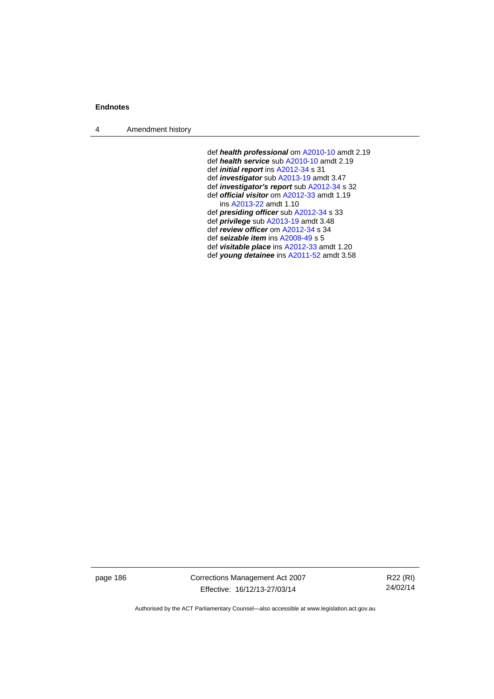4 Amendment history

 def *health professional* om [A2010-10](http://www.legislation.act.gov.au/a/2010-10) amdt 2.19 def *health service* sub [A2010-10](http://www.legislation.act.gov.au/a/2010-10) amdt 2.19 def *initial report* ins [A2012-34](http://www.legislation.act.gov.au/a/2012-34) s 31 def *investigator* sub [A2013-19](http://www.legislation.act.gov.au/a/2013-19) amdt 3.47 def *investigator's report* sub [A2012-34](http://www.legislation.act.gov.au/a/2012-34) s 32 def *official visitor* om [A2012-33](http://www.legislation.act.gov.au/a/2012-33) amdt 1.19 ins [A2013-22](http://www.legislation.act.gov.au/a/2013-22) amdt 1.10 def *presiding officer* sub [A2012-34](http://www.legislation.act.gov.au/a/2012-34) s 33 def *privilege* sub [A2013-19](http://www.legislation.act.gov.au/a/2013-19) amdt 3.48 def *review officer* om [A2012-34](http://www.legislation.act.gov.au/a/2012-34) s 34 def *seizable item* ins [A2008-49](http://www.legislation.act.gov.au/a/2008-49) s 5 def *visitable place* ins [A2012-33](http://www.legislation.act.gov.au/a/2012-33) amdt 1.20 def *young detainee* ins [A2011-52](http://www.legislation.act.gov.au/a/2011-52) amdt 3.58

page 186 Corrections Management Act 2007 Effective: 16/12/13-27/03/14

R22 (RI) 24/02/14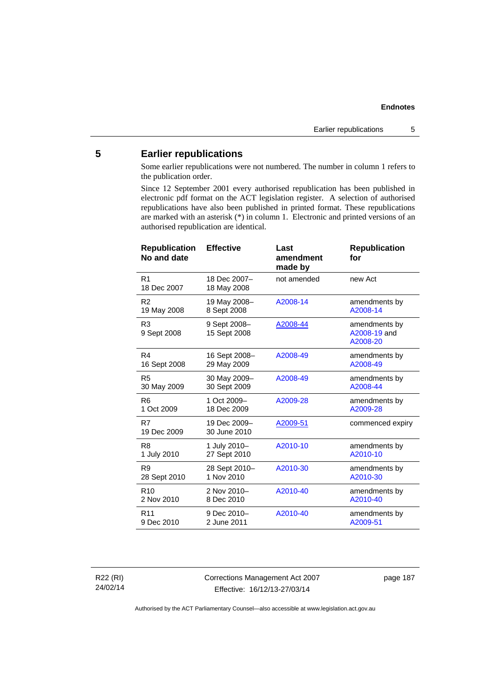# **5 Earlier republications**

Some earlier republications were not numbered. The number in column 1 refers to the publication order.

Since 12 September 2001 every authorised republication has been published in electronic pdf format on the ACT legislation register. A selection of authorised republications have also been published in printed format. These republications are marked with an asterisk (\*) in column 1. Electronic and printed versions of an authorised republication are identical.

| <b>Republication</b><br>No and date | <b>Effective</b>             | Last<br>amendment<br>made by | <b>Republication</b><br>for               |
|-------------------------------------|------------------------------|------------------------------|-------------------------------------------|
| R <sub>1</sub><br>18 Dec 2007       | 18 Dec 2007-<br>18 May 2008  | not amended                  | new Act                                   |
| R <sub>2</sub>                      | 19 May 2008-                 | A2008-14                     | amendments by                             |
| 19 May 2008                         | 8 Sept 2008                  |                              | A2008-14                                  |
| R <sub>3</sub><br>9 Sept 2008       | 9 Sept 2008-<br>15 Sept 2008 | A2008-44                     | amendments by<br>A2008-19 and<br>A2008-20 |
| R4                                  | 16 Sept 2008-                | A2008-49                     | amendments by                             |
| 16 Sept 2008                        | 29 May 2009                  |                              | A2008-49                                  |
| R <sub>5</sub>                      | 30 May 2009-                 | A2008-49                     | amendments by                             |
| 30 May 2009                         | 30 Sept 2009                 |                              | A2008-44                                  |
| R <sub>6</sub>                      | 1 Oct 2009-                  | A2009-28                     | amendments by                             |
| 1 Oct 2009                          | 18 Dec 2009                  |                              | A2009-28                                  |
| R7<br>19 Dec 2009                   | 19 Dec 2009-<br>30 June 2010 | A2009-51                     | commenced expiry                          |
| R <sub>8</sub>                      | 1 July 2010-                 | A2010-10                     | amendments by                             |
| 1 July 2010                         | 27 Sept 2010                 |                              | A2010-10                                  |
| R <sub>9</sub>                      | 28 Sept 2010-                | A2010-30                     | amendments by                             |
| 28 Sept 2010                        | 1 Nov 2010                   |                              | A2010-30                                  |
| R <sub>10</sub>                     | 2 Nov 2010-                  | A2010-40                     | amendments by                             |
| 2 Nov 2010                          | 8 Dec 2010                   |                              | A2010-40                                  |
| R <sub>11</sub>                     | 9 Dec 2010-                  | A2010-40                     | amendments by                             |
| 9 Dec 2010                          | 2 June 2011                  |                              | A2009-51                                  |

R22 (RI) 24/02/14 Corrections Management Act 2007 Effective: 16/12/13-27/03/14

page 187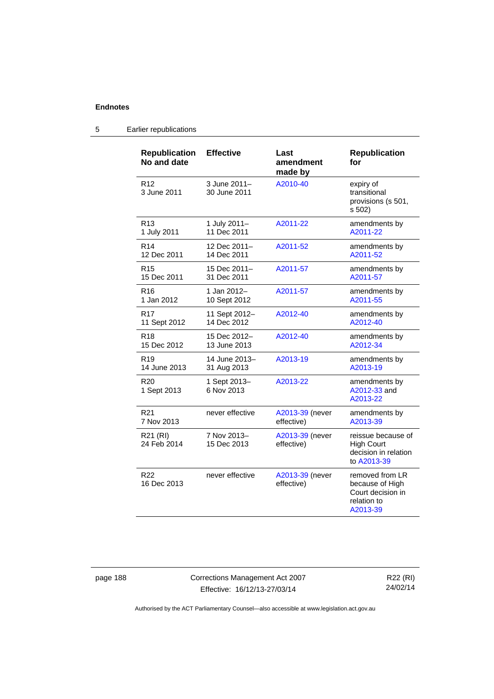| <b>Republication</b><br>No and date | <b>Effective</b>             | Last<br>amendment<br>made by  | <b>Republication</b><br>for                                                        |
|-------------------------------------|------------------------------|-------------------------------|------------------------------------------------------------------------------------|
| R <sub>12</sub><br>3 June 2011      | 3 June 2011-<br>30 June 2011 | A2010-40                      | expiry of<br>transitional<br>provisions (s 501,<br>s 502)                          |
| R <sub>13</sub>                     | 1 July 2011-                 | A2011-22                      | amendments by                                                                      |
| 1 July 2011                         | 11 Dec 2011                  |                               | A2011-22                                                                           |
| R <sub>14</sub>                     | 12 Dec 2011-                 | A2011-52                      | amendments by                                                                      |
| 12 Dec 2011                         | 14 Dec 2011                  |                               | A2011-52                                                                           |
| R15                                 | 15 Dec 2011-                 | A2011-57                      | amendments by                                                                      |
| 15 Dec 2011                         | 31 Dec 2011                  |                               | A2011-57                                                                           |
| R <sub>16</sub>                     | 1 Jan 2012-                  | A2011-57                      | amendments by                                                                      |
| 1 Jan 2012                          | 10 Sept 2012                 |                               | A2011-55                                                                           |
| R <sub>17</sub>                     | 11 Sept 2012-                | A2012-40                      | amendments by                                                                      |
| 11 Sept 2012                        | 14 Dec 2012                  |                               | A2012-40                                                                           |
| R <sub>18</sub>                     | 15 Dec 2012-                 | A2012-40                      | amendments by                                                                      |
| 15 Dec 2012                         | 13 June 2013                 |                               | A2012-34                                                                           |
| R <sub>19</sub>                     | 14 June 2013-                | A2013-19                      | amendments by                                                                      |
| 14 June 2013                        | 31 Aug 2013                  |                               | A2013-19                                                                           |
| R <sub>20</sub><br>1 Sept 2013      | 1 Sept 2013-<br>6 Nov 2013   | A2013-22                      | amendments by<br>A2012-33 and<br>A2013-22                                          |
| R <sub>21</sub>                     | never effective              | A2013-39 (never               | amendments by                                                                      |
| 7 Nov 2013                          |                              | effective)                    | A2013-39                                                                           |
| R21 (RI)<br>24 Feb 2014             | 7 Nov 2013-<br>15 Dec 2013   | A2013-39 (never<br>effective) | reissue because of<br><b>High Court</b><br>decision in relation<br>to A2013-39     |
| R <sub>22</sub><br>16 Dec 2013      | never effective              | A2013-39 (never<br>effective) | removed from LR<br>because of High<br>Court decision in<br>relation to<br>A2013-39 |

# 5 Earlier republications

page 188 Corrections Management Act 2007 Effective: 16/12/13-27/03/14

R22 (RI) 24/02/14